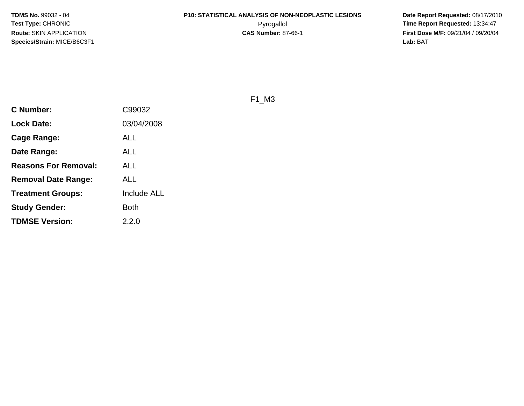**Date Report Requested:** 08/17/2010 **First Dose M/F:** 09/21/04 / 09/20/04<br>Lab: BAT **Lab:** BAT

F1\_M3

| <b>C</b> Number:            | C99032             |
|-----------------------------|--------------------|
| <b>Lock Date:</b>           | 03/04/2008         |
| Cage Range:                 | ALL                |
| Date Range:                 | ALL                |
| <b>Reasons For Removal:</b> | ALL                |
| Removal Date Range:         | ALL                |
| <b>Treatment Groups:</b>    | <b>Include ALL</b> |
| <b>Study Gender:</b>        | <b>Both</b>        |
| <b>TDMSE Version:</b>       | 2.2.0              |
|                             |                    |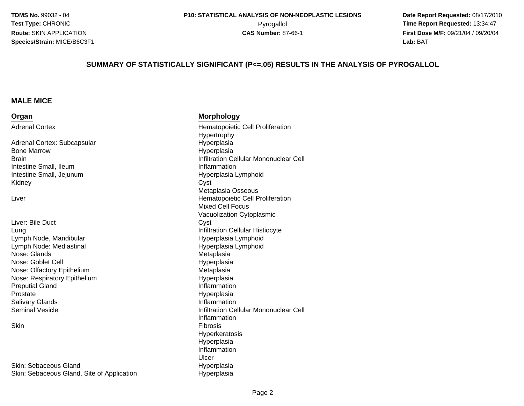**Date Report Requested:** 08/17/2010 Pyrogallol **Time Report Requested:** 13:34:47 **First Dose M/F:** 09/21/04 / 09/20/04<br>**Lab:** BAT **Lab:** BAT

#### **SUMMARY OF STATISTICALLY SIGNIFICANT (P<=.05) RESULTS IN THE ANALYSIS OF PYROGALLOL**

#### **MALE MICE**

#### **Organ**

Adrenal Cortex

Adrenal Cortex: Subcapsular Hyperplasia Bone Marrow**Brain** Intestine Small, IleumIntestine Small, JejunumKidneyy Cyst

Liver

Liver: Bile Ductt Cyst LungLymph Node, MandibularLymph Node: MediastinalNose: Glandsl and the contract of the contract of the Hyperplasia Nose: Goblet CellNose: Olfactory EpitheliumNose: Respiratory EpitheliumPreputial GlandProstateSalivary GlandsSeminal Vesicle

**Skin** 

d Hyperplasia Skin: Sebaceous GlandSkin: Sebaceous Gland, Site of Application

#### **Morphology**

 Hematopoietic Cell ProliferationHypertrophy Hyperplasia Infiltration Cellular Mononuclear Cell Inflammation Hyperplasia Lymphoid Metaplasia Osseousr and the contract of the contract of the Hematopoietic Cell Proliferation Mixed Cell Focus Vacuolization Cytoplasmic Infiltration Cellular Histiocyte Hyperplasia Lymphoid Hyperplasia Lymphoid Metaplasia Metaplasia Hyperplasia Inflammation Hyperplasia Inflammation Infiltration Cellular Mononuclear Cell Inflammationn and the contract of the contract of the contract of the contract of the contract of the contract of the contract of the contract of the contract of the contract of the contract of the contract of the contract of the cont HyperkeratosisHyperplasia InflammationUlcerHyperplasia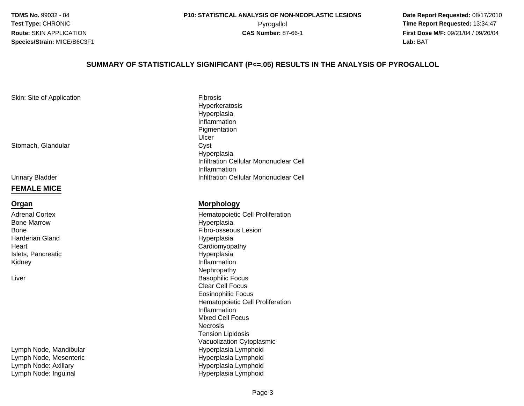**Date Report Requested:** 08/17/2010 Pyrogallol **Time Report Requested:** 13:34:47 **First Dose M/F:** 09/21/04 / 09/20/04<br>**Lab:** BAT **Lab:** BAT

#### **SUMMARY OF STATISTICALLY SIGNIFICANT (P<=.05) RESULTS IN THE ANALYSIS OF PYROGALLOL**

Skin: Site of Application

Stomach, Glandular

Urinary Bladder

#### **FEMALE MICE**

#### **Organ**

Adrenal CortexBone MarrowBoneHarderian Gland**Heart** Islets, PancreaticKidney

Liver

Lymph Node, MandibularLymph Node, MesentericLymph Node: AxillaryLymph Node: Inguinal

n Fibrosis Hyperkeratosis**Hyperplasia**  Inflammation PigmentationUlcerCyst r Cyst Hyperplasia Infiltration Cellular Mononuclear CellInflammationInfiltration Cellular Mononuclear Cell

#### **Morphology**

 Hematopoietic Cell Proliferation Hyperplasia Fibro-osseous Lesion Hyperplasia Cardiomyopathy Hyperplasiay and the contract of the contract of the contract of the contract of the contract of the contract of the contract of the contract of the contract of the contract of the contract of the contract of the contract of the cont Nephropathyr and the contract of the contract of the Basophilic Focus Clear Cell Focus Eosinophilic Focus Hematopoietic Cell ProliferationInflammation Mixed Cell FocusNecrosis Tension Lipidosis Vacuolization Cytoplasmic Hyperplasia Lymphoid Hyperplasia Lymphoid Hyperplasia LymphoidHyperplasia Lymphoid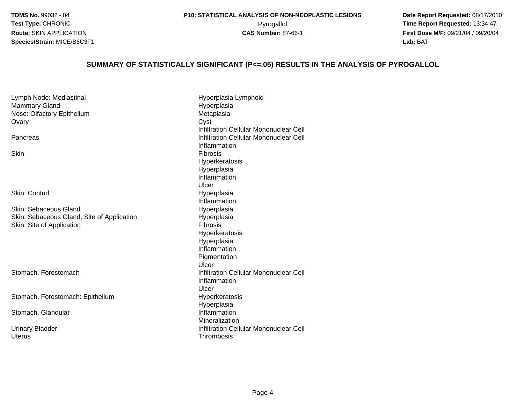**Date Report Requested:** 08/17/2010 Pyrogallol **Time Report Requested:** 13:34:47 **First Dose M/F:** 09/21/04 / 09/20/04<br>**Lab:** BAT **Lab:** BAT

#### **SUMMARY OF STATISTICALLY SIGNIFICANT (P<=.05) RESULTS IN THE ANALYSIS OF PYROGALLOL**

Lymph Node: Mediastinal Hyperplasia LymphoidMammary Gland Hyperplasia Nose: Olfactory EpitheliumMetaplasia<br>Cyst **Ovary** y Cyst Infiltration Cellular Mononuclear Cell**Infiltration Cellular Mononuclear Cell**<br> **Infiltration Cellular Mononuclear Cell** PancreasInflammation**Skin** n and the contract of the contract of the contract of the contract of the contract of the contract of the contract of the contract of the contract of the contract of the contract of the contract of the contract of the cont Hyperkeratosis**Hyperplasia**  InflammationUlcerI and the contract of the contract of the Hyperplasia Skin: Control Inflammationd Hyperplasia Skin: Sebaceous GlandSkin: Sebaceous Gland, Site of ApplicationHyperplasia<br>Fibrosis Skin: Site of Applicationn Fibrosis HyperkeratosisHyperplasia Inflammation PigmentationUlcer**Infiltration Cellular Mononuclear Cell**<br> **Infiltration Cellular Mononuclear Cell** Stomach, ForestomachInflammationUlcerm Hyperkeratosis<br>Hyperkeratosis Stomach, Forestomach: EpitheliumHyperplasia**Inflammation** Stomach, Glandular Mineralization Infiltration Cellular Mononuclear Cell Urinary BladderUterusThrombosis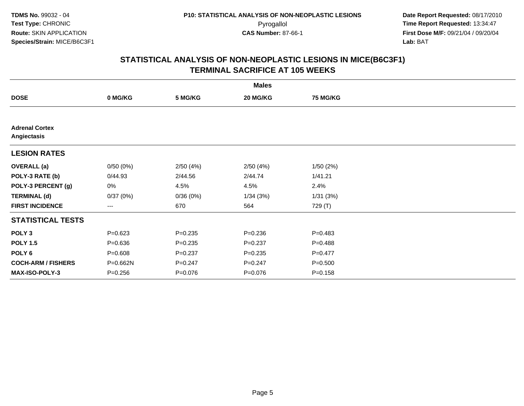**Date Report Requested:** 08/17/2010 Pyrogallol **Time Report Requested:** 13:34:47 **First Dose M/F:** 09/21/04 / 09/20/04<br>Lab: BAT **Lab:** BAT

|                                      |             |             | <b>Males</b> |                 |  |
|--------------------------------------|-------------|-------------|--------------|-----------------|--|
| <b>DOSE</b>                          | 0 MG/KG     | 5 MG/KG     | 20 MG/KG     | <b>75 MG/KG</b> |  |
|                                      |             |             |              |                 |  |
| <b>Adrenal Cortex</b><br>Angiectasis |             |             |              |                 |  |
| <b>LESION RATES</b>                  |             |             |              |                 |  |
| <b>OVERALL</b> (a)                   | 0/50(0%)    | 2/50(4%)    | 2/50(4%)     | 1/50(2%)        |  |
| POLY-3 RATE (b)                      | 0/44.93     | 2/44.56     | 2/44.74      | 1/41.21         |  |
| POLY-3 PERCENT (g)                   | 0%          | 4.5%        | 4.5%         | 2.4%            |  |
| <b>TERMINAL (d)</b>                  | 0/37(0%)    | 0/36(0%)    | 1/34(3%)     | 1/31(3%)        |  |
| <b>FIRST INCIDENCE</b>               | ---         | 670         | 564          | 729 (T)         |  |
| <b>STATISTICAL TESTS</b>             |             |             |              |                 |  |
| POLY <sub>3</sub>                    | $P = 0.623$ | $P = 0.235$ | $P = 0.236$  | $P = 0.483$     |  |
| <b>POLY 1.5</b>                      | $P = 0.636$ | $P = 0.235$ | $P = 0.237$  | $P = 0.488$     |  |
| POLY 6                               | $P = 0.608$ | $P = 0.237$ | $P = 0.235$  | $P=0.477$       |  |
| <b>COCH-ARM / FISHERS</b>            | P=0.662N    | $P = 0.247$ | $P = 0.247$  | $P = 0.500$     |  |
| MAX-ISO-POLY-3                       | $P = 0.256$ | $P = 0.076$ | $P = 0.076$  | $P = 0.158$     |  |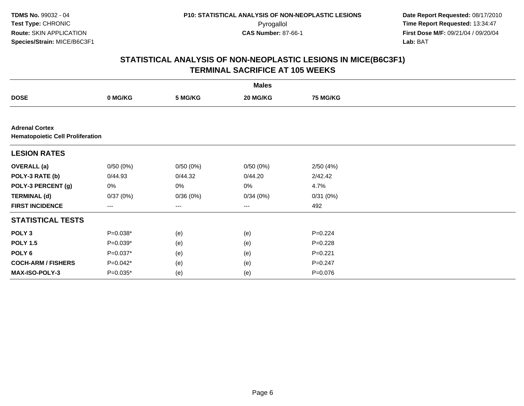**Date Report Requested:** 08/17/2010 Pyrogallol **Time Report Requested:** 13:34:47 **First Dose M/F:** 09/21/04 / 09/20/04<br>Lab: BAT **Lab:** BAT

|                                                                  |                        |          | <b>Males</b> |                 |  |
|------------------------------------------------------------------|------------------------|----------|--------------|-----------------|--|
| <b>DOSE</b>                                                      | 0 MG/KG                | 5 MG/KG  | 20 MG/KG     | <b>75 MG/KG</b> |  |
|                                                                  |                        |          |              |                 |  |
| <b>Adrenal Cortex</b><br><b>Hematopoietic Cell Proliferation</b> |                        |          |              |                 |  |
| <b>LESION RATES</b>                                              |                        |          |              |                 |  |
| <b>OVERALL (a)</b>                                               | 0/50(0%)               | 0/50(0%) | 0/50(0%)     | 2/50(4%)        |  |
| POLY-3 RATE (b)                                                  | 0/44.93                | 0/44.32  | 0/44.20      | 2/42.42         |  |
| POLY-3 PERCENT (g)                                               | 0%                     | 0%       | 0%           | 4.7%            |  |
| <b>TERMINAL (d)</b>                                              | 0/37(0%)               | 0/36(0%) | 0/34(0%)     | 0/31(0%)        |  |
| <b>FIRST INCIDENCE</b>                                           | $\qquad \qquad \cdots$ | ---      | $---$        | 492             |  |
| <b>STATISTICAL TESTS</b>                                         |                        |          |              |                 |  |
| POLY <sub>3</sub>                                                | $P=0.038*$             | (e)      | (e)          | $P=0.224$       |  |
| <b>POLY 1.5</b>                                                  | $P=0.039*$             | (e)      | (e)          | $P=0.228$       |  |
| POLY 6                                                           | $P=0.037*$             | (e)      | (e)          | $P=0.221$       |  |
| <b>COCH-ARM / FISHERS</b>                                        | $P=0.042*$             | (e)      | (e)          | $P = 0.247$     |  |
| MAX-ISO-POLY-3                                                   | $P=0.035*$             | (e)      | (e)          | $P=0.076$       |  |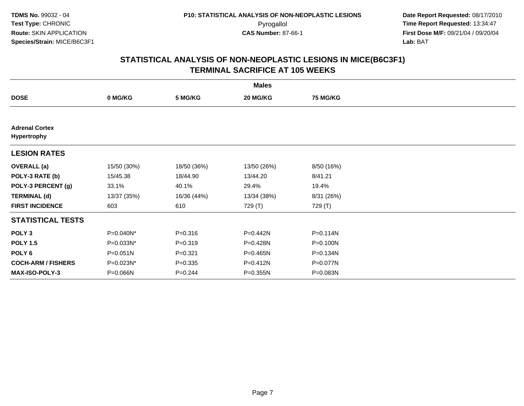| <b>Males</b>                         |              |             |             |                 |  |  |
|--------------------------------------|--------------|-------------|-------------|-----------------|--|--|
| <b>DOSE</b>                          | 0 MG/KG      | 5 MG/KG     | 20 MG/KG    | <b>75 MG/KG</b> |  |  |
|                                      |              |             |             |                 |  |  |
| <b>Adrenal Cortex</b><br>Hypertrophy |              |             |             |                 |  |  |
| <b>LESION RATES</b>                  |              |             |             |                 |  |  |
| <b>OVERALL</b> (a)                   | 15/50 (30%)  | 18/50 (36%) | 13/50 (26%) | 8/50 (16%)      |  |  |
| POLY-3 RATE (b)                      | 15/45.38     | 18/44.90    | 13/44.20    | 8/41.21         |  |  |
| POLY-3 PERCENT (g)                   | 33.1%        | 40.1%       | 29.4%       | 19.4%           |  |  |
| <b>TERMINAL (d)</b>                  | 13/37 (35%)  | 16/36 (44%) | 13/34 (38%) | 8/31 (26%)      |  |  |
| <b>FIRST INCIDENCE</b>               | 603          | 610         | 729 (T)     | 729 (T)         |  |  |
| <b>STATISTICAL TESTS</b>             |              |             |             |                 |  |  |
| POLY <sub>3</sub>                    | P=0.040N*    | $P = 0.316$ | P=0.442N    | $P = 0.114N$    |  |  |
| <b>POLY 1.5</b>                      | P=0.033N*    | $P = 0.319$ | P=0.428N    | P=0.100N        |  |  |
| POLY 6                               | $P = 0.051N$ | $P=0.321$   | P=0.465N    | P=0.134N        |  |  |
| <b>COCH-ARM / FISHERS</b>            | P=0.023N*    | $P = 0.335$ | P=0.412N    | P=0.077N        |  |  |
| <b>MAX-ISO-POLY-3</b>                | P=0.066N     | $P = 0.244$ | P=0.355N    | P=0.083N        |  |  |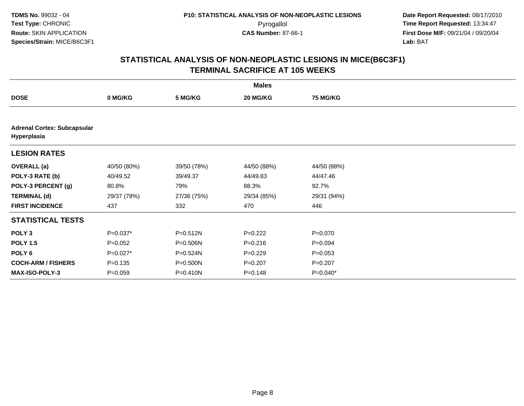|                                                   | <b>Males</b> |              |             |                 |  |  |  |
|---------------------------------------------------|--------------|--------------|-------------|-----------------|--|--|--|
| <b>DOSE</b>                                       | 0 MG/KG      | 5 MG/KG      | 20 MG/KG    | <b>75 MG/KG</b> |  |  |  |
|                                                   |              |              |             |                 |  |  |  |
| <b>Adrenal Cortex: Subcapsular</b><br>Hyperplasia |              |              |             |                 |  |  |  |
| <b>LESION RATES</b>                               |              |              |             |                 |  |  |  |
| <b>OVERALL</b> (a)                                | 40/50 (80%)  | 39/50 (78%)  | 44/50 (88%) | 44/50 (88%)     |  |  |  |
| POLY-3 RATE (b)                                   | 40/49.52     | 39/49.37     | 44/49.83    | 44/47.46        |  |  |  |
| POLY-3 PERCENT (g)                                | 80.8%        | 79%          | 88.3%       | 92.7%           |  |  |  |
| <b>TERMINAL (d)</b>                               | 29/37 (78%)  | 27/36 (75%)  | 29/34 (85%) | 29/31 (94%)     |  |  |  |
| <b>FIRST INCIDENCE</b>                            | 437          | 332          | 470         | 446             |  |  |  |
| <b>STATISTICAL TESTS</b>                          |              |              |             |                 |  |  |  |
| POLY <sub>3</sub>                                 | $P=0.037*$   | $P = 0.512N$ | $P=0.222$   | $P = 0.070$     |  |  |  |
| <b>POLY 1.5</b>                                   | $P=0.052$    | P=0.506N     | $P = 0.216$ | $P = 0.094$     |  |  |  |
| POLY 6                                            | $P=0.027*$   | P=0.524N     | $P=0.229$   | $P = 0.053$     |  |  |  |
| <b>COCH-ARM / FISHERS</b>                         | $P = 0.135$  | $P = 0.500N$ | $P=0.207$   | $P = 0.207$     |  |  |  |
| MAX-ISO-POLY-3                                    | $P = 0.059$  | P=0.410N     | $P = 0.148$ | P=0.040*        |  |  |  |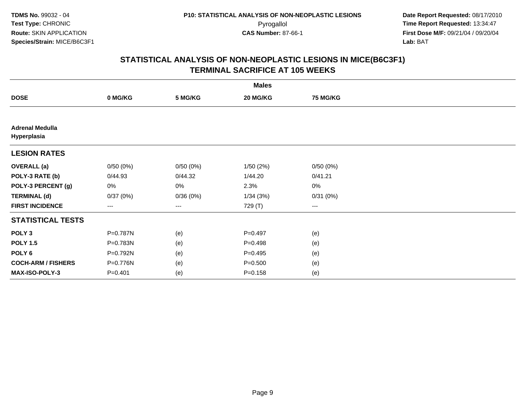**Date Report Requested:** 08/17/2010 Pyrogallol **Time Report Requested:** 13:34:47 **First Dose M/F:** 09/21/04 / 09/20/04<br>Lab: BAT **Lab:** BAT

|                                       |             |          | <b>Males</b> |                 |  |
|---------------------------------------|-------------|----------|--------------|-----------------|--|
| <b>DOSE</b>                           | 0 MG/KG     | 5 MG/KG  | 20 MG/KG     | <b>75 MG/KG</b> |  |
|                                       |             |          |              |                 |  |
| <b>Adrenal Medulla</b><br>Hyperplasia |             |          |              |                 |  |
| <b>LESION RATES</b>                   |             |          |              |                 |  |
| <b>OVERALL</b> (a)                    | 0/50(0%)    | 0/50(0%) | 1/50(2%)     | 0/50(0%)        |  |
| POLY-3 RATE (b)                       | 0/44.93     | 0/44.32  | 1/44.20      | 0/41.21         |  |
| POLY-3 PERCENT (g)                    | 0%          | 0%       | 2.3%         | 0%              |  |
| <b>TERMINAL (d)</b>                   | 0/37(0%)    | 0/36(0%) | 1/34(3%)     | 0/31(0%)        |  |
| <b>FIRST INCIDENCE</b>                | ---         | ---      | 729 (T)      | $\cdots$        |  |
| <b>STATISTICAL TESTS</b>              |             |          |              |                 |  |
| POLY <sub>3</sub>                     | P=0.787N    | (e)      | $P = 0.497$  | (e)             |  |
| <b>POLY 1.5</b>                       | P=0.783N    | (e)      | $P=0.498$    | (e)             |  |
| POLY <sub>6</sub>                     | P=0.792N    | (e)      | $P=0.495$    | (e)             |  |
| <b>COCH-ARM / FISHERS</b>             | P=0.776N    | (e)      | $P = 0.500$  | (e)             |  |
| MAX-ISO-POLY-3                        | $P = 0.401$ | (e)      | $P = 0.158$  | (e)             |  |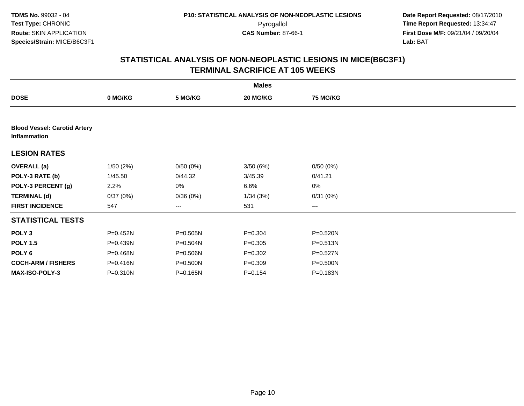|                                                     |          |          | <b>Males</b> |                 |  |
|-----------------------------------------------------|----------|----------|--------------|-----------------|--|
| <b>DOSE</b>                                         | 0 MG/KG  | 5 MG/KG  | 20 MG/KG     | <b>75 MG/KG</b> |  |
|                                                     |          |          |              |                 |  |
| <b>Blood Vessel: Carotid Artery</b><br>Inflammation |          |          |              |                 |  |
| <b>LESION RATES</b>                                 |          |          |              |                 |  |
| <b>OVERALL</b> (a)                                  | 1/50(2%) | 0/50(0%) | 3/50(6%)     | 0/50(0%)        |  |
| POLY-3 RATE (b)                                     | 1/45.50  | 0/44.32  | 3/45.39      | 0/41.21         |  |
| POLY-3 PERCENT (g)                                  | 2.2%     | 0%       | 6.6%         | 0%              |  |
| <b>TERMINAL (d)</b>                                 | 0/37(0%) | 0/36(0%) | 1/34(3%)     | 0/31(0%)        |  |
| <b>FIRST INCIDENCE</b>                              | 547      | $--$     | 531          | ---             |  |
| <b>STATISTICAL TESTS</b>                            |          |          |              |                 |  |
| POLY <sub>3</sub>                                   | P=0.452N | P=0.505N | $P = 0.304$  | P=0.520N        |  |
| <b>POLY 1.5</b>                                     | P=0.439N | P=0.504N | $P = 0.305$  | P=0.513N        |  |
| POLY <sub>6</sub>                                   | P=0.468N | P=0.506N | $P = 0.302$  | P=0.527N        |  |
| <b>COCH-ARM / FISHERS</b>                           | P=0.416N | P=0.500N | $P = 0.309$  | P=0.500N        |  |
| <b>MAX-ISO-POLY-3</b>                               | P=0.310N | P=0.165N | $P = 0.154$  | P=0.183N        |  |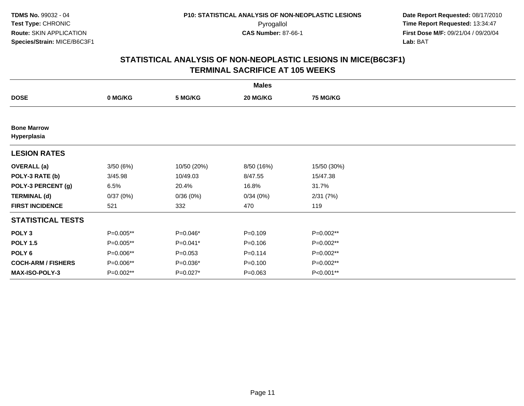| <b>Males</b>                      |           |             |             |                 |  |  |  |
|-----------------------------------|-----------|-------------|-------------|-----------------|--|--|--|
| <b>DOSE</b>                       | 0 MG/KG   | 5 MG/KG     | 20 MG/KG    | <b>75 MG/KG</b> |  |  |  |
|                                   |           |             |             |                 |  |  |  |
| <b>Bone Marrow</b><br>Hyperplasia |           |             |             |                 |  |  |  |
| <b>LESION RATES</b>               |           |             |             |                 |  |  |  |
| <b>OVERALL</b> (a)                | 3/50(6%)  | 10/50 (20%) | 8/50 (16%)  | 15/50 (30%)     |  |  |  |
| POLY-3 RATE (b)                   | 3/45.98   | 10/49.03    | 8/47.55     | 15/47.38        |  |  |  |
| POLY-3 PERCENT (g)                | 6.5%      | 20.4%       | 16.8%       | 31.7%           |  |  |  |
| <b>TERMINAL (d)</b>               | 0/37(0%)  | 0/36(0%)    | 0/34(0%)    | 2/31(7%)        |  |  |  |
| <b>FIRST INCIDENCE</b>            | 521       | 332         | 470         | 119             |  |  |  |
| <b>STATISTICAL TESTS</b>          |           |             |             |                 |  |  |  |
| POLY <sub>3</sub>                 | P=0.005** | $P=0.046*$  | $P=0.109$   | $P=0.002**$     |  |  |  |
| <b>POLY 1.5</b>                   | P=0.005** | $P=0.041*$  | $P = 0.106$ | P=0.002**       |  |  |  |
| POLY 6                            | P=0.006** | $P = 0.053$ | $P = 0.114$ | P=0.002**       |  |  |  |
| <b>COCH-ARM / FISHERS</b>         | P=0.006** | P=0.036*    | $P = 0.100$ | P=0.002**       |  |  |  |
| MAX-ISO-POLY-3                    | P=0.002** | P=0.027*    | $P = 0.063$ | P<0.001**       |  |  |  |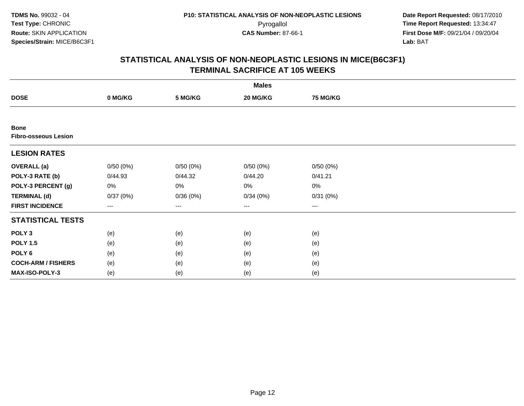**Date Report Requested:** 08/17/2010 Pyrogallol **Time Report Requested:** 13:34:47 **First Dose M/F:** 09/21/04 / 09/20/04<br>Lab: BAT **Lab:** BAT

| <b>Males</b>                               |          |                   |          |                 |  |  |  |
|--------------------------------------------|----------|-------------------|----------|-----------------|--|--|--|
| <b>DOSE</b>                                | 0 MG/KG  | 5 MG/KG           | 20 MG/KG | <b>75 MG/KG</b> |  |  |  |
|                                            |          |                   |          |                 |  |  |  |
| <b>Bone</b><br><b>Fibro-osseous Lesion</b> |          |                   |          |                 |  |  |  |
| <b>LESION RATES</b>                        |          |                   |          |                 |  |  |  |
| <b>OVERALL (a)</b>                         | 0/50(0%) | 0/50(0%)          | 0/50(0%) | 0/50(0%)        |  |  |  |
| POLY-3 RATE (b)                            | 0/44.93  | 0/44.32           | 0/44.20  | 0/41.21         |  |  |  |
| POLY-3 PERCENT (g)                         | 0%       | 0%                | 0%       | 0%              |  |  |  |
| <b>TERMINAL (d)</b>                        | 0/37(0%) | 0/36(0%)          | 0/34(0%) | 0/31(0%)        |  |  |  |
| <b>FIRST INCIDENCE</b>                     | ---      | $\qquad \qquad -$ | $\cdots$ | $\cdots$        |  |  |  |
| <b>STATISTICAL TESTS</b>                   |          |                   |          |                 |  |  |  |
| POLY <sub>3</sub>                          | (e)      | (e)               | (e)      | (e)             |  |  |  |
| <b>POLY 1.5</b>                            | (e)      | (e)               | (e)      | (e)             |  |  |  |
| POLY <sub>6</sub>                          | (e)      | (e)               | (e)      | (e)             |  |  |  |
| <b>COCH-ARM / FISHERS</b>                  | (e)      | (e)               | (e)      | (e)             |  |  |  |
| MAX-ISO-POLY-3                             | (e)      | (e)               | (e)      | (e)             |  |  |  |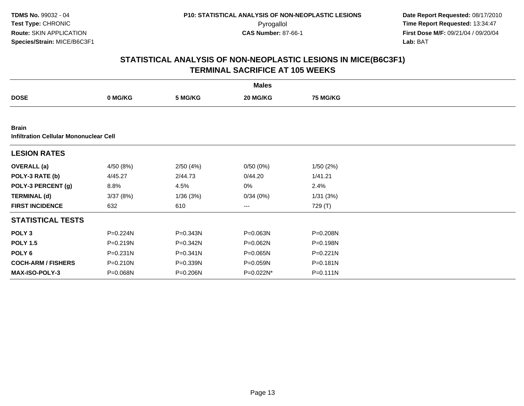**Date Report Requested:** 08/17/2010 Pyrogallol **Time Report Requested:** 13:34:47 **First Dose M/F:** 09/21/04 / 09/20/04<br>Lab: BAT **Lab:** BAT

|                                                               |              |              | <b>Males</b> |                 |  |  |  |  |
|---------------------------------------------------------------|--------------|--------------|--------------|-----------------|--|--|--|--|
| <b>DOSE</b>                                                   | 0 MG/KG      | 5 MG/KG      | 20 MG/KG     | <b>75 MG/KG</b> |  |  |  |  |
|                                                               |              |              |              |                 |  |  |  |  |
| <b>Brain</b><br><b>Infiltration Cellular Mononuclear Cell</b> |              |              |              |                 |  |  |  |  |
| <b>LESION RATES</b>                                           |              |              |              |                 |  |  |  |  |
| <b>OVERALL</b> (a)                                            | 4/50 (8%)    | 2/50(4%)     | 0/50(0%)     | 1/50(2%)        |  |  |  |  |
| POLY-3 RATE (b)                                               | 4/45.27      | 2/44.73      | 0/44.20      | 1/41.21         |  |  |  |  |
| POLY-3 PERCENT (g)                                            | 8.8%         | 4.5%         | 0%           | 2.4%            |  |  |  |  |
| <b>TERMINAL (d)</b>                                           | 3/37(8%)     | 1/36(3%)     | 0/34(0%)     | 1/31(3%)        |  |  |  |  |
| <b>FIRST INCIDENCE</b>                                        | 632          | 610          | $\cdots$     | 729 (T)         |  |  |  |  |
| <b>STATISTICAL TESTS</b>                                      |              |              |              |                 |  |  |  |  |
| POLY <sub>3</sub>                                             | P=0.224N     | $P = 0.343N$ | P=0.063N     | P=0.208N        |  |  |  |  |
| <b>POLY 1.5</b>                                               | $P = 0.219N$ | P=0.342N     | $P = 0.062N$ | $P = 0.198N$    |  |  |  |  |
| POLY 6                                                        | $P = 0.231N$ | $P = 0.341N$ | $P = 0.065N$ | $P = 0.221N$    |  |  |  |  |
| <b>COCH-ARM / FISHERS</b>                                     | $P = 0.210N$ | P=0.339N     | P=0.059N     | $P = 0.181N$    |  |  |  |  |
| <b>MAX-ISO-POLY-3</b>                                         | P=0.068N     | P=0.206N     | P=0.022N*    | $P = 0.111N$    |  |  |  |  |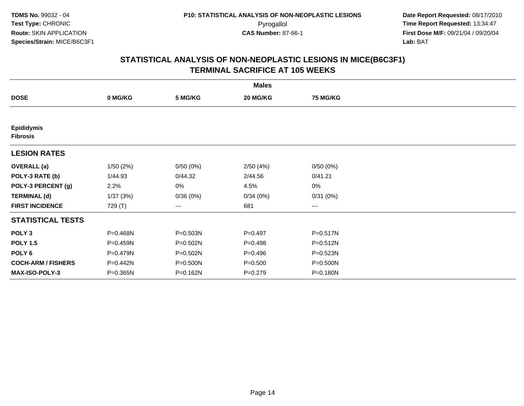|                                      |          |          | <b>Males</b> |                   |  |
|--------------------------------------|----------|----------|--------------|-------------------|--|
| <b>DOSE</b>                          | 0 MG/KG  | 5 MG/KG  | 20 MG/KG     | <b>75 MG/KG</b>   |  |
|                                      |          |          |              |                   |  |
| <b>Epididymis</b><br><b>Fibrosis</b> |          |          |              |                   |  |
| <b>LESION RATES</b>                  |          |          |              |                   |  |
| <b>OVERALL</b> (a)                   | 1/50(2%) | 0/50(0%) | 2/50(4%)     | 0/50(0%)          |  |
| POLY-3 RATE (b)                      | 1/44.93  | 0/44.32  | 2/44.56      | 0/41.21           |  |
| POLY-3 PERCENT (g)                   | 2.2%     | 0%       | 4.5%         | 0%                |  |
| <b>TERMINAL (d)</b>                  | 1/37(3%) | 0/36(0%) | 0/34(0%)     | 0/31(0%)          |  |
| <b>FIRST INCIDENCE</b>               | 729 (T)  | $---$    | 681          | $\qquad \qquad -$ |  |
| <b>STATISTICAL TESTS</b>             |          |          |              |                   |  |
| POLY <sub>3</sub>                    | P=0.468N | P=0.503N | $P=0.497$    | P=0.517N          |  |
| <b>POLY 1.5</b>                      | P=0.459N | P=0.502N | $P=0.498$    | $P = 0.512N$      |  |
| POLY <sub>6</sub>                    | P=0.479N | P=0.502N | $P = 0.496$  | $P = 0.523N$      |  |
| <b>COCH-ARM / FISHERS</b>            | P=0.442N | P=0.500N | $P = 0.500$  | P=0.500N          |  |
| <b>MAX-ISO-POLY-3</b>                | P=0.365N | P=0.162N | $P=0.279$    | P=0.180N          |  |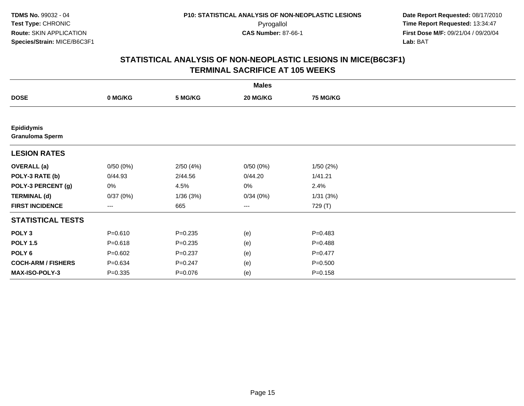|                                             |             |             | <b>Males</b> |                 |  |
|---------------------------------------------|-------------|-------------|--------------|-----------------|--|
| <b>DOSE</b>                                 | 0 MG/KG     | 5 MG/KG     | 20 MG/KG     | <b>75 MG/KG</b> |  |
|                                             |             |             |              |                 |  |
| <b>Epididymis</b><br><b>Granuloma Sperm</b> |             |             |              |                 |  |
| <b>LESION RATES</b>                         |             |             |              |                 |  |
| <b>OVERALL (a)</b>                          | 0/50(0%)    | 2/50(4%)    | 0/50(0%)     | 1/50(2%)        |  |
| POLY-3 RATE (b)                             | 0/44.93     | 2/44.56     | 0/44.20      | 1/41.21         |  |
| POLY-3 PERCENT (g)                          | 0%          | 4.5%        | 0%           | 2.4%            |  |
| <b>TERMINAL (d)</b>                         | 0/37(0%)    | 1/36(3%)    | 0/34(0%)     | 1/31(3%)        |  |
| <b>FIRST INCIDENCE</b>                      | ---         | 665         | $\cdots$     | 729 (T)         |  |
| <b>STATISTICAL TESTS</b>                    |             |             |              |                 |  |
| POLY <sub>3</sub>                           | $P = 0.610$ | $P = 0.235$ | (e)          | $P = 0.483$     |  |
| <b>POLY 1.5</b>                             | $P = 0.618$ | $P = 0.235$ | (e)          | $P = 0.488$     |  |
| POLY <sub>6</sub>                           | $P=0.602$   | $P = 0.237$ | (e)          | $P=0.477$       |  |
| <b>COCH-ARM / FISHERS</b>                   | $P = 0.634$ | $P = 0.247$ | (e)          | $P = 0.500$     |  |
| MAX-ISO-POLY-3                              | $P = 0.335$ | $P = 0.076$ | (e)          | $P = 0.158$     |  |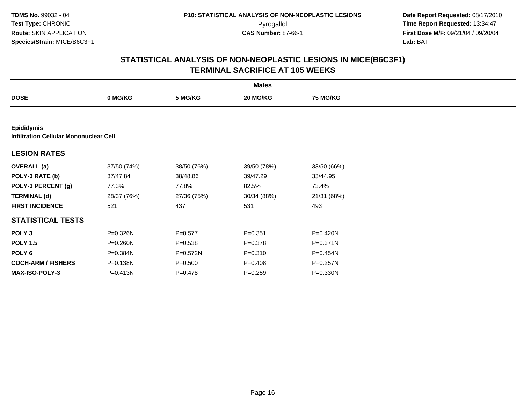**Date Report Requested:** 08/17/2010 Pyrogallol **Time Report Requested:** 13:34:47 **First Dose M/F:** 09/21/04 / 09/20/04<br>Lab: BAT **Lab:** BAT

|                                                                    |              |              | <b>Males</b> |                 |  |
|--------------------------------------------------------------------|--------------|--------------|--------------|-----------------|--|
| <b>DOSE</b>                                                        | 0 MG/KG      | 5 MG/KG      | 20 MG/KG     | <b>75 MG/KG</b> |  |
|                                                                    |              |              |              |                 |  |
| <b>Epididymis</b><br><b>Infiltration Cellular Mononuclear Cell</b> |              |              |              |                 |  |
| <b>LESION RATES</b>                                                |              |              |              |                 |  |
| <b>OVERALL</b> (a)                                                 | 37/50 (74%)  | 38/50 (76%)  | 39/50 (78%)  | 33/50 (66%)     |  |
| POLY-3 RATE (b)                                                    | 37/47.84     | 38/48.86     | 39/47.29     | 33/44.95        |  |
| POLY-3 PERCENT (g)                                                 | 77.3%        | 77.8%        | 82.5%        | 73.4%           |  |
| <b>TERMINAL (d)</b>                                                | 28/37 (76%)  | 27/36 (75%)  | 30/34 (88%)  | 21/31 (68%)     |  |
| <b>FIRST INCIDENCE</b>                                             | 521          | 437          | 531          | 493             |  |
| <b>STATISTICAL TESTS</b>                                           |              |              |              |                 |  |
| POLY <sub>3</sub>                                                  | P=0.326N     | $P=0.577$    | $P = 0.351$  | P=0.420N        |  |
| <b>POLY 1.5</b>                                                    | P=0.260N     | $P = 0.538$  | $P = 0.378$  | $P = 0.371N$    |  |
| POLY 6                                                             | P=0.384N     | $P = 0.572N$ | $P = 0.310$  | $P = 0.454N$    |  |
| <b>COCH-ARM / FISHERS</b>                                          | P=0.138N     | $P = 0.500$  | $P = 0.408$  | P=0.257N        |  |
| <b>MAX-ISO-POLY-3</b>                                              | $P = 0.413N$ | $P = 0.478$  | $P = 0.259$  | P=0.330N        |  |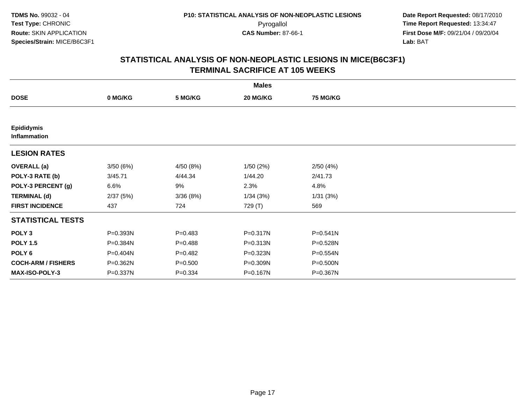|                                   |          |             | <b>Males</b> |                 |  |
|-----------------------------------|----------|-------------|--------------|-----------------|--|
| <b>DOSE</b>                       | 0 MG/KG  | 5 MG/KG     | 20 MG/KG     | <b>75 MG/KG</b> |  |
|                                   |          |             |              |                 |  |
| <b>Epididymis</b><br>Inflammation |          |             |              |                 |  |
| <b>LESION RATES</b>               |          |             |              |                 |  |
| <b>OVERALL</b> (a)                | 3/50(6%) | 4/50 (8%)   | 1/50(2%)     | 2/50(4%)        |  |
| POLY-3 RATE (b)                   | 3/45.71  | 4/44.34     | 1/44.20      | 2/41.73         |  |
| POLY-3 PERCENT (g)                | 6.6%     | 9%          | 2.3%         | 4.8%            |  |
| <b>TERMINAL (d)</b>               | 2/37(5%) | 3/36(8%)    | 1/34(3%)     | 1/31(3%)        |  |
| <b>FIRST INCIDENCE</b>            | 437      | 724         | 729 (T)      | 569             |  |
| <b>STATISTICAL TESTS</b>          |          |             |              |                 |  |
| POLY <sub>3</sub>                 | P=0.393N | $P=0.483$   | P=0.317N     | $P = 0.541N$    |  |
| <b>POLY 1.5</b>                   | P=0.384N | $P = 0.488$ | P=0.313N     | P=0.528N        |  |
| POLY 6                            | P=0.404N | $P=0.482$   | P=0.323N     | P=0.554N        |  |
| <b>COCH-ARM / FISHERS</b>         | P=0.362N | $P = 0.500$ | P=0.309N     | P=0.500N        |  |
| <b>MAX-ISO-POLY-3</b>             | P=0.337N | $P = 0.334$ | P=0.167N     | P=0.367N        |  |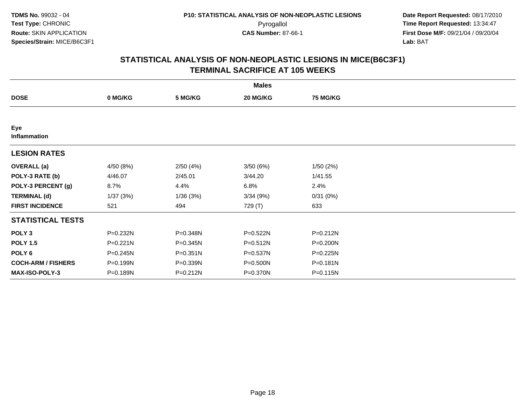|                           |              |              | <b>Males</b> |                 |  |
|---------------------------|--------------|--------------|--------------|-----------------|--|
| <b>DOSE</b>               | 0 MG/KG      | 5 MG/KG      | 20 MG/KG     | <b>75 MG/KG</b> |  |
|                           |              |              |              |                 |  |
| Eye<br>Inflammation       |              |              |              |                 |  |
| <b>LESION RATES</b>       |              |              |              |                 |  |
| <b>OVERALL (a)</b>        | 4/50 (8%)    | 2/50(4%)     | 3/50(6%)     | 1/50(2%)        |  |
| POLY-3 RATE (b)           | 4/46.07      | 2/45.01      | 3/44.20      | 1/41.55         |  |
| POLY-3 PERCENT (g)        | 8.7%         | 4.4%         | 6.8%         | 2.4%            |  |
| <b>TERMINAL (d)</b>       | 1/37(3%)     | 1/36(3%)     | 3/34(9%)     | 0/31(0%)        |  |
| <b>FIRST INCIDENCE</b>    | 521          | 494          | 729 (T)      | 633             |  |
| <b>STATISTICAL TESTS</b>  |              |              |              |                 |  |
| POLY <sub>3</sub>         | P=0.232N     | P=0.348N     | P=0.522N     | P=0.212N        |  |
| <b>POLY 1.5</b>           | $P = 0.221N$ | $P = 0.345N$ | $P = 0.512N$ | P=0.200N        |  |
| POLY <sub>6</sub>         | $P = 0.245N$ | P=0.351N     | P=0.537N     | P=0.225N        |  |
| <b>COCH-ARM / FISHERS</b> | P=0.199N     | P=0.339N     | P=0.500N     | P=0.181N        |  |
| MAX-ISO-POLY-3            | P=0.189N     | $P = 0.212N$ | P=0.370N     | P=0.115N        |  |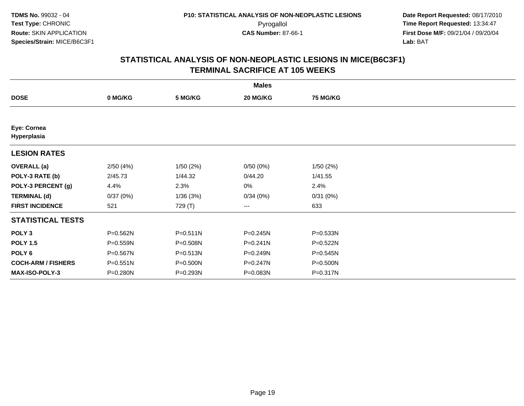|                            |          |              | <b>Males</b> |                 |  |
|----------------------------|----------|--------------|--------------|-----------------|--|
| <b>DOSE</b>                | 0 MG/KG  | 5 MG/KG      | 20 MG/KG     | <b>75 MG/KG</b> |  |
|                            |          |              |              |                 |  |
| Eye: Cornea<br>Hyperplasia |          |              |              |                 |  |
| <b>LESION RATES</b>        |          |              |              |                 |  |
| <b>OVERALL</b> (a)         | 2/50(4%) | 1/50(2%)     | 0/50(0%)     | 1/50(2%)        |  |
| POLY-3 RATE (b)            | 2/45.73  | 1/44.32      | 0/44.20      | 1/41.55         |  |
| POLY-3 PERCENT (g)         | 4.4%     | 2.3%         | 0%           | 2.4%            |  |
| <b>TERMINAL (d)</b>        | 0/37(0%) | 1/36(3%)     | 0/34(0%)     | 0/31(0%)        |  |
| <b>FIRST INCIDENCE</b>     | 521      | 729 (T)      | $--$         | 633             |  |
| <b>STATISTICAL TESTS</b>   |          |              |              |                 |  |
| POLY <sub>3</sub>          | P=0.562N | $P = 0.511N$ | P=0.245N     | P=0.533N        |  |
| <b>POLY 1.5</b>            | P=0.559N | P=0.508N     | $P = 0.241N$ | P=0.522N        |  |
| POLY <sub>6</sub>          | P=0.567N | P=0.513N     | P=0.249N     | $P = 0.545N$    |  |
| <b>COCH-ARM / FISHERS</b>  | P=0.551N | P=0.500N     | P=0.247N     | P=0.500N        |  |
| MAX-ISO-POLY-3             | P=0.280N | P=0.293N     | P=0.083N     | P=0.317N        |  |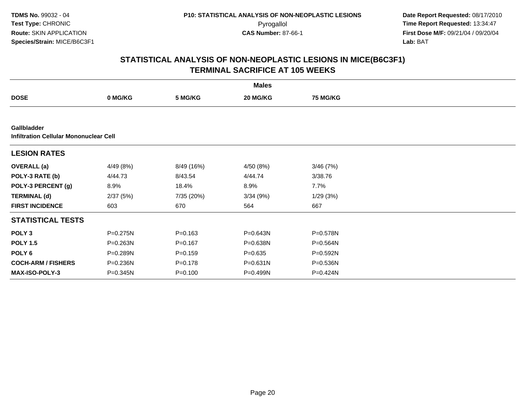**Date Report Requested:** 08/17/2010 Pyrogallol **Time Report Requested:** 13:34:47 **First Dose M/F:** 09/21/04 / 09/20/04<br>Lab: BAT **Lab:** BAT

|                                                                     |              |             | <b>Males</b> |                 |  |
|---------------------------------------------------------------------|--------------|-------------|--------------|-----------------|--|
| <b>DOSE</b>                                                         | 0 MG/KG      | 5 MG/KG     | 20 MG/KG     | <b>75 MG/KG</b> |  |
|                                                                     |              |             |              |                 |  |
| <b>Gallbladder</b><br><b>Infiltration Cellular Mononuclear Cell</b> |              |             |              |                 |  |
| <b>LESION RATES</b>                                                 |              |             |              |                 |  |
| <b>OVERALL</b> (a)                                                  | 4/49 (8%)    | 8/49 (16%)  | 4/50 (8%)    | 3/46(7%)        |  |
| POLY-3 RATE (b)                                                     | 4/44.73      | 8/43.54     | 4/44.74      | 3/38.76         |  |
| POLY-3 PERCENT (g)                                                  | 8.9%         | 18.4%       | 8.9%         | 7.7%            |  |
| <b>TERMINAL (d)</b>                                                 | 2/37(5%)     | 7/35 (20%)  | 3/34(9%)     | 1/29(3%)        |  |
| <b>FIRST INCIDENCE</b>                                              | 603          | 670         | 564          | 667             |  |
| <b>STATISTICAL TESTS</b>                                            |              |             |              |                 |  |
| POLY <sub>3</sub>                                                   | P=0.275N     | $P = 0.163$ | P=0.643N     | P=0.578N        |  |
| <b>POLY 1.5</b>                                                     | P=0.263N     | $P = 0.167$ | P=0.638N     | $P = 0.564N$    |  |
| POLY <sub>6</sub>                                                   | $P = 0.289N$ | $P = 0.159$ | $P = 0.635$  | $P = 0.592N$    |  |
| <b>COCH-ARM / FISHERS</b>                                           | P=0.236N     | $P = 0.178$ | $P = 0.631N$ | P=0.536N        |  |
| MAX-ISO-POLY-3                                                      | P=0.345N     | $P = 0.100$ | P=0.499N     | P=0.424N        |  |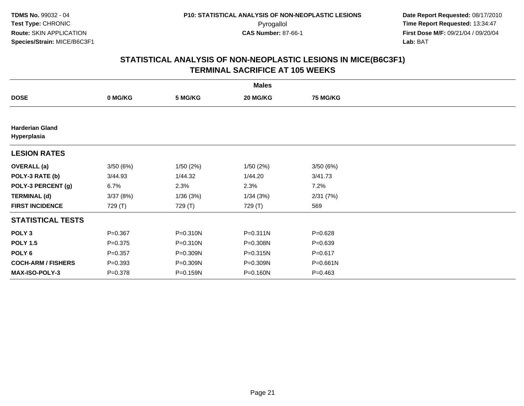|                                       |             |              | <b>Males</b> |                 |  |
|---------------------------------------|-------------|--------------|--------------|-----------------|--|
| <b>DOSE</b>                           | 0 MG/KG     | 5 MG/KG      | 20 MG/KG     | <b>75 MG/KG</b> |  |
|                                       |             |              |              |                 |  |
| <b>Harderian Gland</b><br>Hyperplasia |             |              |              |                 |  |
| <b>LESION RATES</b>                   |             |              |              |                 |  |
| <b>OVERALL</b> (a)                    | 3/50(6%)    | 1/50(2%)     | 1/50 (2%)    | 3/50(6%)        |  |
| POLY-3 RATE (b)                       | 3/44.93     | 1/44.32      | 1/44.20      | 3/41.73         |  |
| POLY-3 PERCENT (g)                    | 6.7%        | 2.3%         | 2.3%         | 7.2%            |  |
| <b>TERMINAL (d)</b>                   | 3/37(8%)    | 1/36(3%)     | 1/34(3%)     | 2/31(7%)        |  |
| <b>FIRST INCIDENCE</b>                | 729 (T)     | 729 (T)      | 729 (T)      | 569             |  |
| <b>STATISTICAL TESTS</b>              |             |              |              |                 |  |
| POLY <sub>3</sub>                     | $P=0.367$   | $P = 0.310N$ | $P = 0.311N$ | $P = 0.628$     |  |
| <b>POLY 1.5</b>                       | $P = 0.375$ | $P = 0.310N$ | P=0.308N     | $P = 0.639$     |  |
| POLY 6                                | $P = 0.357$ | P=0.309N     | P=0.315N     | $P = 0.617$     |  |
| <b>COCH-ARM / FISHERS</b>             | $P = 0.393$ | P=0.309N     | P=0.309N     | $P = 0.661N$    |  |
| MAX-ISO-POLY-3                        | $P = 0.378$ | P=0.159N     | P=0.160N     | $P=0.463$       |  |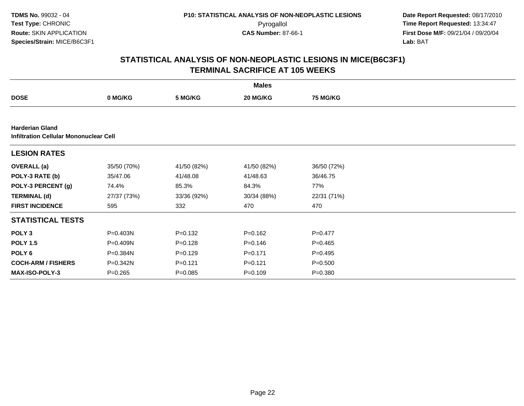**Date Report Requested:** 08/17/2010 Pyrogallol **Time Report Requested:** 13:34:47 **First Dose M/F:** 09/21/04 / 09/20/04<br>Lab: BAT **Lab:** BAT

|                                                                         |              |             | <b>Males</b> |                 |  |
|-------------------------------------------------------------------------|--------------|-------------|--------------|-----------------|--|
| <b>DOSE</b>                                                             | 0 MG/KG      | 5 MG/KG     | 20 MG/KG     | <b>75 MG/KG</b> |  |
|                                                                         |              |             |              |                 |  |
| <b>Harderian Gland</b><br><b>Infiltration Cellular Mononuclear Cell</b> |              |             |              |                 |  |
| <b>LESION RATES</b>                                                     |              |             |              |                 |  |
| <b>OVERALL</b> (a)                                                      | 35/50 (70%)  | 41/50 (82%) | 41/50 (82%)  | 36/50 (72%)     |  |
| POLY-3 RATE (b)                                                         | 35/47.06     | 41/48.08    | 41/48.63     | 36/46.75        |  |
| POLY-3 PERCENT (g)                                                      | 74.4%        | 85.3%       | 84.3%        | 77%             |  |
| <b>TERMINAL (d)</b>                                                     | 27/37 (73%)  | 33/36 (92%) | 30/34 (88%)  | 22/31 (71%)     |  |
| <b>FIRST INCIDENCE</b>                                                  | 595          | 332         | 470          | 470             |  |
| <b>STATISTICAL TESTS</b>                                                |              |             |              |                 |  |
| POLY <sub>3</sub>                                                       | P=0.403N     | $P = 0.132$ | $P = 0.162$  | $P=0.477$       |  |
| <b>POLY 1.5</b>                                                         | P=0.409N     | $P = 0.128$ | $P = 0.146$  | $P=0.465$       |  |
| POLY <sub>6</sub>                                                       | $P = 0.384N$ | $P=0.129$   | $P = 0.171$  | $P=0.495$       |  |
| <b>COCH-ARM / FISHERS</b>                                               | P=0.342N     | $P = 0.121$ | $P = 0.121$  | $P = 0.500$     |  |
| MAX-ISO-POLY-3                                                          | $P=0.265$    | $P = 0.085$ | $P = 0.109$  | $P = 0.380$     |  |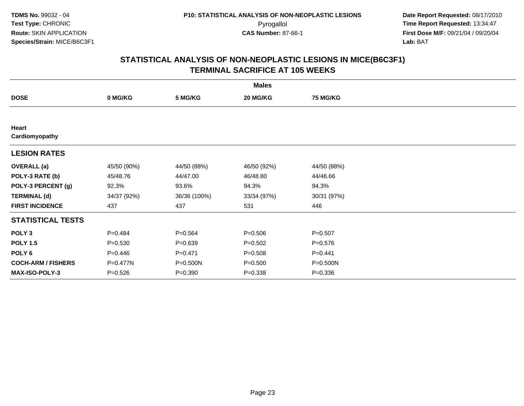|                           |             |              | <b>Males</b> |                 |  |
|---------------------------|-------------|--------------|--------------|-----------------|--|
| <b>DOSE</b>               | 0 MG/KG     | 5 MG/KG      | 20 MG/KG     | <b>75 MG/KG</b> |  |
|                           |             |              |              |                 |  |
| Heart<br>Cardiomyopathy   |             |              |              |                 |  |
| <b>LESION RATES</b>       |             |              |              |                 |  |
| <b>OVERALL</b> (a)        | 45/50 (90%) | 44/50 (88%)  | 46/50 (92%)  | 44/50 (88%)     |  |
| POLY-3 RATE (b)           | 45/48.76    | 44/47.00     | 46/48.80     | 44/46.66        |  |
| POLY-3 PERCENT (g)        | 92.3%       | 93.6%        | 94.3%        | 94.3%           |  |
| <b>TERMINAL (d)</b>       | 34/37 (92%) | 36/36 (100%) | 33/34 (97%)  | 30/31 (97%)     |  |
| <b>FIRST INCIDENCE</b>    | 437         | 437          | 531          | 446             |  |
| <b>STATISTICAL TESTS</b>  |             |              |              |                 |  |
| POLY <sub>3</sub>         | $P = 0.484$ | $P = 0.564$  | $P = 0.506$  | $P = 0.507$     |  |
| <b>POLY 1.5</b>           | $P = 0.530$ | $P = 0.639$  | $P = 0.502$  | $P = 0.576$     |  |
| POLY 6                    | $P=0.446$   | $P = 0.471$  | $P = 0.508$  | $P = 0.441$     |  |
| <b>COCH-ARM / FISHERS</b> | P=0.477N    | P=0.500N     | $P = 0.500$  | P=0.500N        |  |
| MAX-ISO-POLY-3            | $P = 0.526$ | $P = 0.390$  | $P = 0.338$  | $P = 0.336$     |  |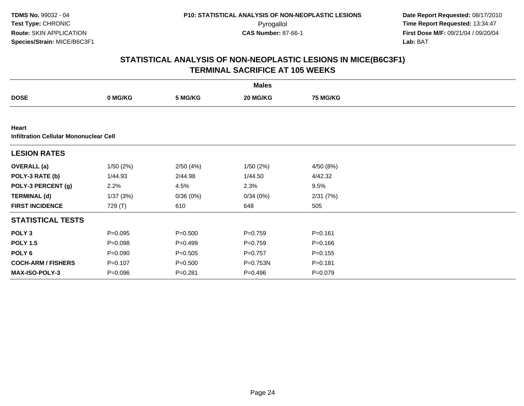**Date Report Requested:** 08/17/2010 Pyrogallol **Time Report Requested:** 13:34:47 **First Dose M/F:** 09/21/04 / 09/20/04<br>Lab: BAT **Lab:** BAT

|                                                        |             |             | <b>Males</b> |                 |  |
|--------------------------------------------------------|-------------|-------------|--------------|-----------------|--|
| <b>DOSE</b>                                            | 0 MG/KG     | 5 MG/KG     | 20 MG/KG     | <b>75 MG/KG</b> |  |
|                                                        |             |             |              |                 |  |
| Heart<br><b>Infiltration Cellular Mononuclear Cell</b> |             |             |              |                 |  |
| <b>LESION RATES</b>                                    |             |             |              |                 |  |
| <b>OVERALL</b> (a)                                     | 1/50(2%)    | 2/50(4%)    | 1/50(2%)     | 4/50 (8%)       |  |
| POLY-3 RATE (b)                                        | 1/44.93     | 2/44.98     | 1/44.50      | 4/42.32         |  |
| POLY-3 PERCENT (g)                                     | 2.2%        | 4.5%        | 2.3%         | 9.5%            |  |
| <b>TERMINAL (d)</b>                                    | 1/37(3%)    | 0/36(0%)    | 0/34(0%)     | 2/31(7%)        |  |
| <b>FIRST INCIDENCE</b>                                 | 729 (T)     | 610         | 648          | 505             |  |
| <b>STATISTICAL TESTS</b>                               |             |             |              |                 |  |
| POLY <sub>3</sub>                                      | $P = 0.095$ | $P = 0.500$ | $P=0.759$    | $P = 0.161$     |  |
| <b>POLY 1.5</b>                                        | $P = 0.098$ | $P=0.499$   | $P=0.759$    | $P = 0.166$     |  |
| POLY <sub>6</sub>                                      | $P = 0.090$ | $P = 0.505$ | $P=0.757$    | $P = 0.155$     |  |
| <b>COCH-ARM / FISHERS</b>                              | $P = 0.107$ | $P = 0.500$ | P=0.753N     | $P = 0.181$     |  |
| <b>MAX-ISO-POLY-3</b>                                  | $P = 0.096$ | $P=0.281$   | $P = 0.496$  | $P = 0.079$     |  |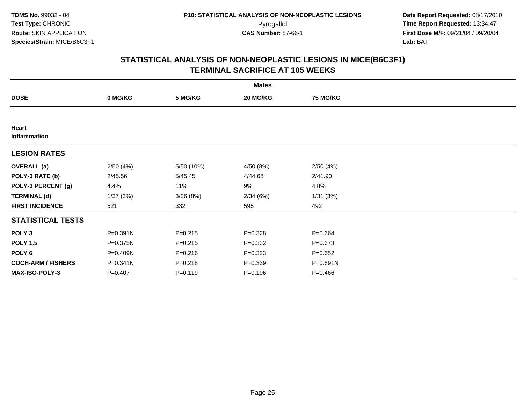|                           |           |             | <b>Males</b> |                 |  |
|---------------------------|-----------|-------------|--------------|-----------------|--|
| <b>DOSE</b>               | 0 MG/KG   | 5 MG/KG     | 20 MG/KG     | <b>75 MG/KG</b> |  |
|                           |           |             |              |                 |  |
| Heart<br>Inflammation     |           |             |              |                 |  |
| <b>LESION RATES</b>       |           |             |              |                 |  |
| <b>OVERALL</b> (a)        | 2/50(4%)  | 5/50 (10%)  | 4/50(8%)     | 2/50(4%)        |  |
| POLY-3 RATE (b)           | 2/45.56   | 5/45.45     | 4/44.68      | 2/41.90         |  |
| POLY-3 PERCENT (g)        | 4.4%      | 11%         | 9%           | 4.8%            |  |
| <b>TERMINAL (d)</b>       | 1/37(3%)  | 3/36(8%)    | 2/34(6%)     | 1/31(3%)        |  |
| <b>FIRST INCIDENCE</b>    | 521       | 332         | 595          | 492             |  |
| <b>STATISTICAL TESTS</b>  |           |             |              |                 |  |
| POLY <sub>3</sub>         | P=0.391N  | $P = 0.215$ | $P = 0.328$  | $P = 0.664$     |  |
| <b>POLY 1.5</b>           | P=0.375N  | $P=0.215$   | $P=0.332$    | $P = 0.673$     |  |
| POLY 6                    | P=0.409N  | $P = 0.216$ | $P = 0.323$  | $P = 0.652$     |  |
| <b>COCH-ARM / FISHERS</b> | P=0.341N  | $P = 0.218$ | $P = 0.339$  | P=0.691N        |  |
| MAX-ISO-POLY-3            | $P=0.407$ | $P = 0.119$ | $P = 0.196$  | $P = 0.466$     |  |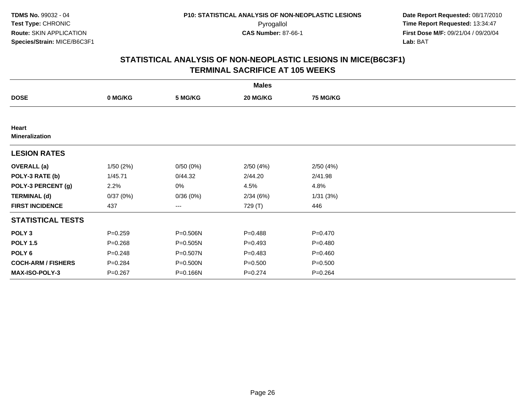|                                |             |              | <b>Males</b> |                 |  |
|--------------------------------|-------------|--------------|--------------|-----------------|--|
| <b>DOSE</b>                    | 0 MG/KG     | 5 MG/KG      | 20 MG/KG     | <b>75 MG/KG</b> |  |
|                                |             |              |              |                 |  |
| Heart<br><b>Mineralization</b> |             |              |              |                 |  |
| <b>LESION RATES</b>            |             |              |              |                 |  |
| <b>OVERALL</b> (a)             | 1/50(2%)    | 0/50(0%)     | 2/50(4%)     | 2/50(4%)        |  |
| POLY-3 RATE (b)                | 1/45.71     | 0/44.32      | 2/44.20      | 2/41.98         |  |
| POLY-3 PERCENT (g)             | 2.2%        | 0%           | 4.5%         | 4.8%            |  |
| <b>TERMINAL (d)</b>            | 0/37(0%)    | 0/36(0%)     | 2/34(6%)     | 1/31(3%)        |  |
| <b>FIRST INCIDENCE</b>         | 437         | ---          | 729 (T)      | 446             |  |
| <b>STATISTICAL TESTS</b>       |             |              |              |                 |  |
| POLY <sub>3</sub>              | $P = 0.259$ | P=0.506N     | $P=0.488$    | $P = 0.470$     |  |
| <b>POLY 1.5</b>                | $P = 0.268$ | $P = 0.505N$ | $P=0.493$    | $P = 0.480$     |  |
| POLY <sub>6</sub>              | $P = 0.248$ | P=0.507N     | $P = 0.483$  | $P = 0.460$     |  |
| <b>COCH-ARM / FISHERS</b>      | $P = 0.284$ | P=0.500N     | $P = 0.500$  | $P = 0.500$     |  |
| MAX-ISO-POLY-3                 | $P = 0.267$ | P=0.166N     | $P=0.274$    | $P = 0.264$     |  |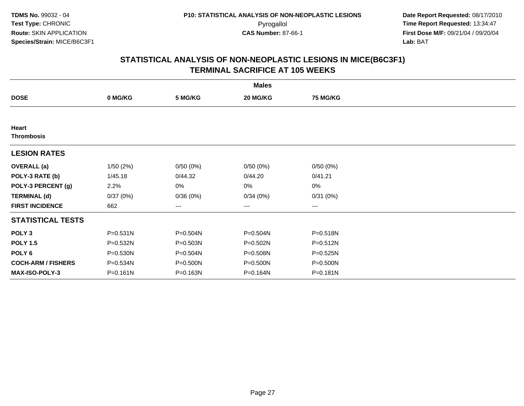|                            |              |              | <b>Males</b> |                 |  |
|----------------------------|--------------|--------------|--------------|-----------------|--|
| <b>DOSE</b>                | 0 MG/KG      | 5 MG/KG      | 20 MG/KG     | <b>75 MG/KG</b> |  |
|                            |              |              |              |                 |  |
| Heart<br><b>Thrombosis</b> |              |              |              |                 |  |
| <b>LESION RATES</b>        |              |              |              |                 |  |
| <b>OVERALL</b> (a)         | 1/50(2%)     | 0/50(0%)     | 0/50(0%)     | 0/50(0%)        |  |
| POLY-3 RATE (b)            | 1/45.18      | 0/44.32      | 0/44.20      | 0/41.21         |  |
| POLY-3 PERCENT (g)         | 2.2%         | 0%           | 0%           | 0%              |  |
| <b>TERMINAL (d)</b>        | 0/37(0%)     | 0/36(0%)     | 0/34(0%)     | 0/31(0%)        |  |
| <b>FIRST INCIDENCE</b>     | 662          | ---          | $---$        | ---             |  |
| <b>STATISTICAL TESTS</b>   |              |              |              |                 |  |
| POLY <sub>3</sub>          | $P = 0.531N$ | $P = 0.504N$ | P=0.504N     | $P = 0.518N$    |  |
| <b>POLY 1.5</b>            | P=0.532N     | $P = 0.503N$ | P=0.502N     | $P = 0.512N$    |  |
| POLY 6                     | P=0.530N     | P=0.504N     | P=0.508N     | $P = 0.525N$    |  |
| <b>COCH-ARM / FISHERS</b>  | P=0.534N     | P=0.500N     | P=0.500N     | P=0.500N        |  |
| MAX-ISO-POLY-3             | $P = 0.161N$ | P=0.163N     | P=0.164N     | P=0.181N        |  |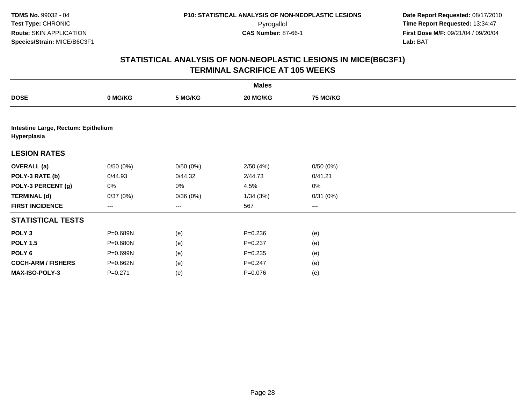|                                                    |             |          | <b>Males</b> |                 |  |
|----------------------------------------------------|-------------|----------|--------------|-----------------|--|
| <b>DOSE</b>                                        | 0 MG/KG     | 5 MG/KG  | 20 MG/KG     | <b>75 MG/KG</b> |  |
|                                                    |             |          |              |                 |  |
| Intestine Large, Rectum: Epithelium<br>Hyperplasia |             |          |              |                 |  |
| <b>LESION RATES</b>                                |             |          |              |                 |  |
| <b>OVERALL</b> (a)                                 | 0/50(0%)    | 0/50(0%) | 2/50(4%)     | 0/50(0%)        |  |
| POLY-3 RATE (b)                                    | 0/44.93     | 0/44.32  | 2/44.73      | 0/41.21         |  |
| POLY-3 PERCENT (g)                                 | 0%          | 0%       | 4.5%         | 0%              |  |
| <b>TERMINAL (d)</b>                                | 0/37(0%)    | 0/36(0%) | 1/34(3%)     | 0/31(0%)        |  |
| <b>FIRST INCIDENCE</b>                             | ---         | $--$     | 567          | $\cdots$        |  |
| <b>STATISTICAL TESTS</b>                           |             |          |              |                 |  |
| POLY <sub>3</sub>                                  | P=0.689N    | (e)      | $P = 0.236$  | (e)             |  |
| <b>POLY 1.5</b>                                    | P=0.680N    | (e)      | $P = 0.237$  | (e)             |  |
| POLY <sub>6</sub>                                  | P=0.699N    | (e)      | $P = 0.235$  | (e)             |  |
| <b>COCH-ARM / FISHERS</b>                          | P=0.662N    | (e)      | $P = 0.247$  | (e)             |  |
| MAX-ISO-POLY-3                                     | $P = 0.271$ | (e)      | $P = 0.076$  | (e)             |  |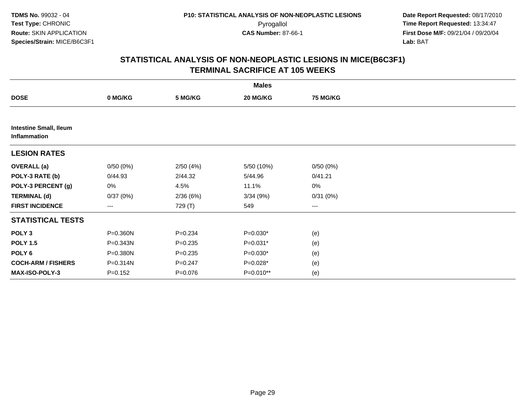|                                               |             |             | <b>Males</b> |                 |  |
|-----------------------------------------------|-------------|-------------|--------------|-----------------|--|
| <b>DOSE</b>                                   | 0 MG/KG     | 5 MG/KG     | 20 MG/KG     | <b>75 MG/KG</b> |  |
|                                               |             |             |              |                 |  |
| <b>Intestine Small, Ileum</b><br>Inflammation |             |             |              |                 |  |
| <b>LESION RATES</b>                           |             |             |              |                 |  |
| <b>OVERALL (a)</b>                            | 0/50(0%)    | 2/50(4%)    | 5/50 (10%)   | 0/50(0%)        |  |
| POLY-3 RATE (b)                               | 0/44.93     | 2/44.32     | 5/44.96      | 0/41.21         |  |
| POLY-3 PERCENT (g)                            | 0%          | 4.5%        | 11.1%        | $0\%$           |  |
| <b>TERMINAL (d)</b>                           | 0/37(0%)    | 2/36(6%)    | 3/34(9%)     | 0/31(0%)        |  |
| <b>FIRST INCIDENCE</b>                        | $--$        | 729 (T)     | 549          | ---             |  |
| <b>STATISTICAL TESTS</b>                      |             |             |              |                 |  |
| POLY <sub>3</sub>                             | P=0.360N    | $P = 0.234$ | $P=0.030*$   | (e)             |  |
| <b>POLY 1.5</b>                               | P=0.343N    | $P = 0.235$ | $P=0.031*$   | (e)             |  |
| POLY 6                                        | P=0.380N    | $P = 0.235$ | $P=0.030*$   | (e)             |  |
| <b>COCH-ARM / FISHERS</b>                     | P=0.314N    | $P = 0.247$ | $P=0.028*$   | (e)             |  |
| MAX-ISO-POLY-3                                | $P = 0.152$ | $P = 0.076$ | $P=0.010**$  | (e)             |  |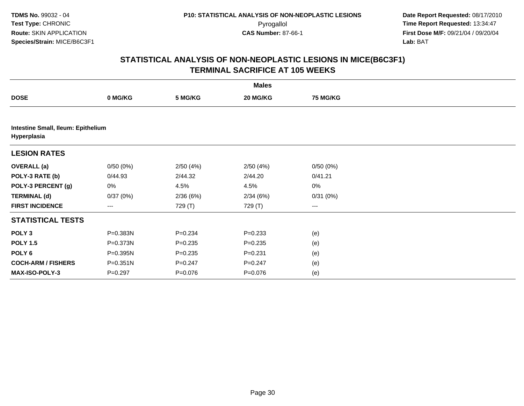|                                                   |              |             | <b>Males</b> |                 |  |
|---------------------------------------------------|--------------|-------------|--------------|-----------------|--|
| <b>DOSE</b>                                       | 0 MG/KG      | 5 MG/KG     | 20 MG/KG     | <b>75 MG/KG</b> |  |
|                                                   |              |             |              |                 |  |
| Intestine Small, Ileum: Epithelium<br>Hyperplasia |              |             |              |                 |  |
| <b>LESION RATES</b>                               |              |             |              |                 |  |
| <b>OVERALL (a)</b>                                | 0/50(0%)     | 2/50(4%)    | 2/50(4%)     | 0/50(0%)        |  |
| POLY-3 RATE (b)                                   | 0/44.93      | 2/44.32     | 2/44.20      | 0/41.21         |  |
| POLY-3 PERCENT (g)                                | 0%           | 4.5%        | 4.5%         | $0\%$           |  |
| <b>TERMINAL (d)</b>                               | 0/37(0%)     | 2/36(6%)    | 2/34(6%)     | 0/31(0%)        |  |
| <b>FIRST INCIDENCE</b>                            | $--$         | 729 (T)     | 729 (T)      | $---$           |  |
| <b>STATISTICAL TESTS</b>                          |              |             |              |                 |  |
| POLY <sub>3</sub>                                 | P=0.383N     | $P = 0.234$ | $P = 0.233$  | (e)             |  |
| <b>POLY 1.5</b>                                   | P=0.373N     | $P = 0.235$ | $P = 0.235$  | (e)             |  |
| POLY 6                                            | P=0.395N     | $P = 0.235$ | $P = 0.231$  | (e)             |  |
| <b>COCH-ARM / FISHERS</b>                         | $P = 0.351N$ | $P = 0.247$ | $P = 0.247$  | (e)             |  |
| MAX-ISO-POLY-3                                    | $P=0.297$    | $P=0.076$   | $P=0.076$    | (e)             |  |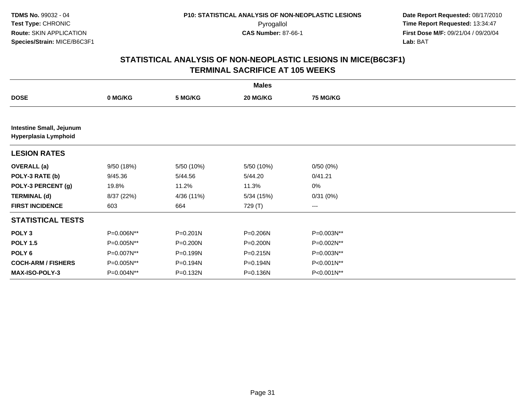| <b>Males</b>                                            |            |            |              |                 |  |  |  |  |  |
|---------------------------------------------------------|------------|------------|--------------|-----------------|--|--|--|--|--|
| <b>DOSE</b>                                             | 0 MG/KG    | 5 MG/KG    | 20 MG/KG     | <b>75 MG/KG</b> |  |  |  |  |  |
|                                                         |            |            |              |                 |  |  |  |  |  |
| <b>Intestine Small, Jejunum</b><br>Hyperplasia Lymphoid |            |            |              |                 |  |  |  |  |  |
| <b>LESION RATES</b>                                     |            |            |              |                 |  |  |  |  |  |
| <b>OVERALL</b> (a)                                      | 9/50 (18%) | 5/50 (10%) | 5/50 (10%)   | 0/50(0%)        |  |  |  |  |  |
| POLY-3 RATE (b)                                         | 9/45.36    | 5/44.56    | 5/44.20      | 0/41.21         |  |  |  |  |  |
| POLY-3 PERCENT (g)                                      | 19.8%      | 11.2%      | 11.3%        | 0%              |  |  |  |  |  |
| <b>TERMINAL (d)</b>                                     | 8/37 (22%) | 4/36 (11%) | 5/34(15%)    | 0/31(0%)        |  |  |  |  |  |
| <b>FIRST INCIDENCE</b>                                  | 603        | 664        | 729 (T)      | ---             |  |  |  |  |  |
| <b>STATISTICAL TESTS</b>                                |            |            |              |                 |  |  |  |  |  |
| POLY <sub>3</sub>                                       | P=0.006N** | P=0.201N   | P=0.206N     | P=0.003N**      |  |  |  |  |  |
| <b>POLY 1.5</b>                                         | P=0.005N** | P=0.200N   | $P = 0.200N$ | P=0.002N**      |  |  |  |  |  |
| POLY 6                                                  | P=0.007N** | P=0.199N   | $P = 0.215N$ | P=0.003N**      |  |  |  |  |  |
| <b>COCH-ARM / FISHERS</b>                               | P=0.005N** | P=0.194N   | P=0.194N     | P<0.001N**      |  |  |  |  |  |
| <b>MAX-ISO-POLY-3</b>                                   | P=0.004N** | P=0.132N   | P=0.136N     | P<0.001N**      |  |  |  |  |  |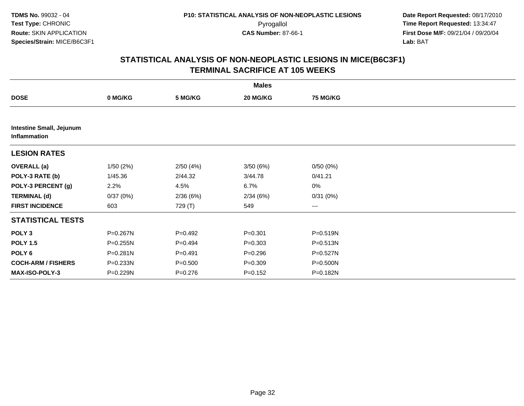|                                                 |              |             | <b>Males</b> |          |  |
|-------------------------------------------------|--------------|-------------|--------------|----------|--|
| <b>DOSE</b>                                     | 0 MG/KG      | 5 MG/KG     | 20 MG/KG     | 75 MG/KG |  |
|                                                 |              |             |              |          |  |
| <b>Intestine Small, Jejunum</b><br>Inflammation |              |             |              |          |  |
| <b>LESION RATES</b>                             |              |             |              |          |  |
| <b>OVERALL (a)</b>                              | 1/50(2%)     | 2/50(4%)    | 3/50(6%)     | 0/50(0%) |  |
| POLY-3 RATE (b)                                 | 1/45.36      | 2/44.32     | 3/44.78      | 0/41.21  |  |
| POLY-3 PERCENT (g)                              | 2.2%         | 4.5%        | 6.7%         | $0\%$    |  |
| <b>TERMINAL (d)</b>                             | 0/37(0%)     | 2/36(6%)    | 2/34(6%)     | 0/31(0%) |  |
| <b>FIRST INCIDENCE</b>                          | 603          | 729 (T)     | 549          | $\cdots$ |  |
| <b>STATISTICAL TESTS</b>                        |              |             |              |          |  |
| POLY <sub>3</sub>                               | P=0.267N     | $P=0.492$   | $P = 0.301$  | P=0.519N |  |
| <b>POLY 1.5</b>                                 | $P = 0.255N$ | $P=0.494$   | $P = 0.303$  | P=0.513N |  |
| POLY 6                                          | P=0.281N     | $P = 0.491$ | $P = 0.296$  | P=0.527N |  |
| <b>COCH-ARM / FISHERS</b>                       | P=0.233N     | $P = 0.500$ | $P = 0.309$  | P=0.500N |  |
| MAX-ISO-POLY-3                                  | P=0.229N     | $P = 0.276$ | $P = 0.152$  | P=0.182N |  |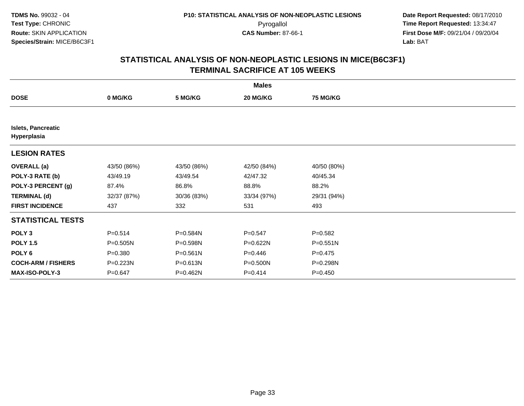| <b>Males</b>                             |              |              |              |                 |  |  |
|------------------------------------------|--------------|--------------|--------------|-----------------|--|--|
| <b>DOSE</b>                              | 0 MG/KG      | 5 MG/KG      | 20 MG/KG     | <b>75 MG/KG</b> |  |  |
|                                          |              |              |              |                 |  |  |
| <b>Islets, Pancreatic</b><br>Hyperplasia |              |              |              |                 |  |  |
| <b>LESION RATES</b>                      |              |              |              |                 |  |  |
| <b>OVERALL</b> (a)                       | 43/50 (86%)  | 43/50 (86%)  | 42/50 (84%)  | 40/50 (80%)     |  |  |
| POLY-3 RATE (b)                          | 43/49.19     | 43/49.54     | 42/47.32     | 40/45.34        |  |  |
| POLY-3 PERCENT (g)                       | 87.4%        | 86.8%        | 88.8%        | 88.2%           |  |  |
| <b>TERMINAL (d)</b>                      | 32/37 (87%)  | 30/36 (83%)  | 33/34 (97%)  | 29/31 (94%)     |  |  |
| <b>FIRST INCIDENCE</b>                   | 437          | 332          | 531          | 493             |  |  |
| <b>STATISTICAL TESTS</b>                 |              |              |              |                 |  |  |
| POLY <sub>3</sub>                        | $P = 0.514$  | P=0.584N     | $P = 0.547$  | $P = 0.582$     |  |  |
| <b>POLY 1.5</b>                          | $P = 0.505N$ | P=0.598N     | P=0.622N     | $P = 0.551N$    |  |  |
| POLY 6                                   | $P = 0.380$  | $P = 0.561N$ | $P = 0.446$  | $P=0.475$       |  |  |
| <b>COCH-ARM / FISHERS</b>                | P=0.223N     | P=0.613N     | $P = 0.500N$ | P=0.298N        |  |  |
| MAX-ISO-POLY-3                           | $P = 0.647$  | P=0.462N     | $P = 0.414$  | $P = 0.450$     |  |  |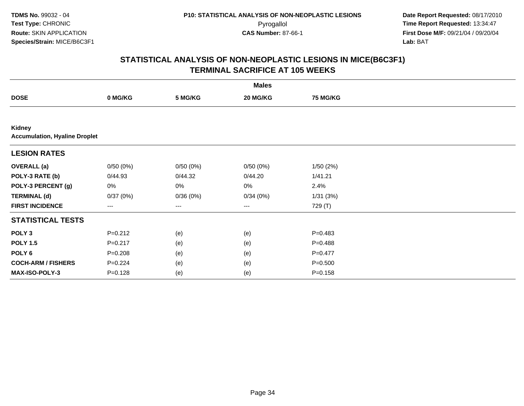**Date Report Requested:** 08/17/2010 Pyrogallol **Time Report Requested:** 13:34:47 **First Dose M/F:** 09/21/04 / 09/20/04<br>Lab: BAT **Lab:** BAT

| <b>Males</b>                                   |                   |          |                   |                 |  |  |
|------------------------------------------------|-------------------|----------|-------------------|-----------------|--|--|
| <b>DOSE</b>                                    | 0 MG/KG           | 5 MG/KG  | 20 MG/KG          | <b>75 MG/KG</b> |  |  |
|                                                |                   |          |                   |                 |  |  |
| Kidney<br><b>Accumulation, Hyaline Droplet</b> |                   |          |                   |                 |  |  |
| <b>LESION RATES</b>                            |                   |          |                   |                 |  |  |
| <b>OVERALL</b> (a)                             | 0/50(0%)          | 0/50(0%) | 0/50(0%)          | 1/50(2%)        |  |  |
| POLY-3 RATE (b)                                | 0/44.93           | 0/44.32  | 0/44.20           | 1/41.21         |  |  |
| POLY-3 PERCENT (g)                             | $0\%$             | 0%       | 0%                | 2.4%            |  |  |
| <b>TERMINAL (d)</b>                            | 0/37(0%)          | 0/36(0%) | 0/34(0%)          | 1/31(3%)        |  |  |
| <b>FIRST INCIDENCE</b>                         | $\qquad \qquad -$ | ---      | $\qquad \qquad -$ | 729 (T)         |  |  |
| <b>STATISTICAL TESTS</b>                       |                   |          |                   |                 |  |  |
| POLY <sub>3</sub>                              | $P = 0.212$       | (e)      | (e)               | $P = 0.483$     |  |  |
| <b>POLY 1.5</b>                                | $P = 0.217$       | (e)      | (e)               | $P=0.488$       |  |  |
| POLY <sub>6</sub>                              | $P = 0.208$       | (e)      | (e)               | $P=0.477$       |  |  |
| <b>COCH-ARM / FISHERS</b>                      | $P=0.224$         | (e)      | (e)               | $P = 0.500$     |  |  |
| MAX-ISO-POLY-3                                 | $P = 0.128$       | (e)      | (e)               | $P = 0.158$     |  |  |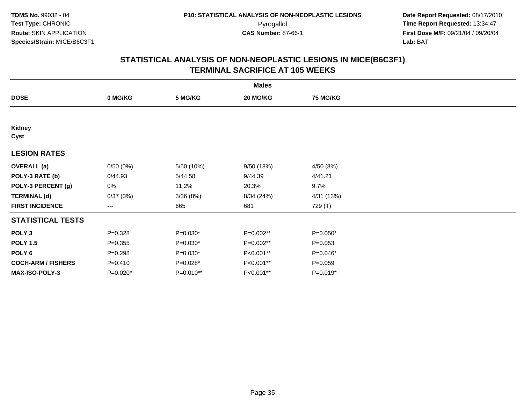| <b>Males</b>              |             |            |            |             |  |  |
|---------------------------|-------------|------------|------------|-------------|--|--|
| <b>DOSE</b>               | 0 MG/KG     | 5 MG/KG    | 20 MG/KG   | 75 MG/KG    |  |  |
|                           |             |            |            |             |  |  |
| Kidney<br>Cyst            |             |            |            |             |  |  |
| <b>LESION RATES</b>       |             |            |            |             |  |  |
| <b>OVERALL</b> (a)        | 0/50(0%)    | 5/50 (10%) | 9/50 (18%) | 4/50 (8%)   |  |  |
| POLY-3 RATE (b)           | 0/44.93     | 5/44.58    | 9/44.39    | 4/41.21     |  |  |
| POLY-3 PERCENT (g)        | 0%          | 11.2%      | 20.3%      | 9.7%        |  |  |
| <b>TERMINAL (d)</b>       | 0/37(0%)    | 3/36(8%)   | 8/34 (24%) | 4/31 (13%)  |  |  |
| <b>FIRST INCIDENCE</b>    | ---         | 665        | 681        | 729 (T)     |  |  |
| <b>STATISTICAL TESTS</b>  |             |            |            |             |  |  |
| POLY <sub>3</sub>         | $P = 0.328$ | $P=0.030*$ | P=0.002**  | $P=0.050*$  |  |  |
| <b>POLY 1.5</b>           | $P = 0.355$ | $P=0.030*$ | P=0.002**  | $P = 0.053$ |  |  |
| POLY 6                    | $P = 0.298$ | $P=0.030*$ | P<0.001**  | $P=0.046*$  |  |  |
| <b>COCH-ARM / FISHERS</b> | $P = 0.410$ | $P=0.028*$ | P<0.001**  | $P = 0.059$ |  |  |
| <b>MAX-ISO-POLY-3</b>     | P=0.020*    | P=0.010**  | P<0.001**  | $P=0.019*$  |  |  |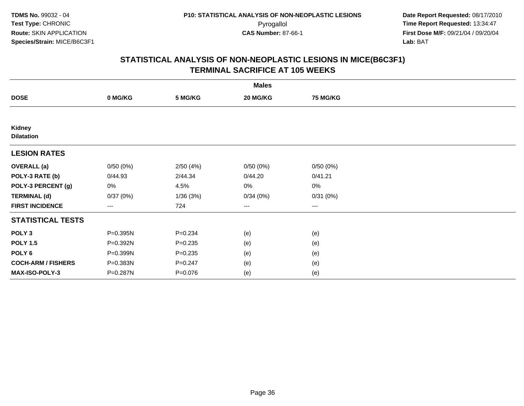|                             |                   |             | <b>Males</b> |                 |  |
|-----------------------------|-------------------|-------------|--------------|-----------------|--|
| <b>DOSE</b>                 | 0 MG/KG           | 5 MG/KG     | 20 MG/KG     | <b>75 MG/KG</b> |  |
|                             |                   |             |              |                 |  |
| Kidney<br><b>Dilatation</b> |                   |             |              |                 |  |
| <b>LESION RATES</b>         |                   |             |              |                 |  |
| <b>OVERALL (a)</b>          | 0/50(0%)          | 2/50(4%)    | 0/50(0%)     | 0/50(0%)        |  |
| POLY-3 RATE (b)             | 0/44.93           | 2/44.34     | 0/44.20      | 0/41.21         |  |
| POLY-3 PERCENT (g)          | 0%                | 4.5%        | 0%           | $0\%$           |  |
| <b>TERMINAL (d)</b>         | 0/37(0%)          | 1/36(3%)    | 0/34(0%)     | 0/31(0%)        |  |
| <b>FIRST INCIDENCE</b>      | $\qquad \qquad -$ | 724         | $---$        | ---             |  |
| <b>STATISTICAL TESTS</b>    |                   |             |              |                 |  |
| POLY <sub>3</sub>           | P=0.395N          | $P = 0.234$ | (e)          | (e)             |  |
| <b>POLY 1.5</b>             | P=0.392N          | $P = 0.235$ | (e)          | (e)             |  |
| POLY 6                      | P=0.399N          | $P = 0.235$ | (e)          | (e)             |  |
| <b>COCH-ARM / FISHERS</b>   | P=0.383N          | $P = 0.247$ | (e)          | (e)             |  |
| MAX-ISO-POLY-3              | P=0.287N          | $P = 0.076$ | (e)          | (e)             |  |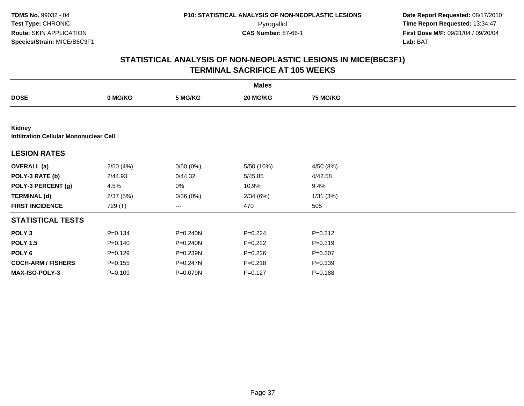**TDMS No.** 99032 - 04**Test Type:** CHRONIC**Route:** SKIN APPLICATION**Species/Strain:** MICE/B6C3F1

 **Date Report Requested:** 08/17/2010 Pyrogallol **Time Report Requested:** 13:34:47 **First Dose M/F:** 09/21/04 / 09/20/04<br>Lab: BAT **Lab:** BAT

|                           |                                               |              | <b>Males</b> |                 |  |  |  |  |  |  |
|---------------------------|-----------------------------------------------|--------------|--------------|-----------------|--|--|--|--|--|--|
| <b>DOSE</b>               | 0 MG/KG                                       | 5 MG/KG      | 20 MG/KG     | <b>75 MG/KG</b> |  |  |  |  |  |  |
|                           |                                               |              |              |                 |  |  |  |  |  |  |
| Kidney                    | <b>Infiltration Cellular Mononuclear Cell</b> |              |              |                 |  |  |  |  |  |  |
| <b>LESION RATES</b>       |                                               |              |              |                 |  |  |  |  |  |  |
| <b>OVERALL</b> (a)        | 2/50(4%)                                      | 0/50(0%)     | 5/50 (10%)   | 4/50 (8%)       |  |  |  |  |  |  |
| POLY-3 RATE (b)           | 2/44.93                                       | 0/44.32      | 5/45.85      | 4/42.58         |  |  |  |  |  |  |
| POLY-3 PERCENT (g)        | 4.5%                                          | 0%           | 10.9%        | 9.4%            |  |  |  |  |  |  |
| <b>TERMINAL (d)</b>       | 2/37(5%)                                      | 0/36(0%)     | 2/34(6%)     | 1/31(3%)        |  |  |  |  |  |  |
| <b>FIRST INCIDENCE</b>    | 729 (T)                                       | $--$         | 470          | 505             |  |  |  |  |  |  |
| <b>STATISTICAL TESTS</b>  |                                               |              |              |                 |  |  |  |  |  |  |
| POLY <sub>3</sub>         | $P = 0.134$                                   | $P = 0.240N$ | $P=0.224$    | $P = 0.312$     |  |  |  |  |  |  |
| <b>POLY 1.5</b>           | $P = 0.140$                                   | $P = 0.240N$ | $P=0.222$    | $P = 0.319$     |  |  |  |  |  |  |
| POLY <sub>6</sub>         | $P=0.129$                                     | P=0.239N     | $P=0.226$    | $P = 0.307$     |  |  |  |  |  |  |
| <b>COCH-ARM / FISHERS</b> | $P = 0.155$                                   | P=0.247N     | $P = 0.218$  | $P = 0.339$     |  |  |  |  |  |  |
| MAX-ISO-POLY-3            | $P=0.109$                                     | P=0.079N     | $P=0.127$    | $P = 0.188$     |  |  |  |  |  |  |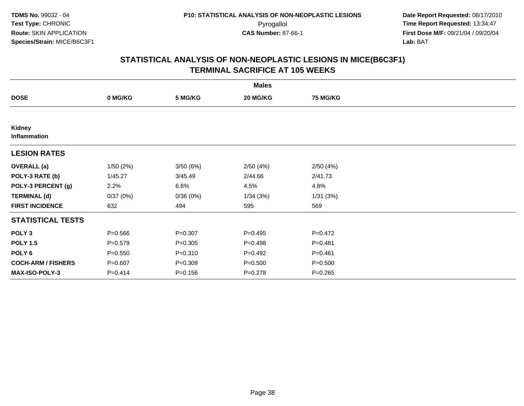| <b>Males</b>                  |             |             |             |                 |  |  |  |
|-------------------------------|-------------|-------------|-------------|-----------------|--|--|--|
| <b>DOSE</b>                   | 0 MG/KG     | 5 MG/KG     | 20 MG/KG    | <b>75 MG/KG</b> |  |  |  |
|                               |             |             |             |                 |  |  |  |
| Kidney<br><b>Inflammation</b> |             |             |             |                 |  |  |  |
| <b>LESION RATES</b>           |             |             |             |                 |  |  |  |
| <b>OVERALL</b> (a)            | 1/50(2%)    | 3/50(6%)    | 2/50(4%)    | 2/50(4%)        |  |  |  |
| POLY-3 RATE (b)               | 1/45.27     | 3/45.49     | 2/44.66     | 2/41.73         |  |  |  |
| POLY-3 PERCENT (g)            | 2.2%        | 6.6%        | 4.5%        | 4.8%            |  |  |  |
| <b>TERMINAL (d)</b>           | 0/37(0%)    | 0/36(0%)    | 1/34(3%)    | 1/31(3%)        |  |  |  |
| <b>FIRST INCIDENCE</b>        | 632         | 494         | 595         | 569             |  |  |  |
| <b>STATISTICAL TESTS</b>      |             |             |             |                 |  |  |  |
| POLY <sub>3</sub>             | $P = 0.566$ | $P = 0.307$ | $P = 0.495$ | $P = 0.472$     |  |  |  |
| <b>POLY 1.5</b>               | $P = 0.579$ | $P = 0.305$ | $P = 0.498$ | $P = 0.481$     |  |  |  |
| POLY <sub>6</sub>             | $P = 0.550$ | $P = 0.310$ | $P = 0.492$ | $P = 0.461$     |  |  |  |
| <b>COCH-ARM / FISHERS</b>     | $P = 0.607$ | $P = 0.309$ | $P = 0.500$ | $P = 0.500$     |  |  |  |
| <b>MAX-ISO-POLY-3</b>         | $P = 0.414$ | $P = 0.156$ | $P = 0.278$ | $P = 0.265$     |  |  |  |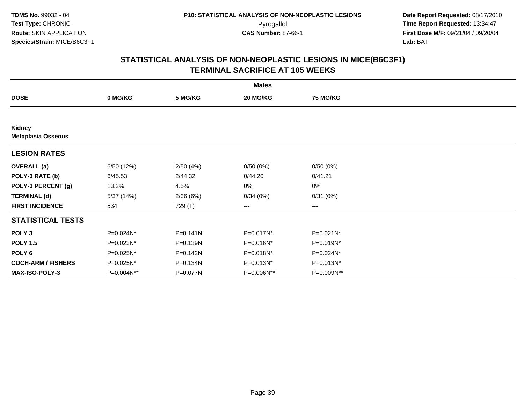| <b>Males</b>                        |            |              |            |                 |  |  |  |
|-------------------------------------|------------|--------------|------------|-----------------|--|--|--|
| <b>DOSE</b>                         | 0 MG/KG    | 5 MG/KG      | 20 MG/KG   | <b>75 MG/KG</b> |  |  |  |
|                                     |            |              |            |                 |  |  |  |
| Kidney<br><b>Metaplasia Osseous</b> |            |              |            |                 |  |  |  |
| <b>LESION RATES</b>                 |            |              |            |                 |  |  |  |
| <b>OVERALL</b> (a)                  | 6/50 (12%) | 2/50(4%)     | 0/50(0%)   | 0/50(0%)        |  |  |  |
| POLY-3 RATE (b)                     | 6/45.53    | 2/44.32      | 0/44.20    | 0/41.21         |  |  |  |
| POLY-3 PERCENT (g)                  | 13.2%      | 4.5%         | 0%         | 0%              |  |  |  |
| <b>TERMINAL (d)</b>                 | 5/37 (14%) | 2/36(6%)     | 0/34(0%)   | 0/31(0%)        |  |  |  |
| <b>FIRST INCIDENCE</b>              | 534        | 729 (T)      | $\cdots$   | ---             |  |  |  |
| <b>STATISTICAL TESTS</b>            |            |              |            |                 |  |  |  |
| POLY <sub>3</sub>                   | P=0.024N*  | $P = 0.141N$ | P=0.017N*  | P=0.021N*       |  |  |  |
| <b>POLY 1.5</b>                     | P=0.023N*  | P=0.139N     | P=0.016N*  | P=0.019N*       |  |  |  |
| POLY <sub>6</sub>                   | P=0.025N*  | P=0.142N     | P=0.018N*  | P=0.024N*       |  |  |  |
| <b>COCH-ARM / FISHERS</b>           | P=0.025N*  | P=0.134N     | P=0.013N*  | $P=0.013N^*$    |  |  |  |
| MAX-ISO-POLY-3                      | P=0.004N** | P=0.077N     | P=0.006N** | P=0.009N**      |  |  |  |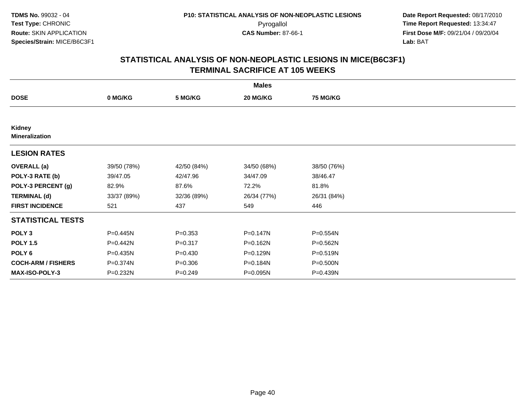| <b>Males</b>                    |             |             |             |                 |  |  |  |
|---------------------------------|-------------|-------------|-------------|-----------------|--|--|--|
| <b>DOSE</b>                     | 0 MG/KG     | 5 MG/KG     | 20 MG/KG    | <b>75 MG/KG</b> |  |  |  |
|                                 |             |             |             |                 |  |  |  |
| Kidney<br><b>Mineralization</b> |             |             |             |                 |  |  |  |
| <b>LESION RATES</b>             |             |             |             |                 |  |  |  |
| <b>OVERALL</b> (a)              | 39/50 (78%) | 42/50 (84%) | 34/50 (68%) | 38/50 (76%)     |  |  |  |
| POLY-3 RATE (b)                 | 39/47.05    | 42/47.96    | 34/47.09    | 38/46.47        |  |  |  |
| POLY-3 PERCENT (g)              | 82.9%       | 87.6%       | 72.2%       | 81.8%           |  |  |  |
| <b>TERMINAL (d)</b>             | 33/37 (89%) | 32/36 (89%) | 26/34 (77%) | 26/31 (84%)     |  |  |  |
| <b>FIRST INCIDENCE</b>          | 521         | 437         | 549         | 446             |  |  |  |
| <b>STATISTICAL TESTS</b>        |             |             |             |                 |  |  |  |
| POLY <sub>3</sub>               | P=0.445N    | $P = 0.353$ | P=0.147N    | P=0.554N        |  |  |  |
| <b>POLY 1.5</b>                 | P=0.442N    | $P = 0.317$ | P=0.162N    | P=0.562N        |  |  |  |
| POLY <sub>6</sub>               | P=0.435N    | $P = 0.430$ | P=0.129N    | P=0.519N        |  |  |  |
| <b>COCH-ARM / FISHERS</b>       | P=0.374N    | $P = 0.306$ | P=0.184N    | P=0.500N        |  |  |  |
| <b>MAX-ISO-POLY-3</b>           | P=0.232N    | $P = 0.249$ | P=0.095N    | P=0.439N        |  |  |  |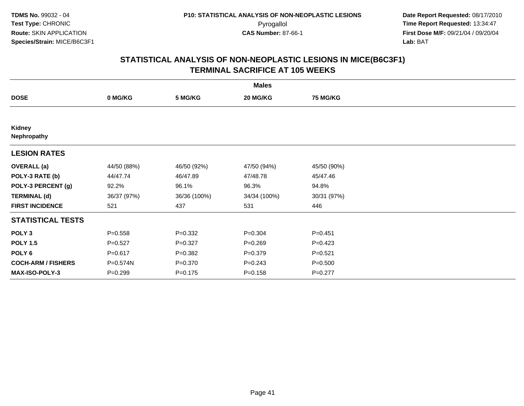| <b>Males</b>              |             |              |              |                 |  |  |  |
|---------------------------|-------------|--------------|--------------|-----------------|--|--|--|
| <b>DOSE</b>               | 0 MG/KG     | 5 MG/KG      | 20 MG/KG     | <b>75 MG/KG</b> |  |  |  |
|                           |             |              |              |                 |  |  |  |
| Kidney<br>Nephropathy     |             |              |              |                 |  |  |  |
| <b>LESION RATES</b>       |             |              |              |                 |  |  |  |
| <b>OVERALL</b> (a)        | 44/50 (88%) | 46/50 (92%)  | 47/50 (94%)  | 45/50 (90%)     |  |  |  |
| POLY-3 RATE (b)           | 44/47.74    | 46/47.89     | 47/48.78     | 45/47.46        |  |  |  |
| POLY-3 PERCENT (g)        | 92.2%       | 96.1%        | 96.3%        | 94.8%           |  |  |  |
| <b>TERMINAL (d)</b>       | 36/37 (97%) | 36/36 (100%) | 34/34 (100%) | 30/31 (97%)     |  |  |  |
| <b>FIRST INCIDENCE</b>    | 521         | 437          | 531          | 446             |  |  |  |
| <b>STATISTICAL TESTS</b>  |             |              |              |                 |  |  |  |
| POLY <sub>3</sub>         | $P = 0.558$ | $P = 0.332$  | $P = 0.304$  | $P = 0.451$     |  |  |  |
| <b>POLY 1.5</b>           | $P=0.527$   | $P=0.327$    | $P = 0.269$  | $P=0.423$       |  |  |  |
| POLY <sub>6</sub>         | $P = 0.617$ | $P = 0.382$  | $P = 0.379$  | $P = 0.521$     |  |  |  |
| <b>COCH-ARM / FISHERS</b> | P=0.574N    | $P = 0.370$  | $P = 0.243$  | $P = 0.500$     |  |  |  |
| MAX-ISO-POLY-3            | $P = 0.299$ | $P = 0.175$  | $P = 0.158$  | $P = 0.277$     |  |  |  |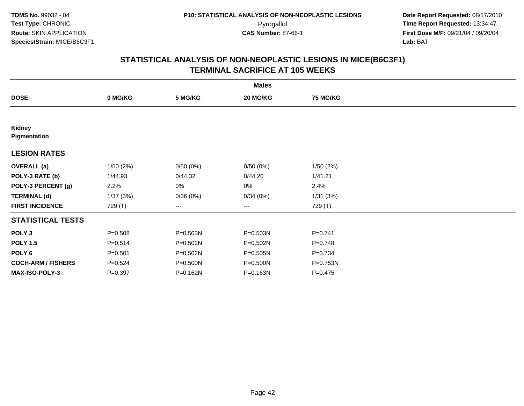|                               |             |          | <b>Males</b>      |                 |  |
|-------------------------------|-------------|----------|-------------------|-----------------|--|
| <b>DOSE</b>                   | 0 MG/KG     | 5 MG/KG  | 20 MG/KG          | <b>75 MG/KG</b> |  |
|                               |             |          |                   |                 |  |
| <b>Kidney</b><br>Pigmentation |             |          |                   |                 |  |
| <b>LESION RATES</b>           |             |          |                   |                 |  |
| <b>OVERALL</b> (a)            | 1/50(2%)    | 0/50(0%) | 0/50(0%)          | 1/50(2%)        |  |
| POLY-3 RATE (b)               | 1/44.93     | 0/44.32  | 0/44.20           | 1/41.21         |  |
| POLY-3 PERCENT (g)            | 2.2%        | 0%       | 0%                | 2.4%            |  |
| <b>TERMINAL (d)</b>           | 1/37(3%)    | 0/36(0%) | 0/34(0%)          | 1/31(3%)        |  |
| <b>FIRST INCIDENCE</b>        | 729 (T)     | ---      | $\qquad \qquad -$ | 729 (T)         |  |
| <b>STATISTICAL TESTS</b>      |             |          |                   |                 |  |
| POLY <sub>3</sub>             | $P = 0.508$ | P=0.503N | P=0.503N          | $P = 0.741$     |  |
| <b>POLY 1.5</b>               | $P = 0.514$ | P=0.502N | P=0.502N          | $P = 0.748$     |  |
| POLY 6                        | $P = 0.501$ | P=0.502N | P=0.505N          | $P = 0.734$     |  |
| <b>COCH-ARM / FISHERS</b>     | $P = 0.524$ | P=0.500N | P=0.500N          | P=0.753N        |  |
| MAX-ISO-POLY-3                | $P = 0.397$ | P=0.162N | P=0.163N          | $P = 0.475$     |  |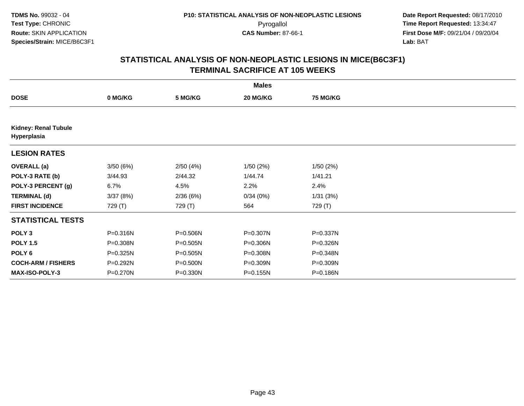| <b>Males</b>                               |          |          |          |                 |  |  |  |
|--------------------------------------------|----------|----------|----------|-----------------|--|--|--|
| <b>DOSE</b>                                | 0 MG/KG  | 5 MG/KG  | 20 MG/KG | <b>75 MG/KG</b> |  |  |  |
|                                            |          |          |          |                 |  |  |  |
| <b>Kidney: Renal Tubule</b><br>Hyperplasia |          |          |          |                 |  |  |  |
| <b>LESION RATES</b>                        |          |          |          |                 |  |  |  |
| <b>OVERALL</b> (a)                         | 3/50(6%) | 2/50(4%) | 1/50(2%) | 1/50(2%)        |  |  |  |
| POLY-3 RATE (b)                            | 3/44.93  | 2/44.32  | 1/44.74  | 1/41.21         |  |  |  |
| POLY-3 PERCENT (g)                         | 6.7%     | 4.5%     | 2.2%     | 2.4%            |  |  |  |
| <b>TERMINAL (d)</b>                        | 3/37(8%) | 2/36(6%) | 0/34(0%) | 1/31(3%)        |  |  |  |
| <b>FIRST INCIDENCE</b>                     | 729 (T)  | 729 (T)  | 564      | 729 (T)         |  |  |  |
| <b>STATISTICAL TESTS</b>                   |          |          |          |                 |  |  |  |
| POLY <sub>3</sub>                          | P=0.316N | P=0.506N | P=0.307N | P=0.337N        |  |  |  |
| <b>POLY 1.5</b>                            | P=0.308N | P=0.505N | P=0.306N | P=0.326N        |  |  |  |
| POLY <sub>6</sub>                          | P=0.325N | P=0.505N | P=0.308N | P=0.348N        |  |  |  |
| <b>COCH-ARM / FISHERS</b>                  | P=0.292N | P=0.500N | P=0.309N | P=0.309N        |  |  |  |
| <b>MAX-ISO-POLY-3</b>                      | P=0.270N | P=0.330N | P=0.155N | P=0.186N        |  |  |  |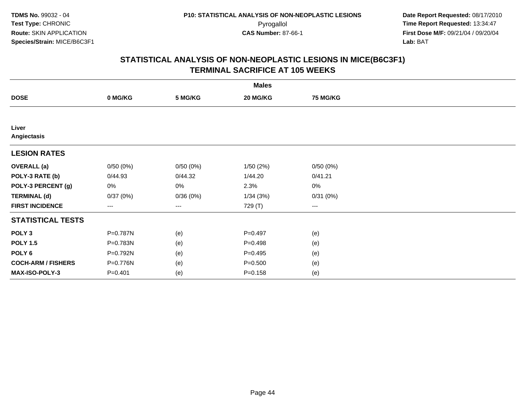| <b>Males</b>              |             |          |             |                 |  |  |  |
|---------------------------|-------------|----------|-------------|-----------------|--|--|--|
| <b>DOSE</b>               | 0 MG/KG     | 5 MG/KG  | 20 MG/KG    | <b>75 MG/KG</b> |  |  |  |
|                           |             |          |             |                 |  |  |  |
| Liver<br>Angiectasis      |             |          |             |                 |  |  |  |
| <b>LESION RATES</b>       |             |          |             |                 |  |  |  |
| <b>OVERALL</b> (a)        | 0/50(0%)    | 0/50(0%) | 1/50(2%)    | 0/50(0%)        |  |  |  |
| POLY-3 RATE (b)           | 0/44.93     | 0/44.32  | 1/44.20     | 0/41.21         |  |  |  |
| POLY-3 PERCENT (g)        | 0%          | 0%       | 2.3%        | 0%              |  |  |  |
| <b>TERMINAL (d)</b>       | 0/37(0%)    | 0/36(0%) | 1/34(3%)    | 0/31(0%)        |  |  |  |
| <b>FIRST INCIDENCE</b>    | $---$       | $---$    | 729 (T)     | $---$           |  |  |  |
| <b>STATISTICAL TESTS</b>  |             |          |             |                 |  |  |  |
| POLY <sub>3</sub>         | P=0.787N    | (e)      | $P=0.497$   | (e)             |  |  |  |
| <b>POLY 1.5</b>           | P=0.783N    | (e)      | $P=0.498$   | (e)             |  |  |  |
| POLY 6                    | P=0.792N    | (e)      | $P=0.495$   | (e)             |  |  |  |
| <b>COCH-ARM / FISHERS</b> | P=0.776N    | (e)      | $P = 0.500$ | (e)             |  |  |  |
| MAX-ISO-POLY-3            | $P = 0.401$ | (e)      | $P = 0.158$ | (e)             |  |  |  |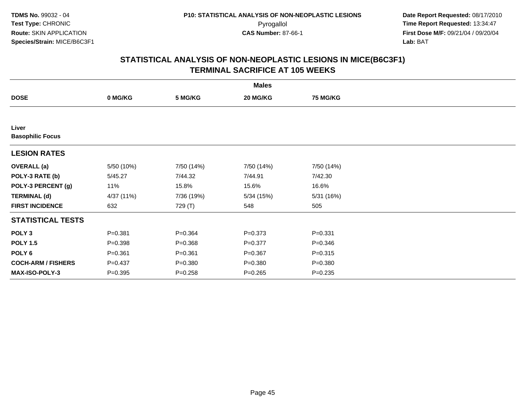| <b>Males</b>                     |             |             |             |                 |  |  |  |
|----------------------------------|-------------|-------------|-------------|-----------------|--|--|--|
| <b>DOSE</b>                      | 0 MG/KG     | 5 MG/KG     | 20 MG/KG    | <b>75 MG/KG</b> |  |  |  |
|                                  |             |             |             |                 |  |  |  |
| Liver<br><b>Basophilic Focus</b> |             |             |             |                 |  |  |  |
| <b>LESION RATES</b>              |             |             |             |                 |  |  |  |
| <b>OVERALL</b> (a)               | 5/50 (10%)  | 7/50 (14%)  | 7/50 (14%)  | 7/50 (14%)      |  |  |  |
| POLY-3 RATE (b)                  | 5/45.27     | 7/44.32     | 7/44.91     | 7/42.30         |  |  |  |
| POLY-3 PERCENT (g)               | 11%         | 15.8%       | 15.6%       | 16.6%           |  |  |  |
| <b>TERMINAL (d)</b>              | 4/37 (11%)  | 7/36 (19%)  | 5/34(15%)   | 5/31 (16%)      |  |  |  |
| <b>FIRST INCIDENCE</b>           | 632         | 729 (T)     | 548         | 505             |  |  |  |
| <b>STATISTICAL TESTS</b>         |             |             |             |                 |  |  |  |
| POLY <sub>3</sub>                | $P = 0.381$ | $P = 0.364$ | $P = 0.373$ | $P = 0.331$     |  |  |  |
| <b>POLY 1.5</b>                  | $P = 0.398$ | $P = 0.368$ | $P = 0.377$ | $P = 0.346$     |  |  |  |
| POLY <sub>6</sub>                | $P = 0.361$ | $P = 0.361$ | $P = 0.367$ | $P = 0.315$     |  |  |  |
| <b>COCH-ARM / FISHERS</b>        | $P = 0.437$ | $P = 0.380$ | $P = 0.380$ | $P = 0.380$     |  |  |  |
| MAX-ISO-POLY-3                   | $P = 0.395$ | $P = 0.258$ | $P=0.265$   | $P = 0.235$     |  |  |  |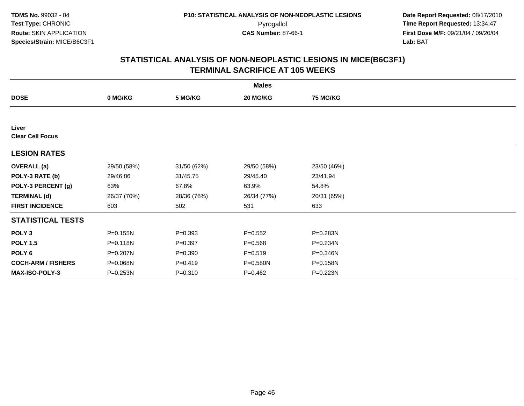| <b>Males</b>                     |             |             |             |             |  |  |  |
|----------------------------------|-------------|-------------|-------------|-------------|--|--|--|
| <b>DOSE</b>                      | 0 MG/KG     | 5 MG/KG     | 20 MG/KG    | 75 MG/KG    |  |  |  |
|                                  |             |             |             |             |  |  |  |
| Liver<br><b>Clear Cell Focus</b> |             |             |             |             |  |  |  |
| <b>LESION RATES</b>              |             |             |             |             |  |  |  |
| <b>OVERALL</b> (a)               | 29/50 (58%) | 31/50 (62%) | 29/50 (58%) | 23/50 (46%) |  |  |  |
| POLY-3 RATE (b)                  | 29/46.06    | 31/45.75    | 29/45.40    | 23/41.94    |  |  |  |
| POLY-3 PERCENT (g)               | 63%         | 67.8%       | 63.9%       | 54.8%       |  |  |  |
| <b>TERMINAL (d)</b>              | 26/37 (70%) | 28/36 (78%) | 26/34 (77%) | 20/31 (65%) |  |  |  |
| <b>FIRST INCIDENCE</b>           | 603         | 502         | 531         | 633         |  |  |  |
| <b>STATISTICAL TESTS</b>         |             |             |             |             |  |  |  |
| POLY <sub>3</sub>                | P=0.155N    | $P = 0.393$ | $P = 0.552$ | P=0.283N    |  |  |  |
| <b>POLY 1.5</b>                  | P=0.118N    | $P = 0.397$ | $P = 0.568$ | P=0.234N    |  |  |  |
| POLY 6                           | P=0.207N    | $P = 0.390$ | $P = 0.519$ | P=0.346N    |  |  |  |
| <b>COCH-ARM / FISHERS</b>        | P=0.068N    | $P = 0.419$ | P=0.580N    | P=0.158N    |  |  |  |
| <b>MAX-ISO-POLY-3</b>            | P=0.253N    | $P = 0.310$ | $P=0.462$   | P=0.223N    |  |  |  |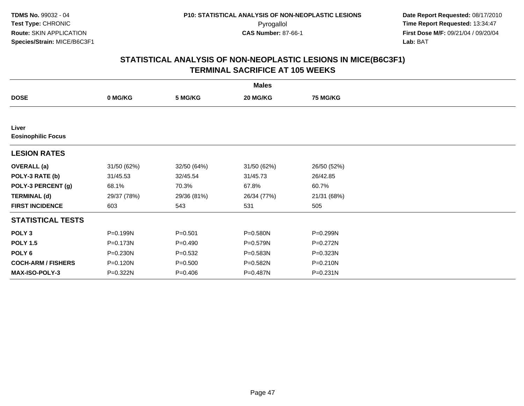| <b>Males</b>                       |             |             |             |                 |  |  |  |
|------------------------------------|-------------|-------------|-------------|-----------------|--|--|--|
| <b>DOSE</b>                        | 0 MG/KG     | 5 MG/KG     | 20 MG/KG    | <b>75 MG/KG</b> |  |  |  |
|                                    |             |             |             |                 |  |  |  |
| Liver<br><b>Eosinophilic Focus</b> |             |             |             |                 |  |  |  |
| <b>LESION RATES</b>                |             |             |             |                 |  |  |  |
| <b>OVERALL</b> (a)                 | 31/50 (62%) | 32/50 (64%) | 31/50 (62%) | 26/50 (52%)     |  |  |  |
| POLY-3 RATE (b)                    | 31/45.53    | 32/45.54    | 31/45.73    | 26/42.85        |  |  |  |
| POLY-3 PERCENT (g)                 | 68.1%       | 70.3%       | 67.8%       | 60.7%           |  |  |  |
| <b>TERMINAL (d)</b>                | 29/37 (78%) | 29/36 (81%) | 26/34 (77%) | 21/31 (68%)     |  |  |  |
| <b>FIRST INCIDENCE</b>             | 603         | 543         | 531         | 505             |  |  |  |
| <b>STATISTICAL TESTS</b>           |             |             |             |                 |  |  |  |
| POLY <sub>3</sub>                  | P=0.199N    | $P = 0.501$ | P=0.580N    | P=0.299N        |  |  |  |
| <b>POLY 1.5</b>                    | P=0.173N    | $P=0.490$   | P=0.579N    | P=0.272N        |  |  |  |
| POLY 6                             | P=0.230N    | $P = 0.532$ | P=0.583N    | P=0.323N        |  |  |  |
| <b>COCH-ARM / FISHERS</b>          | P=0.120N    | $P = 0.500$ | P=0.582N    | P=0.210N        |  |  |  |
| MAX-ISO-POLY-3                     | P=0.322N    | $P=0.406$   | P=0.487N    | $P = 0.231N$    |  |  |  |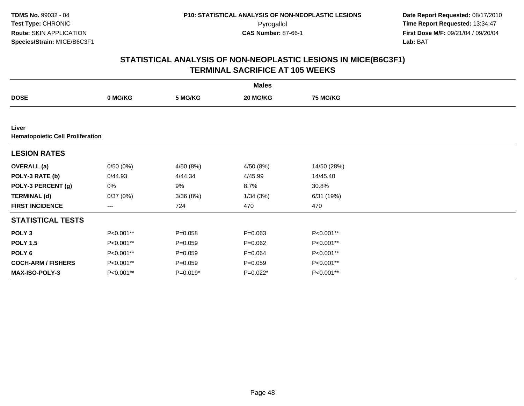**TDMS No.** 99032 - 04**Test Type:** CHRONIC**Route:** SKIN APPLICATION**Species/Strain:** MICE/B6C3F1

 **Date Report Requested:** 08/17/2010 Pyrogallol **Time Report Requested:** 13:34:47 **First Dose M/F:** 09/21/04 / 09/20/04<br>Lab: BAT **Lab:** BAT

|                                                  |           |             | <b>Males</b> |                 |  |
|--------------------------------------------------|-----------|-------------|--------------|-----------------|--|
| <b>DOSE</b>                                      | 0 MG/KG   | 5 MG/KG     | 20 MG/KG     | <b>75 MG/KG</b> |  |
|                                                  |           |             |              |                 |  |
| Liver<br><b>Hematopoietic Cell Proliferation</b> |           |             |              |                 |  |
| <b>LESION RATES</b>                              |           |             |              |                 |  |
| <b>OVERALL</b> (a)                               | 0/50(0%)  | 4/50 (8%)   | 4/50 (8%)    | 14/50 (28%)     |  |
| POLY-3 RATE (b)                                  | 0/44.93   | 4/44.34     | 4/45.99      | 14/45.40        |  |
| POLY-3 PERCENT (g)                               | 0%        | 9%          | 8.7%         | 30.8%           |  |
| <b>TERMINAL (d)</b>                              | 0/37(0%)  | 3/36(8%)    | 1/34(3%)     | 6/31 (19%)      |  |
| <b>FIRST INCIDENCE</b>                           | $---$     | 724         | 470          | 470             |  |
| <b>STATISTICAL TESTS</b>                         |           |             |              |                 |  |
| POLY <sub>3</sub>                                | P<0.001** | $P = 0.058$ | $P = 0.063$  | P<0.001**       |  |
| <b>POLY 1.5</b>                                  | P<0.001** | $P=0.059$   | $P=0.062$    | P<0.001**       |  |
| POLY 6                                           | P<0.001** | $P=0.059$   | $P = 0.064$  | P<0.001**       |  |
| <b>COCH-ARM / FISHERS</b>                        | P<0.001** | $P=0.059$   | $P = 0.059$  | P<0.001**       |  |
| MAX-ISO-POLY-3                                   | P<0.001** | $P=0.019*$  | P=0.022*     | P<0.001**       |  |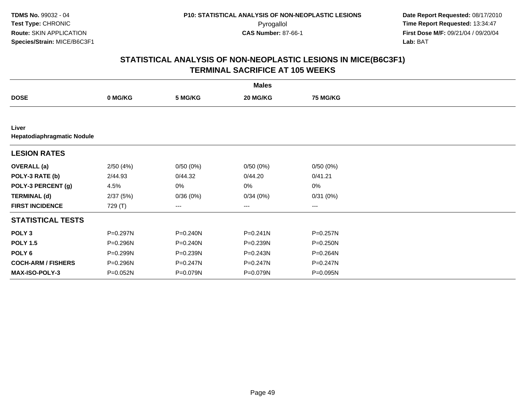|                                     |          |              | <b>Males</b>      |                 |  |
|-------------------------------------|----------|--------------|-------------------|-----------------|--|
| <b>DOSE</b>                         | 0 MG/KG  | 5 MG/KG      | 20 MG/KG          | <b>75 MG/KG</b> |  |
|                                     |          |              |                   |                 |  |
| Liver<br>Hepatodiaphragmatic Nodule |          |              |                   |                 |  |
| <b>LESION RATES</b>                 |          |              |                   |                 |  |
| <b>OVERALL</b> (a)                  | 2/50(4%) | 0/50(0%)     | 0/50(0%)          | 0/50(0%)        |  |
| POLY-3 RATE (b)                     | 2/44.93  | 0/44.32      | 0/44.20           | 0/41.21         |  |
| POLY-3 PERCENT (g)                  | 4.5%     | 0%           | 0%                | $0\%$           |  |
| <b>TERMINAL (d)</b>                 | 2/37(5%) | 0/36(0%)     | 0/34(0%)          | 0/31(0%)        |  |
| <b>FIRST INCIDENCE</b>              | 729 (T)  | ---          | $\qquad \qquad -$ | ---             |  |
| <b>STATISTICAL TESTS</b>            |          |              |                   |                 |  |
| POLY <sub>3</sub>                   | P=0.297N | $P = 0.240N$ | $P = 0.241N$      | P=0.257N        |  |
| <b>POLY 1.5</b>                     | P=0.296N | $P = 0.240N$ | P=0.239N          | P=0.250N        |  |
| POLY 6                              | P=0.299N | P=0.239N     | $P = 0.243N$      | P=0.264N        |  |
| <b>COCH-ARM / FISHERS</b>           | P=0.296N | P=0.247N     | $P = 0.247N$      | P=0.247N        |  |
| MAX-ISO-POLY-3                      | P=0.052N | P=0.079N     | P=0.079N          | P=0.095N        |  |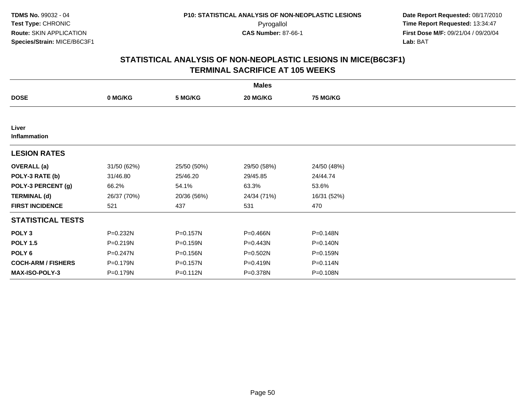|                           |              |             | <b>Males</b> |                 |  |
|---------------------------|--------------|-------------|--------------|-----------------|--|
| <b>DOSE</b>               | 0 MG/KG      | 5 MG/KG     | 20 MG/KG     | <b>75 MG/KG</b> |  |
|                           |              |             |              |                 |  |
| Liver<br>Inflammation     |              |             |              |                 |  |
| <b>LESION RATES</b>       |              |             |              |                 |  |
| <b>OVERALL</b> (a)        | 31/50 (62%)  | 25/50 (50%) | 29/50 (58%)  | 24/50 (48%)     |  |
| POLY-3 RATE (b)           | 31/46.80     | 25/46.20    | 29/45.85     | 24/44.74        |  |
| POLY-3 PERCENT (g)        | 66.2%        | 54.1%       | 63.3%        | 53.6%           |  |
| <b>TERMINAL (d)</b>       | 26/37 (70%)  | 20/36 (56%) | 24/34 (71%)  | 16/31 (52%)     |  |
| <b>FIRST INCIDENCE</b>    | 521          | 437         | 531          | 470             |  |
| <b>STATISTICAL TESTS</b>  |              |             |              |                 |  |
| POLY <sub>3</sub>         | P=0.232N     | P=0.157N    | P=0.466N     | P=0.148N        |  |
| <b>POLY 1.5</b>           | $P = 0.219N$ | P=0.159N    | $P = 0.443N$ | $P = 0.140N$    |  |
| POLY <sub>6</sub>         | P=0.247N     | P=0.156N    | P=0.502N     | P=0.159N        |  |
| <b>COCH-ARM / FISHERS</b> | P=0.179N     | P=0.157N    | P=0.419N     | P=0.114N        |  |
| <b>MAX-ISO-POLY-3</b>     | P=0.179N     | P=0.112N    | P=0.378N     | P=0.108N        |  |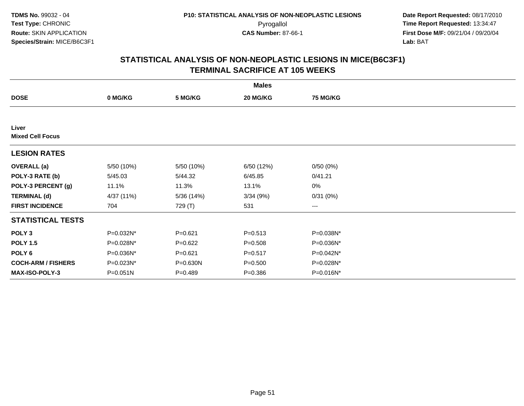|                                  |              |             | <b>Males</b> |                        |  |
|----------------------------------|--------------|-------------|--------------|------------------------|--|
| <b>DOSE</b>                      | 0 MG/KG      | 5 MG/KG     | 20 MG/KG     | <b>75 MG/KG</b>        |  |
|                                  |              |             |              |                        |  |
| Liver<br><b>Mixed Cell Focus</b> |              |             |              |                        |  |
| <b>LESION RATES</b>              |              |             |              |                        |  |
| <b>OVERALL</b> (a)               | 5/50 (10%)   | 5/50 (10%)  | 6/50 (12%)   | 0/50(0%)               |  |
| POLY-3 RATE (b)                  | 5/45.03      | 5/44.32     | 6/45.85      | 0/41.21                |  |
| POLY-3 PERCENT (g)               | 11.1%        | 11.3%       | 13.1%        | $0\%$                  |  |
| <b>TERMINAL (d)</b>              | 4/37 (11%)   | 5/36 (14%)  | 3/34(9%)     | 0/31(0%)               |  |
| <b>FIRST INCIDENCE</b>           | 704          | 729 (T)     | 531          | $\qquad \qquad \cdots$ |  |
| <b>STATISTICAL TESTS</b>         |              |             |              |                        |  |
| POLY <sub>3</sub>                | P=0.032N*    | $P = 0.621$ | $P = 0.513$  | P=0.038N*              |  |
| <b>POLY 1.5</b>                  | P=0.028N*    | $P=0.622$   | $P = 0.508$  | P=0.036N*              |  |
| POLY <sub>6</sub>                | P=0.036N*    | $P = 0.621$ | $P = 0.517$  | P=0.042N*              |  |
| <b>COCH-ARM / FISHERS</b>        | P=0.023N*    | P=0.630N    | $P = 0.500$  | P=0.028N*              |  |
| <b>MAX-ISO-POLY-3</b>            | $P = 0.051N$ | $P = 0.489$ | $P = 0.386$  | P=0.016N*              |  |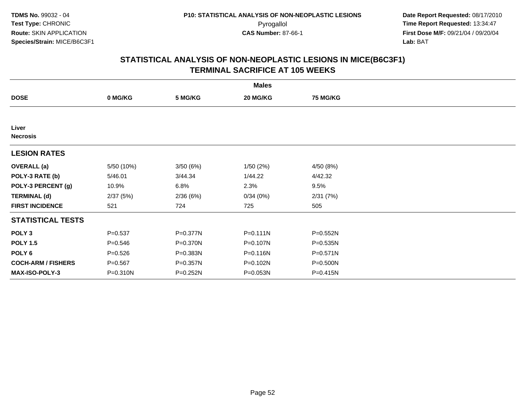|                           |             |              | <b>Males</b> |                 |  |
|---------------------------|-------------|--------------|--------------|-----------------|--|
| <b>DOSE</b>               | 0 MG/KG     | 5 MG/KG      | 20 MG/KG     | <b>75 MG/KG</b> |  |
|                           |             |              |              |                 |  |
| Liver<br><b>Necrosis</b>  |             |              |              |                 |  |
| <b>LESION RATES</b>       |             |              |              |                 |  |
| <b>OVERALL</b> (a)        | 5/50 (10%)  | 3/50(6%)     | 1/50 (2%)    | 4/50 (8%)       |  |
| POLY-3 RATE (b)           | 5/46.01     | 3/44.34      | 1/44.22      | 4/42.32         |  |
| POLY-3 PERCENT (g)        | 10.9%       | 6.8%         | 2.3%         | 9.5%            |  |
| <b>TERMINAL (d)</b>       | 2/37(5%)    | 2/36(6%)     | 0/34(0%)     | 2/31(7%)        |  |
| <b>FIRST INCIDENCE</b>    | 521         | 724          | 725          | 505             |  |
| <b>STATISTICAL TESTS</b>  |             |              |              |                 |  |
| POLY <sub>3</sub>         | $P = 0.537$ | $P = 0.377N$ | $P = 0.111N$ | $P = 0.552N$    |  |
| <b>POLY 1.5</b>           | $P = 0.546$ | $P = 0.370N$ | P=0.107N     | $P = 0.535N$    |  |
| POLY 6                    | $P = 0.526$ | P=0.383N     | P=0.116N     | $P = 0.571N$    |  |
| <b>COCH-ARM / FISHERS</b> | $P = 0.567$ | P=0.357N     | P=0.102N     | P=0.500N        |  |
| MAX-ISO-POLY-3            | P=0.310N    | P=0.252N     | P=0.053N     | P=0.415N        |  |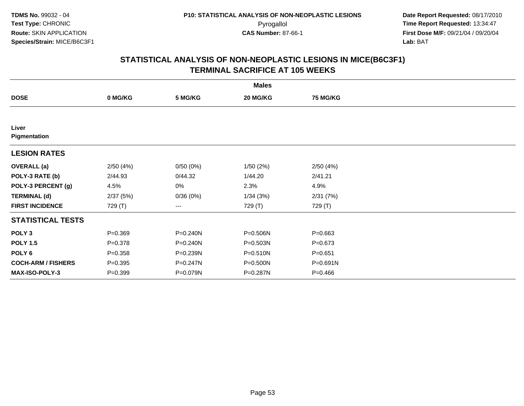|                           |             |          | <b>Males</b> |                 |  |
|---------------------------|-------------|----------|--------------|-----------------|--|
| <b>DOSE</b>               | 0 MG/KG     | 5 MG/KG  | 20 MG/KG     | <b>75 MG/KG</b> |  |
|                           |             |          |              |                 |  |
| Liver<br>Pigmentation     |             |          |              |                 |  |
| <b>LESION RATES</b>       |             |          |              |                 |  |
| <b>OVERALL</b> (a)        | 2/50(4%)    | 0/50(0%) | 1/50(2%)     | 2/50(4%)        |  |
| POLY-3 RATE (b)           | 2/44.93     | 0/44.32  | 1/44.20      | 2/41.21         |  |
| POLY-3 PERCENT (g)        | 4.5%        | 0%       | 2.3%         | 4.9%            |  |
| <b>TERMINAL (d)</b>       | 2/37(5%)    | 0/36(0%) | 1/34(3%)     | 2/31(7%)        |  |
| <b>FIRST INCIDENCE</b>    | 729 (T)     | ---      | 729 (T)      | 729 (T)         |  |
| <b>STATISTICAL TESTS</b>  |             |          |              |                 |  |
| POLY <sub>3</sub>         | $P = 0.369$ | P=0.240N | P=0.506N     | $P = 0.663$     |  |
| <b>POLY 1.5</b>           | $P = 0.378$ | P=0.240N | $P = 0.503N$ | $P = 0.673$     |  |
| POLY 6                    | $P = 0.358$ | P=0.239N | P=0.510N     | $P = 0.651$     |  |
| <b>COCH-ARM / FISHERS</b> | $P = 0.395$ | P=0.247N | P=0.500N     | P=0.691N        |  |
| MAX-ISO-POLY-3            | $P = 0.399$ | P=0.079N | P=0.287N     | $P=0.466$       |  |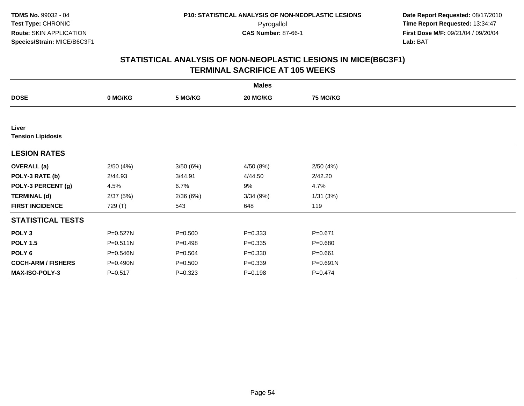|                                   |              |             | <b>Males</b> |                 |  |
|-----------------------------------|--------------|-------------|--------------|-----------------|--|
| <b>DOSE</b>                       | 0 MG/KG      | 5 MG/KG     | 20 MG/KG     | <b>75 MG/KG</b> |  |
|                                   |              |             |              |                 |  |
| Liver<br><b>Tension Lipidosis</b> |              |             |              |                 |  |
| <b>LESION RATES</b>               |              |             |              |                 |  |
| <b>OVERALL</b> (a)                | 2/50(4%)     | 3/50(6%)    | 4/50 (8%)    | 2/50(4%)        |  |
| POLY-3 RATE (b)                   | 2/44.93      | 3/44.91     | 4/44.50      | 2/42.20         |  |
| POLY-3 PERCENT (g)                | 4.5%         | 6.7%        | 9%           | 4.7%            |  |
| <b>TERMINAL (d)</b>               | 2/37(5%)     | 2/36(6%)    | 3/34(9%)     | 1/31(3%)        |  |
| <b>FIRST INCIDENCE</b>            | 729 (T)      | 543         | 648          | 119             |  |
| <b>STATISTICAL TESTS</b>          |              |             |              |                 |  |
| POLY <sub>3</sub>                 | P=0.527N     | $P = 0.500$ | $P = 0.333$  | $P = 0.671$     |  |
| <b>POLY 1.5</b>                   | $P = 0.511N$ | $P=0.498$   | $P = 0.335$  | $P = 0.680$     |  |
| POLY <sub>6</sub>                 | P=0.546N     | $P = 0.504$ | $P = 0.330$  | $P = 0.661$     |  |
| <b>COCH-ARM / FISHERS</b>         | P=0.490N     | $P = 0.500$ | $P = 0.339$  | P=0.691N        |  |
| MAX-ISO-POLY-3                    | $P = 0.517$  | $P = 0.323$ | $P = 0.198$  | $P=0.474$       |  |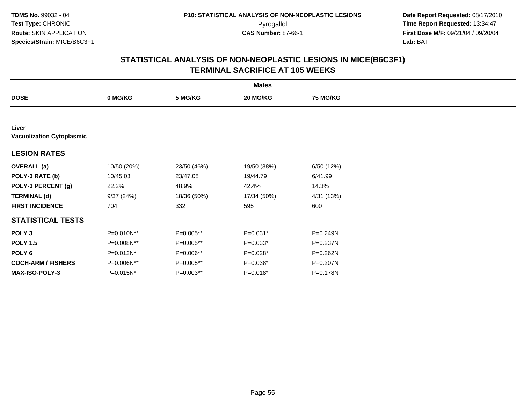|                                           |                |             | <b>Males</b> |                 |  |
|-------------------------------------------|----------------|-------------|--------------|-----------------|--|
| <b>DOSE</b>                               | 0 MG/KG        | 5 MG/KG     | 20 MG/KG     | <b>75 MG/KG</b> |  |
|                                           |                |             |              |                 |  |
| Liver<br><b>Vacuolization Cytoplasmic</b> |                |             |              |                 |  |
| <b>LESION RATES</b>                       |                |             |              |                 |  |
| <b>OVERALL</b> (a)                        | 10/50 (20%)    | 23/50 (46%) | 19/50 (38%)  | 6/50 (12%)      |  |
| POLY-3 RATE (b)                           | 10/45.03       | 23/47.08    | 19/44.79     | 6/41.99         |  |
| POLY-3 PERCENT (g)                        | 22.2%          | 48.9%       | 42.4%        | 14.3%           |  |
| <b>TERMINAL (d)</b>                       | 9/37(24%)      | 18/36 (50%) | 17/34 (50%)  | 4/31 (13%)      |  |
| <b>FIRST INCIDENCE</b>                    | 704            | 332         | 595          | 600             |  |
| <b>STATISTICAL TESTS</b>                  |                |             |              |                 |  |
| POLY <sub>3</sub>                         | P=0.010N**     | P=0.005**   | $P=0.031*$   | P=0.249N        |  |
| <b>POLY 1.5</b>                           | P=0.008N**     | P=0.005**   | $P=0.033*$   | P=0.237N        |  |
| POLY <sub>6</sub>                         | $P = 0.012N^*$ | P=0.006**   | $P=0.028*$   | P=0.262N        |  |
| <b>COCH-ARM / FISHERS</b>                 | P=0.006N**     | P=0.005**   | $P=0.038*$   | P=0.207N        |  |
| <b>MAX-ISO-POLY-3</b>                     | P=0.015N*      | $P=0.003**$ | $P=0.018*$   | P=0.178N        |  |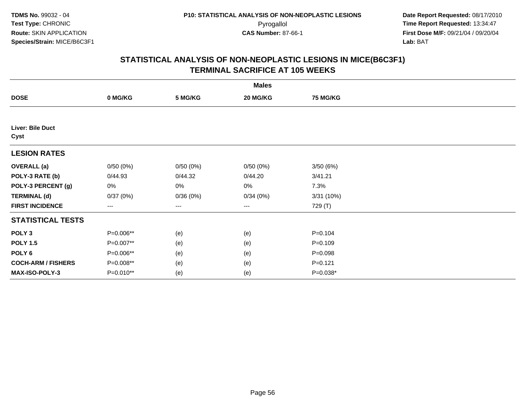|                           |           |          | <b>Males</b>      |                 |  |
|---------------------------|-----------|----------|-------------------|-----------------|--|
| <b>DOSE</b>               | 0 MG/KG   | 5 MG/KG  | 20 MG/KG          | <b>75 MG/KG</b> |  |
|                           |           |          |                   |                 |  |
| Liver: Bile Duct<br>Cyst  |           |          |                   |                 |  |
| <b>LESION RATES</b>       |           |          |                   |                 |  |
| <b>OVERALL</b> (a)        | 0/50(0%)  | 0/50(0%) | 0/50(0%)          | 3/50(6%)        |  |
| POLY-3 RATE (b)           | 0/44.93   | 0/44.32  | 0/44.20           | 3/41.21         |  |
| POLY-3 PERCENT (g)        | 0%        | 0%       | 0%                | 7.3%            |  |
| <b>TERMINAL (d)</b>       | 0/37(0%)  | 0/36(0%) | 0/34(0%)          | 3/31(10%)       |  |
| <b>FIRST INCIDENCE</b>    | ---       | ---      | $\qquad \qquad -$ | 729 (T)         |  |
| <b>STATISTICAL TESTS</b>  |           |          |                   |                 |  |
| POLY <sub>3</sub>         | P=0.006** | (e)      | (e)               | $P = 0.104$     |  |
| <b>POLY 1.5</b>           | P=0.007** | (e)      | (e)               | $P=0.109$       |  |
| POLY <sub>6</sub>         | P=0.006** | (e)      | (e)               | $P = 0.098$     |  |
| <b>COCH-ARM / FISHERS</b> | P=0.008** | (e)      | (e)               | $P = 0.121$     |  |
| MAX-ISO-POLY-3            | P=0.010** | (e)      | (e)               | P=0.038*        |  |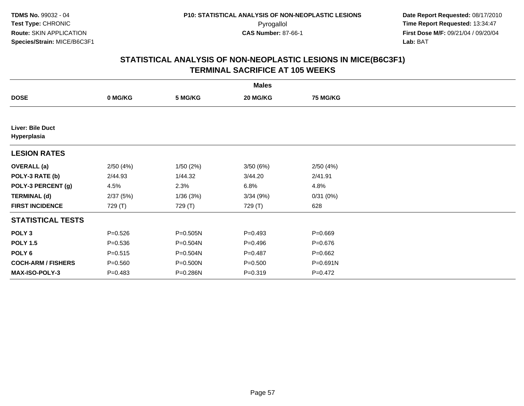|                                 |             |              | <b>Males</b> |                 |  |
|---------------------------------|-------------|--------------|--------------|-----------------|--|
| <b>DOSE</b>                     | 0 MG/KG     | 5 MG/KG      | 20 MG/KG     | <b>75 MG/KG</b> |  |
|                                 |             |              |              |                 |  |
| Liver: Bile Duct<br>Hyperplasia |             |              |              |                 |  |
| <b>LESION RATES</b>             |             |              |              |                 |  |
| <b>OVERALL</b> (a)              | 2/50(4%)    | 1/50(2%)     | 3/50 (6%)    | 2/50(4%)        |  |
| POLY-3 RATE (b)                 | 2/44.93     | 1/44.32      | 3/44.20      | 2/41.91         |  |
| POLY-3 PERCENT (g)              | 4.5%        | 2.3%         | 6.8%         | 4.8%            |  |
| <b>TERMINAL (d)</b>             | 2/37(5%)    | 1/36(3%)     | 3/34(9%)     | 0/31(0%)        |  |
| <b>FIRST INCIDENCE</b>          | 729 (T)     | 729 (T)      | 729 (T)      | 628             |  |
| <b>STATISTICAL TESTS</b>        |             |              |              |                 |  |
| POLY <sub>3</sub>               | $P = 0.526$ | $P = 0.505N$ | $P = 0.493$  | $P = 0.669$     |  |
| <b>POLY 1.5</b>                 | $P = 0.536$ | P=0.504N     | $P = 0.496$  | $P = 0.676$     |  |
| POLY <sub>6</sub>               | $P = 0.515$ | P=0.504N     | $P=0.487$    | $P = 0.662$     |  |
| <b>COCH-ARM / FISHERS</b>       | $P = 0.560$ | P=0.500N     | $P = 0.500$  | P=0.691N        |  |
| MAX-ISO-POLY-3                  | $P = 0.483$ | P=0.286N     | $P = 0.319$  | $P=0.472$       |  |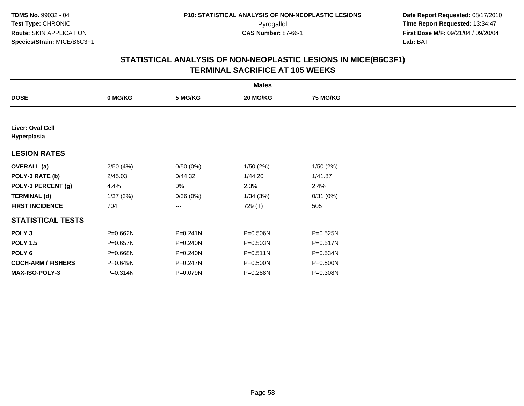|                                 |          |              | <b>Males</b> |                 |  |
|---------------------------------|----------|--------------|--------------|-----------------|--|
| <b>DOSE</b>                     | 0 MG/KG  | 5 MG/KG      | 20 MG/KG     | <b>75 MG/KG</b> |  |
|                                 |          |              |              |                 |  |
| Liver: Oval Cell<br>Hyperplasia |          |              |              |                 |  |
| <b>LESION RATES</b>             |          |              |              |                 |  |
| <b>OVERALL</b> (a)              | 2/50(4%) | 0/50(0%)     | 1/50(2%)     | 1/50(2%)        |  |
| POLY-3 RATE (b)                 | 2/45.03  | 0/44.32      | 1/44.20      | 1/41.87         |  |
| POLY-3 PERCENT (g)              | 4.4%     | 0%           | 2.3%         | 2.4%            |  |
| <b>TERMINAL (d)</b>             | 1/37(3%) | 0/36(0%)     | 1/34(3%)     | 0/31(0%)        |  |
| <b>FIRST INCIDENCE</b>          | 704      | ---          | 729 (T)      | 505             |  |
| <b>STATISTICAL TESTS</b>        |          |              |              |                 |  |
| POLY <sub>3</sub>               | P=0.662N | $P = 0.241N$ | P=0.506N     | $P = 0.525N$    |  |
| <b>POLY 1.5</b>                 | P=0.657N | P=0.240N     | $P = 0.503N$ | $P = 0.517N$    |  |
| POLY 6                          | P=0.668N | $P = 0.240N$ | $P = 0.511N$ | P=0.534N        |  |
| <b>COCH-ARM / FISHERS</b>       | P=0.649N | P=0.247N     | P=0.500N     | P=0.500N        |  |
| MAX-ISO-POLY-3                  | P=0.314N | P=0.079N     | P=0.288N     | P=0.308N        |  |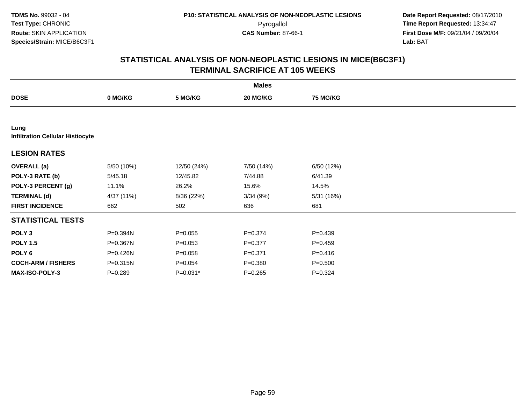|                                                 |              |             | <b>Males</b> |                 |  |
|-------------------------------------------------|--------------|-------------|--------------|-----------------|--|
| <b>DOSE</b>                                     | 0 MG/KG      | 5 MG/KG     | 20 MG/KG     | <b>75 MG/KG</b> |  |
|                                                 |              |             |              |                 |  |
| Lung<br><b>Infiltration Cellular Histiocyte</b> |              |             |              |                 |  |
| <b>LESION RATES</b>                             |              |             |              |                 |  |
| <b>OVERALL</b> (a)                              | 5/50 (10%)   | 12/50 (24%) | 7/50 (14%)   | 6/50 (12%)      |  |
| POLY-3 RATE (b)                                 | 5/45.18      | 12/45.82    | 7/44.88      | 6/41.39         |  |
| POLY-3 PERCENT (g)                              | 11.1%        | 26.2%       | 15.6%        | 14.5%           |  |
| <b>TERMINAL (d)</b>                             | 4/37 (11%)   | 8/36 (22%)  | 3/34(9%)     | 5/31 (16%)      |  |
| <b>FIRST INCIDENCE</b>                          | 662          | 502         | 636          | 681             |  |
| <b>STATISTICAL TESTS</b>                        |              |             |              |                 |  |
| POLY <sub>3</sub>                               | P=0.394N     | $P = 0.055$ | $P = 0.374$  | $P = 0.439$     |  |
| <b>POLY 1.5</b>                                 | $P = 0.367N$ | $P = 0.053$ | $P=0.377$    | $P = 0.459$     |  |
| POLY <sub>6</sub>                               | P=0.426N     | $P = 0.058$ | $P = 0.371$  | $P = 0.416$     |  |
| <b>COCH-ARM / FISHERS</b>                       | P=0.315N     | $P = 0.054$ | $P = 0.380$  | $P = 0.500$     |  |
| <b>MAX-ISO-POLY-3</b>                           | $P = 0.289$  | $P=0.031*$  | $P = 0.265$  | $P = 0.324$     |  |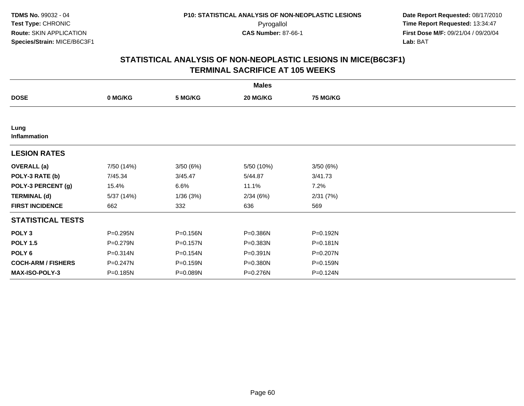|                           |            |          | <b>Males</b> |                 |  |
|---------------------------|------------|----------|--------------|-----------------|--|
| <b>DOSE</b>               | 0 MG/KG    | 5 MG/KG  | 20 MG/KG     | <b>75 MG/KG</b> |  |
|                           |            |          |              |                 |  |
| Lung<br>Inflammation      |            |          |              |                 |  |
| <b>LESION RATES</b>       |            |          |              |                 |  |
| <b>OVERALL</b> (a)        | 7/50 (14%) | 3/50(6%) | 5/50 (10%)   | 3/50(6%)        |  |
| POLY-3 RATE (b)           | 7/45.34    | 3/45.47  | 5/44.87      | 3/41.73         |  |
| POLY-3 PERCENT (g)        | 15.4%      | 6.6%     | 11.1%        | 7.2%            |  |
| <b>TERMINAL (d)</b>       | 5/37 (14%) | 1/36(3%) | 2/34(6%)     | 2/31(7%)        |  |
| <b>FIRST INCIDENCE</b>    | 662        | 332      | 636          | 569             |  |
| <b>STATISTICAL TESTS</b>  |            |          |              |                 |  |
| POLY <sub>3</sub>         | P=0.295N   | P=0.156N | P=0.386N     | P=0.192N        |  |
| <b>POLY 1.5</b>           | P=0.279N   | P=0.157N | P=0.383N     | P=0.181N        |  |
| POLY <sub>6</sub>         | P=0.314N   | P=0.154N | P=0.391N     | P=0.207N        |  |
| <b>COCH-ARM / FISHERS</b> | P=0.247N   | P=0.159N | P=0.380N     | P=0.159N        |  |
| MAX-ISO-POLY-3            | P=0.185N   | P=0.089N | P=0.276N     | P=0.124N        |  |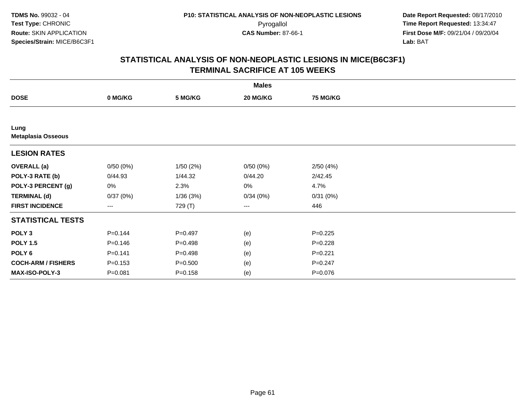|                                   |             |             | <b>Males</b> |                 |  |
|-----------------------------------|-------------|-------------|--------------|-----------------|--|
| <b>DOSE</b>                       | 0 MG/KG     | 5 MG/KG     | 20 MG/KG     | <b>75 MG/KG</b> |  |
|                                   |             |             |              |                 |  |
| Lung<br><b>Metaplasia Osseous</b> |             |             |              |                 |  |
| <b>LESION RATES</b>               |             |             |              |                 |  |
| <b>OVERALL</b> (a)                | 0/50(0%)    | 1/50(2%)    | 0/50(0%)     | 2/50(4%)        |  |
| POLY-3 RATE (b)                   | 0/44.93     | 1/44.32     | 0/44.20      | 2/42.45         |  |
| POLY-3 PERCENT (g)                | 0%          | 2.3%        | 0%           | 4.7%            |  |
| <b>TERMINAL (d)</b>               | 0/37(0%)    | 1/36(3%)    | 0/34(0%)     | 0/31(0%)        |  |
| <b>FIRST INCIDENCE</b>            | $\cdots$    | 729 (T)     | $---$        | 446             |  |
| <b>STATISTICAL TESTS</b>          |             |             |              |                 |  |
| POLY <sub>3</sub>                 | $P = 0.144$ | $P=0.497$   | (e)          | $P = 0.225$     |  |
| <b>POLY 1.5</b>                   | $P = 0.146$ | $P = 0.498$ | (e)          | $P=0.228$       |  |
| POLY 6                            | $P = 0.141$ | $P = 0.498$ | (e)          | $P=0.221$       |  |
| <b>COCH-ARM / FISHERS</b>         | $P = 0.153$ | $P = 0.500$ | (e)          | $P = 0.247$     |  |
| MAX-ISO-POLY-3                    | $P = 0.081$ | $P = 0.158$ | (e)          | P=0.076         |  |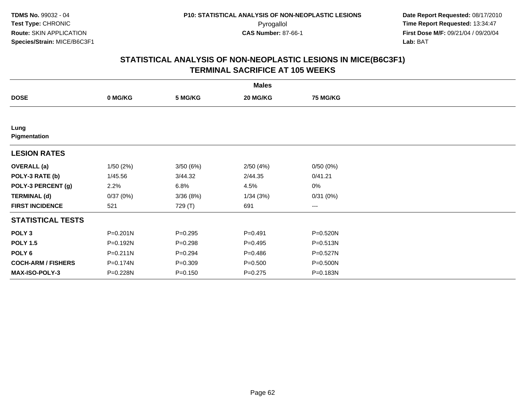|                           |              |             | <b>Males</b> |                 |  |
|---------------------------|--------------|-------------|--------------|-----------------|--|
| <b>DOSE</b>               | 0 MG/KG      | 5 MG/KG     | 20 MG/KG     | <b>75 MG/KG</b> |  |
|                           |              |             |              |                 |  |
| Lung<br>Pigmentation      |              |             |              |                 |  |
| <b>LESION RATES</b>       |              |             |              |                 |  |
| <b>OVERALL</b> (a)        | 1/50(2%)     | 3/50(6%)    | 2/50(4%)     | 0/50(0%)        |  |
| POLY-3 RATE (b)           | 1/45.56      | 3/44.32     | 2/44.35      | 0/41.21         |  |
| POLY-3 PERCENT (g)        | 2.2%         | 6.8%        | 4.5%         | 0%              |  |
| <b>TERMINAL (d)</b>       | 0/37(0%)     | 3/36(8%)    | 1/34(3%)     | 0/31(0%)        |  |
| <b>FIRST INCIDENCE</b>    | 521          | 729 (T)     | 691          | $\cdots$        |  |
| <b>STATISTICAL TESTS</b>  |              |             |              |                 |  |
| POLY <sub>3</sub>         | $P = 0.201N$ | $P = 0.295$ | $P=0.491$    | P=0.520N        |  |
| <b>POLY 1.5</b>           | P=0.192N     | $P = 0.298$ | $P=0.495$    | $P = 0.513N$    |  |
| POLY <sub>6</sub>         | $P = 0.211N$ | $P = 0.294$ | $P = 0.486$  | P=0.527N        |  |
| <b>COCH-ARM / FISHERS</b> | P=0.174N     | $P = 0.309$ | $P = 0.500$  | P=0.500N        |  |
| <b>MAX-ISO-POLY-3</b>     | P=0.228N     | $P = 0.150$ | $P=0.275$    | P=0.183N        |  |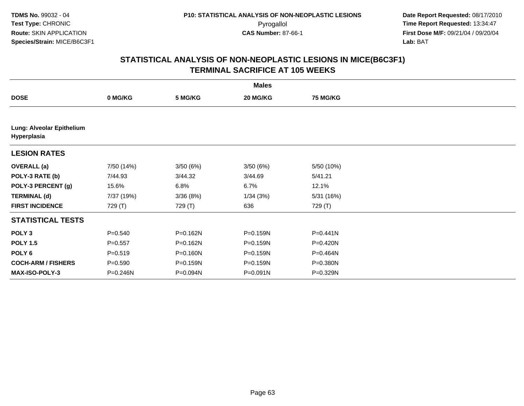|                                          |             |          | <b>Males</b> |              |  |
|------------------------------------------|-------------|----------|--------------|--------------|--|
| <b>DOSE</b>                              | 0 MG/KG     | 5 MG/KG  | 20 MG/KG     | 75 MG/KG     |  |
|                                          |             |          |              |              |  |
| Lung: Alveolar Epithelium<br>Hyperplasia |             |          |              |              |  |
| <b>LESION RATES</b>                      |             |          |              |              |  |
| <b>OVERALL</b> (a)                       | 7/50 (14%)  | 3/50(6%) | 3/50(6%)     | 5/50 (10%)   |  |
| POLY-3 RATE (b)                          | 7/44.93     | 3/44.32  | 3/44.69      | 5/41.21      |  |
| POLY-3 PERCENT (g)                       | 15.6%       | 6.8%     | 6.7%         | 12.1%        |  |
| <b>TERMINAL (d)</b>                      | 7/37 (19%)  | 3/36(8%) | 1/34(3%)     | 5/31 (16%)   |  |
| <b>FIRST INCIDENCE</b>                   | 729 (T)     | 729 (T)  | 636          | 729 (T)      |  |
| <b>STATISTICAL TESTS</b>                 |             |          |              |              |  |
| POLY <sub>3</sub>                        | $P = 0.540$ | P=0.162N | P=0.159N     | $P = 0.441N$ |  |
| <b>POLY 1.5</b>                          | $P = 0.557$ | P=0.162N | P=0.159N     | P=0.420N     |  |
| POLY <sub>6</sub>                        | $P = 0.519$ | P=0.160N | P=0.159N     | P=0.464N     |  |
| <b>COCH-ARM / FISHERS</b>                | $P = 0.590$ | P=0.159N | P=0.159N     | P=0.380N     |  |
| <b>MAX-ISO-POLY-3</b>                    | P=0.246N    | P=0.094N | P=0.091N     | P=0.329N     |  |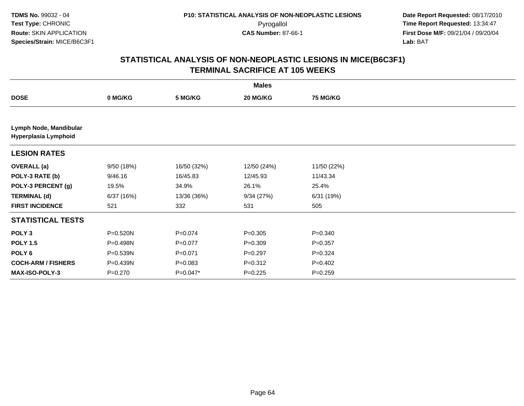|                                                |            |             | <b>Males</b> |                 |  |
|------------------------------------------------|------------|-------------|--------------|-----------------|--|
| <b>DOSE</b>                                    | 0 MG/KG    | 5 MG/KG     | 20 MG/KG     | <b>75 MG/KG</b> |  |
|                                                |            |             |              |                 |  |
| Lymph Node, Mandibular<br>Hyperplasia Lymphoid |            |             |              |                 |  |
| <b>LESION RATES</b>                            |            |             |              |                 |  |
| <b>OVERALL</b> (a)                             | 9/50 (18%) | 16/50 (32%) | 12/50 (24%)  | 11/50 (22%)     |  |
| POLY-3 RATE (b)                                | 9/46.16    | 16/45.83    | 12/45.93     | 11/43.34        |  |
| POLY-3 PERCENT (g)                             | 19.5%      | 34.9%       | 26.1%        | 25.4%           |  |
| <b>TERMINAL (d)</b>                            | 6/37(16%)  | 13/36 (36%) | 9/34(27%)    | 6/31 (19%)      |  |
| <b>FIRST INCIDENCE</b>                         | 521        | 332         | 531          | 505             |  |
| <b>STATISTICAL TESTS</b>                       |            |             |              |                 |  |
| POLY <sub>3</sub>                              | P=0.520N   | $P = 0.074$ | $P = 0.305$  | $P = 0.340$     |  |
| <b>POLY 1.5</b>                                | P=0.498N   | $P=0.077$   | $P = 0.309$  | $P=0.357$       |  |
| POLY <sub>6</sub>                              | P=0.539N   | $P = 0.071$ | $P=0.297$    | $P=0.324$       |  |
| <b>COCH-ARM / FISHERS</b>                      | P=0.439N   | $P = 0.083$ | $P = 0.312$  | $P=0.402$       |  |
| MAX-ISO-POLY-3                                 | $P=0.270$  | $P=0.047*$  | $P=0.225$    | $P=0.259$       |  |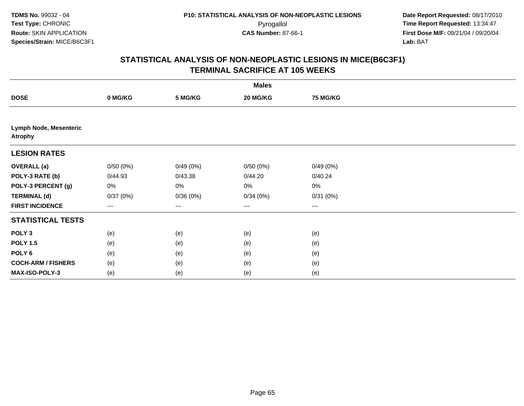|                                          |          |          | <b>Males</b> |                 |  |
|------------------------------------------|----------|----------|--------------|-----------------|--|
| <b>DOSE</b>                              | 0 MG/KG  | 5 MG/KG  | 20 MG/KG     | <b>75 MG/KG</b> |  |
|                                          |          |          |              |                 |  |
| Lymph Node, Mesenteric<br><b>Atrophy</b> |          |          |              |                 |  |
| <b>LESION RATES</b>                      |          |          |              |                 |  |
| <b>OVERALL</b> (a)                       | 0/50(0%) | 0/49(0%) | 0/50(0%)     | 0/49(0%)        |  |
| POLY-3 RATE (b)                          | 0/44.93  | 0/43.38  | 0/44.20      | 0/40.24         |  |
| POLY-3 PERCENT (g)                       | 0%       | 0%       | 0%           | $0\%$           |  |
| <b>TERMINAL (d)</b>                      | 0/37(0%) | 0/36(0%) | 0/34(0%)     | 0/31(0%)        |  |
| <b>FIRST INCIDENCE</b>                   | $---$    | ---      | $\cdots$     | $--$            |  |
| <b>STATISTICAL TESTS</b>                 |          |          |              |                 |  |
| POLY <sub>3</sub>                        | (e)      | (e)      | (e)          | (e)             |  |
| <b>POLY 1.5</b>                          | (e)      | (e)      | (e)          | (e)             |  |
| POLY <sub>6</sub>                        | (e)      | (e)      | (e)          | (e)             |  |
| <b>COCH-ARM / FISHERS</b>                | (e)      | (e)      | (e)          | (e)             |  |
| MAX-ISO-POLY-3                           | (e)      | (e)      | (e)          | (e)             |  |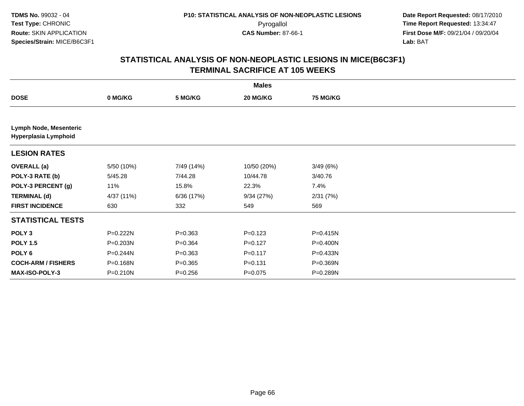|                                                       |              |             | <b>Males</b> |                 |  |
|-------------------------------------------------------|--------------|-------------|--------------|-----------------|--|
| <b>DOSE</b>                                           | 0 MG/KG      | 5 MG/KG     | 20 MG/KG     | <b>75 MG/KG</b> |  |
|                                                       |              |             |              |                 |  |
| <b>Lymph Node, Mesenteric</b><br>Hyperplasia Lymphoid |              |             |              |                 |  |
| <b>LESION RATES</b>                                   |              |             |              |                 |  |
| <b>OVERALL</b> (a)                                    | 5/50 (10%)   | 7/49 (14%)  | 10/50 (20%)  | 3/49(6%)        |  |
| POLY-3 RATE (b)                                       | 5/45.28      | 7/44.28     | 10/44.78     | 3/40.76         |  |
| POLY-3 PERCENT (g)                                    | 11%          | 15.8%       | 22.3%        | 7.4%            |  |
| <b>TERMINAL (d)</b>                                   | 4/37 (11%)   | 6/36 (17%)  | 9/34(27%)    | 2/31(7%)        |  |
| <b>FIRST INCIDENCE</b>                                | 630          | 332         | 549          | 569             |  |
| <b>STATISTICAL TESTS</b>                              |              |             |              |                 |  |
| POLY <sub>3</sub>                                     | P=0.222N     | $P = 0.363$ | $P = 0.123$  | P=0.415N        |  |
| <b>POLY 1.5</b>                                       | P=0.203N     | $P = 0.364$ | $P=0.127$    | P=0.400N        |  |
| POLY <sub>6</sub>                                     | $P = 0.244N$ | $P = 0.363$ | $P = 0.117$  | $P = 0.433N$    |  |
| <b>COCH-ARM / FISHERS</b>                             | P=0.168N     | $P = 0.365$ | $P = 0.131$  | P=0.369N        |  |
| <b>MAX-ISO-POLY-3</b>                                 | P=0.210N     | $P = 0.256$ | $P=0.075$    | P=0.289N        |  |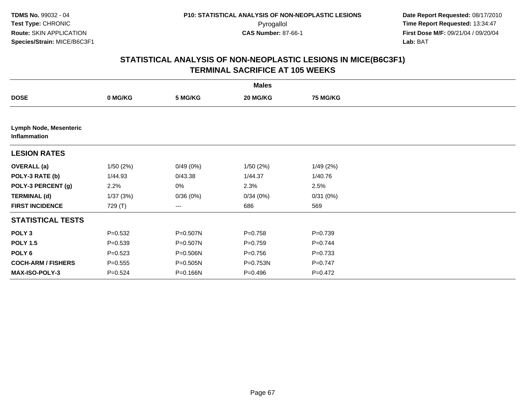|                                        |             |          | <b>Males</b> |                 |  |
|----------------------------------------|-------------|----------|--------------|-----------------|--|
| <b>DOSE</b>                            | 0 MG/KG     | 5 MG/KG  | 20 MG/KG     | <b>75 MG/KG</b> |  |
|                                        |             |          |              |                 |  |
| Lymph Node, Mesenteric<br>Inflammation |             |          |              |                 |  |
| <b>LESION RATES</b>                    |             |          |              |                 |  |
| <b>OVERALL (a)</b>                     | 1/50(2%)    | 0/49(0%) | 1/50(2%)     | 1/49(2%)        |  |
| POLY-3 RATE (b)                        | 1/44.93     | 0/43.38  | 1/44.37      | 1/40.76         |  |
| POLY-3 PERCENT (g)                     | 2.2%        | 0%       | 2.3%         | 2.5%            |  |
| <b>TERMINAL (d)</b>                    | 1/37(3%)    | 0/36(0%) | 0/34(0%)     | 0/31(0%)        |  |
| <b>FIRST INCIDENCE</b>                 | 729 (T)     | ---      | 686          | 569             |  |
| <b>STATISTICAL TESTS</b>               |             |          |              |                 |  |
| POLY <sub>3</sub>                      | $P = 0.532$ | P=0.507N | $P = 0.758$  | $P = 0.739$     |  |
| <b>POLY 1.5</b>                        | $P = 0.539$ | P=0.507N | $P=0.759$    | $P = 0.744$     |  |
| POLY 6                                 | $P = 0.523$ | P=0.506N | $P = 0.756$  | $P = 0.733$     |  |
| <b>COCH-ARM / FISHERS</b>              | $P = 0.555$ | P=0.505N | P=0.753N     | $P = 0.747$     |  |
| MAX-ISO-POLY-3                         | $P=0.524$   | P=0.166N | $P = 0.496$  | $P = 0.472$     |  |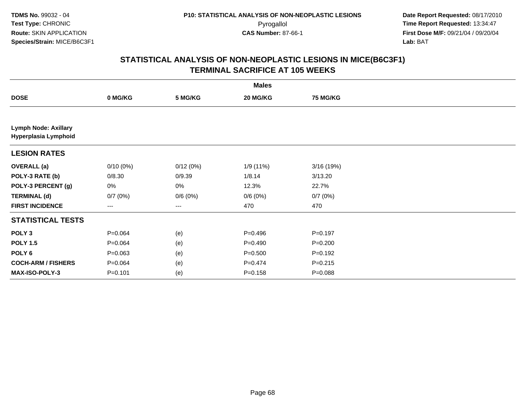|                                                     |             |          | <b>Males</b> |                 |  |
|-----------------------------------------------------|-------------|----------|--------------|-----------------|--|
| <b>DOSE</b>                                         | 0 MG/KG     | 5 MG/KG  | 20 MG/KG     | <b>75 MG/KG</b> |  |
|                                                     |             |          |              |                 |  |
| <b>Lymph Node: Axillary</b><br>Hyperplasia Lymphoid |             |          |              |                 |  |
| <b>LESION RATES</b>                                 |             |          |              |                 |  |
| <b>OVERALL</b> (a)                                  | $0/10(0\%)$ | 0/12(0%) | 1/9 (11%)    | 3/16 (19%)      |  |
| POLY-3 RATE (b)                                     | 0/8.30      | 0/9.39   | 1/8.14       | 3/13.20         |  |
| POLY-3 PERCENT (g)                                  | 0%          | 0%       | 12.3%        | 22.7%           |  |
| <b>TERMINAL (d)</b>                                 | 0/7(0%)     | 0/6(0%)  | 0/6(0%)      | 0/7(0%)         |  |
| <b>FIRST INCIDENCE</b>                              | ---         | $--$     | 470          | 470             |  |
| <b>STATISTICAL TESTS</b>                            |             |          |              |                 |  |
| POLY <sub>3</sub>                                   | $P = 0.064$ | (e)      | $P=0.496$    | $P = 0.197$     |  |
| <b>POLY 1.5</b>                                     | $P = 0.064$ | (e)      | $P=0.490$    | $P = 0.200$     |  |
| POLY <sub>6</sub>                                   | $P = 0.063$ | (e)      | $P = 0.500$  | $P = 0.192$     |  |
| <b>COCH-ARM / FISHERS</b>                           | $P = 0.064$ | (e)      | $P = 0.474$  | $P = 0.215$     |  |
| MAX-ISO-POLY-3                                      | $P = 0.101$ | (e)      | $P = 0.158$  | $P = 0.088$     |  |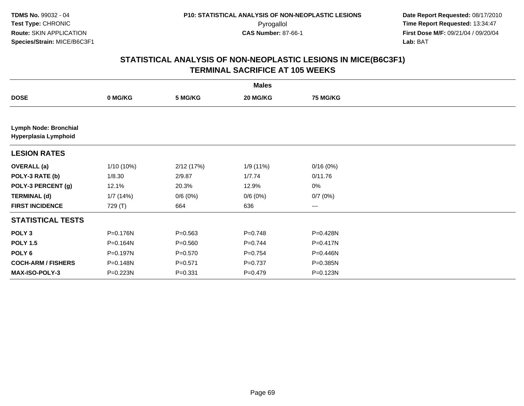|                                                      |            |             | <b>Males</b> |                 |  |
|------------------------------------------------------|------------|-------------|--------------|-----------------|--|
| <b>DOSE</b>                                          | 0 MG/KG    | 5 MG/KG     | 20 MG/KG     | <b>75 MG/KG</b> |  |
|                                                      |            |             |              |                 |  |
| <b>Lymph Node: Bronchial</b><br>Hyperplasia Lymphoid |            |             |              |                 |  |
| <b>LESION RATES</b>                                  |            |             |              |                 |  |
| <b>OVERALL (a)</b>                                   | 1/10 (10%) | 2/12(17%)   | 1/9(11%)     | 0/16(0%)        |  |
| POLY-3 RATE (b)                                      | 1/8.30     | 2/9.87      | 1/7.74       | 0/11.76         |  |
| POLY-3 PERCENT (g)                                   | 12.1%      | 20.3%       | 12.9%        | 0%              |  |
| <b>TERMINAL (d)</b>                                  | 1/7(14%)   | 0/6(0%)     | 0/6(0%)      | 0/7(0%)         |  |
| <b>FIRST INCIDENCE</b>                               | 729 (T)    | 664         | 636          | ---             |  |
| <b>STATISTICAL TESTS</b>                             |            |             |              |                 |  |
| POLY <sub>3</sub>                                    | P=0.176N   | $P = 0.563$ | $P = 0.748$  | P=0.428N        |  |
| <b>POLY 1.5</b>                                      | P=0.164N   | $P = 0.560$ | $P=0.744$    | P=0.417N        |  |
| POLY 6                                               | P=0.197N   | $P = 0.570$ | $P = 0.754$  | P=0.446N        |  |
| <b>COCH-ARM / FISHERS</b>                            | P=0.148N   | $P = 0.571$ | $P = 0.737$  | P=0.385N        |  |
| MAX-ISO-POLY-3                                       | P=0.223N   | $P = 0.331$ | $P=0.479$    | P=0.123N        |  |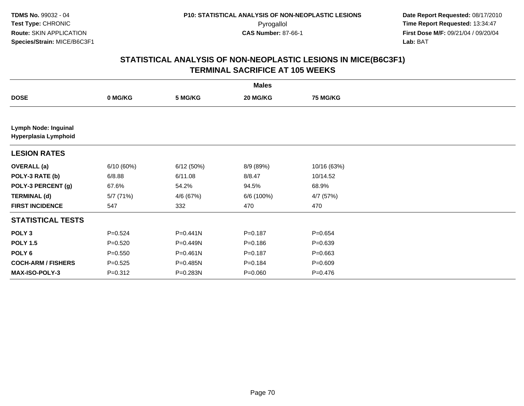|                                                     |             |              | <b>Males</b> |                 |  |
|-----------------------------------------------------|-------------|--------------|--------------|-----------------|--|
| <b>DOSE</b>                                         | 0 MG/KG     | 5 MG/KG      | 20 MG/KG     | <b>75 MG/KG</b> |  |
|                                                     |             |              |              |                 |  |
| <b>Lymph Node: Inguinal</b><br>Hyperplasia Lymphoid |             |              |              |                 |  |
| <b>LESION RATES</b>                                 |             |              |              |                 |  |
| <b>OVERALL</b> (a)                                  | 6/10(60%)   | 6/12(50%)    | 8/9 (89%)    | 10/16 (63%)     |  |
| POLY-3 RATE (b)                                     | 6/8.88      | 6/11.08      | 8/8.47       | 10/14.52        |  |
| POLY-3 PERCENT (g)                                  | 67.6%       | 54.2%        | 94.5%        | 68.9%           |  |
| <b>TERMINAL (d)</b>                                 | 5/7 (71%)   | 4/6 (67%)    | 6/6 (100%)   | 4/7 (57%)       |  |
| <b>FIRST INCIDENCE</b>                              | 547         | 332          | 470          | 470             |  |
| <b>STATISTICAL TESTS</b>                            |             |              |              |                 |  |
| POLY <sub>3</sub>                                   | $P = 0.524$ | $P = 0.441N$ | $P = 0.187$  | $P = 0.654$     |  |
| <b>POLY 1.5</b>                                     | $P = 0.520$ | P=0.449N     | $P = 0.186$  | $P = 0.639$     |  |
| POLY 6                                              | $P = 0.550$ | $P = 0.461N$ | $P = 0.187$  | $P = 0.663$     |  |
| <b>COCH-ARM / FISHERS</b>                           | $P = 0.525$ | P=0.485N     | $P = 0.184$  | $P = 0.609$     |  |
| MAX-ISO-POLY-3                                      | $P=0.312$   | P=0.283N     | $P = 0.060$  | $P=0.476$       |  |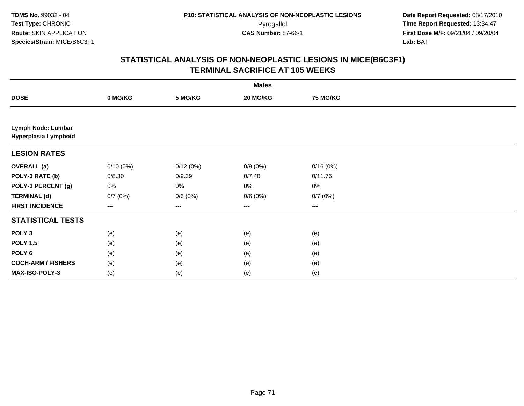**TDMS No.** 99032 - 04**Test Type:** CHRONIC**Route:** SKIN APPLICATION**Species/Strain:** MICE/B6C3F1

 **Date Report Requested:** 08/17/2010 Pyrogallol **Time Report Requested:** 13:34:47 **First Dose M/F:** 09/21/04 / 09/20/04<br>Lab: BAT **Lab:** BAT

|                                            |                        |          | <b>Males</b> |                        |  |
|--------------------------------------------|------------------------|----------|--------------|------------------------|--|
| <b>DOSE</b>                                | 0 MG/KG                | 5 MG/KG  | 20 MG/KG     | <b>75 MG/KG</b>        |  |
|                                            |                        |          |              |                        |  |
| Lymph Node: Lumbar<br>Hyperplasia Lymphoid |                        |          |              |                        |  |
| <b>LESION RATES</b>                        |                        |          |              |                        |  |
| <b>OVERALL (a)</b>                         | $0/10(0\%)$            | 0/12(0%) | $0/9(0\%)$   | 0/16(0%)               |  |
| POLY-3 RATE (b)                            | 0/8.30                 | 0/9.39   | 0/7.40       | 0/11.76                |  |
| POLY-3 PERCENT (g)                         | 0%                     | 0%       | 0%           | 0%                     |  |
| <b>TERMINAL (d)</b>                        | 0/7(0%)                | 0/6(0%)  | 0/6(0%)      | 0/7(0%)                |  |
| <b>FIRST INCIDENCE</b>                     | $\qquad \qquad \cdots$ | $--$     | $--$         | $\qquad \qquad \cdots$ |  |
| <b>STATISTICAL TESTS</b>                   |                        |          |              |                        |  |
| POLY <sub>3</sub>                          | (e)                    | (e)      | (e)          | (e)                    |  |
| <b>POLY 1.5</b>                            | (e)                    | (e)      | (e)          | (e)                    |  |
| POLY <sub>6</sub>                          | (e)                    | (e)      | (e)          | (e)                    |  |
| <b>COCH-ARM / FISHERS</b>                  | (e)                    | (e)      | (e)          | (e)                    |  |
| MAX-ISO-POLY-3                             | (e)                    | (e)      | (e)          | (e)                    |  |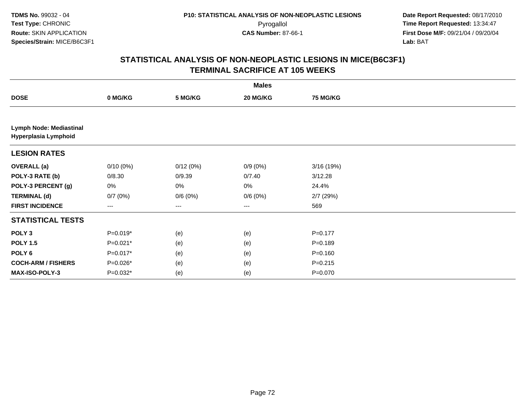|                                                 |             |                        | <b>Males</b> |                 |  |
|-------------------------------------------------|-------------|------------------------|--------------|-----------------|--|
| <b>DOSE</b>                                     | 0 MG/KG     | 5 MG/KG                | 20 MG/KG     | <b>75 MG/KG</b> |  |
|                                                 |             |                        |              |                 |  |
| Lymph Node: Mediastinal<br>Hyperplasia Lymphoid |             |                        |              |                 |  |
| <b>LESION RATES</b>                             |             |                        |              |                 |  |
| <b>OVERALL</b> (a)                              | $0/10(0\%)$ | 0/12(0%)               | $0/9(0\%)$   | 3/16 (19%)      |  |
| POLY-3 RATE (b)                                 | 0/8.30      | 0/9.39                 | 0/7.40       | 3/12.28         |  |
| POLY-3 PERCENT (g)                              | 0%          | 0%                     | 0%           | 24.4%           |  |
| <b>TERMINAL (d)</b>                             | 0/7(0%)     | 0/6(0%)                | 0/6(0%)      | $2/7$ (29%)     |  |
| <b>FIRST INCIDENCE</b>                          | ---         | $\qquad \qquad \cdots$ | $--$         | 569             |  |
| <b>STATISTICAL TESTS</b>                        |             |                        |              |                 |  |
| POLY <sub>3</sub>                               | $P=0.019*$  | (e)                    | (e)          | $P = 0.177$     |  |
| <b>POLY 1.5</b>                                 | $P=0.021*$  | (e)                    | (e)          | $P = 0.189$     |  |
| POLY <sub>6</sub>                               | P=0.017*    | (e)                    | (e)          | $P = 0.160$     |  |
| <b>COCH-ARM / FISHERS</b>                       | P=0.026*    | (e)                    | (e)          | $P = 0.215$     |  |
| MAX-ISO-POLY-3                                  | $P=0.032*$  | (e)                    | (e)          | $P = 0.070$     |  |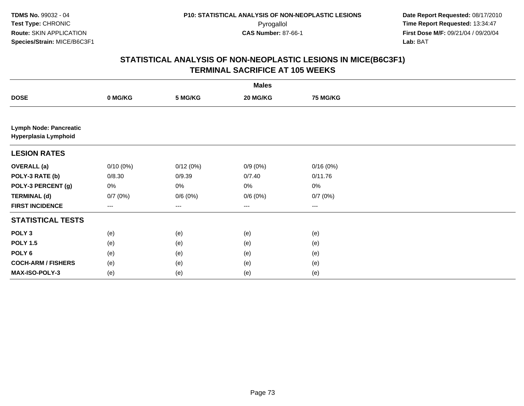|                                                       | <b>Males</b> |          |            |                 |  |  |  |
|-------------------------------------------------------|--------------|----------|------------|-----------------|--|--|--|
| <b>DOSE</b>                                           | 0 MG/KG      | 5 MG/KG  | 20 MG/KG   | <b>75 MG/KG</b> |  |  |  |
|                                                       |              |          |            |                 |  |  |  |
| <b>Lymph Node: Pancreatic</b><br>Hyperplasia Lymphoid |              |          |            |                 |  |  |  |
| <b>LESION RATES</b>                                   |              |          |            |                 |  |  |  |
| <b>OVERALL</b> (a)                                    | $0/10(0\%)$  | 0/12(0%) | $0/9(0\%)$ | 0/16(0%)        |  |  |  |
| POLY-3 RATE (b)                                       | 0/8.30       | 0/9.39   | 0/7.40     | 0/11.76         |  |  |  |
| POLY-3 PERCENT (g)                                    | 0%           | 0%       | $0\%$      | $0\%$           |  |  |  |
| <b>TERMINAL (d)</b>                                   | 0/7(0%)      | 0/6(0%)  | 0/6(0%)    | 0/7(0%)         |  |  |  |
| <b>FIRST INCIDENCE</b>                                | ---          | $--$     | ---        | ---             |  |  |  |
| <b>STATISTICAL TESTS</b>                              |              |          |            |                 |  |  |  |
| POLY <sub>3</sub>                                     | (e)          | (e)      | (e)        | (e)             |  |  |  |
| <b>POLY 1.5</b>                                       | (e)          | (e)      | (e)        | (e)             |  |  |  |
| POLY <sub>6</sub>                                     | (e)          | (e)      | (e)        | (e)             |  |  |  |
| <b>COCH-ARM / FISHERS</b>                             | (e)          | (e)      | (e)        | (e)             |  |  |  |
| MAX-ISO-POLY-3                                        | (e)          | (e)      | (e)        | (e)             |  |  |  |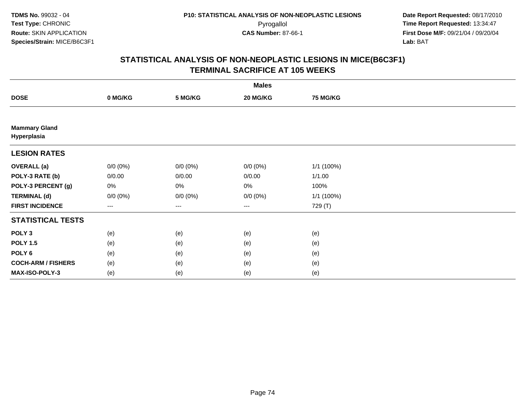|                                     |             |             | <b>Males</b> |                 |  |
|-------------------------------------|-------------|-------------|--------------|-----------------|--|
| <b>DOSE</b>                         | 0 MG/KG     | 5 MG/KG     | 20 MG/KG     | <b>75 MG/KG</b> |  |
|                                     |             |             |              |                 |  |
| <b>Mammary Gland</b><br>Hyperplasia |             |             |              |                 |  |
| <b>LESION RATES</b>                 |             |             |              |                 |  |
| <b>OVERALL</b> (a)                  | $0/0 (0\%)$ | $0/0 (0\%)$ | $0/0 (0\%)$  | 1/1 (100%)      |  |
| POLY-3 RATE (b)                     | 0/0.00      | 0/0.00      | 0/0.00       | 1/1.00          |  |
| POLY-3 PERCENT (g)                  | 0%          | 0%          | 0%           | 100%            |  |
| <b>TERMINAL (d)</b>                 | $0/0 (0\%)$ | $0/0 (0\%)$ | $0/0 (0\%)$  | 1/1 (100%)      |  |
| <b>FIRST INCIDENCE</b>              | ---         | $---$       | $\cdots$     | 729 (T)         |  |
| <b>STATISTICAL TESTS</b>            |             |             |              |                 |  |
| POLY <sub>3</sub>                   | (e)         | (e)         | (e)          | (e)             |  |
| <b>POLY 1.5</b>                     | (e)         | (e)         | (e)          | (e)             |  |
| POLY 6                              | (e)         | (e)         | (e)          | (e)             |  |
| <b>COCH-ARM / FISHERS</b>           | (e)         | (e)         | (e)          | (e)             |  |
| MAX-ISO-POLY-3                      | (e)         | (e)         | (e)          | (e)             |  |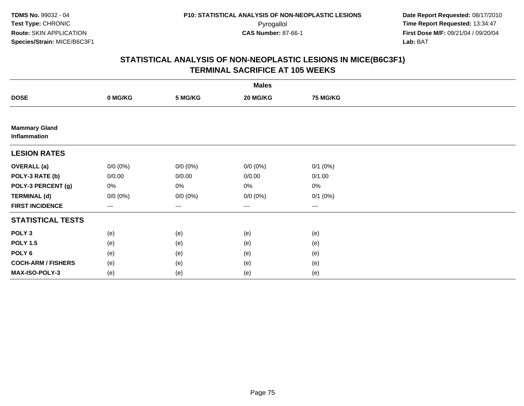|                                      |             |             | <b>Males</b> |                   |  |
|--------------------------------------|-------------|-------------|--------------|-------------------|--|
| <b>DOSE</b>                          | 0 MG/KG     | 5 MG/KG     | 20 MG/KG     | <b>75 MG/KG</b>   |  |
|                                      |             |             |              |                   |  |
| <b>Mammary Gland</b><br>Inflammation |             |             |              |                   |  |
| <b>LESION RATES</b>                  |             |             |              |                   |  |
| <b>OVERALL</b> (a)                   | $0/0 (0\%)$ | $0/0 (0\%)$ | $0/0 (0\%)$  | $0/1$ $(0%)$      |  |
| POLY-3 RATE (b)                      | 0/0.00      | 0/0.00      | 0/0.00       | 0/1.00            |  |
| POLY-3 PERCENT (g)                   | 0%          | 0%          | 0%           | $0\%$             |  |
| <b>TERMINAL (d)</b>                  | $0/0 (0\%)$ | $0/0 (0\%)$ | $0/0 (0\%)$  | $0/1$ $(0%)$      |  |
| <b>FIRST INCIDENCE</b>               | ---         | $---$       | $\cdots$     | $\qquad \qquad -$ |  |
| <b>STATISTICAL TESTS</b>             |             |             |              |                   |  |
| POLY <sub>3</sub>                    | (e)         | (e)         | (e)          | (e)               |  |
| <b>POLY 1.5</b>                      | (e)         | (e)         | (e)          | (e)               |  |
| POLY <sub>6</sub>                    | (e)         | (e)         | (e)          | (e)               |  |
| <b>COCH-ARM / FISHERS</b>            | (e)         | (e)         | (e)          | (e)               |  |
| MAX-ISO-POLY-3                       | (e)         | (e)         | (e)          | (e)               |  |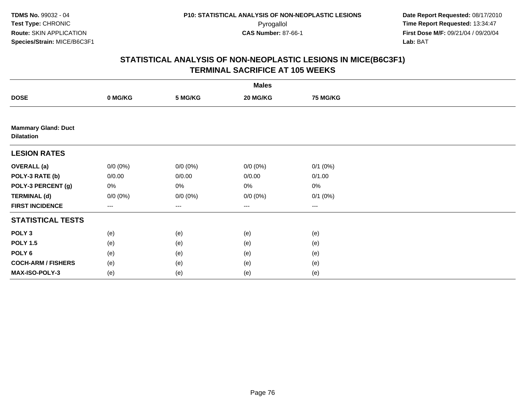|                                                 |             |             | <b>Males</b>           |                 |  |
|-------------------------------------------------|-------------|-------------|------------------------|-----------------|--|
| <b>DOSE</b>                                     | 0 MG/KG     | 5 MG/KG     | 20 MG/KG               | <b>75 MG/KG</b> |  |
|                                                 |             |             |                        |                 |  |
| <b>Mammary Gland: Duct</b><br><b>Dilatation</b> |             |             |                        |                 |  |
| <b>LESION RATES</b>                             |             |             |                        |                 |  |
| <b>OVERALL</b> (a)                              | $0/0 (0\%)$ | $0/0 (0\%)$ | $0/0 (0\%)$            | $0/1$ $(0%)$    |  |
| POLY-3 RATE (b)                                 | 0/0.00      | 0/0.00      | 0/0.00                 | 0/1.00          |  |
| POLY-3 PERCENT (g)                              | 0%          | 0%          | 0%                     | $0\%$           |  |
| <b>TERMINAL (d)</b>                             | $0/0 (0\%)$ | $0/0 (0\%)$ | $0/0 (0\%)$            | $0/1$ $(0%)$    |  |
| <b>FIRST INCIDENCE</b>                          | $---$       | ---         | $\qquad \qquad \cdots$ | $\cdots$        |  |
| <b>STATISTICAL TESTS</b>                        |             |             |                        |                 |  |
| POLY <sub>3</sub>                               | (e)         | (e)         | (e)                    | (e)             |  |
| <b>POLY 1.5</b>                                 | (e)         | (e)         | (e)                    | (e)             |  |
| POLY <sub>6</sub>                               | (e)         | (e)         | (e)                    | (e)             |  |
| <b>COCH-ARM / FISHERS</b>                       | (e)         | (e)         | (e)                    | (e)             |  |
| MAX-ISO-POLY-3                                  | (e)         | (e)         | (e)                    | (e)             |  |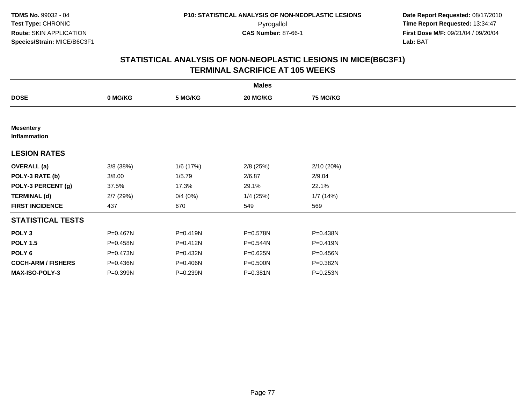|                                  |             |              | <b>Males</b> |                 |  |
|----------------------------------|-------------|--------------|--------------|-----------------|--|
| <b>DOSE</b>                      | 0 MG/KG     | 5 MG/KG      | 20 MG/KG     | <b>75 MG/KG</b> |  |
|                                  |             |              |              |                 |  |
| <b>Mesentery</b><br>Inflammation |             |              |              |                 |  |
| <b>LESION RATES</b>              |             |              |              |                 |  |
| <b>OVERALL</b> (a)               | $3/8$ (38%) | 1/6 (17%)    | $2/8$ (25%)  | 2/10(20%)       |  |
| POLY-3 RATE (b)                  | 3/8.00      | 1/5.79       | 2/6.87       | 2/9.04          |  |
| POLY-3 PERCENT (g)               | 37.5%       | 17.3%        | 29.1%        | 22.1%           |  |
| <b>TERMINAL (d)</b>              | $2/7$ (29%) | 0/4(0%)      | $1/4$ (25%)  | 1/7(14%)        |  |
| <b>FIRST INCIDENCE</b>           | 437         | 670          | 549          | 569             |  |
| <b>STATISTICAL TESTS</b>         |             |              |              |                 |  |
| POLY <sub>3</sub>                | P=0.467N    | P=0.419N     | P=0.578N     | P=0.438N        |  |
| <b>POLY 1.5</b>                  | P=0.458N    | $P = 0.412N$ | P=0.544N     | $P = 0.419N$    |  |
| POLY 6                           | P=0.473N    | P=0.432N     | P=0.625N     | P=0.456N        |  |
| <b>COCH-ARM / FISHERS</b>        | P=0.436N    | P=0.406N     | P=0.500N     | P=0.382N        |  |
| MAX-ISO-POLY-3                   | P=0.399N    | P=0.239N     | P=0.381N     | P=0.253N        |  |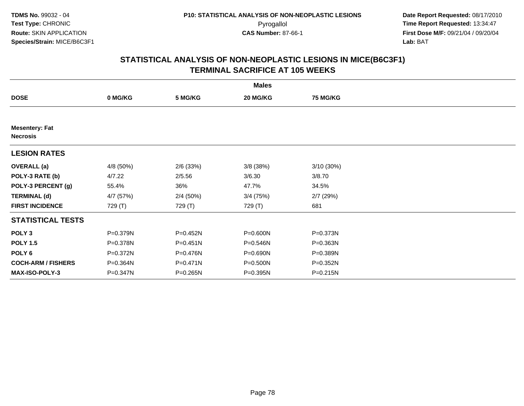|                                          |           |              | <b>Males</b> |                 |  |
|------------------------------------------|-----------|--------------|--------------|-----------------|--|
| <b>DOSE</b>                              | 0 MG/KG   | 5 MG/KG      | 20 MG/KG     | <b>75 MG/KG</b> |  |
|                                          |           |              |              |                 |  |
| <b>Mesentery: Fat</b><br><b>Necrosis</b> |           |              |              |                 |  |
| <b>LESION RATES</b>                      |           |              |              |                 |  |
| <b>OVERALL</b> (a)                       | 4/8 (50%) | $2/6$ (33%)  | 3/8 (38%)    | 3/10(30%)       |  |
| POLY-3 RATE (b)                          | 4/7.22    | 2/5.56       | 3/6.30       | 3/8.70          |  |
| POLY-3 PERCENT (g)                       | 55.4%     | 36%          | 47.7%        | 34.5%           |  |
| <b>TERMINAL (d)</b>                      | 4/7 (57%) | 2/4(50%)     | $3/4$ (75%)  | $2/7$ (29%)     |  |
| <b>FIRST INCIDENCE</b>                   | 729 (T)   | 729 (T)      | 729 (T)      | 681             |  |
| <b>STATISTICAL TESTS</b>                 |           |              |              |                 |  |
| POLY <sub>3</sub>                        | P=0.379N  | P=0.452N     | P=0.600N     | P=0.373N        |  |
| <b>POLY 1.5</b>                          | P=0.378N  | $P = 0.451N$ | P=0.546N     | P=0.363N        |  |
| POLY 6                                   | P=0.372N  | P=0.476N     | P=0.690N     | P=0.389N        |  |
| <b>COCH-ARM / FISHERS</b>                | P=0.364N  | $P = 0.471N$ | P=0.500N     | P=0.352N        |  |
| <b>MAX-ISO-POLY-3</b>                    | P=0.347N  | $P = 0.265N$ | P=0.395N     | $P = 0.215N$    |  |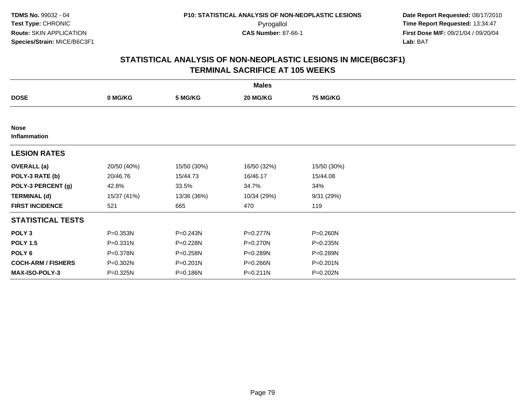|                             |             |             | <b>Males</b> |                 |  |
|-----------------------------|-------------|-------------|--------------|-----------------|--|
| <b>DOSE</b>                 | 0 MG/KG     | 5 MG/KG     | 20 MG/KG     | <b>75 MG/KG</b> |  |
|                             |             |             |              |                 |  |
| <b>Nose</b><br>Inflammation |             |             |              |                 |  |
| <b>LESION RATES</b>         |             |             |              |                 |  |
| <b>OVERALL</b> (a)          | 20/50 (40%) | 15/50 (30%) | 16/50 (32%)  | 15/50 (30%)     |  |
| POLY-3 RATE (b)             | 20/46.76    | 15/44.73    | 16/46.17     | 15/44.08        |  |
| POLY-3 PERCENT (g)          | 42.8%       | 33.5%       | 34.7%        | 34%             |  |
| <b>TERMINAL (d)</b>         | 15/37 (41%) | 13/36 (36%) | 10/34 (29%)  | 9/31(29%)       |  |
| <b>FIRST INCIDENCE</b>      | 521         | 665         | 470          | 119             |  |
| <b>STATISTICAL TESTS</b>    |             |             |              |                 |  |
| POLY <sub>3</sub>           | P=0.353N    | P=0.243N    | P=0.277N     | P=0.260N        |  |
| <b>POLY 1.5</b>             | P=0.331N    | P=0.228N    | P=0.270N     | P=0.235N        |  |
| POLY <sub>6</sub>           | P=0.378N    | P=0.258N    | P=0.289N     | P=0.289N        |  |
| <b>COCH-ARM / FISHERS</b>   | P=0.302N    | P=0.201N    | P=0.266N     | P=0.201N        |  |
| <b>MAX-ISO-POLY-3</b>       | P=0.325N    | P=0.186N    | $P = 0.211N$ | P=0.202N        |  |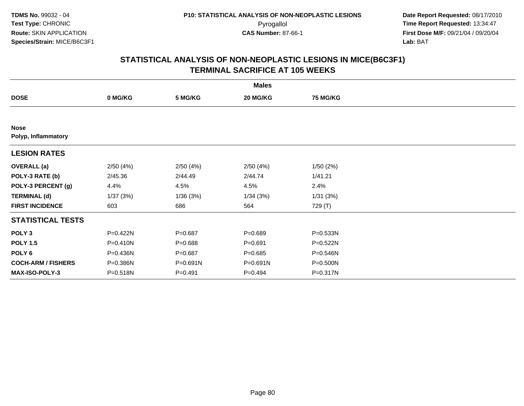|                                    |          |             | <b>Males</b> |                 |  |
|------------------------------------|----------|-------------|--------------|-----------------|--|
| <b>DOSE</b>                        | 0 MG/KG  | 5 MG/KG     | 20 MG/KG     | <b>75 MG/KG</b> |  |
|                                    |          |             |              |                 |  |
| <b>Nose</b><br>Polyp, Inflammatory |          |             |              |                 |  |
| <b>LESION RATES</b>                |          |             |              |                 |  |
| <b>OVERALL</b> (a)                 | 2/50(4%) | 2/50(4%)    | 2/50(4%)     | 1/50(2%)        |  |
| POLY-3 RATE (b)                    | 2/45.36  | 2/44.49     | 2/44.74      | 1/41.21         |  |
| POLY-3 PERCENT (g)                 | 4.4%     | 4.5%        | 4.5%         | 2.4%            |  |
| <b>TERMINAL (d)</b>                | 1/37(3%) | 1/36(3%)    | 1/34(3%)     | 1/31(3%)        |  |
| <b>FIRST INCIDENCE</b>             | 603      | 686         | 564          | 729 (T)         |  |
| <b>STATISTICAL TESTS</b>           |          |             |              |                 |  |
| POLY <sub>3</sub>                  | P=0.422N | $P = 0.687$ | $P = 0.689$  | P=0.533N        |  |
| <b>POLY 1.5</b>                    | P=0.410N | $P = 0.688$ | $P = 0.691$  | P=0.522N        |  |
| POLY <sub>6</sub>                  | P=0.436N | $P = 0.687$ | $P = 0.685$  | P=0.546N        |  |
| <b>COCH-ARM / FISHERS</b>          | P=0.386N | P=0.691N    | P=0.691N     | P=0.500N        |  |
| MAX-ISO-POLY-3                     | P=0.518N | $P = 0.491$ | $P=0.494$    | P=0.317N        |  |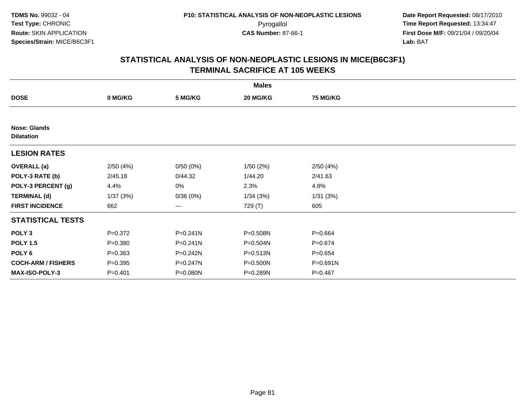|                                          |             |              | <b>Males</b> |                 |  |
|------------------------------------------|-------------|--------------|--------------|-----------------|--|
| <b>DOSE</b>                              | 0 MG/KG     | 5 MG/KG      | 20 MG/KG     | <b>75 MG/KG</b> |  |
|                                          |             |              |              |                 |  |
| <b>Nose: Glands</b><br><b>Dilatation</b> |             |              |              |                 |  |
| <b>LESION RATES</b>                      |             |              |              |                 |  |
| <b>OVERALL</b> (a)                       | 2/50(4%)    | 0/50(0%)     | 1/50(2%)     | 2/50(4%)        |  |
| POLY-3 RATE (b)                          | 2/45.18     | 0/44.32      | 1/44.20      | 2/41.63         |  |
| POLY-3 PERCENT (g)                       | 4.4%        | 0%           | 2.3%         | 4.8%            |  |
| <b>TERMINAL (d)</b>                      | 1/37(3%)    | 0/36(0%)     | 1/34(3%)     | 1/31(3%)        |  |
| <b>FIRST INCIDENCE</b>                   | 662         | ---          | 729 (T)      | 605             |  |
| <b>STATISTICAL TESTS</b>                 |             |              |              |                 |  |
| POLY <sub>3</sub>                        | $P = 0.372$ | $P = 0.241N$ | P=0.508N     | $P = 0.664$     |  |
| <b>POLY 1.5</b>                          | $P = 0.380$ | $P = 0.241N$ | P=0.504N     | $P = 0.674$     |  |
| POLY 6                                   | $P = 0.363$ | $P = 0.242N$ | P=0.513N     | $P = 0.654$     |  |
| <b>COCH-ARM / FISHERS</b>                | $P = 0.395$ | P=0.247N     | P=0.500N     | P=0.691N        |  |
| MAX-ISO-POLY-3                           | $P = 0.401$ | P=0.080N     | P=0.289N     | $P=0.467$       |  |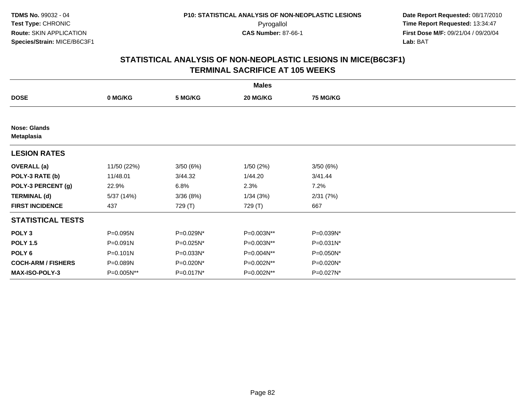|                                          |              |           | <b>Males</b> |                 |  |
|------------------------------------------|--------------|-----------|--------------|-----------------|--|
| <b>DOSE</b>                              | 0 MG/KG      | 5 MG/KG   | 20 MG/KG     | <b>75 MG/KG</b> |  |
|                                          |              |           |              |                 |  |
| <b>Nose: Glands</b><br><b>Metaplasia</b> |              |           |              |                 |  |
| <b>LESION RATES</b>                      |              |           |              |                 |  |
| <b>OVERALL</b> (a)                       | 11/50 (22%)  | 3/50(6%)  | 1/50(2%)     | 3/50(6%)        |  |
| POLY-3 RATE (b)                          | 11/48.01     | 3/44.32   | 1/44.20      | 3/41.44         |  |
| POLY-3 PERCENT (g)                       | 22.9%        | 6.8%      | 2.3%         | 7.2%            |  |
| <b>TERMINAL (d)</b>                      | 5/37 (14%)   | 3/36 (8%) | 1/34(3%)     | 2/31(7%)        |  |
| <b>FIRST INCIDENCE</b>                   | 437          | 729 (T)   | 729 (T)      | 667             |  |
| <b>STATISTICAL TESTS</b>                 |              |           |              |                 |  |
| POLY <sub>3</sub>                        | P=0.095N     | P=0.029N* | P=0.003N**   | P=0.039N*       |  |
| <b>POLY 1.5</b>                          | $P = 0.091N$ | P=0.025N* | P=0.003N**   | $P=0.031N^*$    |  |
| POLY 6                                   | $P = 0.101N$ | P=0.033N* | P=0.004N**   | P=0.050N*       |  |
| <b>COCH-ARM / FISHERS</b>                | P=0.089N     | P=0.020N* | P=0.002N**   | P=0.020N*       |  |
| MAX-ISO-POLY-3                           | P=0.005N**   | P=0.017N* | P=0.002N**   | P=0.027N*       |  |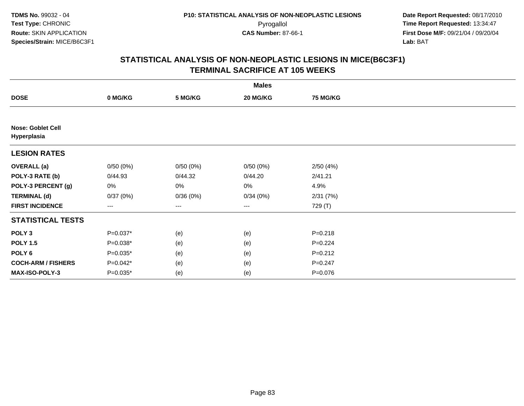|                                         |            |          | <b>Males</b>      |                 |  |
|-----------------------------------------|------------|----------|-------------------|-----------------|--|
| <b>DOSE</b>                             | 0 MG/KG    | 5 MG/KG  | 20 MG/KG          | <b>75 MG/KG</b> |  |
|                                         |            |          |                   |                 |  |
| <b>Nose: Goblet Cell</b><br>Hyperplasia |            |          |                   |                 |  |
| <b>LESION RATES</b>                     |            |          |                   |                 |  |
| <b>OVERALL</b> (a)                      | 0/50(0%)   | 0/50(0%) | 0/50(0%)          | 2/50(4%)        |  |
| POLY-3 RATE (b)                         | 0/44.93    | 0/44.32  | 0/44.20           | 2/41.21         |  |
| POLY-3 PERCENT (g)                      | 0%         | 0%       | 0%                | 4.9%            |  |
| <b>TERMINAL (d)</b>                     | 0/37(0%)   | 0/36(0%) | 0/34(0%)          | 2/31(7%)        |  |
| <b>FIRST INCIDENCE</b>                  | ---        | ---      | $\qquad \qquad -$ | 729 (T)         |  |
| <b>STATISTICAL TESTS</b>                |            |          |                   |                 |  |
| POLY <sub>3</sub>                       | $P=0.037*$ | (e)      | (e)               | $P = 0.218$     |  |
| <b>POLY 1.5</b>                         | $P=0.038*$ | (e)      | (e)               | $P=0.224$       |  |
| POLY 6                                  | $P=0.035*$ | (e)      | (e)               | $P = 0.212$     |  |
| <b>COCH-ARM / FISHERS</b>               | $P=0.042*$ | (e)      | (e)               | $P = 0.247$     |  |
| MAX-ISO-POLY-3                          | $P=0.035*$ | (e)      | (e)               | P=0.076         |  |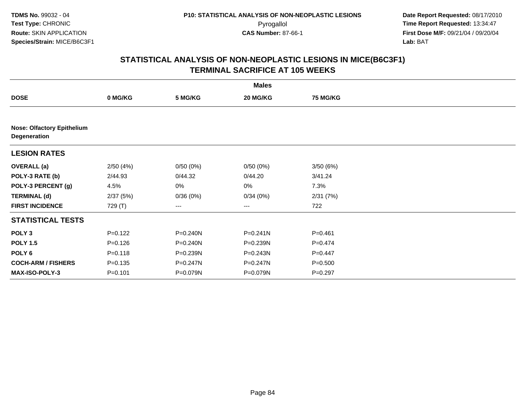|                                                   |             |              | <b>Males</b> |                 |  |  |  |  |  |
|---------------------------------------------------|-------------|--------------|--------------|-----------------|--|--|--|--|--|
| <b>DOSE</b>                                       | 0 MG/KG     | 5 MG/KG      | 20 MG/KG     | <b>75 MG/KG</b> |  |  |  |  |  |
|                                                   |             |              |              |                 |  |  |  |  |  |
| <b>Nose: Olfactory Epithelium</b><br>Degeneration |             |              |              |                 |  |  |  |  |  |
| <b>LESION RATES</b>                               |             |              |              |                 |  |  |  |  |  |
| <b>OVERALL</b> (a)                                | 2/50(4%)    | 0/50(0%)     | 0/50(0%)     | 3/50(6%)        |  |  |  |  |  |
| POLY-3 RATE (b)                                   | 2/44.93     | 0/44.32      | 0/44.20      | 3/41.24         |  |  |  |  |  |
| POLY-3 PERCENT (g)                                | 4.5%        | 0%           | 0%           | 7.3%            |  |  |  |  |  |
| <b>TERMINAL (d)</b>                               | 2/37(5%)    | 0/36(0%)     | 0/34(0%)     | 2/31(7%)        |  |  |  |  |  |
| <b>FIRST INCIDENCE</b>                            | 729 (T)     | ---          | $---$        | 722             |  |  |  |  |  |
| <b>STATISTICAL TESTS</b>                          |             |              |              |                 |  |  |  |  |  |
| POLY <sub>3</sub>                                 | $P=0.122$   | P=0.240N     | $P = 0.241N$ | $P = 0.461$     |  |  |  |  |  |
| <b>POLY 1.5</b>                                   | $P = 0.126$ | $P = 0.240N$ | P=0.239N     | $P=0.474$       |  |  |  |  |  |
| POLY 6                                            | $P = 0.118$ | P=0.239N     | $P = 0.243N$ | $P=0.447$       |  |  |  |  |  |
| <b>COCH-ARM / FISHERS</b>                         | $P = 0.135$ | P=0.247N     | P=0.247N     | $P = 0.500$     |  |  |  |  |  |
| MAX-ISO-POLY-3                                    | $P=0.101$   | P=0.079N     | P=0.079N     | $P=0.297$       |  |  |  |  |  |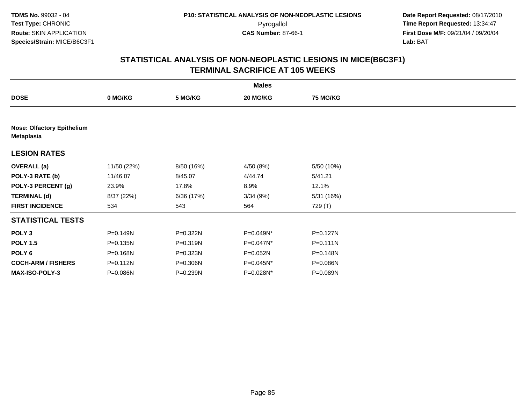| <b>Males</b>                                    |             |              |              |                 |  |  |  |
|-------------------------------------------------|-------------|--------------|--------------|-----------------|--|--|--|
| <b>DOSE</b>                                     | 0 MG/KG     | 5 MG/KG      | 20 MG/KG     | <b>75 MG/KG</b> |  |  |  |
|                                                 |             |              |              |                 |  |  |  |
| <b>Nose: Olfactory Epithelium</b><br>Metaplasia |             |              |              |                 |  |  |  |
| <b>LESION RATES</b>                             |             |              |              |                 |  |  |  |
| <b>OVERALL</b> (a)                              | 11/50 (22%) | 8/50 (16%)   | 4/50 (8%)    | 5/50 (10%)      |  |  |  |
| POLY-3 RATE (b)                                 | 11/46.07    | 8/45.07      | 4/44.74      | 5/41.21         |  |  |  |
| POLY-3 PERCENT (g)                              | 23.9%       | 17.8%        | 8.9%         | 12.1%           |  |  |  |
| <b>TERMINAL (d)</b>                             | 8/37 (22%)  | 6/36 (17%)   | 3/34(9%)     | 5/31 (16%)      |  |  |  |
| <b>FIRST INCIDENCE</b>                          | 534         | 543          | 564          | 729 (T)         |  |  |  |
| <b>STATISTICAL TESTS</b>                        |             |              |              |                 |  |  |  |
| POLY <sub>3</sub>                               | P=0.149N    | $P = 0.322N$ | P=0.049N*    | $P = 0.127N$    |  |  |  |
| <b>POLY 1.5</b>                                 | P=0.135N    | $P = 0.319N$ | $P=0.047N^*$ | $P = 0.111N$    |  |  |  |
| POLY <sub>6</sub>                               | P=0.168N    | P=0.323N     | P=0.052N     | P=0.148N        |  |  |  |
| <b>COCH-ARM / FISHERS</b>                       | P=0.112N    | P=0.306N     | P=0.045N*    | P=0.086N        |  |  |  |
| MAX-ISO-POLY-3                                  | P=0.086N    | $P = 0.239N$ | P=0.028N*    | P=0.089N        |  |  |  |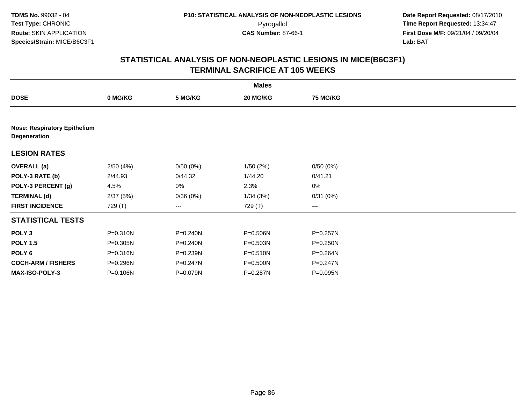|                                                     |              |              | <b>Males</b> |                 |  |
|-----------------------------------------------------|--------------|--------------|--------------|-----------------|--|
| <b>DOSE</b>                                         | 0 MG/KG      | 5 MG/KG      | 20 MG/KG     | <b>75 MG/KG</b> |  |
|                                                     |              |              |              |                 |  |
| <b>Nose: Respiratory Epithelium</b><br>Degeneration |              |              |              |                 |  |
| <b>LESION RATES</b>                                 |              |              |              |                 |  |
| <b>OVERALL</b> (a)                                  | 2/50(4%)     | 0/50(0%)     | 1/50(2%)     | 0/50(0%)        |  |
| POLY-3 RATE (b)                                     | 2/44.93      | 0/44.32      | 1/44.20      | 0/41.21         |  |
| POLY-3 PERCENT (g)                                  | 4.5%         | 0%           | 2.3%         | $0\%$           |  |
| <b>TERMINAL (d)</b>                                 | 2/37(5%)     | 0/36(0%)     | 1/34(3%)     | 0/31(0%)        |  |
| <b>FIRST INCIDENCE</b>                              | 729 (T)      | ---          | 729 (T)      | $---$           |  |
| <b>STATISTICAL TESTS</b>                            |              |              |              |                 |  |
| POLY <sub>3</sub>                                   | P=0.310N     | P=0.240N     | P=0.506N     | P=0.257N        |  |
| <b>POLY 1.5</b>                                     | $P = 0.305N$ | $P = 0.240N$ | $P = 0.503N$ | P=0.250N        |  |
| POLY 6                                              | P=0.316N     | P=0.239N     | P=0.510N     | P=0.264N        |  |
| <b>COCH-ARM / FISHERS</b>                           | P=0.296N     | P=0.247N     | P=0.500N     | P=0.247N        |  |
| <b>MAX-ISO-POLY-3</b>                               | P=0.106N     | P=0.079N     | P=0.287N     | P=0.095N        |  |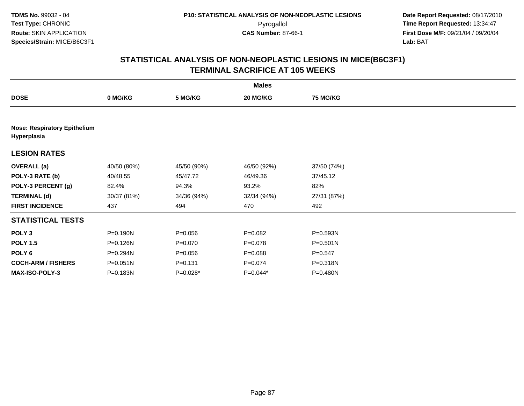|                                                    | <b>Males</b> |             |             |                 |  |  |  |
|----------------------------------------------------|--------------|-------------|-------------|-----------------|--|--|--|
| <b>DOSE</b>                                        | 0 MG/KG      | 5 MG/KG     | 20 MG/KG    | <b>75 MG/KG</b> |  |  |  |
|                                                    |              |             |             |                 |  |  |  |
| <b>Nose: Respiratory Epithelium</b><br>Hyperplasia |              |             |             |                 |  |  |  |
| <b>LESION RATES</b>                                |              |             |             |                 |  |  |  |
| <b>OVERALL</b> (a)                                 | 40/50 (80%)  | 45/50 (90%) | 46/50 (92%) | 37/50 (74%)     |  |  |  |
| POLY-3 RATE (b)                                    | 40/48.55     | 45/47.72    | 46/49.36    | 37/45.12        |  |  |  |
| POLY-3 PERCENT (g)                                 | 82.4%        | 94.3%       | 93.2%       | 82%             |  |  |  |
| <b>TERMINAL (d)</b>                                | 30/37 (81%)  | 34/36 (94%) | 32/34 (94%) | 27/31 (87%)     |  |  |  |
| <b>FIRST INCIDENCE</b>                             | 437          | 494         | 470         | 492             |  |  |  |
| <b>STATISTICAL TESTS</b>                           |              |             |             |                 |  |  |  |
| POLY <sub>3</sub>                                  | P=0.190N     | $P = 0.056$ | $P = 0.082$ | P=0.593N        |  |  |  |
| <b>POLY 1.5</b>                                    | P=0.126N     | $P = 0.070$ | $P=0.078$   | $P = 0.501N$    |  |  |  |
| POLY 6                                             | $P = 0.294N$ | $P = 0.056$ | $P = 0.088$ | $P = 0.547$     |  |  |  |
| <b>COCH-ARM / FISHERS</b>                          | P=0.051N     | $P = 0.131$ | $P = 0.074$ | P=0.318N        |  |  |  |
| <b>MAX-ISO-POLY-3</b>                              | P=0.183N     | $P=0.028*$  | $P=0.044*$  | P=0.480N        |  |  |  |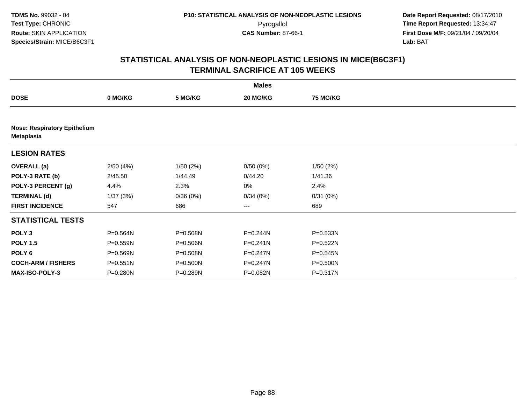|                                                   |              |          | <b>Males</b> |                 |  |
|---------------------------------------------------|--------------|----------|--------------|-----------------|--|
| <b>DOSE</b>                                       | 0 MG/KG      | 5 MG/KG  | 20 MG/KG     | <b>75 MG/KG</b> |  |
|                                                   |              |          |              |                 |  |
| <b>Nose: Respiratory Epithelium</b><br>Metaplasia |              |          |              |                 |  |
| <b>LESION RATES</b>                               |              |          |              |                 |  |
| <b>OVERALL</b> (a)                                | 2/50(4%)     | 1/50(2%) | 0/50(0%)     | 1/50(2%)        |  |
| POLY-3 RATE (b)                                   | 2/45.50      | 1/44.49  | 0/44.20      | 1/41.36         |  |
| POLY-3 PERCENT (g)                                | 4.4%         | 2.3%     | 0%           | 2.4%            |  |
| <b>TERMINAL (d)</b>                               | 1/37(3%)     | 0/36(0%) | 0/34(0%)     | 0/31(0%)        |  |
| <b>FIRST INCIDENCE</b>                            | 547          | 686      | $---$        | 689             |  |
| <b>STATISTICAL TESTS</b>                          |              |          |              |                 |  |
| POLY <sub>3</sub>                                 | P=0.564N     | P=0.508N | P=0.244N     | P=0.533N        |  |
| <b>POLY 1.5</b>                                   | P=0.559N     | P=0.506N | $P = 0.241N$ | P=0.522N        |  |
| POLY 6                                            | P=0.569N     | P=0.508N | $P = 0.247N$ | P=0.545N        |  |
| <b>COCH-ARM / FISHERS</b>                         | $P = 0.551N$ | P=0.500N | P=0.247N     | P=0.500N        |  |
| <b>MAX-ISO-POLY-3</b>                             | P=0.280N     | P=0.289N | P=0.082N     | P=0.317N        |  |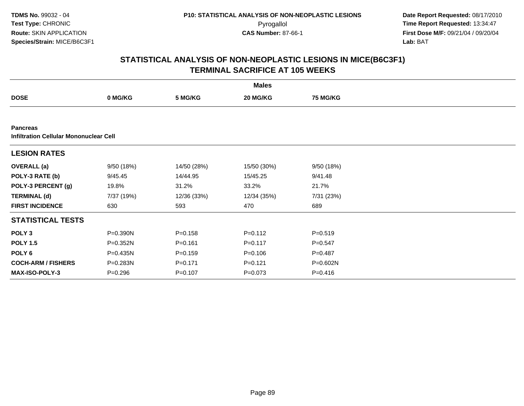**TDMS No.** 99032 - 04**Test Type:** CHRONIC**Route:** SKIN APPLICATION**Species/Strain:** MICE/B6C3F1

 **Date Report Requested:** 08/17/2010 Pyrogallol **Time Report Requested:** 13:34:47 **First Dose M/F:** 09/21/04 / 09/20/04<br>Lab: BAT **Lab:** BAT

|                                                                  | <b>Males</b> |             |             |                 |  |  |  |  |
|------------------------------------------------------------------|--------------|-------------|-------------|-----------------|--|--|--|--|
| <b>DOSE</b>                                                      | 0 MG/KG      | 5 MG/KG     | 20 MG/KG    | <b>75 MG/KG</b> |  |  |  |  |
|                                                                  |              |             |             |                 |  |  |  |  |
| <b>Pancreas</b><br><b>Infiltration Cellular Mononuclear Cell</b> |              |             |             |                 |  |  |  |  |
| <b>LESION RATES</b>                                              |              |             |             |                 |  |  |  |  |
| <b>OVERALL</b> (a)                                               | 9/50(18%)    | 14/50 (28%) | 15/50 (30%) | 9/50(18%)       |  |  |  |  |
| POLY-3 RATE (b)                                                  | 9/45.45      | 14/44.95    | 15/45.25    | 9/41.48         |  |  |  |  |
| POLY-3 PERCENT (g)                                               | 19.8%        | 31.2%       | 33.2%       | 21.7%           |  |  |  |  |
| <b>TERMINAL (d)</b>                                              | 7/37 (19%)   | 12/36 (33%) | 12/34 (35%) | 7/31 (23%)      |  |  |  |  |
| <b>FIRST INCIDENCE</b>                                           | 630          | 593         | 470         | 689             |  |  |  |  |
| <b>STATISTICAL TESTS</b>                                         |              |             |             |                 |  |  |  |  |
| POLY <sub>3</sub>                                                | P=0.390N     | $P = 0.158$ | $P = 0.112$ | $P = 0.519$     |  |  |  |  |
| <b>POLY 1.5</b>                                                  | $P = 0.352N$ | $P = 0.161$ | $P = 0.117$ | $P = 0.547$     |  |  |  |  |
| POLY <sub>6</sub>                                                | P=0.435N     | $P = 0.159$ | $P = 0.106$ | $P = 0.487$     |  |  |  |  |
| <b>COCH-ARM / FISHERS</b>                                        | P=0.283N     | $P = 0.171$ | $P = 0.121$ | P=0.602N        |  |  |  |  |
| <b>MAX-ISO-POLY-3</b>                                            | $P = 0.296$  | $P = 0.107$ | $P = 0.073$ | $P = 0.416$     |  |  |  |  |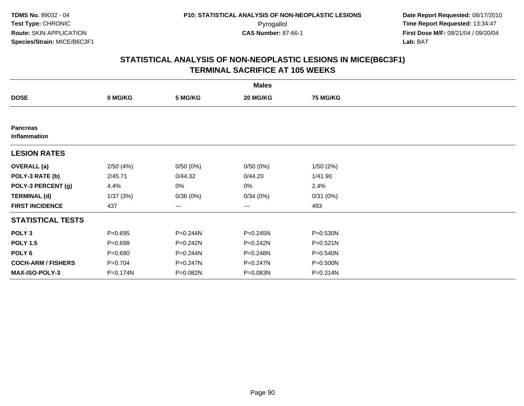|                                 | <b>Males</b> |          |          |                 |  |  |  |  |
|---------------------------------|--------------|----------|----------|-----------------|--|--|--|--|
| <b>DOSE</b>                     | 0 MG/KG      | 5 MG/KG  | 20 MG/KG | <b>75 MG/KG</b> |  |  |  |  |
|                                 |              |          |          |                 |  |  |  |  |
| <b>Pancreas</b><br>Inflammation |              |          |          |                 |  |  |  |  |
| <b>LESION RATES</b>             |              |          |          |                 |  |  |  |  |
| <b>OVERALL</b> (a)              | 2/50(4%)     | 0/50(0%) | 0/50(0%) | 1/50(2%)        |  |  |  |  |
| POLY-3 RATE (b)                 | 2/45.71      | 0/44.32  | 0/44.20  | 1/41.90         |  |  |  |  |
| POLY-3 PERCENT (g)              | 4.4%         | 0%       | 0%       | 2.4%            |  |  |  |  |
| <b>TERMINAL (d)</b>             | 1/37(3%)     | 0/36(0%) | 0/34(0%) | 0/31(0%)        |  |  |  |  |
| <b>FIRST INCIDENCE</b>          | 437          | ---      | $\cdots$ | 493             |  |  |  |  |
| <b>STATISTICAL TESTS</b>        |              |          |          |                 |  |  |  |  |
| POLY <sub>3</sub>               | $P = 0.695$  | P=0.244N | P=0.245N | P=0.530N        |  |  |  |  |
| <b>POLY 1.5</b>                 | $P = 0.698$  | P=0.242N | P=0.242N | P=0.521N        |  |  |  |  |
| POLY <sub>6</sub>               | $P = 0.690$  | P=0.244N | P=0.248N | P=0.540N        |  |  |  |  |
| <b>COCH-ARM / FISHERS</b>       | $P = 0.704$  | P=0.247N | P=0.247N | P=0.500N        |  |  |  |  |
| <b>MAX-ISO-POLY-3</b>           | P=0.174N     | P=0.082N | P=0.083N | P=0.314N        |  |  |  |  |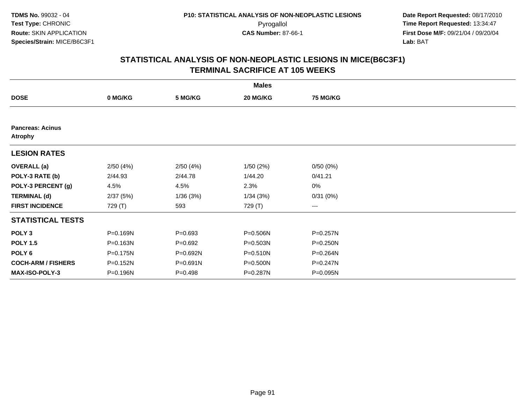|                                           | <b>Males</b> |              |          |                 |  |  |  |  |
|-------------------------------------------|--------------|--------------|----------|-----------------|--|--|--|--|
| <b>DOSE</b>                               | 0 MG/KG      | 5 MG/KG      | 20 MG/KG | <b>75 MG/KG</b> |  |  |  |  |
|                                           |              |              |          |                 |  |  |  |  |
| <b>Pancreas: Acinus</b><br><b>Atrophy</b> |              |              |          |                 |  |  |  |  |
| <b>LESION RATES</b>                       |              |              |          |                 |  |  |  |  |
| <b>OVERALL</b> (a)                        | 2/50(4%)     | 2/50(4%)     | 1/50(2%) | 0/50(0%)        |  |  |  |  |
| POLY-3 RATE (b)                           | 2/44.93      | 2/44.78      | 1/44.20  | 0/41.21         |  |  |  |  |
| POLY-3 PERCENT (g)                        | 4.5%         | 4.5%         | 2.3%     | 0%              |  |  |  |  |
| <b>TERMINAL (d)</b>                       | 2/37(5%)     | 1/36(3%)     | 1/34(3%) | 0/31(0%)        |  |  |  |  |
| <b>FIRST INCIDENCE</b>                    | 729 (T)      | 593          | 729 (T)  | $--$            |  |  |  |  |
| <b>STATISTICAL TESTS</b>                  |              |              |          |                 |  |  |  |  |
| POLY <sub>3</sub>                         | P=0.169N     | $P = 0.693$  | P=0.506N | $P = 0.257N$    |  |  |  |  |
| <b>POLY 1.5</b>                           | P=0.163N     | $P=0.692$    | P=0.503N | $P = 0.250N$    |  |  |  |  |
| POLY 6                                    | P=0.175N     | $P = 0.692N$ | P=0.510N | $P = 0.264N$    |  |  |  |  |
| <b>COCH-ARM / FISHERS</b>                 | P=0.152N     | P=0.691N     | P=0.500N | $P = 0.247N$    |  |  |  |  |
| MAX-ISO-POLY-3                            | P=0.196N     | $P=0.498$    | P=0.287N | P=0.095N        |  |  |  |  |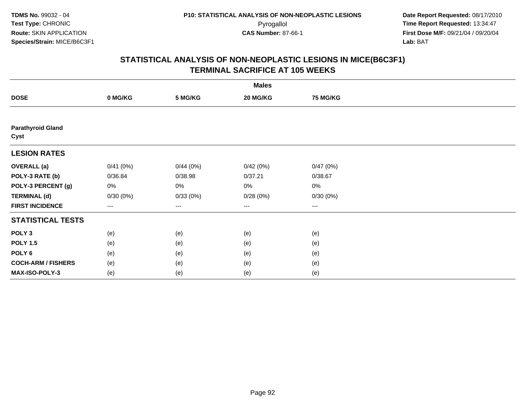|                                  | <b>Males</b>      |          |          |          |  |  |  |  |
|----------------------------------|-------------------|----------|----------|----------|--|--|--|--|
| <b>DOSE</b>                      | 0 MG/KG           | 5 MG/KG  | 20 MG/KG | 75 MG/KG |  |  |  |  |
|                                  |                   |          |          |          |  |  |  |  |
| <b>Parathyroid Gland</b><br>Cyst |                   |          |          |          |  |  |  |  |
| <b>LESION RATES</b>              |                   |          |          |          |  |  |  |  |
| <b>OVERALL</b> (a)               | 0/41(0%)          | 0/44(0%) | 0/42(0%) | 0/47(0%) |  |  |  |  |
| POLY-3 RATE (b)                  | 0/36.84           | 0/38.98  | 0/37.21  | 0/38.67  |  |  |  |  |
| POLY-3 PERCENT (g)               | 0%                | 0%       | 0%       | 0%       |  |  |  |  |
| <b>TERMINAL (d)</b>              | 0/30(0%)          | 0/33(0%) | 0/28(0%) | 0/30(0%) |  |  |  |  |
| <b>FIRST INCIDENCE</b>           | $\qquad \qquad -$ | ---      | ---      | $\cdots$ |  |  |  |  |
| <b>STATISTICAL TESTS</b>         |                   |          |          |          |  |  |  |  |
| POLY <sub>3</sub>                | (e)               | (e)      | (e)      | (e)      |  |  |  |  |
| <b>POLY 1.5</b>                  | (e)               | (e)      | (e)      | (e)      |  |  |  |  |
| POLY <sub>6</sub>                | (e)               | (e)      | (e)      | (e)      |  |  |  |  |
| <b>COCH-ARM / FISHERS</b>        | (e)               | (e)      | (e)      | (e)      |  |  |  |  |
| MAX-ISO-POLY-3                   | (e)               | (e)      | (e)      | (e)      |  |  |  |  |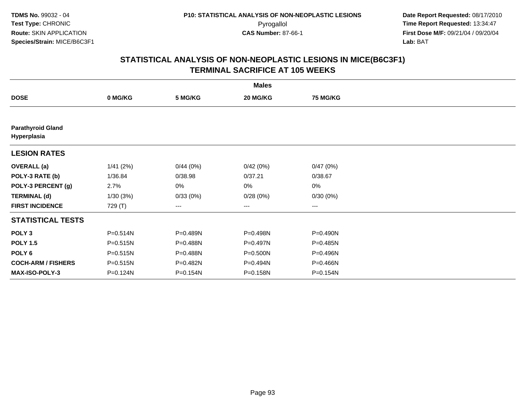|                                         |          |          | <b>Males</b> |                 |  |
|-----------------------------------------|----------|----------|--------------|-----------------|--|
| <b>DOSE</b>                             | 0 MG/KG  | 5 MG/KG  | 20 MG/KG     | <b>75 MG/KG</b> |  |
|                                         |          |          |              |                 |  |
| <b>Parathyroid Gland</b><br>Hyperplasia |          |          |              |                 |  |
| <b>LESION RATES</b>                     |          |          |              |                 |  |
| <b>OVERALL</b> (a)                      | 1/41(2%) | 0/44(0%) | 0/42(0%)     | 0/47(0%)        |  |
| POLY-3 RATE (b)                         | 1/36.84  | 0/38.98  | 0/37.21      | 0/38.67         |  |
| POLY-3 PERCENT (g)                      | 2.7%     | 0%       | 0%           | 0%              |  |
| <b>TERMINAL (d)</b>                     | 1/30(3%) | 0/33(0%) | 0/28(0%)     | 0/30(0%)        |  |
| <b>FIRST INCIDENCE</b>                  | 729 (T)  | $---$    | $\cdots$     | $\cdots$        |  |
| <b>STATISTICAL TESTS</b>                |          |          |              |                 |  |
| POLY <sub>3</sub>                       | P=0.514N | P=0.489N | P=0.498N     | P=0.490N        |  |
| <b>POLY 1.5</b>                         | P=0.515N | P=0.488N | $P=0.497N$   | P=0.485N        |  |
| POLY 6                                  | P=0.515N | P=0.488N | $P = 0.500N$ | P=0.496N        |  |
| <b>COCH-ARM / FISHERS</b>               | P=0.515N | P=0.482N | P=0.494N     | P=0.466N        |  |
| <b>MAX-ISO-POLY-3</b>                   | P=0.124N | P=0.154N | P=0.158N     | P=0.154N        |  |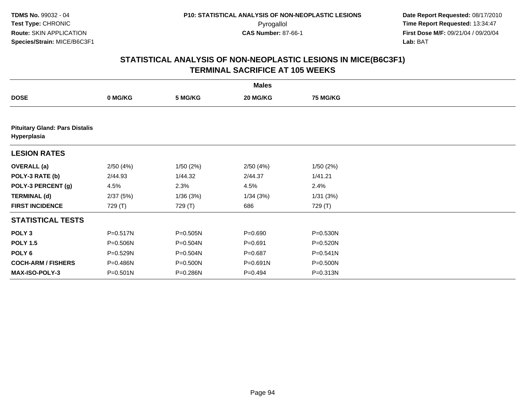|                                                      |              |          | <b>Males</b> |                 |  |
|------------------------------------------------------|--------------|----------|--------------|-----------------|--|
| <b>DOSE</b>                                          | 0 MG/KG      | 5 MG/KG  | 20 MG/KG     | <b>75 MG/KG</b> |  |
|                                                      |              |          |              |                 |  |
| <b>Pituitary Gland: Pars Distalis</b><br>Hyperplasia |              |          |              |                 |  |
| <b>LESION RATES</b>                                  |              |          |              |                 |  |
| <b>OVERALL</b> (a)                                   | 2/50(4%)     | 1/50(2%) | 2/50(4%)     | 1/50(2%)        |  |
| POLY-3 RATE (b)                                      | 2/44.93      | 1/44.32  | 2/44.37      | 1/41.21         |  |
| POLY-3 PERCENT (g)                                   | 4.5%         | 2.3%     | 4.5%         | 2.4%            |  |
| <b>TERMINAL (d)</b>                                  | 2/37(5%)     | 1/36(3%) | 1/34(3%)     | 1/31(3%)        |  |
| <b>FIRST INCIDENCE</b>                               | 729 (T)      | 729 (T)  | 686          | 729 (T)         |  |
| <b>STATISTICAL TESTS</b>                             |              |          |              |                 |  |
| POLY <sub>3</sub>                                    | P=0.517N     | P=0.505N | $P = 0.690$  | P=0.530N        |  |
| <b>POLY 1.5</b>                                      | P=0.506N     | P=0.504N | $P = 0.691$  | P=0.520N        |  |
| POLY <sub>6</sub>                                    | P=0.529N     | P=0.504N | $P = 0.687$  | P=0.541N        |  |
| <b>COCH-ARM / FISHERS</b>                            | P=0.486N     | P=0.500N | P=0.691N     | P=0.500N        |  |
| <b>MAX-ISO-POLY-3</b>                                | $P = 0.501N$ | P=0.286N | $P=0.494$    | P=0.313N        |  |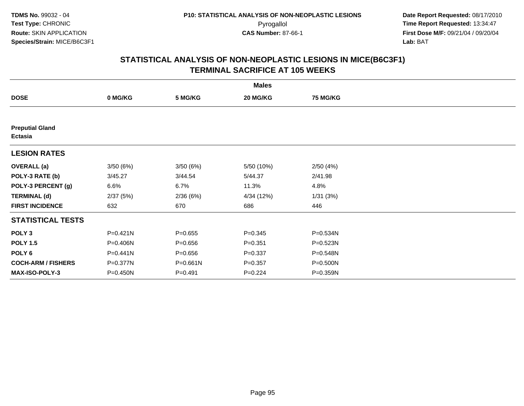|                                   |          |             | <b>Males</b> |                 |  |
|-----------------------------------|----------|-------------|--------------|-----------------|--|
| <b>DOSE</b>                       | 0 MG/KG  | 5 MG/KG     | 20 MG/KG     | <b>75 MG/KG</b> |  |
|                                   |          |             |              |                 |  |
| <b>Preputial Gland</b><br>Ectasia |          |             |              |                 |  |
| <b>LESION RATES</b>               |          |             |              |                 |  |
| <b>OVERALL</b> (a)                | 3/50(6%) | 3/50(6%)    | 5/50 (10%)   | 2/50(4%)        |  |
| POLY-3 RATE (b)                   | 3/45.27  | 3/44.54     | 5/44.37      | 2/41.98         |  |
| POLY-3 PERCENT (g)                | 6.6%     | 6.7%        | 11.3%        | 4.8%            |  |
| <b>TERMINAL (d)</b>               | 2/37(5%) | 2/36(6%)    | 4/34 (12%)   | 1/31(3%)        |  |
| <b>FIRST INCIDENCE</b>            | 632      | 670         | 686          | 446             |  |
| <b>STATISTICAL TESTS</b>          |          |             |              |                 |  |
| POLY <sub>3</sub>                 | P=0.421N | $P=0.655$   | $P = 0.345$  | P=0.534N        |  |
| <b>POLY 1.5</b>                   | P=0.406N | $P = 0.656$ | $P = 0.351$  | $P = 0.523N$    |  |
| POLY <sub>6</sub>                 | P=0.441N | $P = 0.656$ | $P = 0.337$  | P=0.548N        |  |
| <b>COCH-ARM / FISHERS</b>         | P=0.377N | P=0.661N    | $P = 0.357$  | P=0.500N        |  |
| MAX-ISO-POLY-3                    | P=0.450N | $P = 0.491$ | $P=0.224$    | P=0.359N        |  |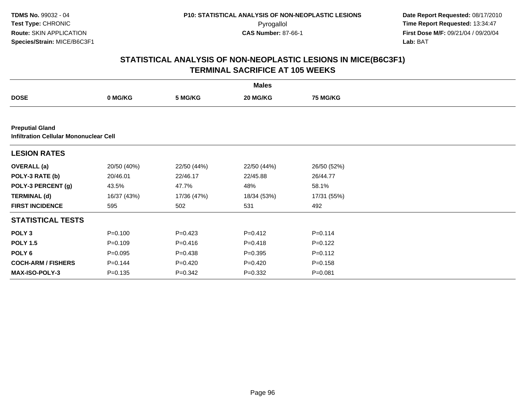**TDMS No.** 99032 - 04**Test Type:** CHRONIC**Route:** SKIN APPLICATION**Species/Strain:** MICE/B6C3F1

 **Date Report Requested:** 08/17/2010 Pyrogallol **Time Report Requested:** 13:34:47 **First Dose M/F:** 09/21/04 / 09/20/04<br>Lab: BAT **Lab:** BAT

|                                                                         | <b>Males</b> |             |             |                 |  |  |  |  |
|-------------------------------------------------------------------------|--------------|-------------|-------------|-----------------|--|--|--|--|
| <b>DOSE</b>                                                             | 0 MG/KG      | 5 MG/KG     | 20 MG/KG    | <b>75 MG/KG</b> |  |  |  |  |
|                                                                         |              |             |             |                 |  |  |  |  |
| <b>Preputial Gland</b><br><b>Infiltration Cellular Mononuclear Cell</b> |              |             |             |                 |  |  |  |  |
| <b>LESION RATES</b>                                                     |              |             |             |                 |  |  |  |  |
| <b>OVERALL</b> (a)                                                      | 20/50 (40%)  | 22/50 (44%) | 22/50 (44%) | 26/50 (52%)     |  |  |  |  |
| POLY-3 RATE (b)                                                         | 20/46.01     | 22/46.17    | 22/45.88    | 26/44.77        |  |  |  |  |
| POLY-3 PERCENT (g)                                                      | 43.5%        | 47.7%       | 48%         | 58.1%           |  |  |  |  |
| <b>TERMINAL (d)</b>                                                     | 16/37 (43%)  | 17/36 (47%) | 18/34 (53%) | 17/31 (55%)     |  |  |  |  |
| <b>FIRST INCIDENCE</b>                                                  | 595          | 502         | 531         | 492             |  |  |  |  |
| <b>STATISTICAL TESTS</b>                                                |              |             |             |                 |  |  |  |  |
| POLY <sub>3</sub>                                                       | $P = 0.100$  | $P=0.423$   | $P=0.412$   | $P=0.114$       |  |  |  |  |
| <b>POLY 1.5</b>                                                         | $P=0.109$    | $P = 0.416$ | $P = 0.418$ | $P=0.122$       |  |  |  |  |
| POLY <sub>6</sub>                                                       | $P = 0.095$  | $P = 0.438$ | $P = 0.395$ | $P = 0.112$     |  |  |  |  |
| <b>COCH-ARM / FISHERS</b>                                               | $P=0.144$    | $P=0.420$   | $P=0.420$   | $P = 0.158$     |  |  |  |  |
| <b>MAX-ISO-POLY-3</b>                                                   | $P = 0.135$  | $P=0.342$   | $P=0.332$   | $P = 0.081$     |  |  |  |  |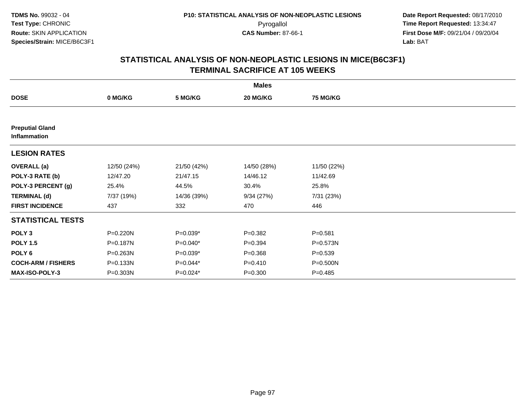| <b>Males</b>                           |             |             |             |                 |  |  |  |
|----------------------------------------|-------------|-------------|-------------|-----------------|--|--|--|
| <b>DOSE</b>                            | 0 MG/KG     | 5 MG/KG     | 20 MG/KG    | <b>75 MG/KG</b> |  |  |  |
|                                        |             |             |             |                 |  |  |  |
| <b>Preputial Gland</b><br>Inflammation |             |             |             |                 |  |  |  |
| <b>LESION RATES</b>                    |             |             |             |                 |  |  |  |
| <b>OVERALL</b> (a)                     | 12/50 (24%) | 21/50 (42%) | 14/50 (28%) | 11/50 (22%)     |  |  |  |
| POLY-3 RATE (b)                        | 12/47.20    | 21/47.15    | 14/46.12    | 11/42.69        |  |  |  |
| POLY-3 PERCENT (g)                     | 25.4%       | 44.5%       | 30.4%       | 25.8%           |  |  |  |
| <b>TERMINAL (d)</b>                    | 7/37 (19%)  | 14/36 (39%) | 9/34(27%)   | 7/31 (23%)      |  |  |  |
| <b>FIRST INCIDENCE</b>                 | 437         | 332         | 470         | 446             |  |  |  |
| <b>STATISTICAL TESTS</b>               |             |             |             |                 |  |  |  |
| POLY <sub>3</sub>                      | P=0.220N    | $P=0.039*$  | $P = 0.382$ | $P = 0.581$     |  |  |  |
| <b>POLY 1.5</b>                        | P=0.187N    | $P=0.040*$  | $P=0.394$   | P=0.573N        |  |  |  |
| POLY <sub>6</sub>                      | P=0.263N    | $P=0.039*$  | $P = 0.368$ | $P = 0.539$     |  |  |  |
| <b>COCH-ARM / FISHERS</b>              | P=0.133N    | $P=0.044*$  | $P = 0.410$ | P=0.500N        |  |  |  |
| MAX-ISO-POLY-3                         | P=0.303N    | P=0.024*    | $P = 0.300$ | $P=0.485$       |  |  |  |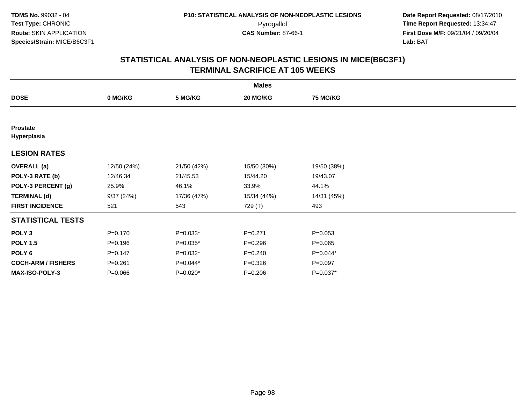| <b>Males</b>                   |             |             |             |                 |  |  |  |
|--------------------------------|-------------|-------------|-------------|-----------------|--|--|--|
| <b>DOSE</b>                    | 0 MG/KG     | 5 MG/KG     | 20 MG/KG    | <b>75 MG/KG</b> |  |  |  |
|                                |             |             |             |                 |  |  |  |
| <b>Prostate</b><br>Hyperplasia |             |             |             |                 |  |  |  |
| <b>LESION RATES</b>            |             |             |             |                 |  |  |  |
| <b>OVERALL</b> (a)             | 12/50 (24%) | 21/50 (42%) | 15/50 (30%) | 19/50 (38%)     |  |  |  |
| POLY-3 RATE (b)                | 12/46.34    | 21/45.53    | 15/44.20    | 19/43.07        |  |  |  |
| POLY-3 PERCENT (g)             | 25.9%       | 46.1%       | 33.9%       | 44.1%           |  |  |  |
| <b>TERMINAL (d)</b>            | 9/37(24%)   | 17/36 (47%) | 15/34 (44%) | 14/31 (45%)     |  |  |  |
| <b>FIRST INCIDENCE</b>         | 521         | 543         | 729 (T)     | 493             |  |  |  |
| <b>STATISTICAL TESTS</b>       |             |             |             |                 |  |  |  |
| POLY <sub>3</sub>              | $P = 0.170$ | $P=0.033*$  | $P = 0.271$ | $P = 0.053$     |  |  |  |
| <b>POLY 1.5</b>                | $P = 0.196$ | $P=0.035*$  | $P = 0.296$ | $P=0.065$       |  |  |  |
| POLY 6                         | $P = 0.147$ | $P=0.032*$  | $P = 0.240$ | $P=0.044*$      |  |  |  |
| <b>COCH-ARM / FISHERS</b>      | $P = 0.261$ | P=0.044*    | $P = 0.326$ | $P = 0.097$     |  |  |  |
| <b>MAX-ISO-POLY-3</b>          | $P = 0.066$ | P=0.020*    | $P = 0.206$ | $P=0.037*$      |  |  |  |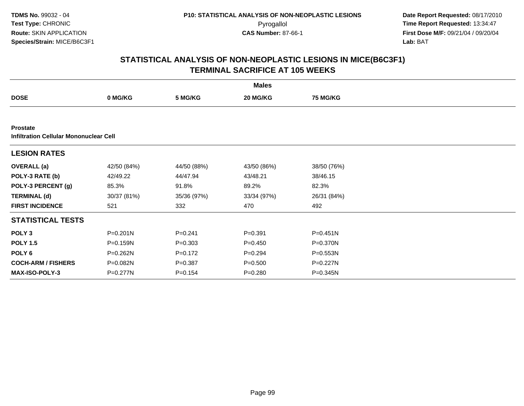**TDMS No.** 99032 - 04**Test Type:** CHRONIC**Route:** SKIN APPLICATION**Species/Strain:** MICE/B6C3F1

 **Date Report Requested:** 08/17/2010 Pyrogallol **Time Report Requested:** 13:34:47 **First Dose M/F:** 09/21/04 / 09/20/04<br>Lab: BAT **Lab:** BAT

| <b>Males</b>              |                                               |             |             |                 |  |  |  |  |  |
|---------------------------|-----------------------------------------------|-------------|-------------|-----------------|--|--|--|--|--|
| <b>DOSE</b>               | 0 MG/KG                                       | 5 MG/KG     | 20 MG/KG    | <b>75 MG/KG</b> |  |  |  |  |  |
|                           |                                               |             |             |                 |  |  |  |  |  |
| <b>Prostate</b>           | <b>Infiltration Cellular Mononuclear Cell</b> |             |             |                 |  |  |  |  |  |
| <b>LESION RATES</b>       |                                               |             |             |                 |  |  |  |  |  |
| <b>OVERALL</b> (a)        | 42/50 (84%)                                   | 44/50 (88%) | 43/50 (86%) | 38/50 (76%)     |  |  |  |  |  |
| POLY-3 RATE (b)           | 42/49.22                                      | 44/47.94    | 43/48.21    | 38/46.15        |  |  |  |  |  |
| POLY-3 PERCENT (g)        | 85.3%                                         | 91.8%       | 89.2%       | 82.3%           |  |  |  |  |  |
| <b>TERMINAL (d)</b>       | 30/37 (81%)                                   | 35/36 (97%) | 33/34 (97%) | 26/31 (84%)     |  |  |  |  |  |
| <b>FIRST INCIDENCE</b>    | 521                                           | 332         | 470         | 492             |  |  |  |  |  |
| <b>STATISTICAL TESTS</b>  |                                               |             |             |                 |  |  |  |  |  |
| POLY <sub>3</sub>         | P=0.201N                                      | $P = 0.241$ | $P = 0.391$ | $P = 0.451N$    |  |  |  |  |  |
| <b>POLY 1.5</b>           | P=0.159N                                      | $P = 0.303$ | $P = 0.450$ | P=0.370N        |  |  |  |  |  |
| POLY <sub>6</sub>         | P=0.262N                                      | $P = 0.172$ | $P = 0.294$ | P=0.553N        |  |  |  |  |  |
| <b>COCH-ARM / FISHERS</b> | P=0.082N                                      | $P = 0.387$ | $P = 0.500$ | P=0.227N        |  |  |  |  |  |
| <b>MAX-ISO-POLY-3</b>     | P=0.277N                                      | $P=0.154$   | $P = 0.280$ | $P = 0.345N$    |  |  |  |  |  |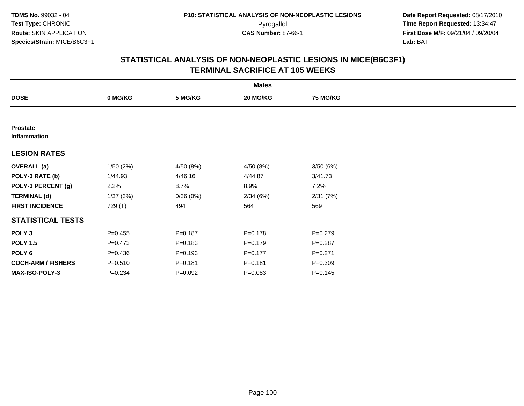| <b>Males</b>                    |             |             |             |                 |  |  |  |
|---------------------------------|-------------|-------------|-------------|-----------------|--|--|--|
| <b>DOSE</b>                     | 0 MG/KG     | 5 MG/KG     | 20 MG/KG    | <b>75 MG/KG</b> |  |  |  |
|                                 |             |             |             |                 |  |  |  |
| <b>Prostate</b><br>Inflammation |             |             |             |                 |  |  |  |
| <b>LESION RATES</b>             |             |             |             |                 |  |  |  |
| <b>OVERALL</b> (a)              | 1/50(2%)    | 4/50 (8%)   | 4/50 (8%)   | 3/50(6%)        |  |  |  |
| POLY-3 RATE (b)                 | 1/44.93     | 4/46.16     | 4/44.87     | 3/41.73         |  |  |  |
| POLY-3 PERCENT (g)              | 2.2%        | 8.7%        | 8.9%        | 7.2%            |  |  |  |
| <b>TERMINAL (d)</b>             | 1/37(3%)    | 0/36(0%)    | 2/34(6%)    | 2/31(7%)        |  |  |  |
| <b>FIRST INCIDENCE</b>          | 729 (T)     | 494         | 564         | 569             |  |  |  |
| <b>STATISTICAL TESTS</b>        |             |             |             |                 |  |  |  |
| POLY <sub>3</sub>               | $P = 0.455$ | $P=0.187$   | $P = 0.178$ | $P=0.279$       |  |  |  |
| <b>POLY 1.5</b>                 | $P = 0.473$ | $P = 0.183$ | $P=0.179$   | $P = 0.287$     |  |  |  |
| POLY <sub>6</sub>               | $P = 0.436$ | $P = 0.193$ | $P = 0.177$ | $P = 0.271$     |  |  |  |
| <b>COCH-ARM / FISHERS</b>       | $P = 0.510$ | $P = 0.181$ | $P = 0.181$ | $P = 0.309$     |  |  |  |
| MAX-ISO-POLY-3                  | $P = 0.234$ | $P=0.092$   | $P = 0.083$ | $P = 0.145$     |  |  |  |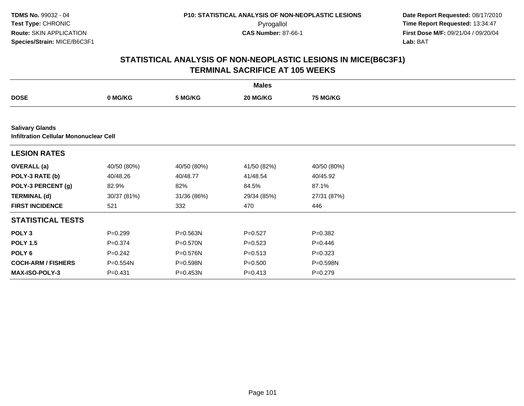**TDMS No.** 99032 - 04**Test Type:** CHRONIC**Route:** SKIN APPLICATION**Species/Strain:** MICE/B6C3F1

 **Date Report Requested:** 08/17/2010 Pyrogallol **Time Report Requested:** 13:34:47 **First Dose M/F:** 09/21/04 / 09/20/04<br>Lab: BAT **Lab:** BAT

| <b>Males</b>              |                                               |              |             |                 |  |  |  |  |  |
|---------------------------|-----------------------------------------------|--------------|-------------|-----------------|--|--|--|--|--|
| <b>DOSE</b>               | 0 MG/KG                                       | 5 MG/KG      | 20 MG/KG    | <b>75 MG/KG</b> |  |  |  |  |  |
|                           |                                               |              |             |                 |  |  |  |  |  |
| <b>Salivary Glands</b>    | <b>Infiltration Cellular Mononuclear Cell</b> |              |             |                 |  |  |  |  |  |
| <b>LESION RATES</b>       |                                               |              |             |                 |  |  |  |  |  |
| <b>OVERALL</b> (a)        | 40/50 (80%)                                   | 40/50 (80%)  | 41/50 (82%) | 40/50 (80%)     |  |  |  |  |  |
| POLY-3 RATE (b)           | 40/48.26                                      | 40/48.77     | 41/48.54    | 40/45.92        |  |  |  |  |  |
| POLY-3 PERCENT (g)        | 82.9%                                         | 82%          | 84.5%       | 87.1%           |  |  |  |  |  |
| <b>TERMINAL (d)</b>       | 30/37 (81%)                                   | 31/36 (86%)  | 29/34 (85%) | 27/31 (87%)     |  |  |  |  |  |
| <b>FIRST INCIDENCE</b>    | 521                                           | 332          | 470         | 446             |  |  |  |  |  |
| <b>STATISTICAL TESTS</b>  |                                               |              |             |                 |  |  |  |  |  |
| POLY <sub>3</sub>         | $P=0.299$                                     | P=0.563N     | $P=0.527$   | $P = 0.382$     |  |  |  |  |  |
| <b>POLY 1.5</b>           | $P = 0.374$                                   | P=0.570N     | $P = 0.523$ | $P=0.446$       |  |  |  |  |  |
| POLY 6                    | $P=0.242$                                     | P=0.576N     | $P = 0.513$ | $P=0.323$       |  |  |  |  |  |
| <b>COCH-ARM / FISHERS</b> | P=0.554N                                      | P=0.598N     | $P = 0.500$ | P=0.598N        |  |  |  |  |  |
| MAX-ISO-POLY-3            | $P = 0.431$                                   | $P = 0.453N$ | $P = 0.413$ | $P=0.279$       |  |  |  |  |  |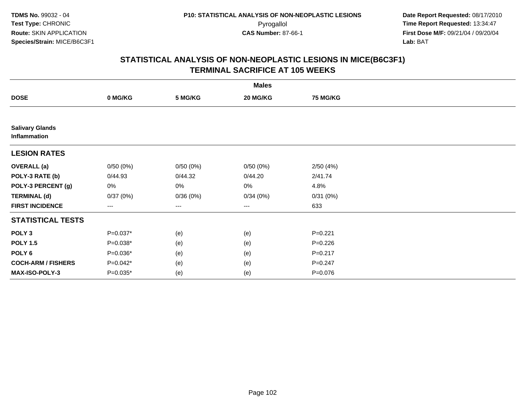| <b>Males</b>                           |            |          |                   |                 |  |  |  |
|----------------------------------------|------------|----------|-------------------|-----------------|--|--|--|
| <b>DOSE</b>                            | 0 MG/KG    | 5 MG/KG  | 20 MG/KG          | <b>75 MG/KG</b> |  |  |  |
|                                        |            |          |                   |                 |  |  |  |
| <b>Salivary Glands</b><br>Inflammation |            |          |                   |                 |  |  |  |
| <b>LESION RATES</b>                    |            |          |                   |                 |  |  |  |
| <b>OVERALL</b> (a)                     | 0/50(0%)   | 0/50(0%) | 0/50(0%)          | 2/50(4%)        |  |  |  |
| POLY-3 RATE (b)                        | 0/44.93    | 0/44.32  | 0/44.20           | 2/41.74         |  |  |  |
| POLY-3 PERCENT (g)                     | 0%         | 0%       | 0%                | 4.8%            |  |  |  |
| <b>TERMINAL (d)</b>                    | 0/37(0%)   | 0/36(0%) | 0/34(0%)          | 0/31(0%)        |  |  |  |
| <b>FIRST INCIDENCE</b>                 | ---        | ---      | $\qquad \qquad -$ | 633             |  |  |  |
| <b>STATISTICAL TESTS</b>               |            |          |                   |                 |  |  |  |
| POLY <sub>3</sub>                      | $P=0.037*$ | (e)      | (e)               | $P = 0.221$     |  |  |  |
| <b>POLY 1.5</b>                        | $P=0.038*$ | (e)      | (e)               | $P = 0.226$     |  |  |  |
| POLY <sub>6</sub>                      | $P=0.036*$ | (e)      | (e)               | $P = 0.217$     |  |  |  |
| <b>COCH-ARM / FISHERS</b>              | $P=0.042*$ | (e)      | (e)               | $P = 0.247$     |  |  |  |
| MAX-ISO-POLY-3                         | $P=0.035*$ | (e)      | (e)               | $P = 0.076$     |  |  |  |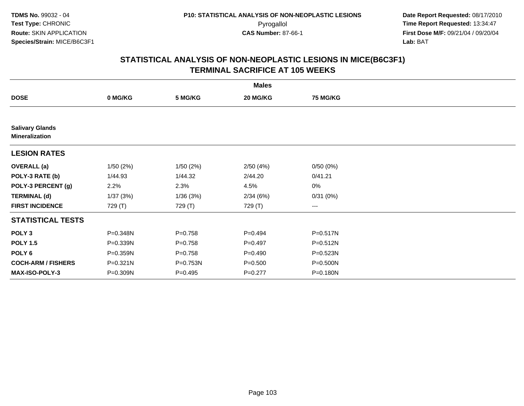|                                                 |          |             | <b>Males</b> |                 |  |
|-------------------------------------------------|----------|-------------|--------------|-----------------|--|
| <b>DOSE</b>                                     | 0 MG/KG  | 5 MG/KG     | 20 MG/KG     | <b>75 MG/KG</b> |  |
|                                                 |          |             |              |                 |  |
| <b>Salivary Glands</b><br><b>Mineralization</b> |          |             |              |                 |  |
| <b>LESION RATES</b>                             |          |             |              |                 |  |
| <b>OVERALL</b> (a)                              | 1/50(2%) | 1/50(2%)    | 2/50(4%)     | 0/50(0%)        |  |
| POLY-3 RATE (b)                                 | 1/44.93  | 1/44.32     | 2/44.20      | 0/41.21         |  |
| POLY-3 PERCENT (g)                              | 2.2%     | 2.3%        | 4.5%         | $0\%$           |  |
| <b>TERMINAL (d)</b>                             | 1/37(3%) | 1/36(3%)    | 2/34(6%)     | 0/31(0%)        |  |
| <b>FIRST INCIDENCE</b>                          | 729 (T)  | 729 (T)     | 729 (T)      | $\cdots$        |  |
| <b>STATISTICAL TESTS</b>                        |          |             |              |                 |  |
| POLY <sub>3</sub>                               | P=0.348N | $P = 0.758$ | $P=0.494$    | P=0.517N        |  |
| <b>POLY 1.5</b>                                 | P=0.339N | $P = 0.758$ | $P=0.497$    | P=0.512N        |  |
| POLY <sub>6</sub>                               | P=0.359N | $P = 0.758$ | $P = 0.490$  | P=0.523N        |  |
| <b>COCH-ARM / FISHERS</b>                       | P=0.321N | P=0.753N    | $P = 0.500$  | $P = 0.500N$    |  |
| <b>MAX-ISO-POLY-3</b>                           | P=0.309N | $P = 0.495$ | $P=0.277$    | P=0.180N        |  |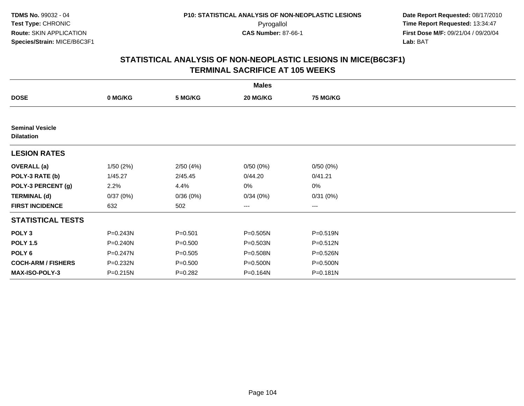|                                             | <b>Males</b> |             |              |                 |  |  |  |  |
|---------------------------------------------|--------------|-------------|--------------|-----------------|--|--|--|--|
| <b>DOSE</b>                                 | 0 MG/KG      | 5 MG/KG     | 20 MG/KG     | <b>75 MG/KG</b> |  |  |  |  |
|                                             |              |             |              |                 |  |  |  |  |
| <b>Seminal Vesicle</b><br><b>Dilatation</b> |              |             |              |                 |  |  |  |  |
| <b>LESION RATES</b>                         |              |             |              |                 |  |  |  |  |
| <b>OVERALL</b> (a)                          | 1/50(2%)     | 2/50(4%)    | 0/50(0%)     | 0/50(0%)        |  |  |  |  |
| POLY-3 RATE (b)                             | 1/45.27      | 2/45.45     | 0/44.20      | 0/41.21         |  |  |  |  |
| POLY-3 PERCENT (g)                          | 2.2%         | 4.4%        | 0%           | 0%              |  |  |  |  |
| <b>TERMINAL (d)</b>                         | 0/37(0%)     | 0/36(0%)    | 0/34(0%)     | 0/31(0%)        |  |  |  |  |
| <b>FIRST INCIDENCE</b>                      | 632          | 502         | ---          | $--$            |  |  |  |  |
| <b>STATISTICAL TESTS</b>                    |              |             |              |                 |  |  |  |  |
| POLY <sub>3</sub>                           | P=0.243N     | $P = 0.501$ | $P = 0.505N$ | $P = 0.519N$    |  |  |  |  |
| <b>POLY 1.5</b>                             | P=0.240N     | $P = 0.500$ | $P = 0.503N$ | $P = 0.512N$    |  |  |  |  |
| POLY 6                                      | P=0.247N     | $P = 0.505$ | P=0.508N     | P=0.526N        |  |  |  |  |
| <b>COCH-ARM / FISHERS</b>                   | P=0.232N     | $P = 0.500$ | P=0.500N     | P=0.500N        |  |  |  |  |
| MAX-ISO-POLY-3                              | P=0.215N     | $P=0.282$   | P=0.164N     | P=0.181N        |  |  |  |  |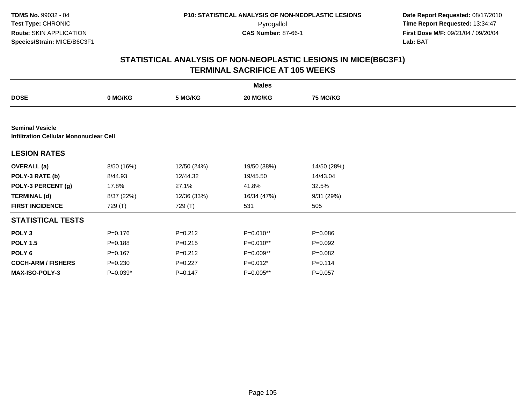**TDMS No.** 99032 - 04**Test Type:** CHRONIC**Route:** SKIN APPLICATION**Species/Strain:** MICE/B6C3F1

 **Date Report Requested:** 08/17/2010 Pyrogallol **Time Report Requested:** 13:34:47 **First Dose M/F:** 09/21/04 / 09/20/04<br>Lab: BAT **Lab:** BAT

|                           | <b>Males</b>                                  |             |             |                 |  |  |  |  |  |
|---------------------------|-----------------------------------------------|-------------|-------------|-----------------|--|--|--|--|--|
| <b>DOSE</b>               | 0 MG/KG                                       | 5 MG/KG     | 20 MG/KG    | <b>75 MG/KG</b> |  |  |  |  |  |
|                           |                                               |             |             |                 |  |  |  |  |  |
| <b>Seminal Vesicle</b>    | <b>Infiltration Cellular Mononuclear Cell</b> |             |             |                 |  |  |  |  |  |
| <b>LESION RATES</b>       |                                               |             |             |                 |  |  |  |  |  |
| <b>OVERALL</b> (a)        | 8/50 (16%)                                    | 12/50 (24%) | 19/50 (38%) | 14/50 (28%)     |  |  |  |  |  |
| POLY-3 RATE (b)           | 8/44.93                                       | 12/44.32    | 19/45.50    | 14/43.04        |  |  |  |  |  |
| POLY-3 PERCENT (g)        | 17.8%                                         | 27.1%       | 41.8%       | 32.5%           |  |  |  |  |  |
| <b>TERMINAL (d)</b>       | 8/37 (22%)                                    | 12/36 (33%) | 16/34 (47%) | 9/31 (29%)      |  |  |  |  |  |
| <b>FIRST INCIDENCE</b>    | 729 (T)                                       | 729 (T)     | 531         | 505             |  |  |  |  |  |
| <b>STATISTICAL TESTS</b>  |                                               |             |             |                 |  |  |  |  |  |
| POLY <sub>3</sub>         | $P = 0.176$                                   | $P = 0.212$ | P=0.010**   | $P = 0.086$     |  |  |  |  |  |
| <b>POLY 1.5</b>           | $P = 0.188$                                   | $P=0.215$   | $P=0.010**$ | $P=0.092$       |  |  |  |  |  |
| POLY 6                    | $P = 0.167$                                   | $P = 0.212$ | P=0.009**   | $P=0.082$       |  |  |  |  |  |
| <b>COCH-ARM / FISHERS</b> | $P = 0.230$                                   | $P=0.227$   | $P=0.012*$  | $P = 0.114$     |  |  |  |  |  |
| <b>MAX-ISO-POLY-3</b>     | $P=0.039*$                                    | $P=0.147$   | P=0.005**   | $P = 0.057$     |  |  |  |  |  |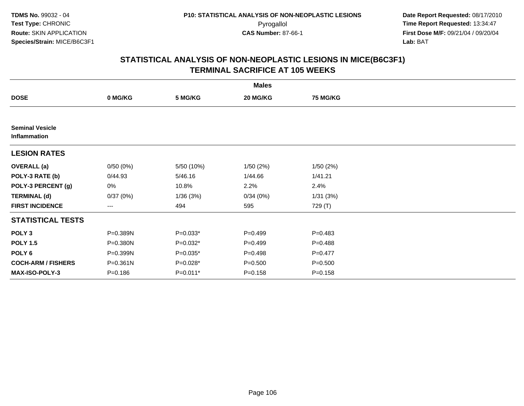| <b>Males</b>                           |              |            |             |                 |  |  |  |
|----------------------------------------|--------------|------------|-------------|-----------------|--|--|--|
| <b>DOSE</b>                            | 0 MG/KG      | 5 MG/KG    | 20 MG/KG    | <b>75 MG/KG</b> |  |  |  |
|                                        |              |            |             |                 |  |  |  |
| <b>Seminal Vesicle</b><br>Inflammation |              |            |             |                 |  |  |  |
| <b>LESION RATES</b>                    |              |            |             |                 |  |  |  |
| <b>OVERALL</b> (a)                     | 0/50(0%)     | 5/50 (10%) | 1/50(2%)    | 1/50(2%)        |  |  |  |
| POLY-3 RATE (b)                        | 0/44.93      | 5/46.16    | 1/44.66     | 1/41.21         |  |  |  |
| POLY-3 PERCENT (g)                     | 0%           | 10.8%      | 2.2%        | 2.4%            |  |  |  |
| <b>TERMINAL (d)</b>                    | 0/37(0%)     | 1/36(3%)   | 0/34(0%)    | 1/31(3%)        |  |  |  |
| <b>FIRST INCIDENCE</b>                 | ---          | 494        | 595         | 729 (T)         |  |  |  |
| <b>STATISTICAL TESTS</b>               |              |            |             |                 |  |  |  |
| POLY <sub>3</sub>                      | P=0.389N     | $P=0.033*$ | $P=0.499$   | $P = 0.483$     |  |  |  |
| <b>POLY 1.5</b>                        | P=0.380N     | $P=0.032*$ | $P=0.499$   | $P = 0.488$     |  |  |  |
| POLY 6                                 | P=0.399N     | $P=0.035*$ | $P=0.498$   | $P = 0.477$     |  |  |  |
| <b>COCH-ARM / FISHERS</b>              | $P = 0.361N$ | P=0.028*   | $P = 0.500$ | $P = 0.500$     |  |  |  |
| MAX-ISO-POLY-3                         | $P = 0.186$  | $P=0.011*$ | $P = 0.158$ | $P = 0.158$     |  |  |  |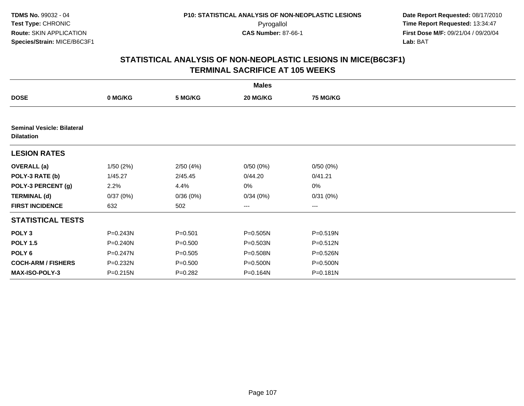| <b>Males</b>                                           |              |             |          |                 |  |  |  |
|--------------------------------------------------------|--------------|-------------|----------|-----------------|--|--|--|
| <b>DOSE</b>                                            | 0 MG/KG      | 5 MG/KG     | 20 MG/KG | <b>75 MG/KG</b> |  |  |  |
|                                                        |              |             |          |                 |  |  |  |
| <b>Seminal Vesicle: Bilateral</b><br><b>Dilatation</b> |              |             |          |                 |  |  |  |
| <b>LESION RATES</b>                                    |              |             |          |                 |  |  |  |
| <b>OVERALL</b> (a)                                     | 1/50(2%)     | 2/50(4%)    | 0/50(0%) | 0/50(0%)        |  |  |  |
| POLY-3 RATE (b)                                        | 1/45.27      | 2/45.45     | 0/44.20  | 0/41.21         |  |  |  |
| POLY-3 PERCENT (g)                                     | 2.2%         | 4.4%        | 0%       | $0\%$           |  |  |  |
| <b>TERMINAL (d)</b>                                    | 0/37(0%)     | 0/36(0%)    | 0/34(0%) | 0/31(0%)        |  |  |  |
| <b>FIRST INCIDENCE</b>                                 | 632          | 502         | $---$    | $---$           |  |  |  |
| <b>STATISTICAL TESTS</b>                               |              |             |          |                 |  |  |  |
| POLY <sub>3</sub>                                      | P=0.243N     | $P = 0.501$ | P=0.505N | P=0.519N        |  |  |  |
| <b>POLY 1.5</b>                                        | P=0.240N     | $P = 0.500$ | P=0.503N | P=0.512N        |  |  |  |
| POLY 6                                                 | P=0.247N     | $P = 0.505$ | P=0.508N | P=0.526N        |  |  |  |
| <b>COCH-ARM / FISHERS</b>                              | P=0.232N     | $P = 0.500$ | P=0.500N | $P = 0.500N$    |  |  |  |
| <b>MAX-ISO-POLY-3</b>                                  | $P = 0.215N$ | $P=0.282$   | P=0.164N | P=0.181N        |  |  |  |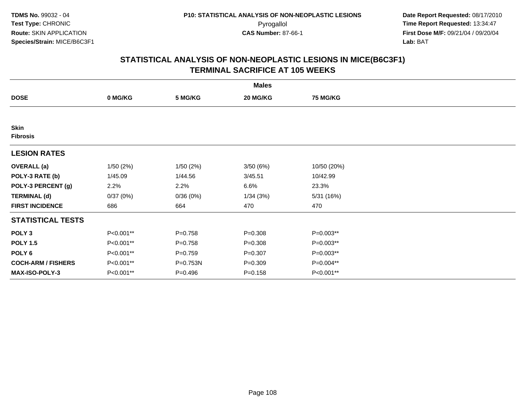| <b>Males</b>                   |           |             |             |                 |  |  |
|--------------------------------|-----------|-------------|-------------|-----------------|--|--|
| <b>DOSE</b>                    | 0 MG/KG   | 5 MG/KG     | 20 MG/KG    | <b>75 MG/KG</b> |  |  |
|                                |           |             |             |                 |  |  |
| <b>Skin</b><br><b>Fibrosis</b> |           |             |             |                 |  |  |
| <b>LESION RATES</b>            |           |             |             |                 |  |  |
| <b>OVERALL</b> (a)             | 1/50(2%)  | 1/50(2%)    | 3/50(6%)    | 10/50 (20%)     |  |  |
| POLY-3 RATE (b)                | 1/45.09   | 1/44.56     | 3/45.51     | 10/42.99        |  |  |
| POLY-3 PERCENT (g)             | 2.2%      | 2.2%        | 6.6%        | 23.3%           |  |  |
| <b>TERMINAL (d)</b>            | 0/37(0%)  | 0/36(0%)    | 1/34(3%)    | 5/31 (16%)      |  |  |
| <b>FIRST INCIDENCE</b>         | 686       | 664         | 470         | 470             |  |  |
| <b>STATISTICAL TESTS</b>       |           |             |             |                 |  |  |
| POLY <sub>3</sub>              | P<0.001** | $P = 0.758$ | $P = 0.308$ | P=0.003**       |  |  |
| <b>POLY 1.5</b>                | P<0.001** | $P = 0.758$ | $P = 0.308$ | P=0.003**       |  |  |
| POLY 6                         | P<0.001** | $P = 0.759$ | $P = 0.307$ | P=0.003**       |  |  |
| <b>COCH-ARM / FISHERS</b>      | P<0.001** | P=0.753N    | $P = 0.309$ | P=0.004**       |  |  |
| <b>MAX-ISO-POLY-3</b>          | P<0.001** | $P=0.496$   | $P = 0.158$ | P<0.001**       |  |  |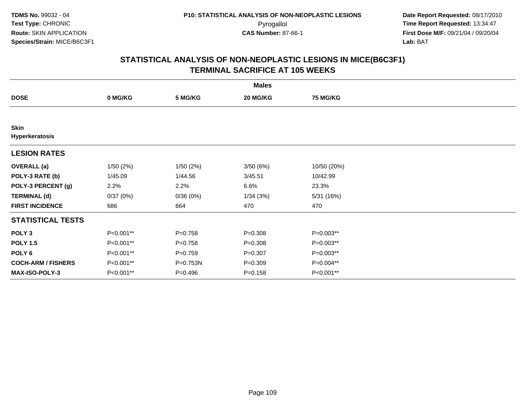|                               |           |             | <b>Males</b> |                 |  |
|-------------------------------|-----------|-------------|--------------|-----------------|--|
| <b>DOSE</b>                   | 0 MG/KG   | 5 MG/KG     | 20 MG/KG     | <b>75 MG/KG</b> |  |
|                               |           |             |              |                 |  |
| <b>Skin</b><br>Hyperkeratosis |           |             |              |                 |  |
| <b>LESION RATES</b>           |           |             |              |                 |  |
| <b>OVERALL</b> (a)            | 1/50(2%)  | 1/50(2%)    | 3/50(6%)     | 10/50 (20%)     |  |
| POLY-3 RATE (b)               | 1/45.09   | 1/44.56     | 3/45.51      | 10/42.99        |  |
| POLY-3 PERCENT (g)            | 2.2%      | 2.2%        | 6.6%         | 23.3%           |  |
| <b>TERMINAL (d)</b>           | 0/37(0%)  | 0/36(0%)    | 1/34(3%)     | 5/31 (16%)      |  |
| <b>FIRST INCIDENCE</b>        | 686       | 664         | 470          | 470             |  |
| <b>STATISTICAL TESTS</b>      |           |             |              |                 |  |
| POLY <sub>3</sub>             | P<0.001** | $P = 0.758$ | $P = 0.308$  | P=0.003**       |  |
| <b>POLY 1.5</b>               | P<0.001** | $P = 0.758$ | $P = 0.308$  | P=0.003**       |  |
| POLY <sub>6</sub>             | P<0.001** | $P = 0.759$ | $P = 0.307$  | P=0.003**       |  |
| <b>COCH-ARM / FISHERS</b>     | P<0.001** | P=0.753N    | $P = 0.309$  | P=0.004**       |  |
| <b>MAX-ISO-POLY-3</b>         | P<0.001** | $P=0.496$   | $P = 0.158$  | P<0.001**       |  |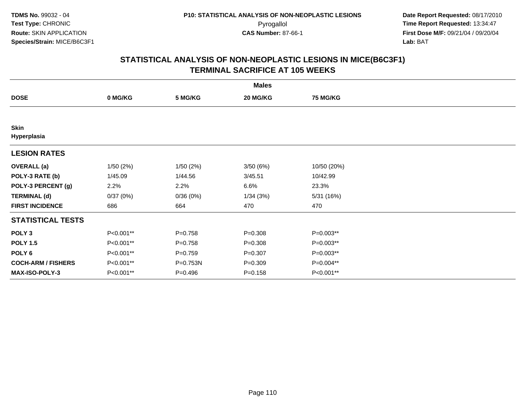|                            |           |             | <b>Males</b> |                 |  |
|----------------------------|-----------|-------------|--------------|-----------------|--|
| <b>DOSE</b>                | 0 MG/KG   | 5 MG/KG     | 20 MG/KG     | <b>75 MG/KG</b> |  |
|                            |           |             |              |                 |  |
| <b>Skin</b><br>Hyperplasia |           |             |              |                 |  |
| <b>LESION RATES</b>        |           |             |              |                 |  |
| <b>OVERALL</b> (a)         | 1/50(2%)  | 1/50(2%)    | 3/50(6%)     | 10/50 (20%)     |  |
| POLY-3 RATE (b)            | 1/45.09   | 1/44.56     | 3/45.51      | 10/42.99        |  |
| POLY-3 PERCENT (g)         | 2.2%      | 2.2%        | 6.6%         | 23.3%           |  |
| <b>TERMINAL (d)</b>        | 0/37(0%)  | 0/36(0%)    | 1/34(3%)     | 5/31 (16%)      |  |
| <b>FIRST INCIDENCE</b>     | 686       | 664         | 470          | 470             |  |
| <b>STATISTICAL TESTS</b>   |           |             |              |                 |  |
| POLY <sub>3</sub>          | P<0.001** | $P = 0.758$ | $P = 0.308$  | P=0.003**       |  |
| <b>POLY 1.5</b>            | P<0.001** | $P = 0.758$ | $P = 0.308$  | $P=0.003**$     |  |
| POLY 6                     | P<0.001** | $P = 0.759$ | $P = 0.307$  | P=0.003**       |  |
| <b>COCH-ARM / FISHERS</b>  | P<0.001** | P=0.753N    | $P = 0.309$  | P=0.004**       |  |
| MAX-ISO-POLY-3             | P<0.001** | $P = 0.496$ | $P = 0.158$  | P<0.001**       |  |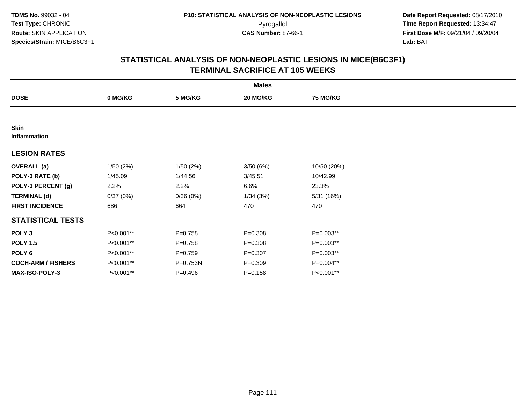|                             |           |             | <b>Males</b> |                 |  |
|-----------------------------|-----------|-------------|--------------|-----------------|--|
| <b>DOSE</b>                 | 0 MG/KG   | 5 MG/KG     | 20 MG/KG     | <b>75 MG/KG</b> |  |
|                             |           |             |              |                 |  |
| <b>Skin</b><br>Inflammation |           |             |              |                 |  |
| <b>LESION RATES</b>         |           |             |              |                 |  |
| <b>OVERALL</b> (a)          | 1/50(2%)  | 1/50(2%)    | 3/50 (6%)    | 10/50 (20%)     |  |
| POLY-3 RATE (b)             | 1/45.09   | 1/44.56     | 3/45.51      | 10/42.99        |  |
| POLY-3 PERCENT (g)          | 2.2%      | 2.2%        | 6.6%         | 23.3%           |  |
| <b>TERMINAL (d)</b>         | 0/37(0%)  | 0/36(0%)    | 1/34(3%)     | 5/31 (16%)      |  |
| <b>FIRST INCIDENCE</b>      | 686       | 664         | 470          | 470             |  |
| <b>STATISTICAL TESTS</b>    |           |             |              |                 |  |
| POLY <sub>3</sub>           | P<0.001** | $P = 0.758$ | $P = 0.308$  | P=0.003**       |  |
| <b>POLY 1.5</b>             | P<0.001** | $P = 0.758$ | $P = 0.308$  | $P=0.003**$     |  |
| POLY 6                      | P<0.001** | $P = 0.759$ | $P = 0.307$  | P=0.003**       |  |
| <b>COCH-ARM / FISHERS</b>   | P<0.001** | P=0.753N    | $P = 0.309$  | P=0.004**       |  |
| MAX-ISO-POLY-3              | P<0.001** | $P = 0.496$ | $P = 0.158$  | P<0.001**       |  |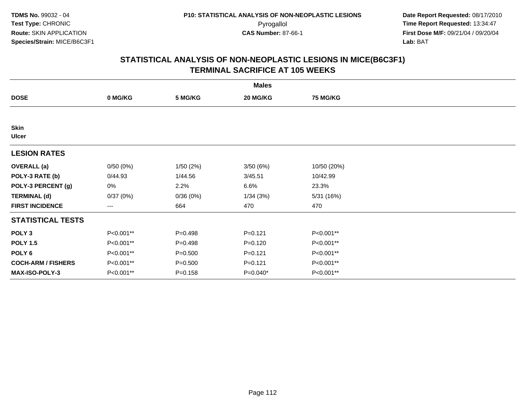|                             |           |             | <b>Males</b> |                 |  |
|-----------------------------|-----------|-------------|--------------|-----------------|--|
| <b>DOSE</b>                 | 0 MG/KG   | 5 MG/KG     | 20 MG/KG     | <b>75 MG/KG</b> |  |
|                             |           |             |              |                 |  |
| <b>Skin</b><br><b>Ulcer</b> |           |             |              |                 |  |
| <b>LESION RATES</b>         |           |             |              |                 |  |
| <b>OVERALL</b> (a)          | 0/50(0%)  | 1/50(2%)    | 3/50 (6%)    | 10/50 (20%)     |  |
| POLY-3 RATE (b)             | 0/44.93   | 1/44.56     | 3/45.51      | 10/42.99        |  |
| POLY-3 PERCENT (g)          | 0%        | 2.2%        | 6.6%         | 23.3%           |  |
| <b>TERMINAL (d)</b>         | 0/37(0%)  | 0/36(0%)    | 1/34(3%)     | 5/31 (16%)      |  |
| <b>FIRST INCIDENCE</b>      | ---       | 664         | 470          | 470             |  |
| <b>STATISTICAL TESTS</b>    |           |             |              |                 |  |
| POLY <sub>3</sub>           | P<0.001** | $P=0.498$   | $P = 0.121$  | P<0.001**       |  |
| <b>POLY 1.5</b>             | P<0.001** | $P=0.498$   | $P = 0.120$  | P<0.001**       |  |
| POLY 6                      | P<0.001** | $P = 0.500$ | $P = 0.121$  | P<0.001**       |  |
| <b>COCH-ARM / FISHERS</b>   | P<0.001** | $P = 0.500$ | $P = 0.121$  | P<0.001**       |  |
| MAX-ISO-POLY-3              | P<0.001** | $P = 0.158$ | P=0.040*     | P<0.001**       |  |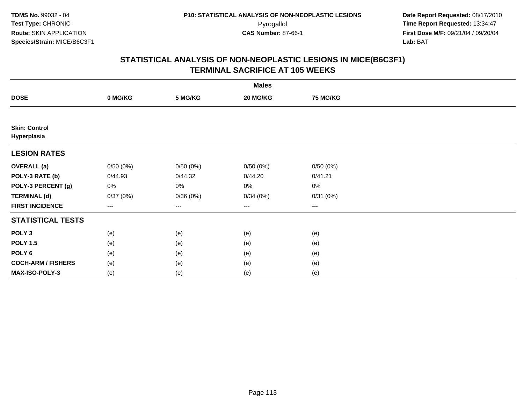|                                     |          |          | <b>Males</b>           |                 |  |
|-------------------------------------|----------|----------|------------------------|-----------------|--|
| <b>DOSE</b>                         | 0 MG/KG  | 5 MG/KG  | 20 MG/KG               | <b>75 MG/KG</b> |  |
|                                     |          |          |                        |                 |  |
| <b>Skin: Control</b><br>Hyperplasia |          |          |                        |                 |  |
| <b>LESION RATES</b>                 |          |          |                        |                 |  |
| <b>OVERALL</b> (a)                  | 0/50(0%) | 0/50(0%) | 0/50(0%)               | 0/50(0%)        |  |
| POLY-3 RATE (b)                     | 0/44.93  | 0/44.32  | 0/44.20                | 0/41.21         |  |
| POLY-3 PERCENT (g)                  | 0%       | 0%       | 0%                     | $0\%$           |  |
| <b>TERMINAL (d)</b>                 | 0/37(0%) | 0/36(0%) | 0/34(0%)               | 0/31(0%)        |  |
| <b>FIRST INCIDENCE</b>              | ---      | $---$    | $\qquad \qquad \cdots$ | $\cdots$        |  |
| <b>STATISTICAL TESTS</b>            |          |          |                        |                 |  |
| POLY <sub>3</sub>                   | (e)      | (e)      | (e)                    | (e)             |  |
| <b>POLY 1.5</b>                     | (e)      | (e)      | (e)                    | (e)             |  |
| POLY <sub>6</sub>                   | (e)      | (e)      | (e)                    | (e)             |  |
| <b>COCH-ARM / FISHERS</b>           | (e)      | (e)      | (e)                    | (e)             |  |
| MAX-ISO-POLY-3                      | (e)      | (e)      | (e)                    | (e)             |  |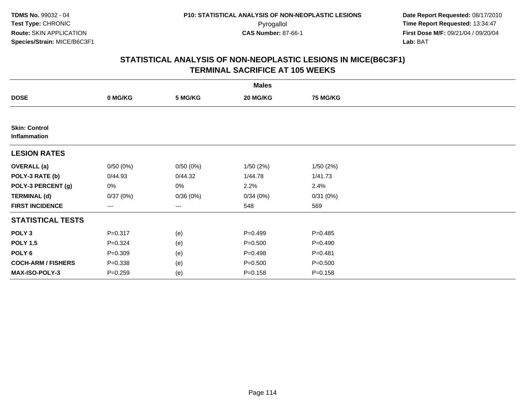|                                      |             |          | <b>Males</b> |                 |  |
|--------------------------------------|-------------|----------|--------------|-----------------|--|
| <b>DOSE</b>                          | 0 MG/KG     | 5 MG/KG  | 20 MG/KG     | <b>75 MG/KG</b> |  |
|                                      |             |          |              |                 |  |
| <b>Skin: Control</b><br>Inflammation |             |          |              |                 |  |
| <b>LESION RATES</b>                  |             |          |              |                 |  |
| <b>OVERALL</b> (a)                   | 0/50(0%)    | 0/50(0%) | 1/50(2%)     | 1/50(2%)        |  |
| POLY-3 RATE (b)                      | 0/44.93     | 0/44.32  | 1/44.78      | 1/41.73         |  |
| POLY-3 PERCENT (g)                   | 0%          | 0%       | 2.2%         | 2.4%            |  |
| <b>TERMINAL (d)</b>                  | 0/37(0%)    | 0/36(0%) | 0/34(0%)     | 0/31(0%)        |  |
| <b>FIRST INCIDENCE</b>               | ---         | ---      | 548          | 569             |  |
| <b>STATISTICAL TESTS</b>             |             |          |              |                 |  |
| POLY <sub>3</sub>                    | $P = 0.317$ | (e)      | $P=0.499$    | $P = 0.485$     |  |
| <b>POLY 1.5</b>                      | $P = 0.324$ | (e)      | $P = 0.500$  | $P = 0.490$     |  |
| POLY <sub>6</sub>                    | $P = 0.309$ | (e)      | $P = 0.498$  | $P = 0.481$     |  |
| <b>COCH-ARM / FISHERS</b>            | $P = 0.338$ | (e)      | $P = 0.500$  | $P = 0.500$     |  |
| MAX-ISO-POLY-3                       | $P = 0.259$ | (e)      | $P = 0.158$  | $P = 0.158$     |  |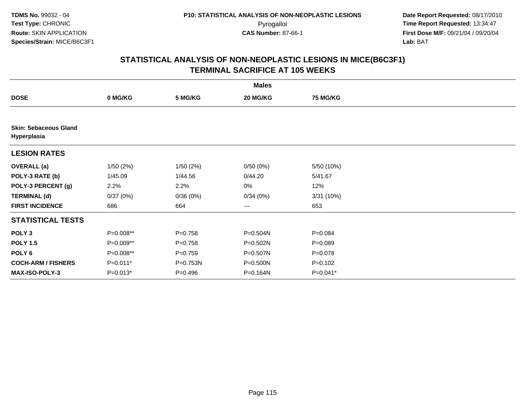|                                             |             |             | <b>Males</b> |                 |  |
|---------------------------------------------|-------------|-------------|--------------|-----------------|--|
| <b>DOSE</b>                                 | 0 MG/KG     | 5 MG/KG     | 20 MG/KG     | <b>75 MG/KG</b> |  |
|                                             |             |             |              |                 |  |
| <b>Skin: Sebaceous Gland</b><br>Hyperplasia |             |             |              |                 |  |
| <b>LESION RATES</b>                         |             |             |              |                 |  |
| <b>OVERALL</b> (a)                          | 1/50(2%)    | 1/50(2%)    | 0/50(0%)     | 5/50 (10%)      |  |
| POLY-3 RATE (b)                             | 1/45.09     | 1/44.56     | 0/44.20      | 5/41.67         |  |
| POLY-3 PERCENT (g)                          | 2.2%        | 2.2%        | 0%           | 12%             |  |
| <b>TERMINAL (d)</b>                         | 0/37(0%)    | 0/36(0%)    | 0/34(0%)     | 3/31(10%)       |  |
| <b>FIRST INCIDENCE</b>                      | 686         | 664         | $---$        | 653             |  |
| <b>STATISTICAL TESTS</b>                    |             |             |              |                 |  |
| POLY <sub>3</sub>                           | P=0.008**   | $P = 0.758$ | $P = 0.504N$ | $P = 0.084$     |  |
| <b>POLY 1.5</b>                             | $P=0.009**$ | $P=0.758$   | P=0.502N     | $P = 0.089$     |  |
| POLY 6                                      | P=0.008**   | $P=0.759$   | P=0.507N     | $P = 0.078$     |  |
| <b>COCH-ARM / FISHERS</b>                   | $P=0.011*$  | P=0.753N    | P=0.500N     | $P = 0.102$     |  |
| MAX-ISO-POLY-3                              | $P=0.013*$  | $P = 0.496$ | P=0.164N     | $P=0.041*$      |  |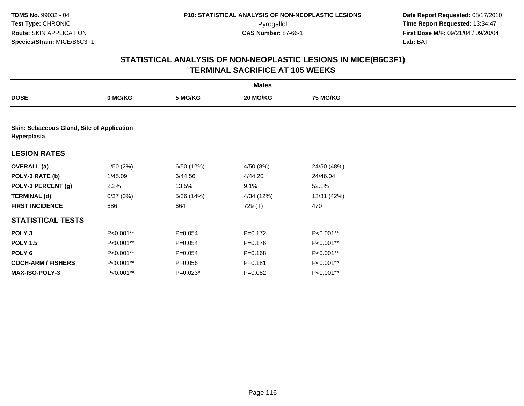|                           |                                            |             | <b>Males</b> |                 |  |  |  |  |  |
|---------------------------|--------------------------------------------|-------------|--------------|-----------------|--|--|--|--|--|
| <b>DOSE</b>               | 0 MG/KG                                    | 5 MG/KG     | 20 MG/KG     | <b>75 MG/KG</b> |  |  |  |  |  |
|                           |                                            |             |              |                 |  |  |  |  |  |
| Hyperplasia               | Skin: Sebaceous Gland, Site of Application |             |              |                 |  |  |  |  |  |
| <b>LESION RATES</b>       |                                            |             |              |                 |  |  |  |  |  |
| <b>OVERALL</b> (a)        | 1/50(2%)                                   | 6/50 (12%)  | 4/50 (8%)    | 24/50 (48%)     |  |  |  |  |  |
| POLY-3 RATE (b)           | 1/45.09                                    | 6/44.56     | 4/44.20      | 24/46.04        |  |  |  |  |  |
| POLY-3 PERCENT (g)        | 2.2%                                       | 13.5%       | 9.1%         | 52.1%           |  |  |  |  |  |
| <b>TERMINAL (d)</b>       | 0/37(0%)                                   | 5/36 (14%)  | 4/34 (12%)   | 13/31 (42%)     |  |  |  |  |  |
| <b>FIRST INCIDENCE</b>    | 686                                        | 664         | 729 (T)      | 470             |  |  |  |  |  |
| <b>STATISTICAL TESTS</b>  |                                            |             |              |                 |  |  |  |  |  |
| POLY <sub>3</sub>         | P<0.001**                                  | $P = 0.054$ | $P=0.172$    | P<0.001**       |  |  |  |  |  |
| <b>POLY 1.5</b>           | P<0.001**                                  | $P=0.054$   | $P = 0.176$  | P<0.001**       |  |  |  |  |  |
| POLY 6                    | P<0.001**                                  | $P = 0.054$ | $P = 0.168$  | P<0.001**       |  |  |  |  |  |
| <b>COCH-ARM / FISHERS</b> | P<0.001**                                  | $P = 0.056$ | $P = 0.181$  | P<0.001**       |  |  |  |  |  |
| <b>MAX-ISO-POLY-3</b>     | P<0.001**                                  | $P=0.023*$  | $P=0.082$    | P<0.001**       |  |  |  |  |  |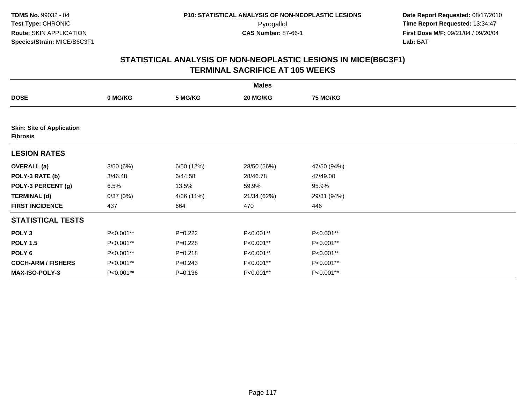| <b>Males</b>                                        |           |             |             |                 |  |  |  |
|-----------------------------------------------------|-----------|-------------|-------------|-----------------|--|--|--|
| <b>DOSE</b>                                         | 0 MG/KG   | 5 MG/KG     | 20 MG/KG    | <b>75 MG/KG</b> |  |  |  |
|                                                     |           |             |             |                 |  |  |  |
| <b>Skin: Site of Application</b><br><b>Fibrosis</b> |           |             |             |                 |  |  |  |
| <b>LESION RATES</b>                                 |           |             |             |                 |  |  |  |
| <b>OVERALL</b> (a)                                  | 3/50(6%)  | 6/50 (12%)  | 28/50 (56%) | 47/50 (94%)     |  |  |  |
| POLY-3 RATE (b)                                     | 3/46.48   | 6/44.58     | 28/46.78    | 47/49.00        |  |  |  |
| POLY-3 PERCENT (g)                                  | 6.5%      | 13.5%       | 59.9%       | 95.9%           |  |  |  |
| <b>TERMINAL (d)</b>                                 | 0/37(0%)  | 4/36 (11%)  | 21/34 (62%) | 29/31 (94%)     |  |  |  |
| <b>FIRST INCIDENCE</b>                              | 437       | 664         | 470         | 446             |  |  |  |
| <b>STATISTICAL TESTS</b>                            |           |             |             |                 |  |  |  |
| POLY <sub>3</sub>                                   | P<0.001** | $P=0.222$   | P<0.001**   | P<0.001**       |  |  |  |
| <b>POLY 1.5</b>                                     | P<0.001** | $P=0.228$   | P<0.001**   | P<0.001**       |  |  |  |
| POLY <sub>6</sub>                                   | P<0.001** | $P = 0.218$ | P<0.001**   | P<0.001**       |  |  |  |
| <b>COCH-ARM / FISHERS</b>                           | P<0.001** | $P = 0.243$ | P<0.001**   | P<0.001**       |  |  |  |
| <b>MAX-ISO-POLY-3</b>                               | P<0.001** | $P = 0.136$ | P<0.001**   | P<0.001**       |  |  |  |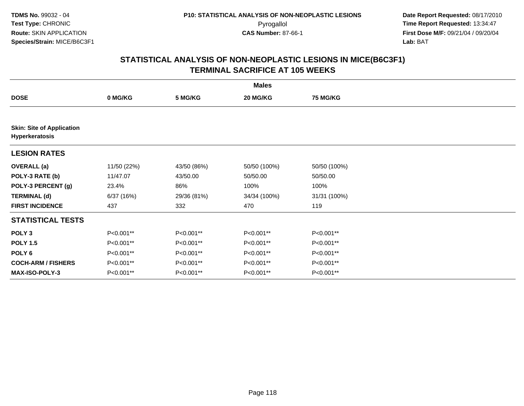|                                                    | <b>Males</b> |             |              |                 |  |  |  |  |
|----------------------------------------------------|--------------|-------------|--------------|-----------------|--|--|--|--|
| <b>DOSE</b>                                        | 0 MG/KG      | 5 MG/KG     | 20 MG/KG     | <b>75 MG/KG</b> |  |  |  |  |
|                                                    |              |             |              |                 |  |  |  |  |
| <b>Skin: Site of Application</b><br>Hyperkeratosis |              |             |              |                 |  |  |  |  |
| <b>LESION RATES</b>                                |              |             |              |                 |  |  |  |  |
| <b>OVERALL</b> (a)                                 | 11/50 (22%)  | 43/50 (86%) | 50/50 (100%) | 50/50 (100%)    |  |  |  |  |
| POLY-3 RATE (b)                                    | 11/47.07     | 43/50.00    | 50/50.00     | 50/50.00        |  |  |  |  |
| POLY-3 PERCENT (g)                                 | 23.4%        | 86%         | 100%         | 100%            |  |  |  |  |
| <b>TERMINAL (d)</b>                                | 6/37(16%)    | 29/36 (81%) | 34/34 (100%) | 31/31 (100%)    |  |  |  |  |
| <b>FIRST INCIDENCE</b>                             | 437          | 332         | 470          | 119             |  |  |  |  |
| <b>STATISTICAL TESTS</b>                           |              |             |              |                 |  |  |  |  |
| POLY <sub>3</sub>                                  | P<0.001**    | P<0.001**   | P<0.001**    | P<0.001**       |  |  |  |  |
| <b>POLY 1.5</b>                                    | P<0.001**    | P<0.001**   | P<0.001**    | P<0.001**       |  |  |  |  |
| POLY <sub>6</sub>                                  | P<0.001**    | P<0.001**   | P<0.001**    | P<0.001**       |  |  |  |  |
| <b>COCH-ARM / FISHERS</b>                          | P<0.001**    | P<0.001**   | P<0.001**    | P<0.001**       |  |  |  |  |
| <b>MAX-ISO-POLY-3</b>                              | P<0.001**    | P<0.001**   | P<0.001**    | P<0.001**       |  |  |  |  |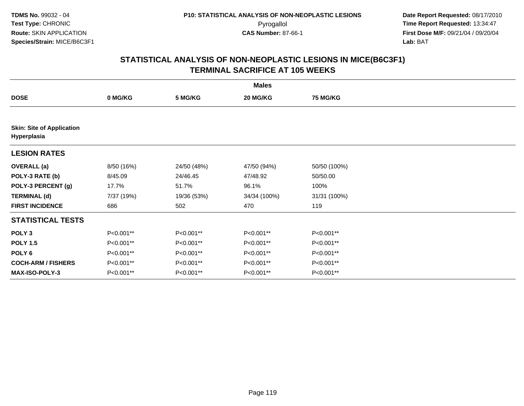|                                                 | <b>Males</b> |             |              |                 |  |  |  |  |
|-------------------------------------------------|--------------|-------------|--------------|-----------------|--|--|--|--|
| <b>DOSE</b>                                     | 0 MG/KG      | 5 MG/KG     | 20 MG/KG     | <b>75 MG/KG</b> |  |  |  |  |
|                                                 |              |             |              |                 |  |  |  |  |
| <b>Skin: Site of Application</b><br>Hyperplasia |              |             |              |                 |  |  |  |  |
| <b>LESION RATES</b>                             |              |             |              |                 |  |  |  |  |
| <b>OVERALL</b> (a)                              | 8/50 (16%)   | 24/50 (48%) | 47/50 (94%)  | 50/50 (100%)    |  |  |  |  |
| POLY-3 RATE (b)                                 | 8/45.09      | 24/46.45    | 47/48.92     | 50/50.00        |  |  |  |  |
| POLY-3 PERCENT (g)                              | 17.7%        | 51.7%       | 96.1%        | 100%            |  |  |  |  |
| <b>TERMINAL (d)</b>                             | 7/37 (19%)   | 19/36 (53%) | 34/34 (100%) | 31/31 (100%)    |  |  |  |  |
| <b>FIRST INCIDENCE</b>                          | 686          | 502         | 470          | 119             |  |  |  |  |
| <b>STATISTICAL TESTS</b>                        |              |             |              |                 |  |  |  |  |
| POLY <sub>3</sub>                               | P<0.001**    | P<0.001**   | P<0.001**    | P<0.001**       |  |  |  |  |
| <b>POLY 1.5</b>                                 | P<0.001**    | P<0.001**   | P<0.001**    | P<0.001**       |  |  |  |  |
| POLY <sub>6</sub>                               | P<0.001**    | P<0.001**   | P<0.001**    | P<0.001**       |  |  |  |  |
| <b>COCH-ARM / FISHERS</b>                       | P<0.001**    | P<0.001**   | P<0.001**    | P<0.001**       |  |  |  |  |
| <b>MAX-ISO-POLY-3</b>                           | P<0.001**    | P<0.001**   | P<0.001**    | P<0.001**       |  |  |  |  |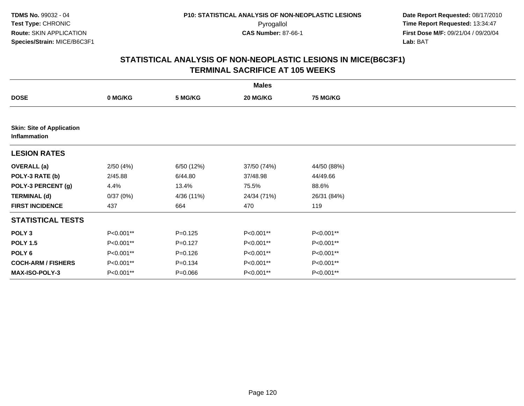|                                                  | <b>Males</b> |             |             |                 |  |  |  |  |
|--------------------------------------------------|--------------|-------------|-------------|-----------------|--|--|--|--|
| <b>DOSE</b>                                      | 0 MG/KG      | 5 MG/KG     | 20 MG/KG    | <b>75 MG/KG</b> |  |  |  |  |
|                                                  |              |             |             |                 |  |  |  |  |
| <b>Skin: Site of Application</b><br>Inflammation |              |             |             |                 |  |  |  |  |
| <b>LESION RATES</b>                              |              |             |             |                 |  |  |  |  |
| <b>OVERALL</b> (a)                               | 2/50(4%)     | 6/50 (12%)  | 37/50 (74%) | 44/50 (88%)     |  |  |  |  |
| POLY-3 RATE (b)                                  | 2/45.88      | 6/44.80     | 37/48.98    | 44/49.66        |  |  |  |  |
| POLY-3 PERCENT (g)                               | 4.4%         | 13.4%       | 75.5%       | 88.6%           |  |  |  |  |
| <b>TERMINAL (d)</b>                              | 0/37(0%)     | 4/36 (11%)  | 24/34 (71%) | 26/31 (84%)     |  |  |  |  |
| <b>FIRST INCIDENCE</b>                           | 437          | 664         | 470         | 119             |  |  |  |  |
| <b>STATISTICAL TESTS</b>                         |              |             |             |                 |  |  |  |  |
| POLY <sub>3</sub>                                | P<0.001**    | $P = 0.125$ | P<0.001**   | P<0.001**       |  |  |  |  |
| <b>POLY 1.5</b>                                  | P<0.001**    | $P=0.127$   | P<0.001**   | P<0.001**       |  |  |  |  |
| POLY 6                                           | P<0.001**    | $P = 0.126$ | P<0.001**   | P<0.001**       |  |  |  |  |
| <b>COCH-ARM / FISHERS</b>                        | P<0.001**    | $P = 0.134$ | P<0.001**   | P<0.001**       |  |  |  |  |
| <b>MAX-ISO-POLY-3</b>                            | P<0.001**    | $P = 0.066$ | P<0.001**   | P<0.001**       |  |  |  |  |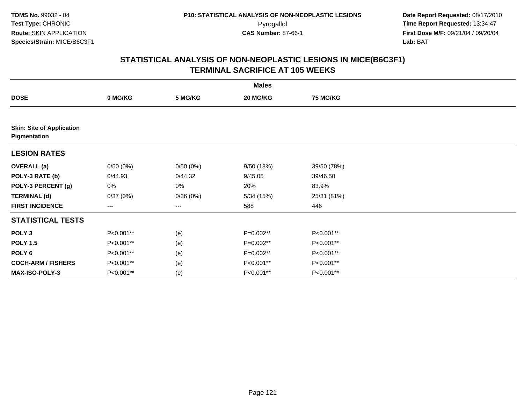|                                                  |                   |          | <b>Males</b> |                 |  |
|--------------------------------------------------|-------------------|----------|--------------|-----------------|--|
| <b>DOSE</b>                                      | 0 MG/KG           | 5 MG/KG  | 20 MG/KG     | <b>75 MG/KG</b> |  |
|                                                  |                   |          |              |                 |  |
| <b>Skin: Site of Application</b><br>Pigmentation |                   |          |              |                 |  |
| <b>LESION RATES</b>                              |                   |          |              |                 |  |
| <b>OVERALL</b> (a)                               | 0/50(0%)          | 0/50(0%) | 9/50(18%)    | 39/50 (78%)     |  |
| POLY-3 RATE (b)                                  | 0/44.93           | 0/44.32  | 9/45.05      | 39/46.50        |  |
| POLY-3 PERCENT (g)                               | 0%                | 0%       | 20%          | 83.9%           |  |
| <b>TERMINAL (d)</b>                              | 0/37(0%)          | 0/36(0%) | 5/34(15%)    | 25/31 (81%)     |  |
| <b>FIRST INCIDENCE</b>                           | $\qquad \qquad -$ | ---      | 588          | 446             |  |
| <b>STATISTICAL TESTS</b>                         |                   |          |              |                 |  |
| POLY <sub>3</sub>                                | P<0.001**         | (e)      | P=0.002**    | P<0.001**       |  |
| <b>POLY 1.5</b>                                  | P<0.001**         | (e)      | P=0.002**    | P<0.001**       |  |
| POLY 6                                           | P<0.001**         | (e)      | P=0.002**    | P<0.001**       |  |
| <b>COCH-ARM / FISHERS</b>                        | P<0.001**         | (e)      | P<0.001**    | P<0.001**       |  |
| <b>MAX-ISO-POLY-3</b>                            | P<0.001**         | (e)      | P<0.001**    | P<0.001**       |  |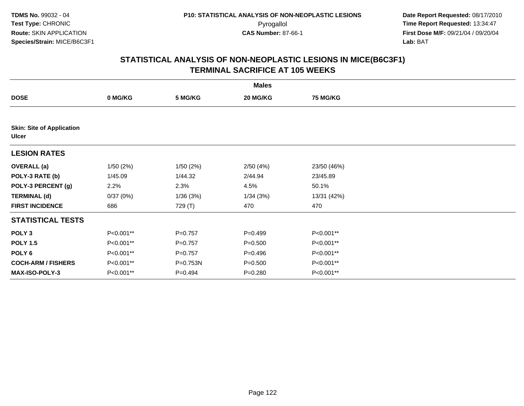|                                                  |           |           | <b>Males</b> |                 |  |
|--------------------------------------------------|-----------|-----------|--------------|-----------------|--|
| <b>DOSE</b>                                      | 0 MG/KG   | 5 MG/KG   | 20 MG/KG     | <b>75 MG/KG</b> |  |
|                                                  |           |           |              |                 |  |
| <b>Skin: Site of Application</b><br><b>Ulcer</b> |           |           |              |                 |  |
| <b>LESION RATES</b>                              |           |           |              |                 |  |
| <b>OVERALL (a)</b>                               | 1/50(2%)  | 1/50(2%)  | 2/50(4%)     | 23/50 (46%)     |  |
| POLY-3 RATE (b)                                  | 1/45.09   | 1/44.32   | 2/44.94      | 23/45.89        |  |
| POLY-3 PERCENT (g)                               | 2.2%      | 2.3%      | 4.5%         | 50.1%           |  |
| <b>TERMINAL (d)</b>                              | 0/37(0%)  | 1/36(3%)  | 1/34(3%)     | 13/31 (42%)     |  |
| <b>FIRST INCIDENCE</b>                           | 686       | 729 (T)   | 470          | 470             |  |
| <b>STATISTICAL TESTS</b>                         |           |           |              |                 |  |
| POLY <sub>3</sub>                                | P<0.001** | $P=0.757$ | $P = 0.499$  | P<0.001**       |  |
| <b>POLY 1.5</b>                                  | P<0.001** | $P=0.757$ | $P = 0.500$  | P<0.001**       |  |
| POLY 6                                           | P<0.001** | $P=0.757$ | $P = 0.496$  | P<0.001**       |  |
| <b>COCH-ARM / FISHERS</b>                        | P<0.001** | P=0.753N  | $P = 0.500$  | P<0.001**       |  |
| MAX-ISO-POLY-3                                   | P<0.001** | $P=0.494$ | $P = 0.280$  | P<0.001**       |  |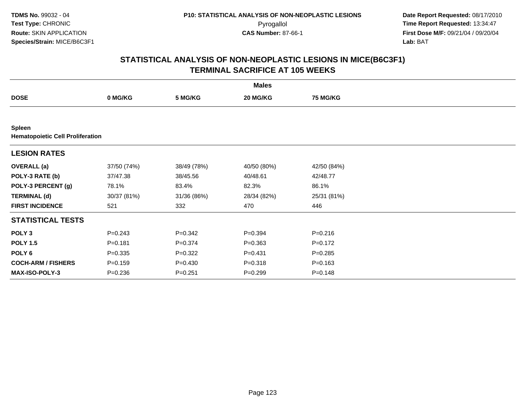| <b>Males</b>                                             |             |             |             |                 |  |  |  |
|----------------------------------------------------------|-------------|-------------|-------------|-----------------|--|--|--|
| <b>DOSE</b>                                              | 0 MG/KG     | 5 MG/KG     | 20 MG/KG    | <b>75 MG/KG</b> |  |  |  |
|                                                          |             |             |             |                 |  |  |  |
| <b>Spleen</b><br><b>Hematopoietic Cell Proliferation</b> |             |             |             |                 |  |  |  |
| <b>LESION RATES</b>                                      |             |             |             |                 |  |  |  |
| <b>OVERALL</b> (a)                                       | 37/50 (74%) | 38/49 (78%) | 40/50 (80%) | 42/50 (84%)     |  |  |  |
| POLY-3 RATE (b)                                          | 37/47.38    | 38/45.56    | 40/48.61    | 42/48.77        |  |  |  |
| POLY-3 PERCENT (g)                                       | 78.1%       | 83.4%       | 82.3%       | 86.1%           |  |  |  |
| <b>TERMINAL (d)</b>                                      | 30/37 (81%) | 31/36 (86%) | 28/34 (82%) | 25/31 (81%)     |  |  |  |
| <b>FIRST INCIDENCE</b>                                   | 521         | 332         | 470         | 446             |  |  |  |
| <b>STATISTICAL TESTS</b>                                 |             |             |             |                 |  |  |  |
| POLY <sub>3</sub>                                        | $P = 0.243$ | $P = 0.342$ | $P = 0.394$ | $P = 0.216$     |  |  |  |
| <b>POLY 1.5</b>                                          | $P = 0.181$ | $P = 0.374$ | $P = 0.363$ | $P = 0.172$     |  |  |  |
| POLY 6                                                   | $P = 0.335$ | $P=0.322$   | $P = 0.431$ | $P = 0.285$     |  |  |  |
| <b>COCH-ARM / FISHERS</b>                                | $P = 0.159$ | $P = 0.430$ | $P = 0.318$ | $P = 0.163$     |  |  |  |
| <b>MAX-ISO-POLY-3</b>                                    | $P = 0.236$ | $P = 0.251$ | $P = 0.299$ | $P = 0.148$     |  |  |  |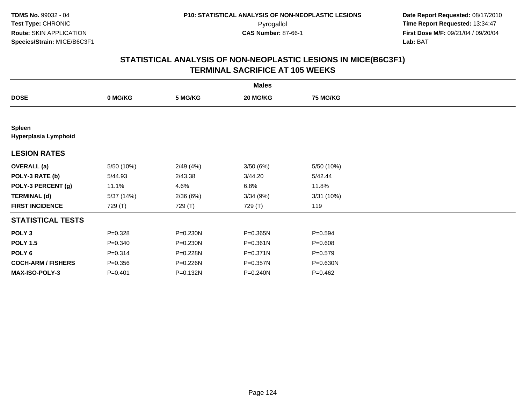|                                       |             |          | <b>Males</b> |                 |  |
|---------------------------------------|-------------|----------|--------------|-----------------|--|
| <b>DOSE</b>                           | 0 MG/KG     | 5 MG/KG  | 20 MG/KG     | <b>75 MG/KG</b> |  |
|                                       |             |          |              |                 |  |
| <b>Spleen</b><br>Hyperplasia Lymphoid |             |          |              |                 |  |
| <b>LESION RATES</b>                   |             |          |              |                 |  |
| <b>OVERALL</b> (a)                    | 5/50 (10%)  | 2/49(4%) | 3/50(6%)     | 5/50 (10%)      |  |
| POLY-3 RATE (b)                       | 5/44.93     | 2/43.38  | 3/44.20      | 5/42.44         |  |
| POLY-3 PERCENT (g)                    | 11.1%       | 4.6%     | 6.8%         | 11.8%           |  |
| <b>TERMINAL (d)</b>                   | 5/37 (14%)  | 2/36(6%) | 3/34(9%)     | 3/31(10%)       |  |
| <b>FIRST INCIDENCE</b>                | 729 (T)     | 729 (T)  | 729 (T)      | 119             |  |
| <b>STATISTICAL TESTS</b>              |             |          |              |                 |  |
| POLY <sub>3</sub>                     | $P = 0.328$ | P=0.230N | P=0.365N     | $P = 0.594$     |  |
| <b>POLY 1.5</b>                       | $P = 0.340$ | P=0.230N | $P = 0.361N$ | $P = 0.608$     |  |
| POLY <sub>6</sub>                     | $P = 0.314$ | P=0.228N | P=0.371N     | $P = 0.579$     |  |
| <b>COCH-ARM / FISHERS</b>             | $P = 0.356$ | P=0.226N | P=0.357N     | P=0.630N        |  |
| <b>MAX-ISO-POLY-3</b>                 | $P=0.401$   | P=0.132N | P=0.240N     | $P = 0.462$     |  |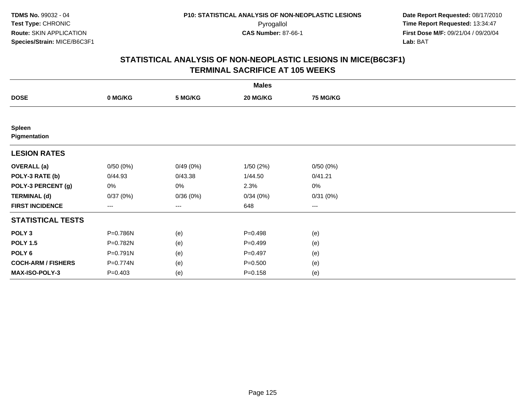|                               |             |          | <b>Males</b> |                 |  |
|-------------------------------|-------------|----------|--------------|-----------------|--|
| <b>DOSE</b>                   | 0 MG/KG     | 5 MG/KG  | 20 MG/KG     | <b>75 MG/KG</b> |  |
|                               |             |          |              |                 |  |
| <b>Spleen</b><br>Pigmentation |             |          |              |                 |  |
| <b>LESION RATES</b>           |             |          |              |                 |  |
| <b>OVERALL</b> (a)            | 0/50(0%)    | 0/49(0%) | 1/50(2%)     | 0/50(0%)        |  |
| POLY-3 RATE (b)               | 0/44.93     | 0/43.38  | 1/44.50      | 0/41.21         |  |
| POLY-3 PERCENT (g)            | 0%          | 0%       | 2.3%         | 0%              |  |
| <b>TERMINAL (d)</b>           | 0/37(0%)    | 0/36(0%) | 0/34(0%)     | 0/31(0%)        |  |
| <b>FIRST INCIDENCE</b>        | $---$       | $---$    | 648          | $--$            |  |
| <b>STATISTICAL TESTS</b>      |             |          |              |                 |  |
| POLY <sub>3</sub>             | P=0.786N    | (e)      | $P=0.498$    | (e)             |  |
| <b>POLY 1.5</b>               | P=0.782N    | (e)      | $P=0.499$    | (e)             |  |
| POLY <sub>6</sub>             | P=0.791N    | (e)      | $P=0.497$    | (e)             |  |
| <b>COCH-ARM / FISHERS</b>     | P=0.774N    | (e)      | $P = 0.500$  | (e)             |  |
| <b>MAX-ISO-POLY-3</b>         | $P = 0.403$ | (e)      | $P = 0.158$  | (e)             |  |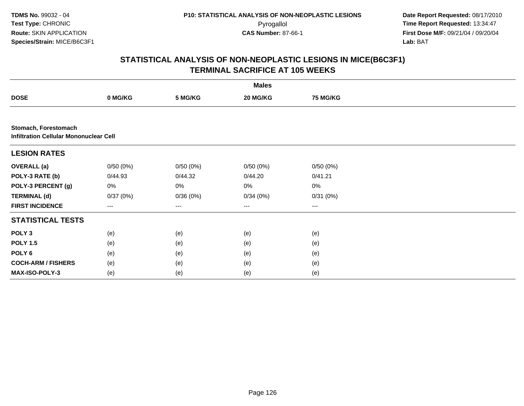**TDMS No.** 99032 - 04**Test Type:** CHRONIC**Route:** SKIN APPLICATION**Species/Strain:** MICE/B6C3F1

 **Date Report Requested:** 08/17/2010 Pyrogallol **Time Report Requested:** 13:34:47 **First Dose M/F:** 09/21/04 / 09/20/04<br>Lab: BAT **Lab:** BAT

|                                                                       |          |                   | <b>Males</b>      |                 |  |
|-----------------------------------------------------------------------|----------|-------------------|-------------------|-----------------|--|
| <b>DOSE</b>                                                           | 0 MG/KG  | 5 MG/KG           | 20 MG/KG          | <b>75 MG/KG</b> |  |
|                                                                       |          |                   |                   |                 |  |
| Stomach, Forestomach<br><b>Infiltration Cellular Mononuclear Cell</b> |          |                   |                   |                 |  |
| <b>LESION RATES</b>                                                   |          |                   |                   |                 |  |
| <b>OVERALL (a)</b>                                                    | 0/50(0%) | 0/50(0%)          | 0/50(0%)          | 0/50(0%)        |  |
| POLY-3 RATE (b)                                                       | 0/44.93  | 0/44.32           | 0/44.20           | 0/41.21         |  |
| POLY-3 PERCENT (g)                                                    | 0%       | 0%                | 0%                | 0%              |  |
| <b>TERMINAL (d)</b>                                                   | 0/37(0%) | 0/36(0%)          | 0/34(0%)          | 0/31(0%)        |  |
| <b>FIRST INCIDENCE</b>                                                | ---      | $\qquad \qquad -$ | $\qquad \qquad -$ | ---             |  |
| <b>STATISTICAL TESTS</b>                                              |          |                   |                   |                 |  |
| POLY <sub>3</sub>                                                     | (e)      | (e)               | (e)               | (e)             |  |
| <b>POLY 1.5</b>                                                       | (e)      | (e)               | (e)               | (e)             |  |
| POLY 6                                                                | (e)      | (e)               | (e)               | (e)             |  |
| <b>COCH-ARM / FISHERS</b>                                             | (e)      | (e)               | (e)               | (e)             |  |
| <b>MAX-ISO-POLY-3</b>                                                 | (e)      | (e)               | (e)               | (e)             |  |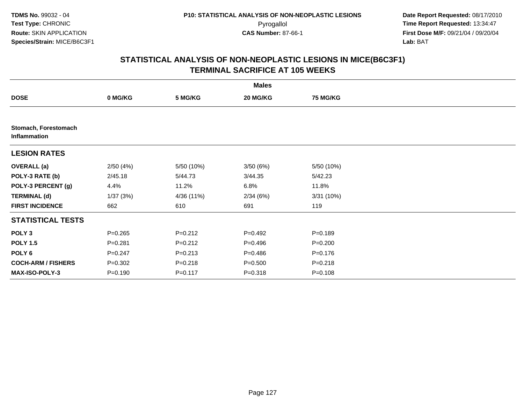|                                      |             |             | <b>Males</b> |                 |  |
|--------------------------------------|-------------|-------------|--------------|-----------------|--|
| <b>DOSE</b>                          | 0 MG/KG     | 5 MG/KG     | 20 MG/KG     | <b>75 MG/KG</b> |  |
|                                      |             |             |              |                 |  |
| Stomach, Forestomach<br>Inflammation |             |             |              |                 |  |
| <b>LESION RATES</b>                  |             |             |              |                 |  |
| <b>OVERALL (a)</b>                   | 2/50(4%)    | 5/50 (10%)  | 3/50(6%)     | 5/50 (10%)      |  |
| POLY-3 RATE (b)                      | 2/45.18     | 5/44.73     | 3/44.35      | 5/42.23         |  |
| POLY-3 PERCENT (g)                   | 4.4%        | 11.2%       | 6.8%         | 11.8%           |  |
| <b>TERMINAL (d)</b>                  | 1/37(3%)    | 4/36 (11%)  | 2/34(6%)     | 3/31(10%)       |  |
| <b>FIRST INCIDENCE</b>               | 662         | 610         | 691          | 119             |  |
| <b>STATISTICAL TESTS</b>             |             |             |              |                 |  |
| POLY <sub>3</sub>                    | $P = 0.265$ | $P = 0.212$ | $P=0.492$    | $P = 0.189$     |  |
| <b>POLY 1.5</b>                      | $P = 0.281$ | $P=0.212$   | $P = 0.496$  | $P = 0.200$     |  |
| POLY 6                               | $P = 0.247$ | $P = 0.213$ | $P = 0.486$  | $P = 0.176$     |  |
| <b>COCH-ARM / FISHERS</b>            | $P = 0.302$ | $P = 0.218$ | $P = 0.500$  | $P = 0.218$     |  |
| MAX-ISO-POLY-3                       | $P = 0.190$ | $P = 0.117$ | $P = 0.318$  | $P = 0.108$     |  |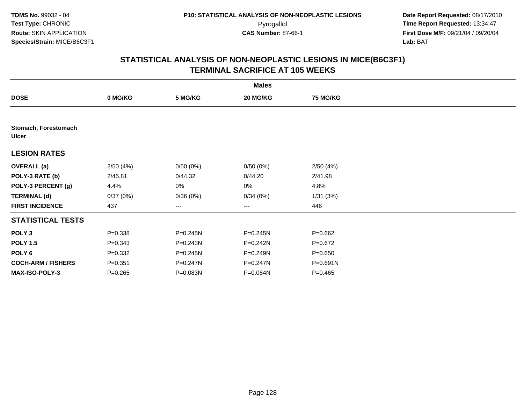|                                      |             |              | <b>Males</b> |                 |  |
|--------------------------------------|-------------|--------------|--------------|-----------------|--|
| <b>DOSE</b>                          | 0 MG/KG     | 5 MG/KG      | 20 MG/KG     | <b>75 MG/KG</b> |  |
|                                      |             |              |              |                 |  |
| Stomach, Forestomach<br><b>Ulcer</b> |             |              |              |                 |  |
| <b>LESION RATES</b>                  |             |              |              |                 |  |
| <b>OVERALL</b> (a)                   | 2/50(4%)    | 0/50(0%)     | 0/50(0%)     | 2/50(4%)        |  |
| POLY-3 RATE (b)                      | 2/45.81     | 0/44.32      | 0/44.20      | 2/41.98         |  |
| POLY-3 PERCENT (g)                   | 4.4%        | 0%           | 0%           | 4.8%            |  |
| <b>TERMINAL (d)</b>                  | 0/37(0%)    | 0/36(0%)     | 0/34(0%)     | 1/31(3%)        |  |
| <b>FIRST INCIDENCE</b>               | 437         | ---          | ---          | 446             |  |
| <b>STATISTICAL TESTS</b>             |             |              |              |                 |  |
| POLY <sub>3</sub>                    | $P = 0.338$ | $P = 0.245N$ | $P = 0.245N$ | $P=0.662$       |  |
| <b>POLY 1.5</b>                      | $P = 0.343$ | $P = 0.243N$ | $P = 0.242N$ | $P=0.672$       |  |
| POLY 6                               | $P = 0.332$ | $P = 0.245N$ | $P = 0.249N$ | $P = 0.650$     |  |
| <b>COCH-ARM / FISHERS</b>            | $P = 0.351$ | P=0.247N     | P=0.247N     | P=0.691N        |  |
| MAX-ISO-POLY-3                       | $P = 0.265$ | P=0.083N     | P=0.084N     | $P = 0.465$     |  |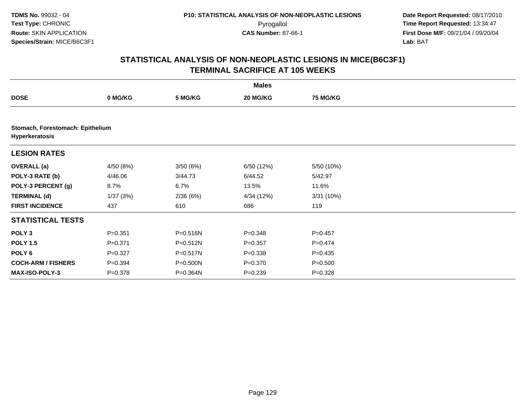|                           |                                  |              | <b>Males</b> |                 |  |  |  |  |  |
|---------------------------|----------------------------------|--------------|--------------|-----------------|--|--|--|--|--|
| <b>DOSE</b>               | 0 MG/KG                          | 5 MG/KG      | 20 MG/KG     | <b>75 MG/KG</b> |  |  |  |  |  |
|                           |                                  |              |              |                 |  |  |  |  |  |
| Hyperkeratosis            | Stomach, Forestomach: Epithelium |              |              |                 |  |  |  |  |  |
| <b>LESION RATES</b>       |                                  |              |              |                 |  |  |  |  |  |
| <b>OVERALL</b> (a)        | 4/50 (8%)                        | 3/50(6%)     | 6/50 (12%)   | 5/50 (10%)      |  |  |  |  |  |
| POLY-3 RATE (b)           | 4/46.06                          | 3/44.73      | 6/44.52      | 5/42.97         |  |  |  |  |  |
| POLY-3 PERCENT (g)        | 8.7%                             | 6.7%         | 13.5%        | 11.6%           |  |  |  |  |  |
| <b>TERMINAL (d)</b>       | 1/37(3%)                         | 2/36(6%)     | 4/34 (12%)   | 3/31(10%)       |  |  |  |  |  |
| <b>FIRST INCIDENCE</b>    | 437                              | 610          | 686          | 119             |  |  |  |  |  |
| <b>STATISTICAL TESTS</b>  |                                  |              |              |                 |  |  |  |  |  |
| POLY <sub>3</sub>         | $P = 0.351$                      | $P = 0.516N$ | $P = 0.348$  | $P=0.457$       |  |  |  |  |  |
| <b>POLY 1.5</b>           | $P = 0.371$                      | P=0.512N     | $P = 0.357$  | $P=0.474$       |  |  |  |  |  |
| POLY <sub>6</sub>         | $P=0.327$                        | P=0.517N     | $P = 0.338$  | $P = 0.435$     |  |  |  |  |  |
| <b>COCH-ARM / FISHERS</b> | $P = 0.394$                      | P=0.500N     | $P = 0.370$  | $P = 0.500$     |  |  |  |  |  |
| MAX-ISO-POLY-3            | $P = 0.378$                      | P=0.364N     | $P = 0.239$  | $P=0.328$       |  |  |  |  |  |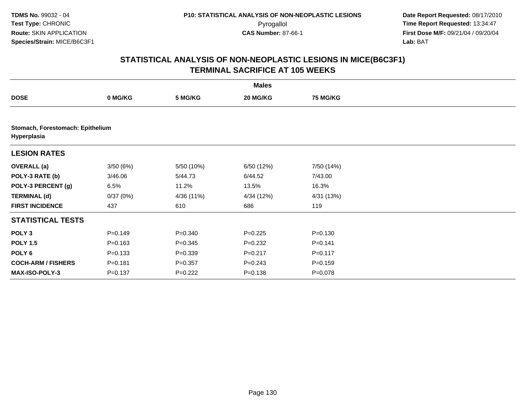|                           |                                  |             | <b>Males</b> |                 |  |  |  |  |  |
|---------------------------|----------------------------------|-------------|--------------|-----------------|--|--|--|--|--|
| <b>DOSE</b>               | 0 MG/KG                          | 5 MG/KG     | 20 MG/KG     | <b>75 MG/KG</b> |  |  |  |  |  |
|                           |                                  |             |              |                 |  |  |  |  |  |
| Hyperplasia               | Stomach, Forestomach: Epithelium |             |              |                 |  |  |  |  |  |
| <b>LESION RATES</b>       |                                  |             |              |                 |  |  |  |  |  |
| <b>OVERALL</b> (a)        | 3/50(6%)                         | 5/50 (10%)  | 6/50 (12%)   | 7/50 (14%)      |  |  |  |  |  |
| POLY-3 RATE (b)           | 3/46.06                          | 5/44.73     | 6/44.52      | 7/43.00         |  |  |  |  |  |
| POLY-3 PERCENT (g)        | 6.5%                             | 11.2%       | 13.5%        | 16.3%           |  |  |  |  |  |
| <b>TERMINAL (d)</b>       | 0/37(0%)                         | 4/36 (11%)  | 4/34 (12%)   | 4/31 (13%)      |  |  |  |  |  |
| <b>FIRST INCIDENCE</b>    | 437                              | 610         | 686          | 119             |  |  |  |  |  |
| <b>STATISTICAL TESTS</b>  |                                  |             |              |                 |  |  |  |  |  |
| POLY <sub>3</sub>         | $P=0.149$                        | $P = 0.340$ | $P=0.225$    | $P = 0.130$     |  |  |  |  |  |
| <b>POLY 1.5</b>           | $P = 0.163$                      | $P = 0.345$ | $P = 0.232$  | $P=0.141$       |  |  |  |  |  |
| POLY <sub>6</sub>         | $P = 0.133$                      | $P = 0.339$ | $P = 0.217$  | $P = 0.117$     |  |  |  |  |  |
| <b>COCH-ARM / FISHERS</b> | $P = 0.181$                      | $P = 0.357$ | $P = 0.243$  | $P = 0.159$     |  |  |  |  |  |
| MAX-ISO-POLY-3            | $P = 0.137$                      | $P=0.222$   | $P = 0.138$  | $P=0.078$       |  |  |  |  |  |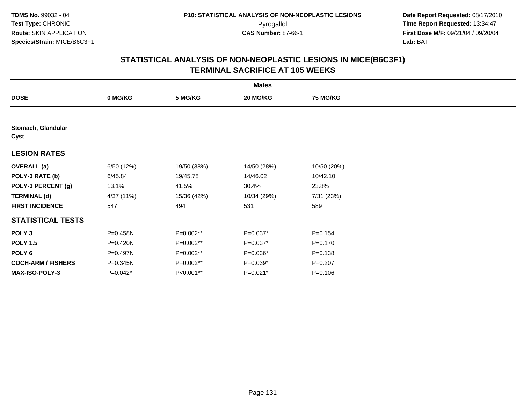| <b>Males</b>               |            |             |             |                 |  |  |  |
|----------------------------|------------|-------------|-------------|-----------------|--|--|--|
| <b>DOSE</b>                | 0 MG/KG    | 5 MG/KG     | 20 MG/KG    | <b>75 MG/KG</b> |  |  |  |
|                            |            |             |             |                 |  |  |  |
| Stomach, Glandular<br>Cyst |            |             |             |                 |  |  |  |
| <b>LESION RATES</b>        |            |             |             |                 |  |  |  |
| <b>OVERALL</b> (a)         | 6/50(12%)  | 19/50 (38%) | 14/50 (28%) | 10/50 (20%)     |  |  |  |
| POLY-3 RATE (b)            | 6/45.84    | 19/45.78    | 14/46.02    | 10/42.10        |  |  |  |
| POLY-3 PERCENT (g)         | 13.1%      | 41.5%       | 30.4%       | 23.8%           |  |  |  |
| <b>TERMINAL (d)</b>        | 4/37 (11%) | 15/36 (42%) | 10/34 (29%) | 7/31 (23%)      |  |  |  |
| <b>FIRST INCIDENCE</b>     | 547        | 494         | 531         | 589             |  |  |  |
| <b>STATISTICAL TESTS</b>   |            |             |             |                 |  |  |  |
| POLY <sub>3</sub>          | P=0.458N   | $P=0.002**$ | $P=0.037*$  | $P = 0.154$     |  |  |  |
| <b>POLY 1.5</b>            | P=0.420N   | $P=0.002**$ | $P=0.037*$  | $P = 0.170$     |  |  |  |
| POLY 6                     | P=0.497N   | P=0.002**   | P=0.036*    | $P = 0.138$     |  |  |  |
| <b>COCH-ARM / FISHERS</b>  | P=0.345N   | P=0.002**   | $P=0.039*$  | $P = 0.207$     |  |  |  |
| MAX-ISO-POLY-3             | P=0.042*   | P<0.001**   | P=0.021*    | $P = 0.106$     |  |  |  |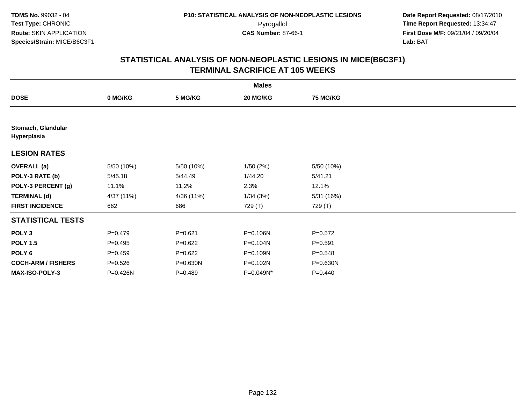| <b>Males</b>                      |             |             |           |                 |  |  |  |
|-----------------------------------|-------------|-------------|-----------|-----------------|--|--|--|
| <b>DOSE</b>                       | 0 MG/KG     | 5 MG/KG     | 20 MG/KG  | <b>75 MG/KG</b> |  |  |  |
|                                   |             |             |           |                 |  |  |  |
| Stomach, Glandular<br>Hyperplasia |             |             |           |                 |  |  |  |
| <b>LESION RATES</b>               |             |             |           |                 |  |  |  |
| <b>OVERALL</b> (a)                | 5/50 (10%)  | 5/50 (10%)  | 1/50(2%)  | 5/50 (10%)      |  |  |  |
| POLY-3 RATE (b)                   | 5/45.18     | 5/44.49     | 1/44.20   | 5/41.21         |  |  |  |
| POLY-3 PERCENT (g)                | 11.1%       | 11.2%       | 2.3%      | 12.1%           |  |  |  |
| <b>TERMINAL (d)</b>               | 4/37 (11%)  | 4/36 (11%)  | 1/34(3%)  | 5/31 (16%)      |  |  |  |
| <b>FIRST INCIDENCE</b>            | 662         | 686         | 729 (T)   | 729 (T)         |  |  |  |
| <b>STATISTICAL TESTS</b>          |             |             |           |                 |  |  |  |
| POLY <sub>3</sub>                 | $P=0.479$   | $P = 0.621$ | P=0.106N  | $P=0.572$       |  |  |  |
| <b>POLY 1.5</b>                   | $P=0.495$   | $P=0.622$   | P=0.104N  | $P = 0.591$     |  |  |  |
| POLY <sub>6</sub>                 | $P=0.459$   | $P=0.622$   | P=0.109N  | $P = 0.548$     |  |  |  |
| <b>COCH-ARM / FISHERS</b>         | $P = 0.526$ | P=0.630N    | P=0.102N  | P=0.630N        |  |  |  |
| MAX-ISO-POLY-3                    | P=0.426N    | $P=0.489$   | P=0.049N* | $P = 0.440$     |  |  |  |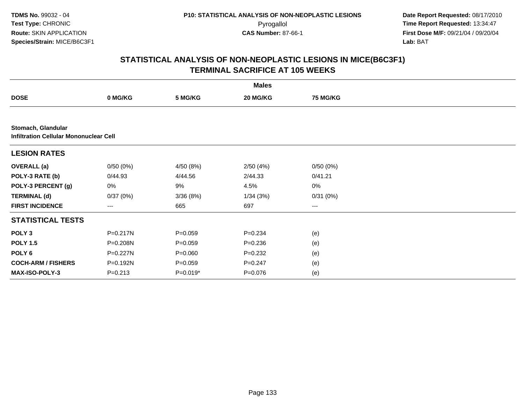**TDMS No.** 99032 - 04**Test Type:** CHRONIC**Route:** SKIN APPLICATION**Species/Strain:** MICE/B6C3F1

 **Date Report Requested:** 08/17/2010 Pyrogallol **Time Report Requested:** 13:34:47 **First Dose M/F:** 09/21/04 / 09/20/04<br>Lab: BAT **Lab:** BAT

|                                                                     |             |             | <b>Males</b> |                 |  |  |  |  |  |
|---------------------------------------------------------------------|-------------|-------------|--------------|-----------------|--|--|--|--|--|
| <b>DOSE</b>                                                         | 0 MG/KG     | 5 MG/KG     | 20 MG/KG     | <b>75 MG/KG</b> |  |  |  |  |  |
|                                                                     |             |             |              |                 |  |  |  |  |  |
| Stomach, Glandular<br><b>Infiltration Cellular Mononuclear Cell</b> |             |             |              |                 |  |  |  |  |  |
| <b>LESION RATES</b>                                                 |             |             |              |                 |  |  |  |  |  |
| <b>OVERALL</b> (a)                                                  | 0/50(0%)    | 4/50 (8%)   | 2/50(4%)     | 0/50(0%)        |  |  |  |  |  |
| POLY-3 RATE (b)                                                     | 0/44.93     | 4/44.56     | 2/44.33      | 0/41.21         |  |  |  |  |  |
| POLY-3 PERCENT (g)                                                  | 0%          | 9%          | 4.5%         | $0\%$           |  |  |  |  |  |
| <b>TERMINAL (d)</b>                                                 | 0/37(0%)    | 3/36(8%)    | 1/34(3%)     | 0/31(0%)        |  |  |  |  |  |
| <b>FIRST INCIDENCE</b>                                              | $---$       | 665         | 697          | ---             |  |  |  |  |  |
| <b>STATISTICAL TESTS</b>                                            |             |             |              |                 |  |  |  |  |  |
| POLY <sub>3</sub>                                                   | P=0.217N    | $P = 0.059$ | $P = 0.234$  | (e)             |  |  |  |  |  |
| <b>POLY 1.5</b>                                                     | P=0.208N    | $P = 0.059$ | $P = 0.236$  | (e)             |  |  |  |  |  |
| POLY <sub>6</sub>                                                   | P=0.227N    | $P = 0.060$ | $P = 0.232$  | (e)             |  |  |  |  |  |
| <b>COCH-ARM / FISHERS</b>                                           | P=0.192N    | $P = 0.059$ | $P = 0.247$  | (e)             |  |  |  |  |  |
| <b>MAX-ISO-POLY-3</b>                                               | $P = 0.213$ | $P=0.019*$  | $P = 0.076$  | (e)             |  |  |  |  |  |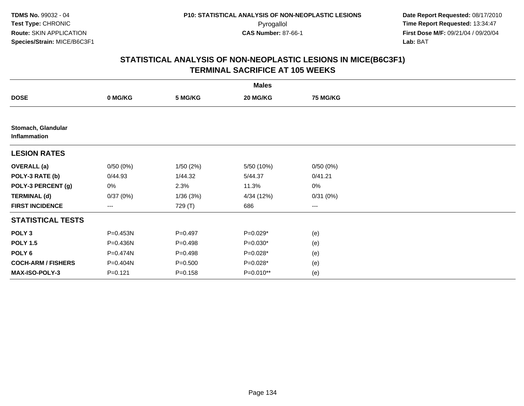|                                    |           |             | <b>Males</b> |                        |  |
|------------------------------------|-----------|-------------|--------------|------------------------|--|
| <b>DOSE</b>                        | 0 MG/KG   | 5 MG/KG     | 20 MG/KG     | <b>75 MG/KG</b>        |  |
|                                    |           |             |              |                        |  |
| Stomach, Glandular<br>Inflammation |           |             |              |                        |  |
| <b>LESION RATES</b>                |           |             |              |                        |  |
| <b>OVERALL</b> (a)                 | 0/50(0%)  | 1/50(2%)    | 5/50 (10%)   | 0/50(0%)               |  |
| POLY-3 RATE (b)                    | 0/44.93   | 1/44.32     | 5/44.37      | 0/41.21                |  |
| POLY-3 PERCENT (g)                 | 0%        | 2.3%        | 11.3%        | $0\%$                  |  |
| <b>TERMINAL (d)</b>                | 0/37(0%)  | 1/36(3%)    | 4/34 (12%)   | 0/31(0%)               |  |
| <b>FIRST INCIDENCE</b>             | ---       | 729 (T)     | 686          | $\qquad \qquad \cdots$ |  |
| <b>STATISTICAL TESTS</b>           |           |             |              |                        |  |
| POLY <sub>3</sub>                  | P=0.453N  | $P=0.497$   | $P=0.029*$   | (e)                    |  |
| <b>POLY 1.5</b>                    | P=0.436N  | $P = 0.498$ | $P=0.030*$   | (e)                    |  |
| POLY <sub>6</sub>                  | P=0.474N  | $P = 0.498$ | P=0.028*     | (e)                    |  |
| <b>COCH-ARM / FISHERS</b>          | P=0.404N  | $P = 0.500$ | $P=0.028*$   | (e)                    |  |
| MAX-ISO-POLY-3                     | $P=0.121$ | $P = 0.158$ | P=0.010**    | (e)                    |  |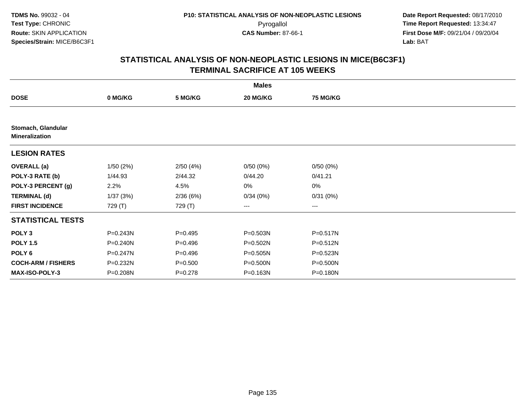|                                             |          |             | <b>Males</b>           |                        |  |
|---------------------------------------------|----------|-------------|------------------------|------------------------|--|
| <b>DOSE</b>                                 | 0 MG/KG  | 5 MG/KG     | 20 MG/KG               | <b>75 MG/KG</b>        |  |
|                                             |          |             |                        |                        |  |
| Stomach, Glandular<br><b>Mineralization</b> |          |             |                        |                        |  |
| <b>LESION RATES</b>                         |          |             |                        |                        |  |
| <b>OVERALL</b> (a)                          | 1/50(2%) | 2/50(4%)    | 0/50(0%)               | 0/50(0%)               |  |
| POLY-3 RATE (b)                             | 1/44.93  | 2/44.32     | 0/44.20                | 0/41.21                |  |
| POLY-3 PERCENT (g)                          | 2.2%     | 4.5%        | 0%                     | $0\%$                  |  |
| <b>TERMINAL (d)</b>                         | 1/37(3%) | 2/36(6%)    | 0/34(0%)               | 0/31(0%)               |  |
| <b>FIRST INCIDENCE</b>                      | 729 (T)  | 729 (T)     | $\qquad \qquad \cdots$ | $\qquad \qquad \cdots$ |  |
| <b>STATISTICAL TESTS</b>                    |          |             |                        |                        |  |
| POLY <sub>3</sub>                           | P=0.243N | $P = 0.495$ | P=0.503N               | P=0.517N               |  |
| <b>POLY 1.5</b>                             | P=0.240N | $P = 0.496$ | P=0.502N               | P=0.512N               |  |
| POLY <sub>6</sub>                           | P=0.247N | $P = 0.496$ | P=0.505N               | P=0.523N               |  |
| <b>COCH-ARM / FISHERS</b>                   | P=0.232N | $P = 0.500$ | P=0.500N               | P=0.500N               |  |
| <b>MAX-ISO-POLY-3</b>                       | P=0.208N | $P = 0.278$ | P=0.163N               | P=0.180N               |  |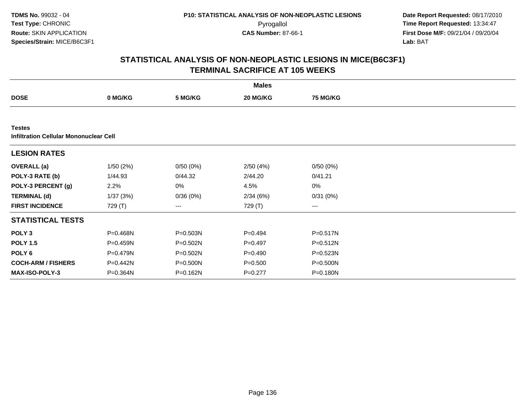|                                                         |              |              | <b>Males</b> |                 |  |  |  |  |  |
|---------------------------------------------------------|--------------|--------------|--------------|-----------------|--|--|--|--|--|
| <b>DOSE</b>                                             | 0 MG/KG      | 5 MG/KG      | 20 MG/KG     | <b>75 MG/KG</b> |  |  |  |  |  |
|                                                         |              |              |              |                 |  |  |  |  |  |
| <b>Testes</b><br>Infiltration Cellular Mononuclear Cell |              |              |              |                 |  |  |  |  |  |
| <b>LESION RATES</b>                                     |              |              |              |                 |  |  |  |  |  |
| <b>OVERALL</b> (a)                                      | 1/50(2%)     | 0/50(0%)     | 2/50(4%)     | 0/50(0%)        |  |  |  |  |  |
| POLY-3 RATE (b)                                         | 1/44.93      | 0/44.32      | 2/44.20      | 0/41.21         |  |  |  |  |  |
| POLY-3 PERCENT (g)                                      | 2.2%         | 0%           | 4.5%         | 0%              |  |  |  |  |  |
| <b>TERMINAL (d)</b>                                     | 1/37(3%)     | 0/36(0%)     | 2/34(6%)     | 0/31(0%)        |  |  |  |  |  |
| <b>FIRST INCIDENCE</b>                                  | 729 (T)      | ---          | 729 (T)      | $--$            |  |  |  |  |  |
| <b>STATISTICAL TESTS</b>                                |              |              |              |                 |  |  |  |  |  |
| POLY <sub>3</sub>                                       | P=0.468N     | P=0.503N     | $P=0.494$    | P=0.517N        |  |  |  |  |  |
| <b>POLY 1.5</b>                                         | P=0.459N     | $P = 0.502N$ | $P=0.497$    | $P = 0.512N$    |  |  |  |  |  |
| POLY <sub>6</sub>                                       | P=0.479N     | $P = 0.502N$ | $P=0.490$    | $P = 0.523N$    |  |  |  |  |  |
| <b>COCH-ARM / FISHERS</b>                               | P=0.442N     | P=0.500N     | $P = 0.500$  | P=0.500N        |  |  |  |  |  |
| <b>MAX-ISO-POLY-3</b>                                   | $P = 0.364N$ | P=0.162N     | $P=0.277$    | P=0.180N        |  |  |  |  |  |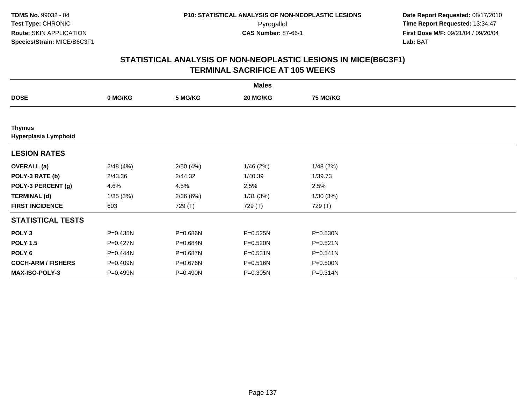|                                       |          |          | <b>Males</b> |                 |  |
|---------------------------------------|----------|----------|--------------|-----------------|--|
| <b>DOSE</b>                           | 0 MG/KG  | 5 MG/KG  | 20 MG/KG     | <b>75 MG/KG</b> |  |
|                                       |          |          |              |                 |  |
| <b>Thymus</b><br>Hyperplasia Lymphoid |          |          |              |                 |  |
| <b>LESION RATES</b>                   |          |          |              |                 |  |
| <b>OVERALL</b> (a)                    | 2/48(4%) | 2/50(4%) | 1/46(2%)     | 1/48(2%)        |  |
| POLY-3 RATE (b)                       | 2/43.36  | 2/44.32  | 1/40.39      | 1/39.73         |  |
| POLY-3 PERCENT (g)                    | 4.6%     | 4.5%     | 2.5%         | 2.5%            |  |
| <b>TERMINAL (d)</b>                   | 1/35(3%) | 2/36(6%) | 1/31 (3%)    | 1/30(3%)        |  |
| <b>FIRST INCIDENCE</b>                | 603      | 729 (T)  | 729 (T)      | 729 (T)         |  |
| <b>STATISTICAL TESTS</b>              |          |          |              |                 |  |
| POLY <sub>3</sub>                     | P=0.435N | P=0.686N | P=0.525N     | P=0.530N        |  |
| <b>POLY 1.5</b>                       | P=0.427N | P=0.684N | P=0.520N     | $P = 0.521N$    |  |
| POLY <sub>6</sub>                     | P=0.444N | P=0.687N | $P = 0.531N$ | P=0.541N        |  |
| <b>COCH-ARM / FISHERS</b>             | P=0.409N | P=0.676N | P=0.516N     | P=0.500N        |  |
| <b>MAX-ISO-POLY-3</b>                 | P=0.499N | P=0.490N | P=0.305N     | P=0.314N        |  |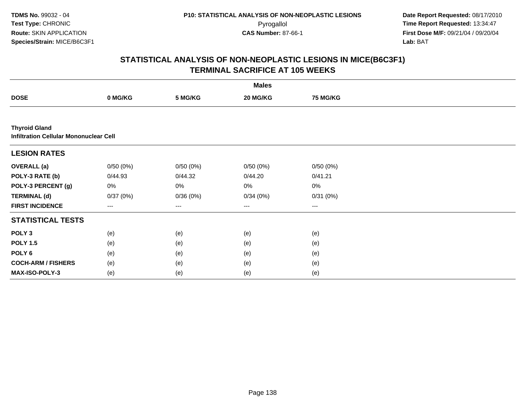**TDMS No.** 99032 - 04**Test Type:** CHRONIC**Route:** SKIN APPLICATION**Species/Strain:** MICE/B6C3F1

 **Date Report Requested:** 08/17/2010 Pyrogallol **Time Report Requested:** 13:34:47 **First Dose M/F:** 09/21/04 / 09/20/04<br>Lab: BAT **Lab:** BAT

|                           |                                               |          | <b>Males</b> |          |  |  |  |  |  |
|---------------------------|-----------------------------------------------|----------|--------------|----------|--|--|--|--|--|
| <b>DOSE</b>               | 0 MG/KG                                       | 5 MG/KG  | 20 MG/KG     | 75 MG/KG |  |  |  |  |  |
|                           |                                               |          |              |          |  |  |  |  |  |
| <b>Thyroid Gland</b>      | <b>Infiltration Cellular Mononuclear Cell</b> |          |              |          |  |  |  |  |  |
| <b>LESION RATES</b>       |                                               |          |              |          |  |  |  |  |  |
| <b>OVERALL (a)</b>        | 0/50(0%)                                      | 0/50(0%) | 0/50(0%)     | 0/50(0%) |  |  |  |  |  |
| POLY-3 RATE (b)           | 0/44.93                                       | 0/44.32  | 0/44.20      | 0/41.21  |  |  |  |  |  |
| POLY-3 PERCENT (g)        | 0%                                            | 0%       | 0%           | 0%       |  |  |  |  |  |
| <b>TERMINAL (d)</b>       | 0/37(0%)                                      | 0/36(0%) | 0/34(0%)     | 0/31(0%) |  |  |  |  |  |
| <b>FIRST INCIDENCE</b>    | ---                                           | $---$    | $---$        | ---      |  |  |  |  |  |
| <b>STATISTICAL TESTS</b>  |                                               |          |              |          |  |  |  |  |  |
| POLY <sub>3</sub>         | (e)                                           | (e)      | (e)          | (e)      |  |  |  |  |  |
| <b>POLY 1.5</b>           | (e)                                           | (e)      | (e)          | (e)      |  |  |  |  |  |
| POLY <sub>6</sub>         | (e)                                           | (e)      | (e)          | (e)      |  |  |  |  |  |
| <b>COCH-ARM / FISHERS</b> | (e)                                           | (e)      | (e)          | (e)      |  |  |  |  |  |
| MAX-ISO-POLY-3            | (e)                                           | (e)      | (e)          | (e)      |  |  |  |  |  |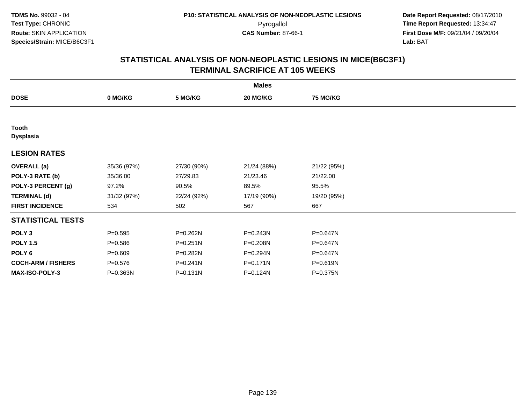| <b>Males</b>              |             |              |              |                 |  |  |  |
|---------------------------|-------------|--------------|--------------|-----------------|--|--|--|
| <b>DOSE</b>               | 0 MG/KG     | 5 MG/KG      | 20 MG/KG     | <b>75 MG/KG</b> |  |  |  |
|                           |             |              |              |                 |  |  |  |
| Tooth<br><b>Dysplasia</b> |             |              |              |                 |  |  |  |
| <b>LESION RATES</b>       |             |              |              |                 |  |  |  |
| <b>OVERALL</b> (a)        | 35/36 (97%) | 27/30 (90%)  | 21/24 (88%)  | 21/22 (95%)     |  |  |  |
| POLY-3 RATE (b)           | 35/36.00    | 27/29.83     | 21/23.46     | 21/22.00        |  |  |  |
| POLY-3 PERCENT (g)        | 97.2%       | 90.5%        | 89.5%        | 95.5%           |  |  |  |
| <b>TERMINAL (d)</b>       | 31/32 (97%) | 22/24 (92%)  | 17/19 (90%)  | 19/20 (95%)     |  |  |  |
| <b>FIRST INCIDENCE</b>    | 534         | 502          | 567          | 667             |  |  |  |
| <b>STATISTICAL TESTS</b>  |             |              |              |                 |  |  |  |
| POLY <sub>3</sub>         | $P=0.595$   | $P = 0.262N$ | $P = 0.243N$ | $P = 0.647N$    |  |  |  |
| <b>POLY 1.5</b>           | $P = 0.586$ | $P = 0.251N$ | P=0.208N     | $P = 0.647N$    |  |  |  |
| POLY 6                    | $P = 0.609$ | P=0.282N     | P=0.294N     | $P = 0.647N$    |  |  |  |
| <b>COCH-ARM / FISHERS</b> | $P = 0.576$ | $P = 0.241N$ | $P = 0.171N$ | P=0.619N        |  |  |  |
| MAX-ISO-POLY-3            | P=0.363N    | $P = 0.131N$ | P=0.124N     | P=0.375N        |  |  |  |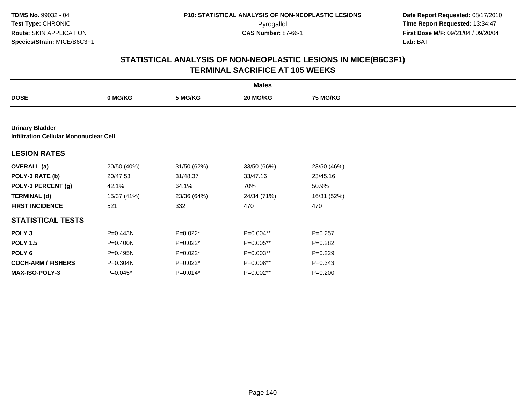|                                                                         |             |             | <b>Males</b> |                 |  |
|-------------------------------------------------------------------------|-------------|-------------|--------------|-----------------|--|
| <b>DOSE</b>                                                             | 0 MG/KG     | 5 MG/KG     | 20 MG/KG     | <b>75 MG/KG</b> |  |
|                                                                         |             |             |              |                 |  |
| <b>Urinary Bladder</b><br><b>Infiltration Cellular Mononuclear Cell</b> |             |             |              |                 |  |
| <b>LESION RATES</b>                                                     |             |             |              |                 |  |
| <b>OVERALL</b> (a)                                                      | 20/50 (40%) | 31/50 (62%) | 33/50 (66%)  | 23/50 (46%)     |  |
| POLY-3 RATE (b)                                                         | 20/47.53    | 31/48.37    | 33/47.16     | 23/45.16        |  |
| POLY-3 PERCENT (g)                                                      | 42.1%       | 64.1%       | 70%          | 50.9%           |  |
| <b>TERMINAL (d)</b>                                                     | 15/37 (41%) | 23/36 (64%) | 24/34 (71%)  | 16/31 (52%)     |  |
| <b>FIRST INCIDENCE</b>                                                  | 521         | 332         | 470          | 470             |  |
| <b>STATISTICAL TESTS</b>                                                |             |             |              |                 |  |
| POLY <sub>3</sub>                                                       | P=0.443N    | $P=0.022*$  | P=0.004**    | $P=0.257$       |  |
| <b>POLY 1.5</b>                                                         | P=0.400N    | $P=0.022*$  | P=0.005**    | $P=0.282$       |  |
| POLY 6                                                                  | P=0.495N    | $P=0.022*$  | P=0.003**    | $P=0.229$       |  |
| <b>COCH-ARM / FISHERS</b>                                               | P=0.304N    | $P=0.022*$  | P=0.008**    | $P = 0.343$     |  |
| MAX-ISO-POLY-3                                                          | $P=0.045*$  | $P=0.014*$  | P=0.002**    | $P = 0.200$     |  |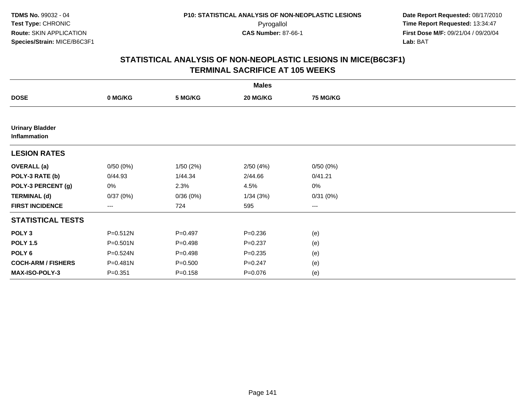|                                        |              |             | <b>Males</b> |                 |  |
|----------------------------------------|--------------|-------------|--------------|-----------------|--|
| <b>DOSE</b>                            | 0 MG/KG      | 5 MG/KG     | 20 MG/KG     | <b>75 MG/KG</b> |  |
|                                        |              |             |              |                 |  |
| <b>Urinary Bladder</b><br>Inflammation |              |             |              |                 |  |
| <b>LESION RATES</b>                    |              |             |              |                 |  |
| <b>OVERALL</b> (a)                     | 0/50(0%)     | 1/50(2%)    | 2/50(4%)     | 0/50(0%)        |  |
| POLY-3 RATE (b)                        | 0/44.93      | 1/44.34     | 2/44.66      | 0/41.21         |  |
| POLY-3 PERCENT (g)                     | 0%           | 2.3%        | 4.5%         | $0\%$           |  |
| <b>TERMINAL (d)</b>                    | 0/37(0%)     | 0/36(0%)    | 1/34(3%)     | 0/31(0%)        |  |
| <b>FIRST INCIDENCE</b>                 | ---          | 724         | 595          | $---$           |  |
| <b>STATISTICAL TESTS</b>               |              |             |              |                 |  |
| POLY <sub>3</sub>                      | P=0.512N     | $P=0.497$   | $P = 0.236$  | (e)             |  |
| <b>POLY 1.5</b>                        | $P = 0.501N$ | $P=0.498$   | $P = 0.237$  | (e)             |  |
| POLY <sub>6</sub>                      | P=0.524N     | $P=0.498$   | $P = 0.235$  | (e)             |  |
| <b>COCH-ARM / FISHERS</b>              | P=0.481N     | $P = 0.500$ | $P = 0.247$  | (e)             |  |
| MAX-ISO-POLY-3                         | $P = 0.351$  | $P = 0.158$ | $P = 0.076$  | (e)             |  |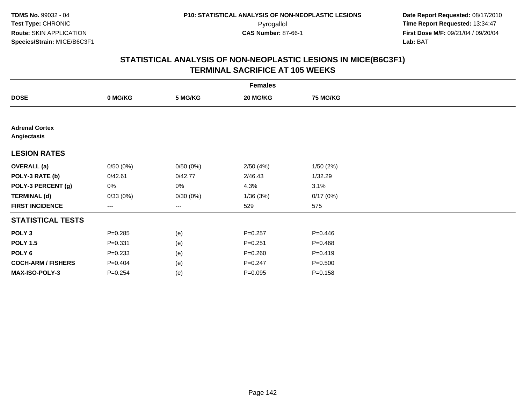| <b>Females</b>                       |                   |          |             |                 |  |  |
|--------------------------------------|-------------------|----------|-------------|-----------------|--|--|
| <b>DOSE</b>                          | 0 MG/KG           | 5 MG/KG  | 20 MG/KG    | <b>75 MG/KG</b> |  |  |
|                                      |                   |          |             |                 |  |  |
| <b>Adrenal Cortex</b><br>Angiectasis |                   |          |             |                 |  |  |
| <b>LESION RATES</b>                  |                   |          |             |                 |  |  |
| <b>OVERALL</b> (a)                   | 0/50(0%)          | 0/50(0%) | 2/50(4%)    | 1/50(2%)        |  |  |
| POLY-3 RATE (b)                      | 0/42.61           | 0/42.77  | 2/46.43     | 1/32.29         |  |  |
| POLY-3 PERCENT (g)                   | 0%                | 0%       | 4.3%        | 3.1%            |  |  |
| <b>TERMINAL (d)</b>                  | 0/33(0%)          | 0/30(0%) | 1/36(3%)    | 0/17(0%)        |  |  |
| <b>FIRST INCIDENCE</b>               | $\qquad \qquad -$ | $---$    | 529         | 575             |  |  |
| <b>STATISTICAL TESTS</b>             |                   |          |             |                 |  |  |
| POLY <sub>3</sub>                    | $P = 0.285$       | (e)      | $P = 0.257$ | $P = 0.446$     |  |  |
| <b>POLY 1.5</b>                      | $P = 0.331$       | (e)      | $P = 0.251$ | $P=0.468$       |  |  |
| POLY <sub>6</sub>                    | $P = 0.233$       | (e)      | $P = 0.260$ | $P = 0.419$     |  |  |
| <b>COCH-ARM / FISHERS</b>            | $P = 0.404$       | (e)      | $P = 0.247$ | $P = 0.500$     |  |  |
| <b>MAX-ISO-POLY-3</b>                | $P = 0.254$       | (e)      | $P = 0.095$ | $P = 0.158$     |  |  |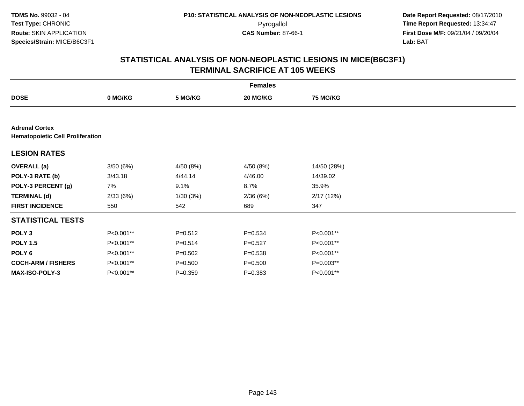| <b>Females</b>                                                   |           |             |             |                 |  |  |
|------------------------------------------------------------------|-----------|-------------|-------------|-----------------|--|--|
| <b>DOSE</b>                                                      | 0 MG/KG   | 5 MG/KG     | 20 MG/KG    | <b>75 MG/KG</b> |  |  |
|                                                                  |           |             |             |                 |  |  |
| <b>Adrenal Cortex</b><br><b>Hematopoietic Cell Proliferation</b> |           |             |             |                 |  |  |
| <b>LESION RATES</b>                                              |           |             |             |                 |  |  |
| <b>OVERALL</b> (a)                                               | 3/50(6%)  | 4/50 (8%)   | 4/50(8%)    | 14/50 (28%)     |  |  |
| POLY-3 RATE (b)                                                  | 3/43.18   | 4/44.14     | 4/46.00     | 14/39.02        |  |  |
| POLY-3 PERCENT (g)                                               | 7%        | 9.1%        | 8.7%        | 35.9%           |  |  |
| <b>TERMINAL (d)</b>                                              | 2/33(6%)  | 1/30(3%)    | 2/36(6%)    | 2/17(12%)       |  |  |
| <b>FIRST INCIDENCE</b>                                           | 550       | 542         | 689         | 347             |  |  |
| <b>STATISTICAL TESTS</b>                                         |           |             |             |                 |  |  |
| POLY <sub>3</sub>                                                | P<0.001** | $P = 0.512$ | $P = 0.534$ | P<0.001**       |  |  |
| <b>POLY 1.5</b>                                                  | P<0.001** | $P = 0.514$ | $P=0.527$   | P<0.001**       |  |  |
| POLY 6                                                           | P<0.001** | $P = 0.502$ | $P = 0.538$ | P<0.001**       |  |  |
| <b>COCH-ARM / FISHERS</b>                                        | P<0.001** | $P = 0.500$ | $P = 0.500$ | $P=0.003**$     |  |  |
| <b>MAX-ISO-POLY-3</b>                                            | P<0.001** | $P = 0.359$ | $P = 0.383$ | P<0.001**       |  |  |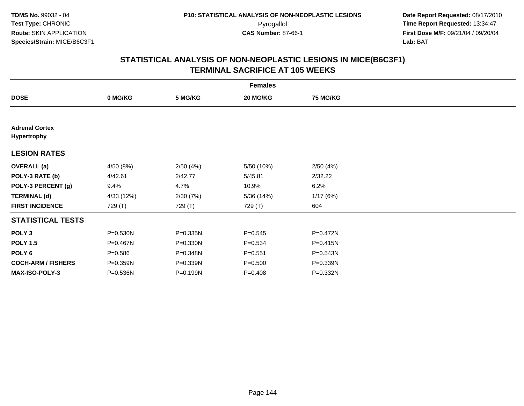| <b>Females</b>                       |              |              |             |                 |  |  |  |
|--------------------------------------|--------------|--------------|-------------|-----------------|--|--|--|
| <b>DOSE</b>                          | 0 MG/KG      | 5 MG/KG      | 20 MG/KG    | <b>75 MG/KG</b> |  |  |  |
|                                      |              |              |             |                 |  |  |  |
| <b>Adrenal Cortex</b><br>Hypertrophy |              |              |             |                 |  |  |  |
| <b>LESION RATES</b>                  |              |              |             |                 |  |  |  |
| <b>OVERALL</b> (a)                   | 4/50 (8%)    | 2/50(4%)     | 5/50 (10%)  | 2/50(4%)        |  |  |  |
| POLY-3 RATE (b)                      | 4/42.61      | 2/42.77      | 5/45.81     | 2/32.22         |  |  |  |
| POLY-3 PERCENT (g)                   | 9.4%         | 4.7%         | 10.9%       | 6.2%            |  |  |  |
| <b>TERMINAL (d)</b>                  | 4/33 (12%)   | 2/30(7%)     | 5/36 (14%)  | 1/17(6%)        |  |  |  |
| <b>FIRST INCIDENCE</b>               | 729 (T)      | 729 (T)      | 729 (T)     | 604             |  |  |  |
| <b>STATISTICAL TESTS</b>             |              |              |             |                 |  |  |  |
| POLY <sub>3</sub>                    | P=0.530N     | P=0.335N     | $P = 0.545$ | P=0.472N        |  |  |  |
| <b>POLY 1.5</b>                      | $P = 0.467N$ | $P = 0.330N$ | $P = 0.534$ | $P = 0.415N$    |  |  |  |
| POLY 6                               | $P = 0.586$  | P=0.348N     | $P = 0.551$ | $P = 0.543N$    |  |  |  |
| <b>COCH-ARM / FISHERS</b>            | P=0.359N     | P=0.339N     | $P = 0.500$ | P=0.339N        |  |  |  |
| <b>MAX-ISO-POLY-3</b>                | P=0.536N     | P=0.199N     | $P = 0.408$ | P=0.332N        |  |  |  |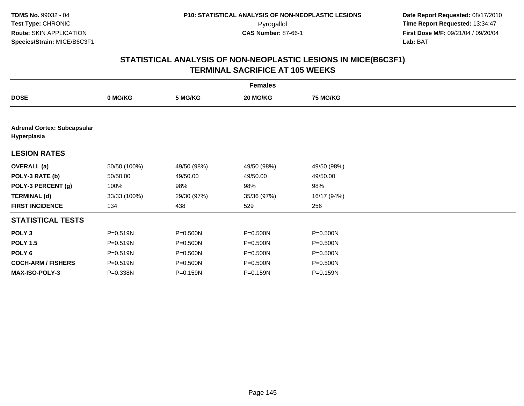|                                                   | <b>Females</b> |              |              |                 |  |  |  |
|---------------------------------------------------|----------------|--------------|--------------|-----------------|--|--|--|
| <b>DOSE</b>                                       | 0 MG/KG        | 5 MG/KG      | 20 MG/KG     | <b>75 MG/KG</b> |  |  |  |
|                                                   |                |              |              |                 |  |  |  |
| <b>Adrenal Cortex: Subcapsular</b><br>Hyperplasia |                |              |              |                 |  |  |  |
| <b>LESION RATES</b>                               |                |              |              |                 |  |  |  |
| <b>OVERALL</b> (a)                                | 50/50 (100%)   | 49/50 (98%)  | 49/50 (98%)  | 49/50 (98%)     |  |  |  |
| POLY-3 RATE (b)                                   | 50/50.00       | 49/50.00     | 49/50.00     | 49/50.00        |  |  |  |
| POLY-3 PERCENT (g)                                | 100%           | 98%          | 98%          | 98%             |  |  |  |
| <b>TERMINAL (d)</b>                               | 33/33 (100%)   | 29/30 (97%)  | 35/36 (97%)  | 16/17 (94%)     |  |  |  |
| <b>FIRST INCIDENCE</b>                            | 134            | 438          | 529          | 256             |  |  |  |
| <b>STATISTICAL TESTS</b>                          |                |              |              |                 |  |  |  |
| POLY <sub>3</sub>                                 | P=0.519N       | P=0.500N     | P=0.500N     | P=0.500N        |  |  |  |
| <b>POLY 1.5</b>                                   | P=0.519N       | P=0.500N     | P=0.500N     | P=0.500N        |  |  |  |
| POLY 6                                            | P=0.519N       | $P = 0.500N$ | $P = 0.500N$ | $P = 0.500N$    |  |  |  |
| <b>COCH-ARM / FISHERS</b>                         | P=0.519N       | P=0.500N     | P=0.500N     | P=0.500N        |  |  |  |
| <b>MAX-ISO-POLY-3</b>                             | P=0.338N       | P=0.159N     | P=0.159N     | P=0.159N        |  |  |  |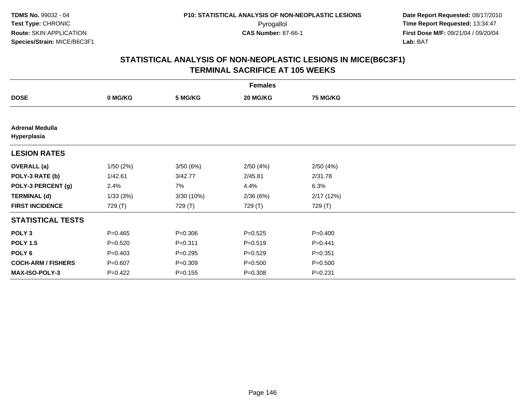|                                       |             |             | <b>Females</b> |                 |  |
|---------------------------------------|-------------|-------------|----------------|-----------------|--|
| <b>DOSE</b>                           | 0 MG/KG     | 5 MG/KG     | 20 MG/KG       | <b>75 MG/KG</b> |  |
|                                       |             |             |                |                 |  |
| <b>Adrenal Medulla</b><br>Hyperplasia |             |             |                |                 |  |
| <b>LESION RATES</b>                   |             |             |                |                 |  |
| <b>OVERALL</b> (a)                    | 1/50(2%)    | 3/50(6%)    | 2/50(4%)       | 2/50(4%)        |  |
| POLY-3 RATE (b)                       | 1/42.61     | 3/42.77     | 2/45.81        | 2/31.78         |  |
| POLY-3 PERCENT (g)                    | 2.4%        | 7%          | 4.4%           | 6.3%            |  |
| <b>TERMINAL (d)</b>                   | 1/33(3%)    | 3/30 (10%)  | 2/36(6%)       | 2/17(12%)       |  |
| <b>FIRST INCIDENCE</b>                | 729 (T)     | 729 (T)     | 729 (T)        | 729 (T)         |  |
| <b>STATISTICAL TESTS</b>              |             |             |                |                 |  |
| POLY <sub>3</sub>                     | $P = 0.465$ | $P = 0.306$ | $P = 0.525$    | $P = 0.400$     |  |
| <b>POLY 1.5</b>                       | $P = 0.520$ | $P = 0.311$ | $P = 0.519$    | $P=0.441$       |  |
| POLY 6                                | $P = 0.403$ | $P = 0.295$ | $P=0.529$      | $P = 0.351$     |  |
| <b>COCH-ARM / FISHERS</b>             | $P = 0.607$ | $P = 0.309$ | $P = 0.500$    | $P = 0.500$     |  |
| <b>MAX-ISO-POLY-3</b>                 | $P=0.422$   | $P = 0.155$ | $P = 0.308$    | $P = 0.231$     |  |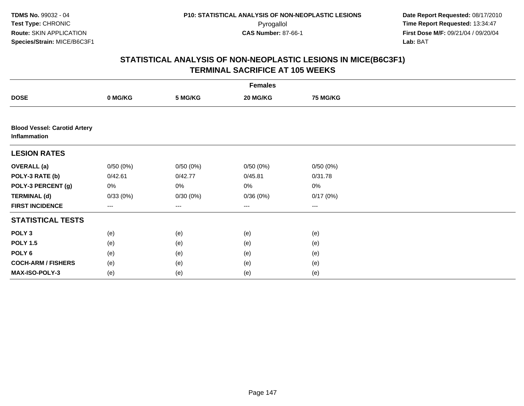|                                                     | <b>Females</b> |                        |                        |                 |  |  |  |  |
|-----------------------------------------------------|----------------|------------------------|------------------------|-----------------|--|--|--|--|
| <b>DOSE</b>                                         | 0 MG/KG        | 5 MG/KG                | 20 MG/KG               | <b>75 MG/KG</b> |  |  |  |  |
|                                                     |                |                        |                        |                 |  |  |  |  |
| <b>Blood Vessel: Carotid Artery</b><br>Inflammation |                |                        |                        |                 |  |  |  |  |
| <b>LESION RATES</b>                                 |                |                        |                        |                 |  |  |  |  |
| <b>OVERALL (a)</b>                                  | 0/50(0%)       | 0/50(0%)               | 0/50(0%)               | 0/50(0%)        |  |  |  |  |
| POLY-3 RATE (b)                                     | 0/42.61        | 0/42.77                | 0/45.81                | 0/31.78         |  |  |  |  |
| POLY-3 PERCENT (g)                                  | 0%             | 0%                     | 0%                     | 0%              |  |  |  |  |
| <b>TERMINAL (d)</b>                                 | 0/33(0%)       | 0/30(0%)               | 0/36(0%)               | 0/17(0%)        |  |  |  |  |
| <b>FIRST INCIDENCE</b>                              | ---            | $\qquad \qquad \cdots$ | $\qquad \qquad \cdots$ | ---             |  |  |  |  |
| <b>STATISTICAL TESTS</b>                            |                |                        |                        |                 |  |  |  |  |
| POLY <sub>3</sub>                                   | (e)            | (e)                    | (e)                    | (e)             |  |  |  |  |
| <b>POLY 1.5</b>                                     | (e)            | (e)                    | (e)                    | (e)             |  |  |  |  |
| POLY <sub>6</sub>                                   | (e)            | (e)                    | (e)                    | (e)             |  |  |  |  |
| <b>COCH-ARM / FISHERS</b>                           | (e)            | (e)                    | (e)                    | (e)             |  |  |  |  |
| <b>MAX-ISO-POLY-3</b>                               | (e)            | (e)                    | (e)                    | (e)             |  |  |  |  |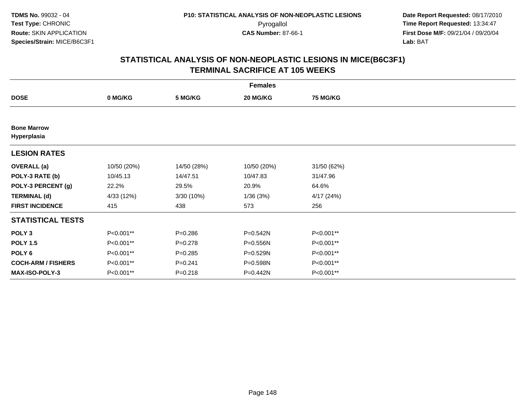|                                   | <b>Females</b> |             |              |                 |  |  |  |
|-----------------------------------|----------------|-------------|--------------|-----------------|--|--|--|
| <b>DOSE</b>                       | 0 MG/KG        | 5 MG/KG     | 20 MG/KG     | <b>75 MG/KG</b> |  |  |  |
|                                   |                |             |              |                 |  |  |  |
| <b>Bone Marrow</b><br>Hyperplasia |                |             |              |                 |  |  |  |
| <b>LESION RATES</b>               |                |             |              |                 |  |  |  |
| <b>OVERALL</b> (a)                | 10/50 (20%)    | 14/50 (28%) | 10/50 (20%)  | 31/50 (62%)     |  |  |  |
| POLY-3 RATE (b)                   | 10/45.13       | 14/47.51    | 10/47.83     | 31/47.96        |  |  |  |
| POLY-3 PERCENT (g)                | 22.2%          | 29.5%       | 20.9%        | 64.6%           |  |  |  |
| <b>TERMINAL (d)</b>               | 4/33 (12%)     | 3/30 (10%)  | 1/36(3%)     | 4/17(24%)       |  |  |  |
| <b>FIRST INCIDENCE</b>            | 415            | 438         | 573          | 256             |  |  |  |
| <b>STATISTICAL TESTS</b>          |                |             |              |                 |  |  |  |
| POLY <sub>3</sub>                 | P<0.001**      | $P = 0.286$ | P=0.542N     | P<0.001**       |  |  |  |
| <b>POLY 1.5</b>                   | P<0.001**      | $P = 0.278$ | $P = 0.556N$ | P<0.001**       |  |  |  |
| POLY <sub>6</sub>                 | P<0.001**      | $P = 0.285$ | P=0.529N     | P<0.001**       |  |  |  |
| <b>COCH-ARM / FISHERS</b>         | P<0.001**      | $P = 0.241$ | P=0.598N     | P<0.001**       |  |  |  |
| MAX-ISO-POLY-3                    | P<0.001**      | $P = 0.218$ | P=0.442N     | P<0.001**       |  |  |  |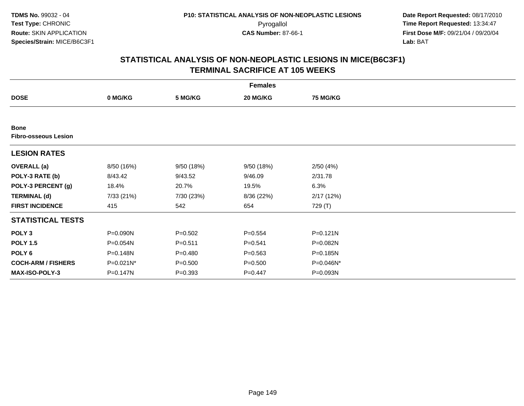|                                            | <b>Females</b> |             |             |                 |  |  |  |
|--------------------------------------------|----------------|-------------|-------------|-----------------|--|--|--|
| <b>DOSE</b>                                | 0 MG/KG        | 5 MG/KG     | 20 MG/KG    | <b>75 MG/KG</b> |  |  |  |
|                                            |                |             |             |                 |  |  |  |
| <b>Bone</b><br><b>Fibro-osseous Lesion</b> |                |             |             |                 |  |  |  |
| <b>LESION RATES</b>                        |                |             |             |                 |  |  |  |
| <b>OVERALL</b> (a)                         | 8/50 (16%)     | 9/50 (18%)  | 9/50 (18%)  | 2/50(4%)        |  |  |  |
| POLY-3 RATE (b)                            | 8/43.42        | 9/43.52     | 9/46.09     | 2/31.78         |  |  |  |
| POLY-3 PERCENT (g)                         | 18.4%          | 20.7%       | 19.5%       | 6.3%            |  |  |  |
| <b>TERMINAL (d)</b>                        | 7/33 (21%)     | 7/30 (23%)  | 8/36 (22%)  | 2/17(12%)       |  |  |  |
| <b>FIRST INCIDENCE</b>                     | 415            | 542         | 654         | 729 (T)         |  |  |  |
| <b>STATISTICAL TESTS</b>                   |                |             |             |                 |  |  |  |
| POLY <sub>3</sub>                          | P=0.090N       | $P = 0.502$ | $P = 0.554$ | $P = 0.121N$    |  |  |  |
| <b>POLY 1.5</b>                            | P=0.054N       | $P = 0.511$ | $P = 0.541$ | P=0.082N        |  |  |  |
| POLY <sub>6</sub>                          | P=0.148N       | $P = 0.480$ | $P = 0.563$ | P=0.185N        |  |  |  |
| <b>COCH-ARM / FISHERS</b>                  | P=0.021N*      | $P = 0.500$ | $P = 0.500$ | P=0.046N*       |  |  |  |
| <b>MAX-ISO-POLY-3</b>                      | P=0.147N       | $P = 0.393$ | $P = 0.447$ | P=0.093N        |  |  |  |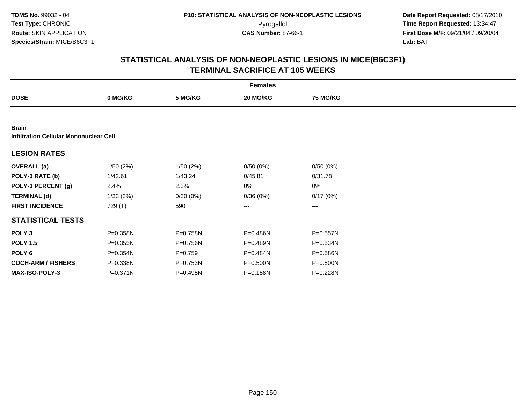|                                                               |              |              | <b>Females</b> |                 |  |
|---------------------------------------------------------------|--------------|--------------|----------------|-----------------|--|
| <b>DOSE</b>                                                   | 0 MG/KG      | 5 MG/KG      | 20 MG/KG       | <b>75 MG/KG</b> |  |
|                                                               |              |              |                |                 |  |
| <b>Brain</b><br><b>Infiltration Cellular Mononuclear Cell</b> |              |              |                |                 |  |
| <b>LESION RATES</b>                                           |              |              |                |                 |  |
| <b>OVERALL</b> (a)                                            | 1/50(2%)     | 1/50(2%)     | 0/50(0%)       | 0/50(0%)        |  |
| POLY-3 RATE (b)                                               | 1/42.61      | 1/43.24      | 0/45.81        | 0/31.78         |  |
| POLY-3 PERCENT (g)                                            | 2.4%         | 2.3%         | 0%             | 0%              |  |
| <b>TERMINAL (d)</b>                                           | 1/33(3%)     | $0/30(0\%)$  | 0/36(0%)       | 0/17(0%)        |  |
| <b>FIRST INCIDENCE</b>                                        | 729 (T)      | 590          | $--$           | ---             |  |
| <b>STATISTICAL TESTS</b>                                      |              |              |                |                 |  |
| POLY <sub>3</sub>                                             | P=0.358N     | P=0.758N     | P=0.486N       | P=0.557N        |  |
| <b>POLY 1.5</b>                                               | $P = 0.355N$ | P=0.756N     | P=0.489N       | P=0.534N        |  |
| POLY 6                                                        | P=0.354N     | $P = 0.759$  | P=0.484N       | P=0.586N        |  |
| <b>COCH-ARM / FISHERS</b>                                     | P=0.338N     | $P = 0.753N$ | P=0.500N       | P=0.500N        |  |
| MAX-ISO-POLY-3                                                | P=0.371N     | P=0.495N     | P=0.158N       | P=0.228N        |  |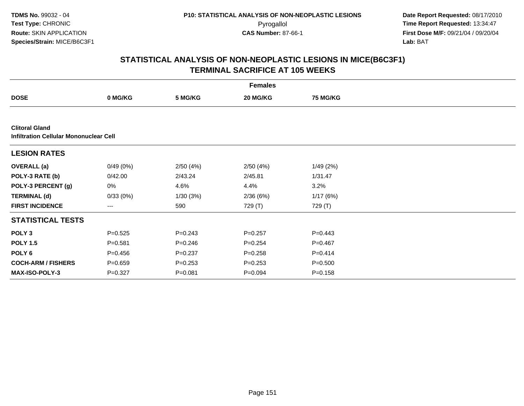|                                                                        |             |             | <b>Females</b> |                 |  |
|------------------------------------------------------------------------|-------------|-------------|----------------|-----------------|--|
| <b>DOSE</b>                                                            | 0 MG/KG     | 5 MG/KG     | 20 MG/KG       | <b>75 MG/KG</b> |  |
|                                                                        |             |             |                |                 |  |
| <b>Clitoral Gland</b><br><b>Infiltration Cellular Mononuclear Cell</b> |             |             |                |                 |  |
| <b>LESION RATES</b>                                                    |             |             |                |                 |  |
| <b>OVERALL</b> (a)                                                     | 0/49(0%)    | 2/50(4%)    | 2/50(4%)       | 1/49(2%)        |  |
| POLY-3 RATE (b)                                                        | 0/42.00     | 2/43.24     | 2/45.81        | 1/31.47         |  |
| POLY-3 PERCENT (g)                                                     | 0%          | 4.6%        | 4.4%           | 3.2%            |  |
| <b>TERMINAL (d)</b>                                                    | 0/33(0%)    | 1/30(3%)    | 2/36(6%)       | 1/17(6%)        |  |
| <b>FIRST INCIDENCE</b>                                                 | ---         | 590         | 729 (T)        | 729 (T)         |  |
| <b>STATISTICAL TESTS</b>                                               |             |             |                |                 |  |
| POLY <sub>3</sub>                                                      | $P = 0.525$ | $P=0.243$   | $P=0.257$      | $P=0.443$       |  |
| <b>POLY 1.5</b>                                                        | $P = 0.581$ | $P = 0.246$ | $P=0.254$      | $P = 0.467$     |  |
| POLY 6                                                                 | $P = 0.456$ | $P = 0.237$ | $P = 0.258$    | $P = 0.414$     |  |
| <b>COCH-ARM / FISHERS</b>                                              | $P = 0.659$ | $P = 0.253$ | $P = 0.253$    | $P = 0.500$     |  |
| MAX-ISO-POLY-3                                                         | $P = 0.327$ | $P = 0.081$ | $P = 0.094$    | $P = 0.158$     |  |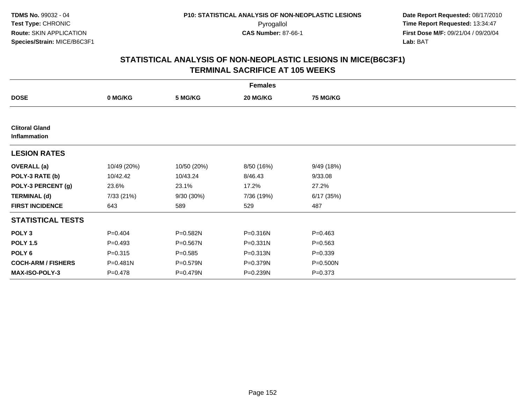|                                       | <b>Females</b> |             |            |                 |  |  |  |
|---------------------------------------|----------------|-------------|------------|-----------------|--|--|--|
| <b>DOSE</b>                           | 0 MG/KG        | 5 MG/KG     | 20 MG/KG   | <b>75 MG/KG</b> |  |  |  |
|                                       |                |             |            |                 |  |  |  |
| <b>Clitoral Gland</b><br>Inflammation |                |             |            |                 |  |  |  |
| <b>LESION RATES</b>                   |                |             |            |                 |  |  |  |
| <b>OVERALL</b> (a)                    | 10/49 (20%)    | 10/50 (20%) | 8/50 (16%) | 9/49 (18%)      |  |  |  |
| POLY-3 RATE (b)                       | 10/42.42       | 10/43.24    | 8/46.43    | 9/33.08         |  |  |  |
| POLY-3 PERCENT (g)                    | 23.6%          | 23.1%       | 17.2%      | 27.2%           |  |  |  |
| <b>TERMINAL (d)</b>                   | 7/33 (21%)     | 9/30 (30%)  | 7/36 (19%) | 6/17(35%)       |  |  |  |
| <b>FIRST INCIDENCE</b>                | 643            | 589         | 529        | 487             |  |  |  |
| <b>STATISTICAL TESTS</b>              |                |             |            |                 |  |  |  |
| POLY <sub>3</sub>                     | $P = 0.404$    | P=0.582N    | P=0.316N   | $P = 0.463$     |  |  |  |
| <b>POLY 1.5</b>                       | $P=0.493$      | P=0.567N    | P=0.331N   | $P = 0.563$     |  |  |  |
| POLY 6                                | $P = 0.315$    | $P = 0.585$ | P=0.313N   | $P = 0.339$     |  |  |  |
| <b>COCH-ARM / FISHERS</b>             | P=0.481N       | P=0.579N    | P=0.379N   | P=0.500N        |  |  |  |
| <b>MAX-ISO-POLY-3</b>                 | $P = 0.478$    | P=0.479N    | P=0.239N   | $P = 0.373$     |  |  |  |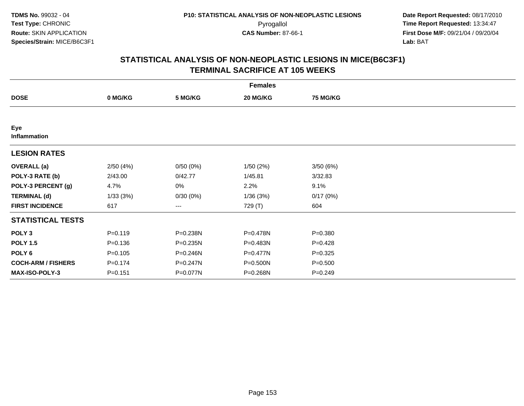|                           | <b>Females</b> |          |          |                 |  |  |  |
|---------------------------|----------------|----------|----------|-----------------|--|--|--|
| <b>DOSE</b>               | 0 MG/KG        | 5 MG/KG  | 20 MG/KG | <b>75 MG/KG</b> |  |  |  |
|                           |                |          |          |                 |  |  |  |
| Eye<br>Inflammation       |                |          |          |                 |  |  |  |
| <b>LESION RATES</b>       |                |          |          |                 |  |  |  |
| <b>OVERALL</b> (a)        | 2/50(4%)       | 0/50(0%) | 1/50(2%) | 3/50(6%)        |  |  |  |
| POLY-3 RATE (b)           | 2/43.00        | 0/42.77  | 1/45.81  | 3/32.83         |  |  |  |
| POLY-3 PERCENT (g)        | 4.7%           | 0%       | 2.2%     | 9.1%            |  |  |  |
| <b>TERMINAL (d)</b>       | 1/33(3%)       | 0/30(0%) | 1/36(3%) | 0/17(0%)        |  |  |  |
| <b>FIRST INCIDENCE</b>    | 617            | ---      | 729 (T)  | 604             |  |  |  |
| <b>STATISTICAL TESTS</b>  |                |          |          |                 |  |  |  |
| POLY <sub>3</sub>         | $P = 0.119$    | P=0.238N | P=0.478N | $P = 0.380$     |  |  |  |
| <b>POLY 1.5</b>           | $P = 0.136$    | P=0.235N | P=0.483N | $P=0.428$       |  |  |  |
| POLY <sub>6</sub>         | $P = 0.105$    | P=0.246N | P=0.477N | $P = 0.325$     |  |  |  |
| <b>COCH-ARM / FISHERS</b> | $P = 0.174$    | P=0.247N | P=0.500N | $P = 0.500$     |  |  |  |
| MAX-ISO-POLY-3            | $P = 0.151$    | P=0.077N | P=0.268N | $P=0.249$       |  |  |  |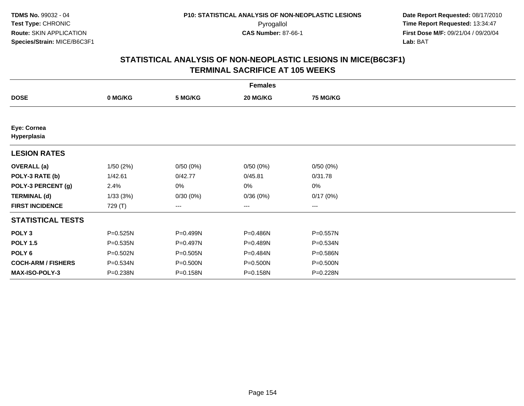|                            | <b>Females</b> |          |          |                 |  |  |  |  |
|----------------------------|----------------|----------|----------|-----------------|--|--|--|--|
| <b>DOSE</b>                | 0 MG/KG        | 5 MG/KG  | 20 MG/KG | <b>75 MG/KG</b> |  |  |  |  |
|                            |                |          |          |                 |  |  |  |  |
| Eye: Cornea<br>Hyperplasia |                |          |          |                 |  |  |  |  |
| <b>LESION RATES</b>        |                |          |          |                 |  |  |  |  |
| <b>OVERALL</b> (a)         | 1/50(2%)       | 0/50(0%) | 0/50(0%) | 0/50(0%)        |  |  |  |  |
| POLY-3 RATE (b)            | 1/42.61        | 0/42.77  | 0/45.81  | 0/31.78         |  |  |  |  |
| POLY-3 PERCENT (g)         | 2.4%           | 0%       | 0%       | 0%              |  |  |  |  |
| <b>TERMINAL (d)</b>        | 1/33(3%)       | 0/30(0%) | 0/36(0%) | 0/17(0%)        |  |  |  |  |
| <b>FIRST INCIDENCE</b>     | 729 (T)        | ---      | $---$    | $---$           |  |  |  |  |
| <b>STATISTICAL TESTS</b>   |                |          |          |                 |  |  |  |  |
| POLY <sub>3</sub>          | P=0.525N       | P=0.499N | P=0.486N | P=0.557N        |  |  |  |  |
| <b>POLY 1.5</b>            | P=0.535N       | P=0.497N | P=0.489N | P=0.534N        |  |  |  |  |
| POLY <sub>6</sub>          | P=0.502N       | P=0.505N | P=0.484N | P=0.586N        |  |  |  |  |
| <b>COCH-ARM / FISHERS</b>  | P=0.534N       | P=0.500N | P=0.500N | P=0.500N        |  |  |  |  |
| <b>MAX-ISO-POLY-3</b>      | P=0.238N       | P=0.158N | P=0.158N | P=0.228N        |  |  |  |  |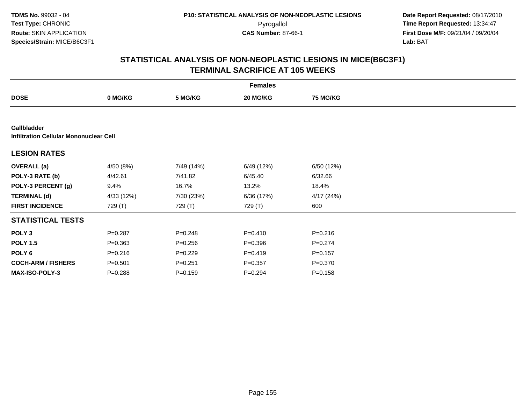|                                                              |             |             | <b>Females</b> |                 |  |
|--------------------------------------------------------------|-------------|-------------|----------------|-----------------|--|
| <b>DOSE</b>                                                  | 0 MG/KG     | 5 MG/KG     | 20 MG/KG       | <b>75 MG/KG</b> |  |
|                                                              |             |             |                |                 |  |
| <b>Gallbladder</b><br>Infiltration Cellular Mononuclear Cell |             |             |                |                 |  |
| <b>LESION RATES</b>                                          |             |             |                |                 |  |
| <b>OVERALL</b> (a)                                           | 4/50 (8%)   | 7/49 (14%)  | 6/49 (12%)     | 6/50 (12%)      |  |
| POLY-3 RATE (b)                                              | 4/42.61     | 7/41.82     | 6/45.40        | 6/32.66         |  |
| POLY-3 PERCENT (g)                                           | 9.4%        | 16.7%       | 13.2%          | 18.4%           |  |
| <b>TERMINAL (d)</b>                                          | 4/33 (12%)  | 7/30 (23%)  | 6/36 (17%)     | 4/17(24%)       |  |
| <b>FIRST INCIDENCE</b>                                       | 729 (T)     | 729 (T)     | 729 (T)        | 600             |  |
| <b>STATISTICAL TESTS</b>                                     |             |             |                |                 |  |
| POLY <sub>3</sub>                                            | $P = 0.287$ | $P = 0.248$ | $P = 0.410$    | $P = 0.216$     |  |
| <b>POLY 1.5</b>                                              | $P = 0.363$ | $P=0.256$   | $P = 0.396$    | $P=0.274$       |  |
| POLY 6                                                       | $P = 0.216$ | $P=0.229$   | $P=0.419$      | $P = 0.157$     |  |
| <b>COCH-ARM / FISHERS</b>                                    | $P = 0.501$ | $P = 0.251$ | $P = 0.357$    | $P = 0.370$     |  |
| <b>MAX-ISO-POLY-3</b>                                        | $P = 0.288$ | $P=0.159$   | $P=0.294$      | $P = 0.158$     |  |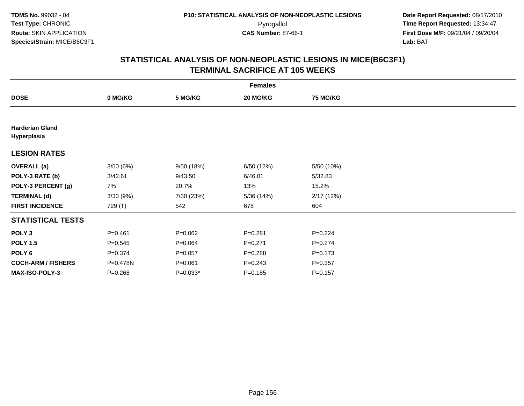|                                       | <b>Females</b> |             |             |                 |  |  |  |  |
|---------------------------------------|----------------|-------------|-------------|-----------------|--|--|--|--|
| <b>DOSE</b>                           | 0 MG/KG        | 5 MG/KG     | 20 MG/KG    | <b>75 MG/KG</b> |  |  |  |  |
|                                       |                |             |             |                 |  |  |  |  |
| <b>Harderian Gland</b><br>Hyperplasia |                |             |             |                 |  |  |  |  |
| <b>LESION RATES</b>                   |                |             |             |                 |  |  |  |  |
| <b>OVERALL</b> (a)                    | 3/50(6%)       | 9/50 (18%)  | 6/50 (12%)  | 5/50 (10%)      |  |  |  |  |
| POLY-3 RATE (b)                       | 3/42.61        | 9/43.50     | 6/46.01     | 5/32.83         |  |  |  |  |
| POLY-3 PERCENT (g)                    | 7%             | 20.7%       | 13%         | 15.2%           |  |  |  |  |
| <b>TERMINAL (d)</b>                   | 3/33(9%)       | 7/30 (23%)  | 5/36 (14%)  | 2/17(12%)       |  |  |  |  |
| <b>FIRST INCIDENCE</b>                | 729 (T)        | 542         | 678         | 604             |  |  |  |  |
| <b>STATISTICAL TESTS</b>              |                |             |             |                 |  |  |  |  |
| POLY <sub>3</sub>                     | $P = 0.461$    | $P=0.062$   | $P = 0.281$ | $P=0.224$       |  |  |  |  |
| <b>POLY 1.5</b>                       | $P = 0.545$    | $P = 0.064$ | $P=0.271$   | $P=0.274$       |  |  |  |  |
| POLY <sub>6</sub>                     | $P = 0.374$    | $P = 0.057$ | $P = 0.288$ | $P = 0.173$     |  |  |  |  |
| <b>COCH-ARM / FISHERS</b>             | P=0.478N       | $P = 0.061$ | $P = 0.243$ | $P = 0.357$     |  |  |  |  |
| MAX-ISO-POLY-3                        | $P = 0.268$    | $P=0.033*$  | $P = 0.185$ | $P = 0.157$     |  |  |  |  |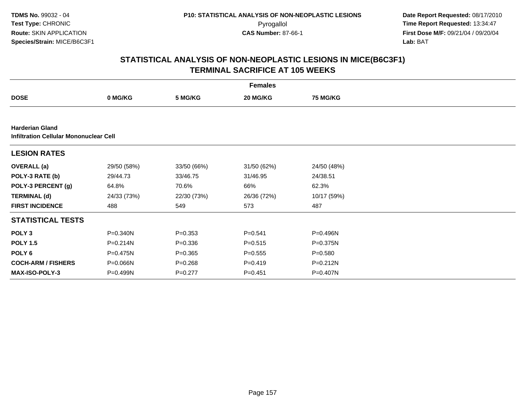|                                                                         |              |             | <b>Females</b> |                 |  |
|-------------------------------------------------------------------------|--------------|-------------|----------------|-----------------|--|
| <b>DOSE</b>                                                             | 0 MG/KG      | 5 MG/KG     | 20 MG/KG       | <b>75 MG/KG</b> |  |
|                                                                         |              |             |                |                 |  |
| <b>Harderian Gland</b><br><b>Infiltration Cellular Mononuclear Cell</b> |              |             |                |                 |  |
| <b>LESION RATES</b>                                                     |              |             |                |                 |  |
| <b>OVERALL</b> (a)                                                      | 29/50 (58%)  | 33/50 (66%) | 31/50 (62%)    | 24/50 (48%)     |  |
| POLY-3 RATE (b)                                                         | 29/44.73     | 33/46.75    | 31/46.95       | 24/38.51        |  |
| POLY-3 PERCENT (g)                                                      | 64.8%        | 70.6%       | 66%            | 62.3%           |  |
| <b>TERMINAL (d)</b>                                                     | 24/33 (73%)  | 22/30 (73%) | 26/36 (72%)    | 10/17 (59%)     |  |
| <b>FIRST INCIDENCE</b>                                                  | 488          | 549         | 573            | 487             |  |
| <b>STATISTICAL TESTS</b>                                                |              |             |                |                 |  |
| POLY <sub>3</sub>                                                       | $P = 0.340N$ | $P = 0.353$ | $P = 0.541$    | P=0.496N        |  |
| <b>POLY 1.5</b>                                                         | $P = 0.214N$ | $P = 0.336$ | $P = 0.515$    | P=0.375N        |  |
| POLY <sub>6</sub>                                                       | P=0.475N     | $P = 0.365$ | $P = 0.555$    | $P = 0.580$     |  |
| <b>COCH-ARM / FISHERS</b>                                               | P=0.066N     | $P = 0.268$ | $P=0.419$      | $P = 0.212N$    |  |
| <b>MAX-ISO-POLY-3</b>                                                   | P=0.499N     | $P=0.277$   | $P = 0.451$    | P=0.407N        |  |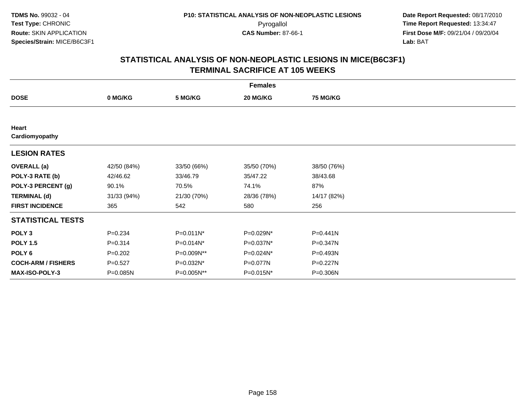| <b>Females</b>            |             |             |             |                 |  |  |  |
|---------------------------|-------------|-------------|-------------|-----------------|--|--|--|
| <b>DOSE</b>               | 0 MG/KG     | 5 MG/KG     | 20 MG/KG    | <b>75 MG/KG</b> |  |  |  |
|                           |             |             |             |                 |  |  |  |
| Heart<br>Cardiomyopathy   |             |             |             |                 |  |  |  |
| <b>LESION RATES</b>       |             |             |             |                 |  |  |  |
| <b>OVERALL</b> (a)        | 42/50 (84%) | 33/50 (66%) | 35/50 (70%) | 38/50 (76%)     |  |  |  |
| POLY-3 RATE (b)           | 42/46.62    | 33/46.79    | 35/47.22    | 38/43.68        |  |  |  |
| POLY-3 PERCENT (g)        | 90.1%       | 70.5%       | 74.1%       | 87%             |  |  |  |
| <b>TERMINAL (d)</b>       | 31/33 (94%) | 21/30 (70%) | 28/36 (78%) | 14/17 (82%)     |  |  |  |
| <b>FIRST INCIDENCE</b>    | 365         | 542         | 580         | 256             |  |  |  |
| <b>STATISTICAL TESTS</b>  |             |             |             |                 |  |  |  |
| POLY <sub>3</sub>         | $P = 0.234$ | P=0.011N*   | P=0.029N*   | P=0.441N        |  |  |  |
| <b>POLY 1.5</b>           | $P = 0.314$ | P=0.014N*   | P=0.037N*   | P=0.347N        |  |  |  |
| POLY 6                    | $P=0.202$   | P=0.009N**  | P=0.024N*   | P=0.493N        |  |  |  |
| <b>COCH-ARM / FISHERS</b> | $P = 0.527$ | P=0.032N*   | P=0.077N    | P=0.227N        |  |  |  |
| MAX-ISO-POLY-3            | P=0.085N    | P=0.005N**  | P=0.015N*   | P=0.306N        |  |  |  |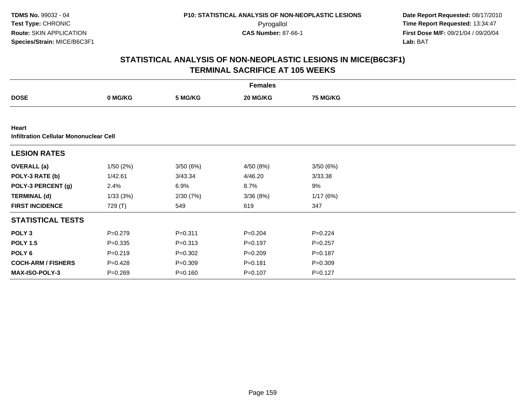|                                                        |             |             | <b>Females</b> |                 |  |
|--------------------------------------------------------|-------------|-------------|----------------|-----------------|--|
| <b>DOSE</b>                                            | 0 MG/KG     | 5 MG/KG     | 20 MG/KG       | <b>75 MG/KG</b> |  |
|                                                        |             |             |                |                 |  |
| Heart<br><b>Infiltration Cellular Mononuclear Cell</b> |             |             |                |                 |  |
| <b>LESION RATES</b>                                    |             |             |                |                 |  |
| <b>OVERALL</b> (a)                                     | 1/50(2%)    | 3/50(6%)    | 4/50 (8%)      | 3/50(6%)        |  |
| POLY-3 RATE (b)                                        | 1/42.61     | 3/43.34     | 4/46.20        | 3/33.38         |  |
| POLY-3 PERCENT (g)                                     | 2.4%        | 6.9%        | 8.7%           | 9%              |  |
| <b>TERMINAL (d)</b>                                    | 1/33(3%)    | 2/30(7%)    | 3/36(8%)       | 1/17(6%)        |  |
| <b>FIRST INCIDENCE</b>                                 | 729 (T)     | 549         | 619            | 347             |  |
| <b>STATISTICAL TESTS</b>                               |             |             |                |                 |  |
| POLY <sub>3</sub>                                      | $P = 0.279$ | $P = 0.311$ | $P = 0.204$    | $P = 0.224$     |  |
| <b>POLY 1.5</b>                                        | $P = 0.335$ | $P = 0.313$ | $P=0.197$      | $P=0.257$       |  |
| POLY <sub>6</sub>                                      | $P = 0.219$ | $P = 0.302$ | $P = 0.209$    | $P = 0.187$     |  |
| <b>COCH-ARM / FISHERS</b>                              | $P=0.428$   | $P = 0.309$ | $P = 0.181$    | $P = 0.309$     |  |
| <b>MAX-ISO-POLY-3</b>                                  | $P = 0.269$ | $P = 0.160$ | $P = 0.107$    | $P = 0.127$     |  |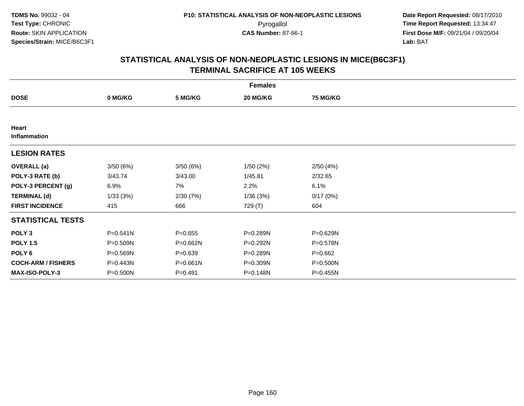|                           |              |              | <b>Females</b> |                 |  |
|---------------------------|--------------|--------------|----------------|-----------------|--|
| <b>DOSE</b>               | 0 MG/KG      | 5 MG/KG      | 20 MG/KG       | <b>75 MG/KG</b> |  |
|                           |              |              |                |                 |  |
| Heart<br>Inflammation     |              |              |                |                 |  |
| <b>LESION RATES</b>       |              |              |                |                 |  |
| <b>OVERALL</b> (a)        | 3/50(6%)     | 3/50(6%)     | 1/50 (2%)      | 2/50(4%)        |  |
| POLY-3 RATE (b)           | 3/43.74      | 3/43.00      | 1/45.81        | 2/32.65         |  |
| POLY-3 PERCENT (g)        | 6.9%         | 7%           | 2.2%           | 6.1%            |  |
| <b>TERMINAL (d)</b>       | 1/33(3%)     | 2/30(7%)     | 1/36(3%)       | 0/17(0%)        |  |
| <b>FIRST INCIDENCE</b>    | 415          | 666          | 729 (T)        | 604             |  |
| <b>STATISTICAL TESTS</b>  |              |              |                |                 |  |
| POLY <sub>3</sub>         | $P = 0.541N$ | $P = 0.655$  | P=0.289N       | P=0.629N        |  |
| <b>POLY 1.5</b>           | P=0.509N     | P=0.662N     | P=0.292N       | P=0.578N        |  |
| POLY 6                    | P=0.569N     | $P = 0.639$  | P=0.289N       | $P=0.662$       |  |
| <b>COCH-ARM / FISHERS</b> | P=0.443N     | $P = 0.661N$ | P=0.309N       | P=0.500N        |  |
| MAX-ISO-POLY-3            | P=0.500N     | $P = 0.491$  | P=0.148N       | P=0.455N        |  |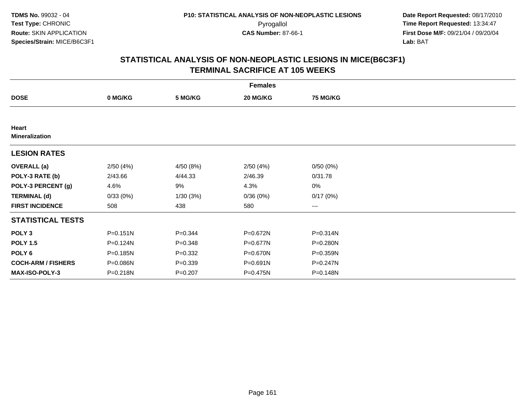|                                |              |             | <b>Females</b> |                 |  |
|--------------------------------|--------------|-------------|----------------|-----------------|--|
| <b>DOSE</b>                    | 0 MG/KG      | 5 MG/KG     | 20 MG/KG       | <b>75 MG/KG</b> |  |
|                                |              |             |                |                 |  |
| Heart<br><b>Mineralization</b> |              |             |                |                 |  |
| <b>LESION RATES</b>            |              |             |                |                 |  |
| <b>OVERALL</b> (a)             | 2/50(4%)     | 4/50 (8%)   | 2/50(4%)       | 0/50(0%)        |  |
| POLY-3 RATE (b)                | 2/43.66      | 4/44.33     | 2/46.39        | 0/31.78         |  |
| POLY-3 PERCENT (g)             | 4.6%         | 9%          | 4.3%           | 0%              |  |
| <b>TERMINAL (d)</b>            | 0/33(0%)     | 1/30(3%)    | 0/36(0%)       | 0/17(0%)        |  |
| <b>FIRST INCIDENCE</b>         | 508          | 438         | 580            | $--$            |  |
| <b>STATISTICAL TESTS</b>       |              |             |                |                 |  |
| POLY <sub>3</sub>              | $P = 0.151N$ | $P=0.344$   | P=0.672N       | $P = 0.314N$    |  |
| <b>POLY 1.5</b>                | P=0.124N     | $P = 0.348$ | P=0.677N       | $P = 0.280N$    |  |
| POLY 6                         | P=0.185N     | $P = 0.332$ | P=0.670N       | P=0.359N        |  |
| <b>COCH-ARM / FISHERS</b>      | P=0.086N     | $P = 0.339$ | P=0.691N       | $P = 0.247N$    |  |
| MAX-ISO-POLY-3                 | P=0.218N     | $P = 0.207$ | P=0.475N       | P=0.148N        |  |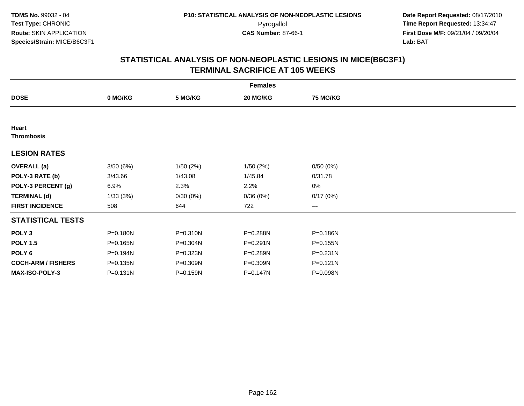|                            |          |              | <b>Females</b> |                 |  |
|----------------------------|----------|--------------|----------------|-----------------|--|
| <b>DOSE</b>                | 0 MG/KG  | 5 MG/KG      | 20 MG/KG       | <b>75 MG/KG</b> |  |
|                            |          |              |                |                 |  |
| Heart<br><b>Thrombosis</b> |          |              |                |                 |  |
| <b>LESION RATES</b>        |          |              |                |                 |  |
| <b>OVERALL</b> (a)         | 3/50(6%) | 1/50(2%)     | 1/50(2%)       | 0/50(0%)        |  |
| POLY-3 RATE (b)            | 3/43.66  | 1/43.08      | 1/45.84        | 0/31.78         |  |
| POLY-3 PERCENT (g)         | 6.9%     | 2.3%         | 2.2%           | 0%              |  |
| <b>TERMINAL (d)</b>        | 1/33(3%) | 0/30(0%)     | 0/36(0%)       | 0/17(0%)        |  |
| <b>FIRST INCIDENCE</b>     | 508      | 644          | 722            | $--$            |  |
| <b>STATISTICAL TESTS</b>   |          |              |                |                 |  |
| POLY <sub>3</sub>          | P=0.180N | $P = 0.310N$ | P=0.288N       | P=0.186N        |  |
| <b>POLY 1.5</b>            | P=0.165N | P=0.304N     | $P = 0.291N$   | P=0.155N        |  |
| POLY <sub>6</sub>          | P=0.194N | P=0.323N     | P=0.289N       | $P = 0.231N$    |  |
| <b>COCH-ARM / FISHERS</b>  | P=0.135N | P=0.309N     | P=0.309N       | $P = 0.121N$    |  |
| MAX-ISO-POLY-3             | P=0.131N | P=0.159N     | P=0.147N       | P=0.098N        |  |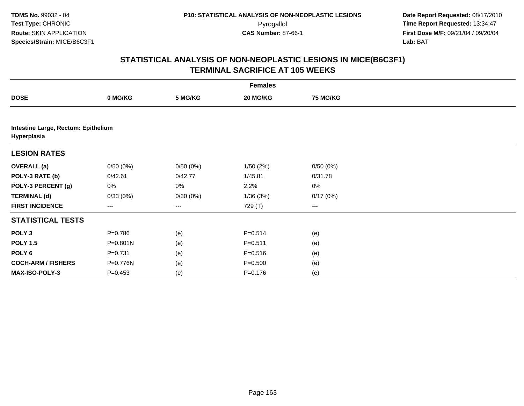|                                                    |              |          | <b>Females</b> |                 |  |
|----------------------------------------------------|--------------|----------|----------------|-----------------|--|
| <b>DOSE</b>                                        | 0 MG/KG      | 5 MG/KG  | 20 MG/KG       | <b>75 MG/KG</b> |  |
|                                                    |              |          |                |                 |  |
| Intestine Large, Rectum: Epithelium<br>Hyperplasia |              |          |                |                 |  |
| <b>LESION RATES</b>                                |              |          |                |                 |  |
| <b>OVERALL</b> (a)                                 | 0/50(0%)     | 0/50(0%) | 1/50(2%)       | 0/50(0%)        |  |
| POLY-3 RATE (b)                                    | 0/42.61      | 0/42.77  | 1/45.81        | 0/31.78         |  |
| POLY-3 PERCENT (g)                                 | 0%           | 0%       | 2.2%           | 0%              |  |
| <b>TERMINAL (d)</b>                                | 0/33(0%)     | 0/30(0%) | 1/36(3%)       | 0/17(0%)        |  |
| <b>FIRST INCIDENCE</b>                             | ---          | $--$     | 729 (T)        | ---             |  |
| <b>STATISTICAL TESTS</b>                           |              |          |                |                 |  |
| POLY <sub>3</sub>                                  | $P = 0.786$  | (e)      | $P = 0.514$    | (e)             |  |
| <b>POLY 1.5</b>                                    | $P = 0.801N$ | (e)      | $P = 0.511$    | (e)             |  |
| POLY <sub>6</sub>                                  | $P = 0.731$  | (e)      | $P = 0.516$    | (e)             |  |
| <b>COCH-ARM / FISHERS</b>                          | P=0.776N     | (e)      | $P = 0.500$    | (e)             |  |
| MAX-ISO-POLY-3                                     | $P=0.453$    | (e)      | $P = 0.176$    | (e)             |  |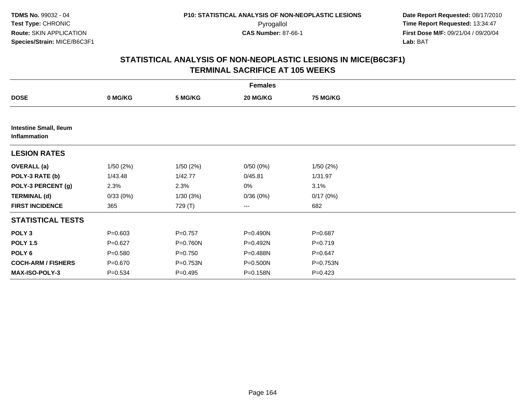|                                               |             |             | <b>Females</b> |                 |  |
|-----------------------------------------------|-------------|-------------|----------------|-----------------|--|
| <b>DOSE</b>                                   | 0 MG/KG     | 5 MG/KG     | 20 MG/KG       | <b>75 MG/KG</b> |  |
|                                               |             |             |                |                 |  |
| <b>Intestine Small, Ileum</b><br>Inflammation |             |             |                |                 |  |
| <b>LESION RATES</b>                           |             |             |                |                 |  |
| <b>OVERALL</b> (a)                            | 1/50(2%)    | 1/50(2%)    | 0/50(0%)       | 1/50(2%)        |  |
| POLY-3 RATE (b)                               | 1/43.48     | 1/42.77     | 0/45.81        | 1/31.97         |  |
| POLY-3 PERCENT (g)                            | 2.3%        | 2.3%        | 0%             | 3.1%            |  |
| <b>TERMINAL (d)</b>                           | 0/33(0%)    | 1/30(3%)    | 0/36(0%)       | 0/17(0%)        |  |
| <b>FIRST INCIDENCE</b>                        | 365         | 729 (T)     | $---$          | 682             |  |
| <b>STATISTICAL TESTS</b>                      |             |             |                |                 |  |
| POLY <sub>3</sub>                             | $P = 0.603$ | $P=0.757$   | P=0.490N       | $P = 0.687$     |  |
| <b>POLY 1.5</b>                               | $P = 0.627$ | P=0.760N    | P=0.492N       | $P = 0.719$     |  |
| POLY <sub>6</sub>                             | $P = 0.580$ | $P = 0.750$ | $P = 0.488N$   | $P = 0.647$     |  |
| <b>COCH-ARM / FISHERS</b>                     | $P = 0.670$ | P=0.753N    | P=0.500N       | P=0.753N        |  |
| MAX-ISO-POLY-3                                | $P = 0.534$ | $P = 0.495$ | P=0.158N       | $P = 0.423$     |  |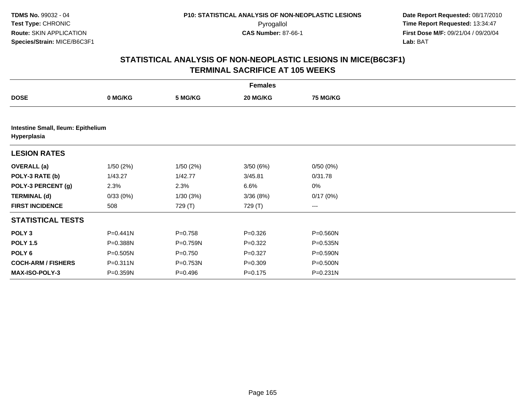|                                                   |              |             | <b>Females</b> |                 |  |  |  |  |  |
|---------------------------------------------------|--------------|-------------|----------------|-----------------|--|--|--|--|--|
| <b>DOSE</b>                                       | 0 MG/KG      | 5 MG/KG     | 20 MG/KG       | <b>75 MG/KG</b> |  |  |  |  |  |
|                                                   |              |             |                |                 |  |  |  |  |  |
| Intestine Small, Ileum: Epithelium<br>Hyperplasia |              |             |                |                 |  |  |  |  |  |
| <b>LESION RATES</b>                               |              |             |                |                 |  |  |  |  |  |
| <b>OVERALL</b> (a)                                | 1/50(2%)     | 1/50(2%)    | 3/50(6%)       | 0/50(0%)        |  |  |  |  |  |
| POLY-3 RATE (b)                                   | 1/43.27      | 1/42.77     | 3/45.81        | 0/31.78         |  |  |  |  |  |
| POLY-3 PERCENT (g)                                | 2.3%         | 2.3%        | 6.6%           | $0\%$           |  |  |  |  |  |
| <b>TERMINAL (d)</b>                               | 0/33(0%)     | 1/30(3%)    | 3/36(8%)       | 0/17(0%)        |  |  |  |  |  |
| <b>FIRST INCIDENCE</b>                            | 508          | 729 (T)     | 729 (T)        | $---$           |  |  |  |  |  |
| <b>STATISTICAL TESTS</b>                          |              |             |                |                 |  |  |  |  |  |
| POLY <sub>3</sub>                                 | P=0.441N     | $P = 0.758$ | $P = 0.326$    | P=0.560N        |  |  |  |  |  |
| <b>POLY 1.5</b>                                   | P=0.388N     | P=0.759N    | $P=0.322$      | P=0.535N        |  |  |  |  |  |
| POLY 6                                            | $P = 0.505N$ | $P = 0.750$ | $P=0.327$      | P=0.590N        |  |  |  |  |  |
| <b>COCH-ARM / FISHERS</b>                         | P=0.311N     | P=0.753N    | $P = 0.309$    | P=0.500N        |  |  |  |  |  |
| <b>MAX-ISO-POLY-3</b>                             | P=0.359N     | $P = 0.496$ | $P = 0.175$    | $P = 0.231N$    |  |  |  |  |  |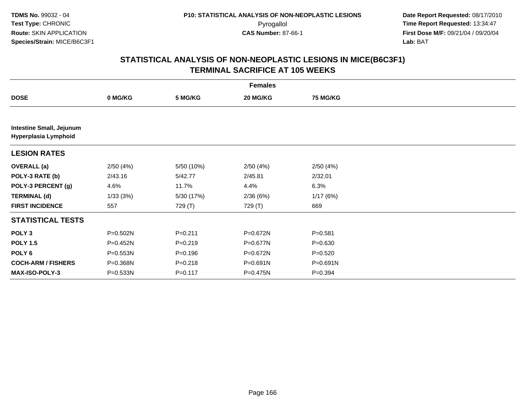|                                                         |              |             | <b>Females</b> |                 |  |
|---------------------------------------------------------|--------------|-------------|----------------|-----------------|--|
| <b>DOSE</b>                                             | 0 MG/KG      | 5 MG/KG     | 20 MG/KG       | <b>75 MG/KG</b> |  |
|                                                         |              |             |                |                 |  |
| <b>Intestine Small, Jejunum</b><br>Hyperplasia Lymphoid |              |             |                |                 |  |
| <b>LESION RATES</b>                                     |              |             |                |                 |  |
| <b>OVERALL</b> (a)                                      | 2/50(4%)     | 5/50 (10%)  | 2/50(4%)       | 2/50(4%)        |  |
| POLY-3 RATE (b)                                         | 2/43.16      | 5/42.77     | 2/45.81        | 2/32.01         |  |
| POLY-3 PERCENT (g)                                      | 4.6%         | 11.7%       | 4.4%           | 6.3%            |  |
| <b>TERMINAL (d)</b>                                     | 1/33(3%)     | 5/30 (17%)  | 2/36(6%)       | 1/17(6%)        |  |
| <b>FIRST INCIDENCE</b>                                  | 557          | 729 (T)     | 729 (T)        | 669             |  |
| <b>STATISTICAL TESTS</b>                                |              |             |                |                 |  |
| POLY <sub>3</sub>                                       | P=0.502N     | $P = 0.211$ | P=0.672N       | $P = 0.581$     |  |
| <b>POLY 1.5</b>                                         | P=0.452N     | $P = 0.219$ | P=0.677N       | $P = 0.630$     |  |
| POLY 6                                                  | P=0.553N     | $P = 0.196$ | P=0.672N       | $P = 0.520$     |  |
| <b>COCH-ARM / FISHERS</b>                               | P=0.368N     | $P = 0.218$ | P=0.691N       | $P = 0.691N$    |  |
| <b>MAX-ISO-POLY-3</b>                                   | $P = 0.533N$ | $P = 0.117$ | P=0.475N       | $P=0.394$       |  |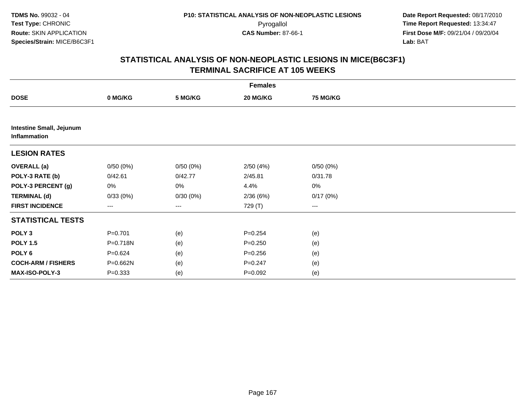| <b>Females</b>                                  |             |          |             |                 |  |  |  |
|-------------------------------------------------|-------------|----------|-------------|-----------------|--|--|--|
| <b>DOSE</b>                                     | 0 MG/KG     | 5 MG/KG  | 20 MG/KG    | <b>75 MG/KG</b> |  |  |  |
|                                                 |             |          |             |                 |  |  |  |
| <b>Intestine Small, Jejunum</b><br>Inflammation |             |          |             |                 |  |  |  |
| <b>LESION RATES</b>                             |             |          |             |                 |  |  |  |
| <b>OVERALL</b> (a)                              | 0/50(0%)    | 0/50(0%) | 2/50(4%)    | 0/50(0%)        |  |  |  |
| POLY-3 RATE (b)                                 | 0/42.61     | 0/42.77  | 2/45.81     | 0/31.78         |  |  |  |
| POLY-3 PERCENT (g)                              | 0%          | 0%       | 4.4%        | $0\%$           |  |  |  |
| <b>TERMINAL (d)</b>                             | 0/33(0%)    | 0/30(0%) | 2/36 (6%)   | 0/17(0%)        |  |  |  |
| <b>FIRST INCIDENCE</b>                          | ---         | $--$     | 729 (T)     | ---             |  |  |  |
| <b>STATISTICAL TESTS</b>                        |             |          |             |                 |  |  |  |
| POLY <sub>3</sub>                               | $P = 0.701$ | (e)      | $P = 0.254$ | (e)             |  |  |  |
| <b>POLY 1.5</b>                                 | P=0.718N    | (e)      | $P = 0.250$ | (e)             |  |  |  |
| POLY <sub>6</sub>                               | $P = 0.624$ | (e)      | $P = 0.256$ | (e)             |  |  |  |
| <b>COCH-ARM / FISHERS</b>                       | P=0.662N    | (e)      | $P = 0.247$ | (e)             |  |  |  |
| MAX-ISO-POLY-3                                  | $P = 0.333$ | (e)      | $P=0.092$   | (e)             |  |  |  |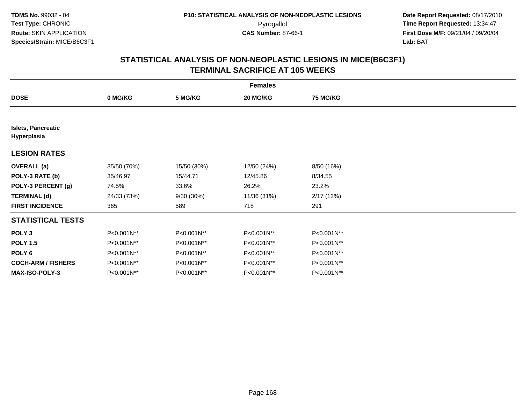|                                          | <b>Females</b> |             |             |                 |  |  |  |  |
|------------------------------------------|----------------|-------------|-------------|-----------------|--|--|--|--|
| <b>DOSE</b>                              | 0 MG/KG        | 5 MG/KG     | 20 MG/KG    | <b>75 MG/KG</b> |  |  |  |  |
|                                          |                |             |             |                 |  |  |  |  |
| <b>Islets, Pancreatic</b><br>Hyperplasia |                |             |             |                 |  |  |  |  |
| <b>LESION RATES</b>                      |                |             |             |                 |  |  |  |  |
| <b>OVERALL</b> (a)                       | 35/50 (70%)    | 15/50 (30%) | 12/50 (24%) | 8/50 (16%)      |  |  |  |  |
| POLY-3 RATE (b)                          | 35/46.97       | 15/44.71    | 12/45.86    | 8/34.55         |  |  |  |  |
| POLY-3 PERCENT (g)                       | 74.5%          | 33.6%       | 26.2%       | 23.2%           |  |  |  |  |
| <b>TERMINAL (d)</b>                      | 24/33 (73%)    | 9/30 (30%)  | 11/36 (31%) | 2/17(12%)       |  |  |  |  |
| <b>FIRST INCIDENCE</b>                   | 365            | 589         | 718         | 291             |  |  |  |  |
| <b>STATISTICAL TESTS</b>                 |                |             |             |                 |  |  |  |  |
| POLY <sub>3</sub>                        | P<0.001N**     | P<0.001N**  | P<0.001N**  | P<0.001N**      |  |  |  |  |
| <b>POLY 1.5</b>                          | P<0.001N**     | P<0.001N**  | P<0.001N**  | P<0.001N**      |  |  |  |  |
| POLY <sub>6</sub>                        | P<0.001N**     | P<0.001N**  | P<0.001N**  | P<0.001N**      |  |  |  |  |
| <b>COCH-ARM / FISHERS</b>                | P<0.001N**     | P<0.001N**  | P<0.001N**  | P<0.001N**      |  |  |  |  |
| <b>MAX-ISO-POLY-3</b>                    | P<0.001N**     | P<0.001N**  | P<0.001N**  | P<0.001N**      |  |  |  |  |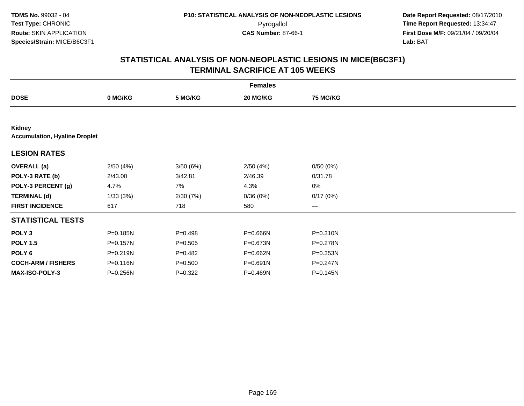|                                                | <b>Females</b> |             |          |                        |  |  |  |  |
|------------------------------------------------|----------------|-------------|----------|------------------------|--|--|--|--|
| <b>DOSE</b>                                    | 0 MG/KG        | 5 MG/KG     | 20 MG/KG | <b>75 MG/KG</b>        |  |  |  |  |
|                                                |                |             |          |                        |  |  |  |  |
| Kidney<br><b>Accumulation, Hyaline Droplet</b> |                |             |          |                        |  |  |  |  |
| <b>LESION RATES</b>                            |                |             |          |                        |  |  |  |  |
| <b>OVERALL</b> (a)                             | 2/50(4%)       | 3/50(6%)    | 2/50(4%) | 0/50(0%)               |  |  |  |  |
| POLY-3 RATE (b)                                | 2/43.00        | 3/42.81     | 2/46.39  | 0/31.78                |  |  |  |  |
| POLY-3 PERCENT (g)                             | 4.7%           | 7%          | 4.3%     | $0\%$                  |  |  |  |  |
| <b>TERMINAL (d)</b>                            | 1/33(3%)       | 2/30(7%)    | 0/36(0%) | 0/17(0%)               |  |  |  |  |
| <b>FIRST INCIDENCE</b>                         | 617            | 718         | 580      | $\qquad \qquad \cdots$ |  |  |  |  |
| <b>STATISTICAL TESTS</b>                       |                |             |          |                        |  |  |  |  |
| POLY <sub>3</sub>                              | P=0.185N       | $P = 0.498$ | P=0.666N | P=0.310N               |  |  |  |  |
| <b>POLY 1.5</b>                                | P=0.157N       | $P = 0.505$ | P=0.673N | P=0.278N               |  |  |  |  |
| POLY <sub>6</sub>                              | P=0.219N       | $P=0.482$   | P=0.662N | P=0.353N               |  |  |  |  |
| <b>COCH-ARM / FISHERS</b>                      | P=0.116N       | $P = 0.500$ | P=0.691N | P=0.247N               |  |  |  |  |
| MAX-ISO-POLY-3                                 | $P = 0.256N$   | $P=0.322$   | P=0.469N | P=0.145N               |  |  |  |  |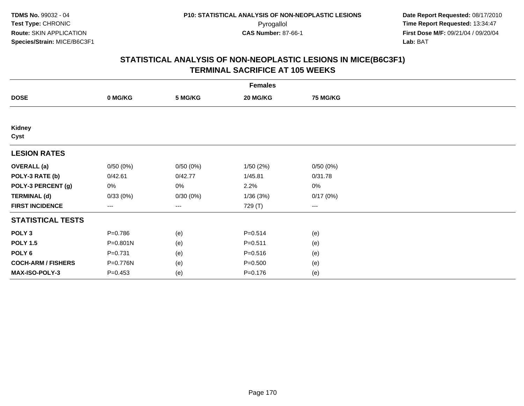| <b>Females</b>            |              |          |             |          |  |  |  |
|---------------------------|--------------|----------|-------------|----------|--|--|--|
| <b>DOSE</b>               | 0 MG/KG      | 5 MG/KG  | 20 MG/KG    | 75 MG/KG |  |  |  |
|                           |              |          |             |          |  |  |  |
| Kidney<br>Cyst            |              |          |             |          |  |  |  |
| <b>LESION RATES</b>       |              |          |             |          |  |  |  |
| <b>OVERALL</b> (a)        | 0/50(0%)     | 0/50(0%) | 1/50(2%)    | 0/50(0%) |  |  |  |
| POLY-3 RATE (b)           | 0/42.61      | 0/42.77  | 1/45.81     | 0/31.78  |  |  |  |
| POLY-3 PERCENT (g)        | 0%           | 0%       | 2.2%        | 0%       |  |  |  |
| <b>TERMINAL (d)</b>       | 0/33(0%)     | 0/30(0%) | 1/36(3%)    | 0/17(0%) |  |  |  |
| <b>FIRST INCIDENCE</b>    | ---          | $---$    | 729 (T)     | $---$    |  |  |  |
| <b>STATISTICAL TESTS</b>  |              |          |             |          |  |  |  |
| POLY <sub>3</sub>         | $P = 0.786$  | (e)      | $P = 0.514$ | (e)      |  |  |  |
| <b>POLY 1.5</b>           | $P = 0.801N$ | (e)      | $P = 0.511$ | (e)      |  |  |  |
| POLY <sub>6</sub>         | $P = 0.731$  | (e)      | $P = 0.516$ | (e)      |  |  |  |
| <b>COCH-ARM / FISHERS</b> | P=0.776N     | (e)      | $P = 0.500$ | (e)      |  |  |  |
| MAX-ISO-POLY-3            | $P = 0.453$  | (e)      | $P = 0.176$ | (e)      |  |  |  |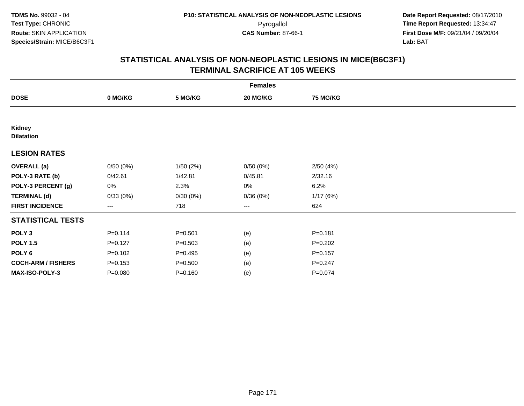| <b>Females</b>              |                   |             |                        |                 |  |  |  |
|-----------------------------|-------------------|-------------|------------------------|-----------------|--|--|--|
| <b>DOSE</b>                 | 0 MG/KG           | 5 MG/KG     | 20 MG/KG               | <b>75 MG/KG</b> |  |  |  |
|                             |                   |             |                        |                 |  |  |  |
| Kidney<br><b>Dilatation</b> |                   |             |                        |                 |  |  |  |
| <b>LESION RATES</b>         |                   |             |                        |                 |  |  |  |
| <b>OVERALL</b> (a)          | 0/50(0%)          | 1/50(2%)    | 0/50(0%)               | 2/50(4%)        |  |  |  |
| POLY-3 RATE (b)             | 0/42.61           | 1/42.81     | 0/45.81                | 2/32.16         |  |  |  |
| POLY-3 PERCENT (g)          | 0%                | 2.3%        | 0%                     | 6.2%            |  |  |  |
| <b>TERMINAL (d)</b>         | 0/33(0%)          | 0/30(0%)    | 0/36(0%)               | 1/17(6%)        |  |  |  |
| <b>FIRST INCIDENCE</b>      | $\qquad \qquad -$ | 718         | $\qquad \qquad \cdots$ | 624             |  |  |  |
| <b>STATISTICAL TESTS</b>    |                   |             |                        |                 |  |  |  |
| POLY <sub>3</sub>           | $P = 0.114$       | $P = 0.501$ | (e)                    | $P = 0.181$     |  |  |  |
| <b>POLY 1.5</b>             | $P = 0.127$       | $P = 0.503$ | (e)                    | $P = 0.202$     |  |  |  |
| POLY <sub>6</sub>           | $P = 0.102$       | $P = 0.495$ | (e)                    | $P = 0.157$     |  |  |  |
| <b>COCH-ARM / FISHERS</b>   | $P = 0.153$       | $P = 0.500$ | (e)                    | $P = 0.247$     |  |  |  |
| <b>MAX-ISO-POLY-3</b>       | $P = 0.080$       | $P = 0.160$ | (e)                    | $P = 0.074$     |  |  |  |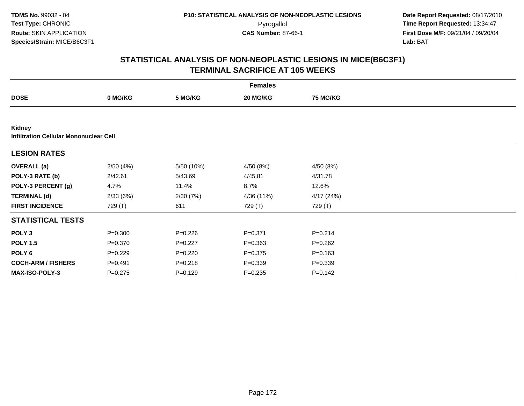|                                                  | <b>Females</b> |             |             |                 |  |  |  |  |
|--------------------------------------------------|----------------|-------------|-------------|-----------------|--|--|--|--|
| <b>DOSE</b>                                      | 0 MG/KG        | 5 MG/KG     | 20 MG/KG    | <b>75 MG/KG</b> |  |  |  |  |
|                                                  |                |             |             |                 |  |  |  |  |
| Kidney<br>Infiltration Cellular Mononuclear Cell |                |             |             |                 |  |  |  |  |
| <b>LESION RATES</b>                              |                |             |             |                 |  |  |  |  |
| <b>OVERALL</b> (a)                               | 2/50(4%)       | 5/50 (10%)  | 4/50 (8%)   | 4/50 (8%)       |  |  |  |  |
| POLY-3 RATE (b)                                  | 2/42.61        | 5/43.69     | 4/45.81     | 4/31.78         |  |  |  |  |
| POLY-3 PERCENT (g)                               | 4.7%           | 11.4%       | 8.7%        | 12.6%           |  |  |  |  |
| <b>TERMINAL (d)</b>                              | 2/33(6%)       | 2/30(7%)    | 4/36 (11%)  | 4/17(24%)       |  |  |  |  |
| <b>FIRST INCIDENCE</b>                           | 729 (T)        | 611         | 729 (T)     | 729 (T)         |  |  |  |  |
| <b>STATISTICAL TESTS</b>                         |                |             |             |                 |  |  |  |  |
| POLY <sub>3</sub>                                | $P = 0.300$    | $P=0.226$   | $P = 0.371$ | $P = 0.214$     |  |  |  |  |
| <b>POLY 1.5</b>                                  | $P = 0.370$    | $P=0.227$   | $P = 0.363$ | $P = 0.262$     |  |  |  |  |
| POLY 6                                           | $P=0.229$      | $P = 0.220$ | $P = 0.375$ | $P = 0.163$     |  |  |  |  |
| <b>COCH-ARM / FISHERS</b>                        | $P = 0.491$    | $P = 0.218$ | $P = 0.339$ | $P = 0.339$     |  |  |  |  |
| <b>MAX-ISO-POLY-3</b>                            | $P=0.275$      | $P=0.129$   | $P = 0.235$ | $P = 0.142$     |  |  |  |  |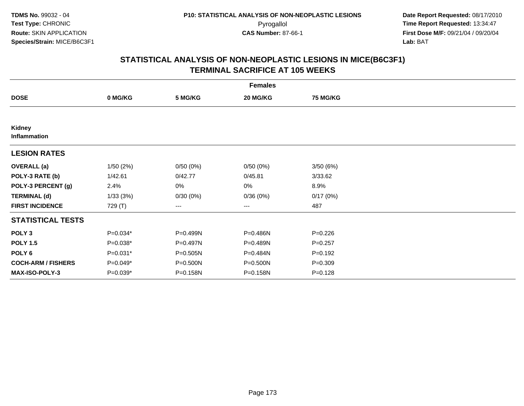|                               | <b>Females</b> |          |                   |             |  |  |  |  |
|-------------------------------|----------------|----------|-------------------|-------------|--|--|--|--|
| <b>DOSE</b>                   | 0 MG/KG        | 5 MG/KG  | 20 MG/KG          | 75 MG/KG    |  |  |  |  |
|                               |                |          |                   |             |  |  |  |  |
| Kidney<br><b>Inflammation</b> |                |          |                   |             |  |  |  |  |
| <b>LESION RATES</b>           |                |          |                   |             |  |  |  |  |
| <b>OVERALL</b> (a)            | 1/50(2%)       | 0/50(0%) | 0/50(0%)          | 3/50(6%)    |  |  |  |  |
| POLY-3 RATE (b)               | 1/42.61        | 0/42.77  | 0/45.81           | 3/33.62     |  |  |  |  |
| POLY-3 PERCENT (g)            | 2.4%           | 0%       | 0%                | 8.9%        |  |  |  |  |
| <b>TERMINAL (d)</b>           | 1/33(3%)       | 0/30(0%) | 0/36(0%)          | 0/17(0%)    |  |  |  |  |
| <b>FIRST INCIDENCE</b>        | 729 (T)        | ---      | $\qquad \qquad -$ | 487         |  |  |  |  |
| <b>STATISTICAL TESTS</b>      |                |          |                   |             |  |  |  |  |
| POLY <sub>3</sub>             | $P=0.034*$     | P=0.499N | P=0.486N          | $P=0.226$   |  |  |  |  |
| <b>POLY 1.5</b>               | $P=0.038*$     | P=0.497N | P=0.489N          | $P=0.257$   |  |  |  |  |
| POLY <sub>6</sub>             | P=0.031*       | P=0.505N | P=0.484N          | $P = 0.192$ |  |  |  |  |
| <b>COCH-ARM / FISHERS</b>     | P=0.049*       | P=0.500N | P=0.500N          | $P = 0.309$ |  |  |  |  |
| MAX-ISO-POLY-3                | P=0.039*       | P=0.158N | P=0.158N          | $P = 0.128$ |  |  |  |  |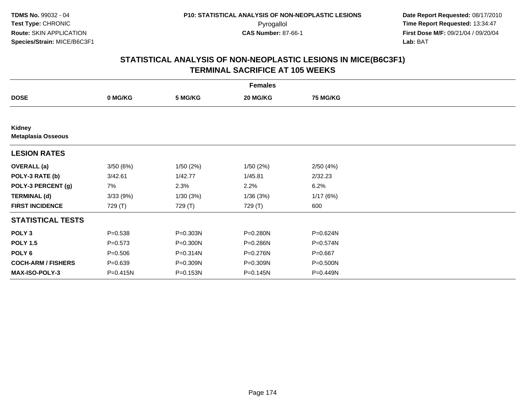|                                     | <b>Females</b> |              |           |                 |  |  |  |  |
|-------------------------------------|----------------|--------------|-----------|-----------------|--|--|--|--|
| <b>DOSE</b>                         | 0 MG/KG        | 5 MG/KG      | 20 MG/KG  | <b>75 MG/KG</b> |  |  |  |  |
|                                     |                |              |           |                 |  |  |  |  |
| Kidney<br><b>Metaplasia Osseous</b> |                |              |           |                 |  |  |  |  |
| <b>LESION RATES</b>                 |                |              |           |                 |  |  |  |  |
| <b>OVERALL</b> (a)                  | 3/50(6%)       | 1/50(2%)     | 1/50 (2%) | 2/50(4%)        |  |  |  |  |
| POLY-3 RATE (b)                     | 3/42.61        | 1/42.77      | 1/45.81   | 2/32.23         |  |  |  |  |
| POLY-3 PERCENT (g)                  | 7%             | 2.3%         | 2.2%      | 6.2%            |  |  |  |  |
| <b>TERMINAL (d)</b>                 | 3/33(9%)       | 1/30(3%)     | 1/36(3%)  | 1/17(6%)        |  |  |  |  |
| <b>FIRST INCIDENCE</b>              | 729 (T)        | 729 (T)      | 729 (T)   | 600             |  |  |  |  |
| <b>STATISTICAL TESTS</b>            |                |              |           |                 |  |  |  |  |
| POLY <sub>3</sub>                   | $P = 0.538$    | P=0.303N     | P=0.280N  | P=0.624N        |  |  |  |  |
| <b>POLY 1.5</b>                     | $P = 0.573$    | $P = 0.300N$ | P=0.286N  | P=0.574N        |  |  |  |  |
| POLY 6                              | $P = 0.506$    | $P = 0.314N$ | P=0.276N  | $P = 0.667$     |  |  |  |  |
| <b>COCH-ARM / FISHERS</b>           | $P = 0.639$    | P=0.309N     | P=0.309N  | P=0.500N        |  |  |  |  |
| MAX-ISO-POLY-3                      | P=0.415N       | P=0.153N     | P=0.145N  | P=0.449N        |  |  |  |  |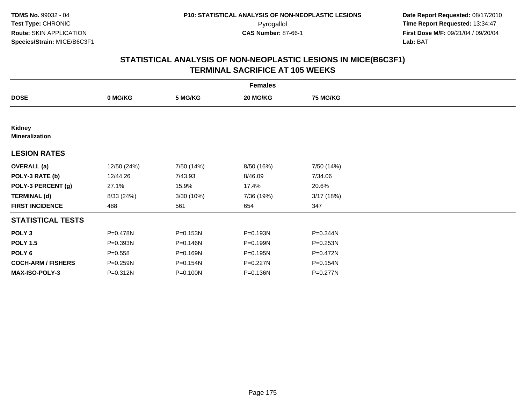|                                 | <b>Females</b> |            |            |            |  |  |  |  |
|---------------------------------|----------------|------------|------------|------------|--|--|--|--|
| <b>DOSE</b>                     | 0 MG/KG        | 5 MG/KG    | 20 MG/KG   | 75 MG/KG   |  |  |  |  |
|                                 |                |            |            |            |  |  |  |  |
| Kidney<br><b>Mineralization</b> |                |            |            |            |  |  |  |  |
| <b>LESION RATES</b>             |                |            |            |            |  |  |  |  |
| <b>OVERALL</b> (a)              | 12/50 (24%)    | 7/50 (14%) | 8/50 (16%) | 7/50 (14%) |  |  |  |  |
| POLY-3 RATE (b)                 | 12/44.26       | 7/43.93    | 8/46.09    | 7/34.06    |  |  |  |  |
| POLY-3 PERCENT (g)              | 27.1%          | 15.9%      | 17.4%      | 20.6%      |  |  |  |  |
| <b>TERMINAL (d)</b>             | 8/33 (24%)     | 3/30 (10%) | 7/36 (19%) | 3/17(18%)  |  |  |  |  |
| <b>FIRST INCIDENCE</b>          | 488            | 561        | 654        | 347        |  |  |  |  |
| <b>STATISTICAL TESTS</b>        |                |            |            |            |  |  |  |  |
| POLY <sub>3</sub>               | P=0.478N       | P=0.153N   | P=0.193N   | P=0.344N   |  |  |  |  |
| <b>POLY 1.5</b>                 | P=0.393N       | P=0.146N   | P=0.199N   | P=0.253N   |  |  |  |  |
| POLY <sub>6</sub>               | $P = 0.558$    | P=0.169N   | P=0.195N   | P=0.472N   |  |  |  |  |
| <b>COCH-ARM / FISHERS</b>       | P=0.259N       | P=0.154N   | P=0.227N   | P=0.154N   |  |  |  |  |
| <b>MAX-ISO-POLY-3</b>           | P=0.312N       | P=0.100N   | P=0.136N   | P=0.277N   |  |  |  |  |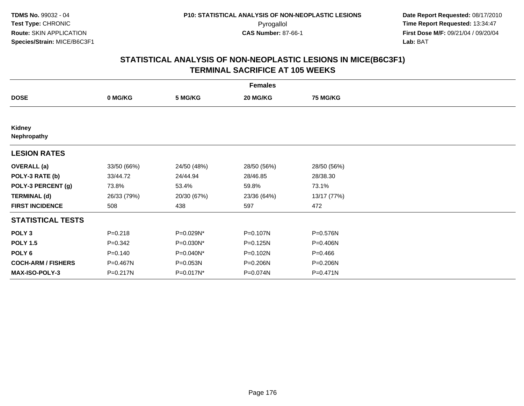| <b>Females</b>            |             |             |             |                 |  |  |  |
|---------------------------|-------------|-------------|-------------|-----------------|--|--|--|
| <b>DOSE</b>               | 0 MG/KG     | 5 MG/KG     | 20 MG/KG    | <b>75 MG/KG</b> |  |  |  |
|                           |             |             |             |                 |  |  |  |
| Kidney<br>Nephropathy     |             |             |             |                 |  |  |  |
| <b>LESION RATES</b>       |             |             |             |                 |  |  |  |
| <b>OVERALL</b> (a)        | 33/50 (66%) | 24/50 (48%) | 28/50 (56%) | 28/50 (56%)     |  |  |  |
| POLY-3 RATE (b)           | 33/44.72    | 24/44.94    | 28/46.85    | 28/38.30        |  |  |  |
| POLY-3 PERCENT (g)        | 73.8%       | 53.4%       | 59.8%       | 73.1%           |  |  |  |
| <b>TERMINAL (d)</b>       | 26/33 (79%) | 20/30 (67%) | 23/36 (64%) | 13/17 (77%)     |  |  |  |
| <b>FIRST INCIDENCE</b>    | 508         | 438         | 597         | 472             |  |  |  |
| <b>STATISTICAL TESTS</b>  |             |             |             |                 |  |  |  |
| POLY <sub>3</sub>         | $P = 0.218$ | P=0.029N*   | P=0.107N    | P=0.576N        |  |  |  |
| <b>POLY 1.5</b>           | $P = 0.342$ | P=0.030N*   | P=0.125N    | P=0.406N        |  |  |  |
| POLY 6                    | $P = 0.140$ | P=0.040N*   | P=0.102N    | $P=0.466$       |  |  |  |
| <b>COCH-ARM / FISHERS</b> | P=0.467N    | P=0.053N    | P=0.206N    | P=0.206N        |  |  |  |
| MAX-ISO-POLY-3            | P=0.217N    | P=0.017N*   | P=0.074N    | P=0.471N        |  |  |  |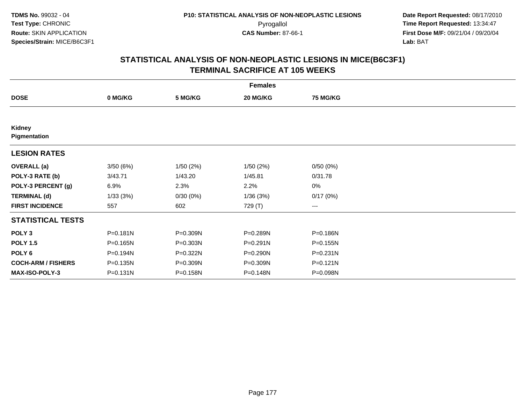|                           | <b>Females</b> |          |              |                        |  |  |  |  |
|---------------------------|----------------|----------|--------------|------------------------|--|--|--|--|
| <b>DOSE</b>               | 0 MG/KG        | 5 MG/KG  | 20 MG/KG     | <b>75 MG/KG</b>        |  |  |  |  |
|                           |                |          |              |                        |  |  |  |  |
| Kidney<br>Pigmentation    |                |          |              |                        |  |  |  |  |
| <b>LESION RATES</b>       |                |          |              |                        |  |  |  |  |
| <b>OVERALL</b> (a)        | 3/50(6%)       | 1/50(2%) | 1/50(2%)     | 0/50(0%)               |  |  |  |  |
| POLY-3 RATE (b)           | 3/43.71        | 1/43.20  | 1/45.81      | 0/31.78                |  |  |  |  |
| POLY-3 PERCENT (g)        | 6.9%           | 2.3%     | 2.2%         | 0%                     |  |  |  |  |
| <b>TERMINAL (d)</b>       | 1/33(3%)       | 0/30(0%) | 1/36(3%)     | 0/17(0%)               |  |  |  |  |
| <b>FIRST INCIDENCE</b>    | 557            | 602      | 729 (T)      | $\qquad \qquad \cdots$ |  |  |  |  |
| <b>STATISTICAL TESTS</b>  |                |          |              |                        |  |  |  |  |
| POLY <sub>3</sub>         | P=0.181N       | P=0.309N | P=0.289N     | P=0.186N               |  |  |  |  |
| <b>POLY 1.5</b>           | P=0.165N       | P=0.303N | $P = 0.291N$ | P=0.155N               |  |  |  |  |
| POLY <sub>6</sub>         | P=0.194N       | P=0.322N | P=0.290N     | $P = 0.231N$           |  |  |  |  |
| <b>COCH-ARM / FISHERS</b> | P=0.135N       | P=0.309N | P=0.309N     | P=0.121N               |  |  |  |  |
| MAX-ISO-POLY-3            | P=0.131N       | P=0.158N | P=0.148N     | P=0.098N               |  |  |  |  |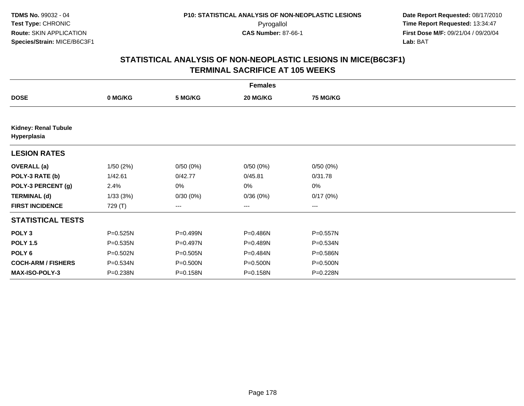|                                            | <b>Females</b> |          |                        |                 |  |  |  |  |
|--------------------------------------------|----------------|----------|------------------------|-----------------|--|--|--|--|
| <b>DOSE</b>                                | 0 MG/KG        | 5 MG/KG  | 20 MG/KG               | <b>75 MG/KG</b> |  |  |  |  |
|                                            |                |          |                        |                 |  |  |  |  |
| <b>Kidney: Renal Tubule</b><br>Hyperplasia |                |          |                        |                 |  |  |  |  |
| <b>LESION RATES</b>                        |                |          |                        |                 |  |  |  |  |
| <b>OVERALL</b> (a)                         | 1/50(2%)       | 0/50(0%) | 0/50(0%)               | 0/50(0%)        |  |  |  |  |
| POLY-3 RATE (b)                            | 1/42.61        | 0/42.77  | 0/45.81                | 0/31.78         |  |  |  |  |
| POLY-3 PERCENT (g)                         | 2.4%           | 0%       | 0%                     | $0\%$           |  |  |  |  |
| <b>TERMINAL (d)</b>                        | 1/33(3%)       | 0/30(0%) | 0/36(0%)               | 0/17(0%)        |  |  |  |  |
| <b>FIRST INCIDENCE</b>                     | 729 (T)        | ---      | $\qquad \qquad \cdots$ | ---             |  |  |  |  |
| <b>STATISTICAL TESTS</b>                   |                |          |                        |                 |  |  |  |  |
| POLY <sub>3</sub>                          | P=0.525N       | P=0.499N | P=0.486N               | P=0.557N        |  |  |  |  |
| <b>POLY 1.5</b>                            | P=0.535N       | P=0.497N | P=0.489N               | P=0.534N        |  |  |  |  |
| POLY <sub>6</sub>                          | P=0.502N       | P=0.505N | $P = 0.484N$           | P=0.586N        |  |  |  |  |
| <b>COCH-ARM / FISHERS</b>                  | P=0.534N       | P=0.500N | P=0.500N               | P=0.500N        |  |  |  |  |
| MAX-ISO-POLY-3                             | P=0.238N       | P=0.158N | P=0.158N               | P=0.228N        |  |  |  |  |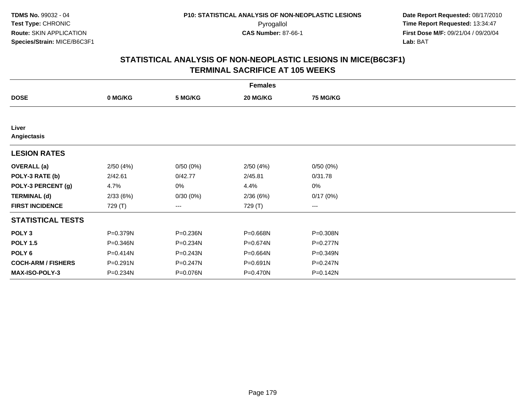|                           | <b>Females</b> |              |          |                 |  |  |  |  |
|---------------------------|----------------|--------------|----------|-----------------|--|--|--|--|
| <b>DOSE</b>               | 0 MG/KG        | 5 MG/KG      | 20 MG/KG | <b>75 MG/KG</b> |  |  |  |  |
|                           |                |              |          |                 |  |  |  |  |
| Liver<br>Angiectasis      |                |              |          |                 |  |  |  |  |
| <b>LESION RATES</b>       |                |              |          |                 |  |  |  |  |
| <b>OVERALL</b> (a)        | 2/50(4%)       | 0/50(0%)     | 2/50(4%) | 0/50(0%)        |  |  |  |  |
| POLY-3 RATE (b)           | 2/42.61        | 0/42.77      | 2/45.81  | 0/31.78         |  |  |  |  |
| POLY-3 PERCENT (g)        | 4.7%           | 0%           | 4.4%     | 0%              |  |  |  |  |
| <b>TERMINAL (d)</b>       | 2/33(6%)       | 0/30(0%)     | 2/36(6%) | 0/17(0%)        |  |  |  |  |
| <b>FIRST INCIDENCE</b>    | 729 (T)        | ---          | 729 (T)  | $--$            |  |  |  |  |
| <b>STATISTICAL TESTS</b>  |                |              |          |                 |  |  |  |  |
| POLY <sub>3</sub>         | P=0.379N       | P=0.236N     | P=0.668N | P=0.308N        |  |  |  |  |
| <b>POLY 1.5</b>           | P=0.346N       | P=0.234N     | P=0.674N | $P=0.277N$      |  |  |  |  |
| POLY 6                    | P=0.414N       | $P = 0.243N$ | P=0.664N | P=0.349N        |  |  |  |  |
| <b>COCH-ARM / FISHERS</b> | P=0.291N       | P=0.247N     | P=0.691N | P=0.247N        |  |  |  |  |
| MAX-ISO-POLY-3            | P=0.234N       | P=0.076N     | P=0.470N | P=0.142N        |  |  |  |  |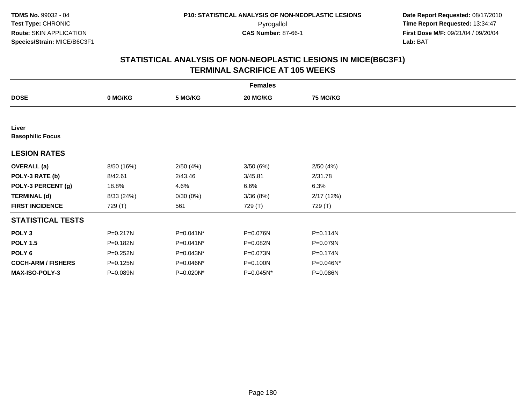|                                  | <b>Females</b> |              |           |                 |  |  |  |  |
|----------------------------------|----------------|--------------|-----------|-----------------|--|--|--|--|
| <b>DOSE</b>                      | 0 MG/KG        | 5 MG/KG      | 20 MG/KG  | <b>75 MG/KG</b> |  |  |  |  |
|                                  |                |              |           |                 |  |  |  |  |
| Liver<br><b>Basophilic Focus</b> |                |              |           |                 |  |  |  |  |
| <b>LESION RATES</b>              |                |              |           |                 |  |  |  |  |
| <b>OVERALL</b> (a)               | 8/50 (16%)     | 2/50(4%)     | 3/50(6%)  | 2/50(4%)        |  |  |  |  |
| POLY-3 RATE (b)                  | 8/42.61        | 2/43.46      | 3/45.81   | 2/31.78         |  |  |  |  |
| POLY-3 PERCENT (g)               | 18.8%          | 4.6%         | 6.6%      | 6.3%            |  |  |  |  |
| <b>TERMINAL (d)</b>              | 8/33 (24%)     | 0/30(0%)     | 3/36(8%)  | 2/17(12%)       |  |  |  |  |
| <b>FIRST INCIDENCE</b>           | 729 (T)        | 561          | 729 (T)   | 729 (T)         |  |  |  |  |
| <b>STATISTICAL TESTS</b>         |                |              |           |                 |  |  |  |  |
| POLY <sub>3</sub>                | $P = 0.217N$   | $P=0.041N^*$ | P=0.076N  | P=0.114N        |  |  |  |  |
| <b>POLY 1.5</b>                  | P=0.182N       | $P=0.041N^*$ | P=0.082N  | $P = 0.079N$    |  |  |  |  |
| POLY <sub>6</sub>                | P=0.252N       | P=0.043N*    | P=0.073N  | P=0.174N        |  |  |  |  |
| <b>COCH-ARM / FISHERS</b>        | P=0.125N       | P=0.046N*    | P=0.100N  | P=0.046N*       |  |  |  |  |
| MAX-ISO-POLY-3                   | P=0.089N       | P=0.020N*    | P=0.045N* | P=0.086N        |  |  |  |  |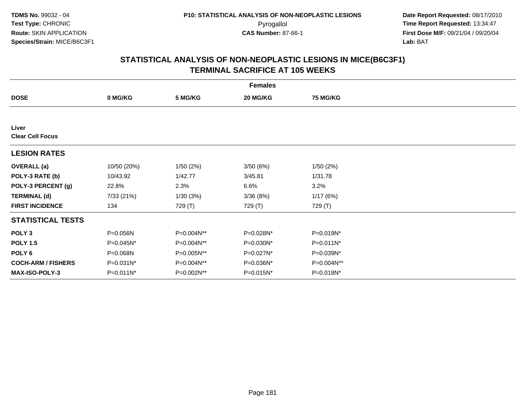| <b>Females</b>                   |             |            |           |                 |  |  |  |
|----------------------------------|-------------|------------|-----------|-----------------|--|--|--|
| <b>DOSE</b>                      | 0 MG/KG     | 5 MG/KG    | 20 MG/KG  | <b>75 MG/KG</b> |  |  |  |
|                                  |             |            |           |                 |  |  |  |
| Liver<br><b>Clear Cell Focus</b> |             |            |           |                 |  |  |  |
| <b>LESION RATES</b>              |             |            |           |                 |  |  |  |
| <b>OVERALL</b> (a)               | 10/50 (20%) | 1/50(2%)   | 3/50(6%)  | 1/50(2%)        |  |  |  |
| POLY-3 RATE (b)                  | 10/43.92    | 1/42.77    | 3/45.81   | 1/31.78         |  |  |  |
| POLY-3 PERCENT (g)               | 22.8%       | 2.3%       | 6.6%      | 3.2%            |  |  |  |
| <b>TERMINAL (d)</b>              | 7/33 (21%)  | 1/30(3%)   | 3/36(8%)  | 1/17(6%)        |  |  |  |
| <b>FIRST INCIDENCE</b>           | 134         | 729 (T)    | 729 (T)   | 729 (T)         |  |  |  |
| <b>STATISTICAL TESTS</b>         |             |            |           |                 |  |  |  |
| POLY <sub>3</sub>                | P=0.056N    | P=0.004N** | P=0.028N* | P=0.019N*       |  |  |  |
| <b>POLY 1.5</b>                  | P=0.045N*   | P=0.004N** | P=0.030N* | $P=0.011N^*$    |  |  |  |
| POLY 6                           | P=0.068N    | P=0.005N** | P=0.027N* | P=0.039N*       |  |  |  |
| <b>COCH-ARM / FISHERS</b>        | P=0.031N*   | P=0.004N** | P=0.036N* | P=0.004N**      |  |  |  |
| <b>MAX-ISO-POLY-3</b>            | P=0.011N*   | P=0.002N** | P=0.015N* | P=0.018N*       |  |  |  |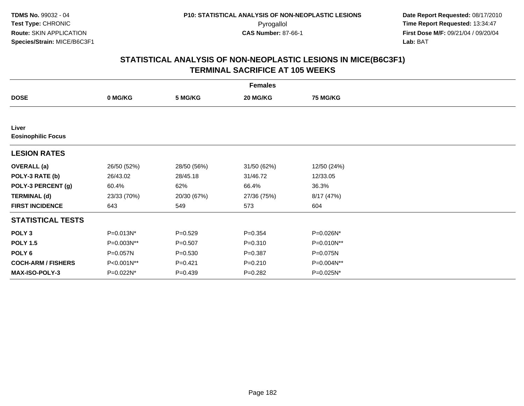| <b>Females</b>            |             |             |             |                 |  |  |  |
|---------------------------|-------------|-------------|-------------|-----------------|--|--|--|
| <b>DOSE</b>               | 0 MG/KG     | 5 MG/KG     | 20 MG/KG    | <b>75 MG/KG</b> |  |  |  |
|                           |             |             |             |                 |  |  |  |
| Liver                     |             |             |             |                 |  |  |  |
| <b>Eosinophilic Focus</b> |             |             |             |                 |  |  |  |
| <b>LESION RATES</b>       |             |             |             |                 |  |  |  |
| <b>OVERALL</b> (a)        | 26/50 (52%) | 28/50 (56%) | 31/50 (62%) | 12/50 (24%)     |  |  |  |
| POLY-3 RATE (b)           | 26/43.02    | 28/45.18    | 31/46.72    | 12/33.05        |  |  |  |
| POLY-3 PERCENT (g)        | 60.4%       | 62%         | 66.4%       | 36.3%           |  |  |  |
| <b>TERMINAL (d)</b>       | 23/33 (70%) | 20/30 (67%) | 27/36 (75%) | 8/17 (47%)      |  |  |  |
| <b>FIRST INCIDENCE</b>    | 643         | 549         | 573         | 604             |  |  |  |
| <b>STATISTICAL TESTS</b>  |             |             |             |                 |  |  |  |
| POLY <sub>3</sub>         | P=0.013N*   | $P = 0.529$ | $P = 0.354$ | P=0.026N*       |  |  |  |
| <b>POLY 1.5</b>           | P=0.003N**  | $P = 0.507$ | $P = 0.310$ | P=0.010N**      |  |  |  |
| POLY <sub>6</sub>         | P=0.057N    | $P = 0.530$ | $P = 0.387$ | P=0.075N        |  |  |  |
| <b>COCH-ARM / FISHERS</b> | P<0.001N**  | $P = 0.421$ | $P = 0.210$ | P=0.004N**      |  |  |  |
| <b>MAX-ISO-POLY-3</b>     | P=0.022N*   | $P = 0.439$ | $P = 0.282$ | P=0.025N*       |  |  |  |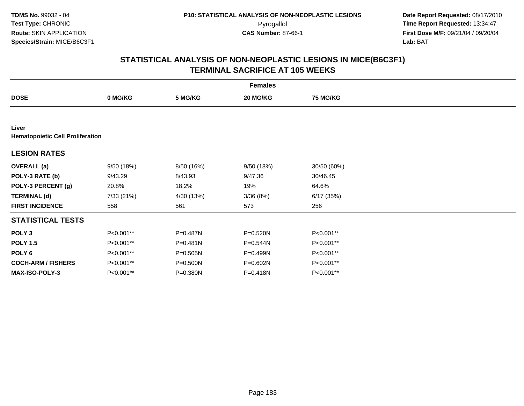| <b>Females</b>                                   |            |              |            |                 |  |  |  |
|--------------------------------------------------|------------|--------------|------------|-----------------|--|--|--|
| <b>DOSE</b>                                      | 0 MG/KG    | 5 MG/KG      | 20 MG/KG   | <b>75 MG/KG</b> |  |  |  |
|                                                  |            |              |            |                 |  |  |  |
| Liver<br><b>Hematopoietic Cell Proliferation</b> |            |              |            |                 |  |  |  |
| <b>LESION RATES</b>                              |            |              |            |                 |  |  |  |
| <b>OVERALL</b> (a)                               | 9/50(18%)  | 8/50 (16%)   | 9/50 (18%) | 30/50 (60%)     |  |  |  |
| POLY-3 RATE (b)                                  | 9/43.29    | 8/43.93      | 9/47.36    | 30/46.45        |  |  |  |
| POLY-3 PERCENT (g)                               | 20.8%      | 18.2%        | 19%        | 64.6%           |  |  |  |
| <b>TERMINAL (d)</b>                              | 7/33 (21%) | 4/30 (13%)   | 3/36(8%)   | 6/17(35%)       |  |  |  |
| <b>FIRST INCIDENCE</b>                           | 558        | 561          | 573        | 256             |  |  |  |
| <b>STATISTICAL TESTS</b>                         |            |              |            |                 |  |  |  |
| POLY <sub>3</sub>                                | P<0.001**  | P=0.487N     | P=0.520N   | P<0.001**       |  |  |  |
| <b>POLY 1.5</b>                                  | P<0.001**  | P=0.481N     | P=0.544N   | P<0.001**       |  |  |  |
| POLY <sub>6</sub>                                | P<0.001**  | $P = 0.505N$ | P=0.499N   | P<0.001**       |  |  |  |
| <b>COCH-ARM / FISHERS</b>                        | P<0.001**  | P=0.500N     | P=0.602N   | P<0.001**       |  |  |  |
| MAX-ISO-POLY-3                                   | P<0.001**  | P=0.380N     | P=0.418N   | P<0.001**       |  |  |  |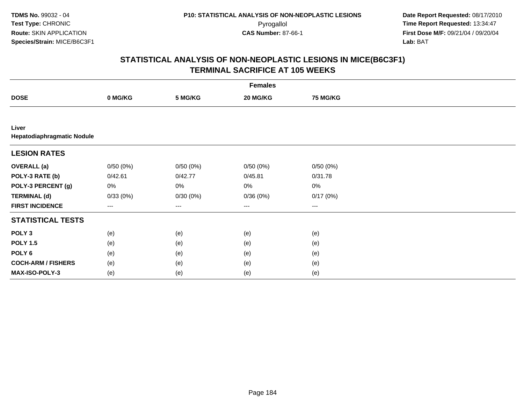|                                     | <b>Females</b> |          |                     |                   |  |  |  |  |
|-------------------------------------|----------------|----------|---------------------|-------------------|--|--|--|--|
| <b>DOSE</b>                         | 0 MG/KG        | 5 MG/KG  | 20 MG/KG            | <b>75 MG/KG</b>   |  |  |  |  |
|                                     |                |          |                     |                   |  |  |  |  |
| Liver<br>Hepatodiaphragmatic Nodule |                |          |                     |                   |  |  |  |  |
| <b>LESION RATES</b>                 |                |          |                     |                   |  |  |  |  |
| <b>OVERALL</b> (a)                  | 0/50(0%)       | 0/50(0%) | 0/50(0%)            | 0/50(0%)          |  |  |  |  |
| POLY-3 RATE (b)                     | 0/42.61        | 0/42.77  | 0/45.81             | 0/31.78           |  |  |  |  |
| POLY-3 PERCENT (g)                  | 0%             | 0%       | 0%                  | $0\%$             |  |  |  |  |
| <b>TERMINAL (d)</b>                 | 0/33(0%)       | 0/30(0%) | 0/36(0%)            | 0/17(0%)          |  |  |  |  |
| <b>FIRST INCIDENCE</b>              | ---            | ---      | $\qquad \qquad - -$ | $\qquad \qquad -$ |  |  |  |  |
| <b>STATISTICAL TESTS</b>            |                |          |                     |                   |  |  |  |  |
| POLY <sub>3</sub>                   | (e)            | (e)      | (e)                 | (e)               |  |  |  |  |
| <b>POLY 1.5</b>                     | (e)            | (e)      | (e)                 | (e)               |  |  |  |  |
| POLY <sub>6</sub>                   | (e)            | (e)      | (e)                 | (e)               |  |  |  |  |
| <b>COCH-ARM / FISHERS</b>           | (e)            | (e)      | (e)                 | (e)               |  |  |  |  |
| MAX-ISO-POLY-3                      | (e)            | (e)      | (e)                 | (e)               |  |  |  |  |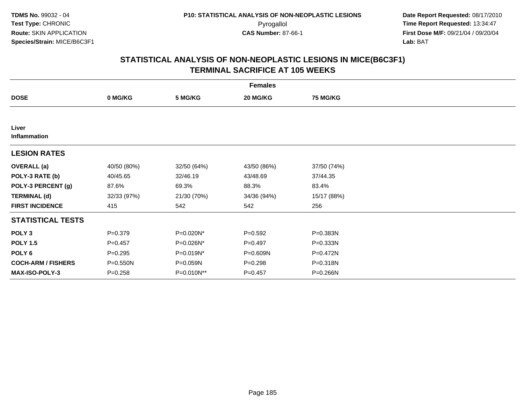| <b>Females</b>            |             |             |             |                 |  |  |  |
|---------------------------|-------------|-------------|-------------|-----------------|--|--|--|
| <b>DOSE</b>               | 0 MG/KG     | 5 MG/KG     | 20 MG/KG    | <b>75 MG/KG</b> |  |  |  |
|                           |             |             |             |                 |  |  |  |
| Liver<br>Inflammation     |             |             |             |                 |  |  |  |
| <b>LESION RATES</b>       |             |             |             |                 |  |  |  |
| <b>OVERALL</b> (a)        | 40/50 (80%) | 32/50 (64%) | 43/50 (86%) | 37/50 (74%)     |  |  |  |
| POLY-3 RATE (b)           | 40/45.65    | 32/46.19    | 43/48.69    | 37/44.35        |  |  |  |
| POLY-3 PERCENT (g)        | 87.6%       | 69.3%       | 88.3%       | 83.4%           |  |  |  |
| <b>TERMINAL (d)</b>       | 32/33 (97%) | 21/30 (70%) | 34/36 (94%) | 15/17 (88%)     |  |  |  |
| <b>FIRST INCIDENCE</b>    | 415         | 542         | 542         | 256             |  |  |  |
| <b>STATISTICAL TESTS</b>  |             |             |             |                 |  |  |  |
| POLY <sub>3</sub>         | $P = 0.379$ | P=0.020N*   | $P = 0.592$ | P=0.383N        |  |  |  |
| <b>POLY 1.5</b>           | $P=0.457$   | P=0.026N*   | $P=0.497$   | P=0.333N        |  |  |  |
| POLY 6                    | $P = 0.295$ | P=0.019N*   | P=0.609N    | P=0.472N        |  |  |  |
| <b>COCH-ARM / FISHERS</b> | P=0.550N    | P=0.059N    | $P = 0.298$ | P=0.318N        |  |  |  |
| <b>MAX-ISO-POLY-3</b>     | $P = 0.258$ | P=0.010N**  | $P=0.457$   | P=0.266N        |  |  |  |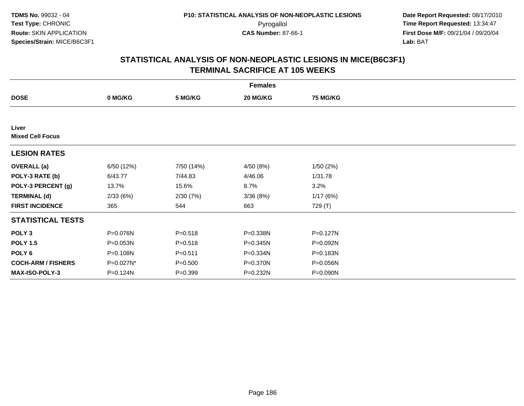| <b>Females</b>                   |            |             |           |                 |  |  |  |
|----------------------------------|------------|-------------|-----------|-----------------|--|--|--|
| <b>DOSE</b>                      | 0 MG/KG    | 5 MG/KG     | 20 MG/KG  | <b>75 MG/KG</b> |  |  |  |
|                                  |            |             |           |                 |  |  |  |
| Liver<br><b>Mixed Cell Focus</b> |            |             |           |                 |  |  |  |
| <b>LESION RATES</b>              |            |             |           |                 |  |  |  |
| <b>OVERALL</b> (a)               | 6/50 (12%) | 7/50 (14%)  | 4/50 (8%) | 1/50(2%)        |  |  |  |
| POLY-3 RATE (b)                  | 6/43.77    | 7/44.83     | 4/46.06   | 1/31.78         |  |  |  |
| POLY-3 PERCENT (g)               | 13.7%      | 15.6%       | 8.7%      | 3.2%            |  |  |  |
| <b>TERMINAL (d)</b>              | 2/33(6%)   | 2/30(7%)    | 3/36(8%)  | 1/17(6%)        |  |  |  |
| <b>FIRST INCIDENCE</b>           | 365        | 544         | 663       | 729 (T)         |  |  |  |
| <b>STATISTICAL TESTS</b>         |            |             |           |                 |  |  |  |
| POLY <sub>3</sub>                | P=0.076N   | $P = 0.518$ | P=0.338N  | P=0.127N        |  |  |  |
| <b>POLY 1.5</b>                  | P=0.053N   | $P = 0.518$ | P=0.345N  | P=0.092N        |  |  |  |
| POLY 6                           | P=0.108N   | $P = 0.511$ | P=0.334N  | P=0.183N        |  |  |  |
| <b>COCH-ARM / FISHERS</b>        | P=0.027N*  | $P = 0.500$ | P=0.370N  | P=0.056N        |  |  |  |
| <b>MAX-ISO-POLY-3</b>            | P=0.124N   | $P = 0.399$ | P=0.232N  | P=0.090N        |  |  |  |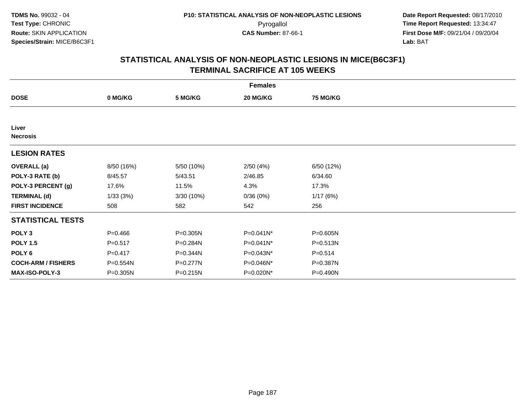| <b>Females</b>            |             |              |           |              |  |  |  |
|---------------------------|-------------|--------------|-----------|--------------|--|--|--|
| <b>DOSE</b>               | 0 MG/KG     | 5 MG/KG      | 20 MG/KG  | 75 MG/KG     |  |  |  |
|                           |             |              |           |              |  |  |  |
| Liver<br><b>Necrosis</b>  |             |              |           |              |  |  |  |
| <b>LESION RATES</b>       |             |              |           |              |  |  |  |
| <b>OVERALL</b> (a)        | 8/50 (16%)  | 5/50 (10%)   | 2/50(4%)  | 6/50 (12%)   |  |  |  |
| POLY-3 RATE (b)           | 8/45.57     | 5/43.51      | 2/46.85   | 6/34.60      |  |  |  |
| POLY-3 PERCENT (g)        | 17.6%       | 11.5%        | 4.3%      | 17.3%        |  |  |  |
| <b>TERMINAL (d)</b>       | 1/33(3%)    | 3/30 (10%)   | 0/36(0%)  | 1/17(6%)     |  |  |  |
| <b>FIRST INCIDENCE</b>    | 508         | 582          | 542       | 256          |  |  |  |
| <b>STATISTICAL TESTS</b>  |             |              |           |              |  |  |  |
| POLY <sub>3</sub>         | $P = 0.466$ | P=0.305N     | P=0.041N* | P=0.605N     |  |  |  |
| <b>POLY 1.5</b>           | $P = 0.517$ | P=0.284N     | P=0.041N* | $P = 0.513N$ |  |  |  |
| POLY 6                    | $P = 0.417$ | P=0.344N     | P=0.043N* | $P = 0.514$  |  |  |  |
| <b>COCH-ARM / FISHERS</b> | P=0.554N    | $P = 0.277N$ | P=0.046N* | P=0.387N     |  |  |  |
| <b>MAX-ISO-POLY-3</b>     | P=0.305N    | P=0.215N     | P=0.020N* | P=0.490N     |  |  |  |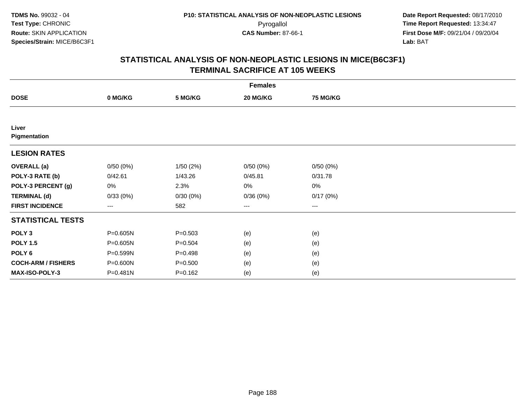| <b>Females</b>            |          |             |                        |                 |  |  |  |
|---------------------------|----------|-------------|------------------------|-----------------|--|--|--|
| <b>DOSE</b>               | 0 MG/KG  | 5 MG/KG     | 20 MG/KG               | <b>75 MG/KG</b> |  |  |  |
|                           |          |             |                        |                 |  |  |  |
| Liver<br>Pigmentation     |          |             |                        |                 |  |  |  |
| <b>LESION RATES</b>       |          |             |                        |                 |  |  |  |
| <b>OVERALL</b> (a)        | 0/50(0%) | 1/50(2%)    | 0/50(0%)               | 0/50(0%)        |  |  |  |
| POLY-3 RATE (b)           | 0/42.61  | 1/43.26     | 0/45.81                | 0/31.78         |  |  |  |
| POLY-3 PERCENT (g)        | 0%       | 2.3%        | 0%                     | $0\%$           |  |  |  |
| <b>TERMINAL (d)</b>       | 0/33(0%) | 0/30(0%)    | 0/36(0%)               | 0/17(0%)        |  |  |  |
| <b>FIRST INCIDENCE</b>    | ---      | 582         | $\qquad \qquad \cdots$ | $---$           |  |  |  |
| <b>STATISTICAL TESTS</b>  |          |             |                        |                 |  |  |  |
| POLY <sub>3</sub>         | P=0.605N | $P = 0.503$ | (e)                    | (e)             |  |  |  |
| <b>POLY 1.5</b>           | P=0.605N | $P = 0.504$ | (e)                    | (e)             |  |  |  |
| POLY <sub>6</sub>         | P=0.599N | $P = 0.498$ | (e)                    | (e)             |  |  |  |
| <b>COCH-ARM / FISHERS</b> | P=0.600N | $P = 0.500$ | (e)                    | (e)             |  |  |  |
| MAX-ISO-POLY-3            | P=0.481N | $P = 0.162$ | (e)                    | (e)             |  |  |  |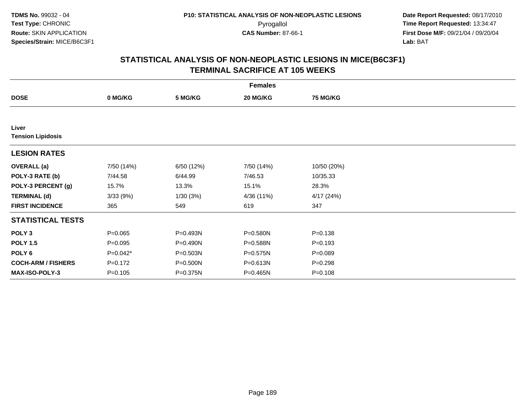| <b>Females</b>                    |             |            |            |                 |  |  |  |
|-----------------------------------|-------------|------------|------------|-----------------|--|--|--|
| <b>DOSE</b>                       | 0 MG/KG     | 5 MG/KG    | 20 MG/KG   | <b>75 MG/KG</b> |  |  |  |
|                                   |             |            |            |                 |  |  |  |
| Liver<br><b>Tension Lipidosis</b> |             |            |            |                 |  |  |  |
| <b>LESION RATES</b>               |             |            |            |                 |  |  |  |
| <b>OVERALL</b> (a)                | 7/50 (14%)  | 6/50 (12%) | 7/50 (14%) | 10/50 (20%)     |  |  |  |
| POLY-3 RATE (b)                   | 7/44.58     | 6/44.99    | 7/46.53    | 10/35.33        |  |  |  |
| POLY-3 PERCENT (g)                | 15.7%       | 13.3%      | 15.1%      | 28.3%           |  |  |  |
| <b>TERMINAL (d)</b>               | 3/33(9%)    | 1/30(3%)   | 4/36 (11%) | 4/17(24%)       |  |  |  |
| <b>FIRST INCIDENCE</b>            | 365         | 549        | 619        | 347             |  |  |  |
| <b>STATISTICAL TESTS</b>          |             |            |            |                 |  |  |  |
| POLY <sub>3</sub>                 | $P = 0.065$ | P=0.493N   | P=0.580N   | $P = 0.138$     |  |  |  |
| <b>POLY 1.5</b>                   | $P = 0.095$ | P=0.490N   | P=0.588N   | $P = 0.193$     |  |  |  |
| POLY 6                            | $P=0.042*$  | P=0.503N   | P=0.575N   | $P = 0.089$     |  |  |  |
| <b>COCH-ARM / FISHERS</b>         | $P = 0.172$ | P=0.500N   | P=0.613N   | $P=0.298$       |  |  |  |
| MAX-ISO-POLY-3                    | $P = 0.105$ | P=0.375N   | P=0.465N   | $P = 0.108$     |  |  |  |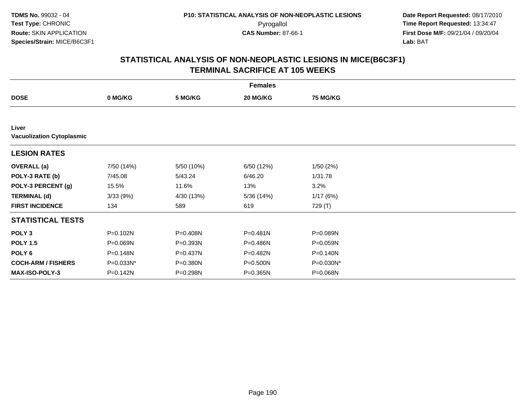|                                           |            |            | <b>Females</b> |                 |  |
|-------------------------------------------|------------|------------|----------------|-----------------|--|
| <b>DOSE</b>                               | 0 MG/KG    | 5 MG/KG    | 20 MG/KG       | <b>75 MG/KG</b> |  |
|                                           |            |            |                |                 |  |
| Liver<br><b>Vacuolization Cytoplasmic</b> |            |            |                |                 |  |
| <b>LESION RATES</b>                       |            |            |                |                 |  |
| <b>OVERALL</b> (a)                        | 7/50 (14%) | 5/50 (10%) | 6/50 (12%)     | 1/50(2%)        |  |
| POLY-3 RATE (b)                           | 7/45.08    | 5/43.24    | 6/46.20        | 1/31.78         |  |
| POLY-3 PERCENT (g)                        | 15.5%      | 11.6%      | 13%            | 3.2%            |  |
| <b>TERMINAL (d)</b>                       | 3/33(9%)   | 4/30 (13%) | 5/36(14%)      | 1/17(6%)        |  |
| <b>FIRST INCIDENCE</b>                    | 134        | 589        | 619            | 729 (T)         |  |
| <b>STATISTICAL TESTS</b>                  |            |            |                |                 |  |
| POLY <sub>3</sub>                         | P=0.102N   | P=0.408N   | $P = 0.481N$   | P=0.089N        |  |
| <b>POLY 1.5</b>                           | P=0.069N   | P=0.393N   | P=0.486N       | P=0.059N        |  |
| POLY <sub>6</sub>                         | P=0.148N   | P=0.437N   | P=0.482N       | P=0.140N        |  |
| <b>COCH-ARM / FISHERS</b>                 | P=0.033N*  | P=0.380N   | P=0.500N       | P=0.030N*       |  |
| MAX-ISO-POLY-3                            | P=0.142N   | P=0.298N   | $P = 0.365N$   | P=0.068N        |  |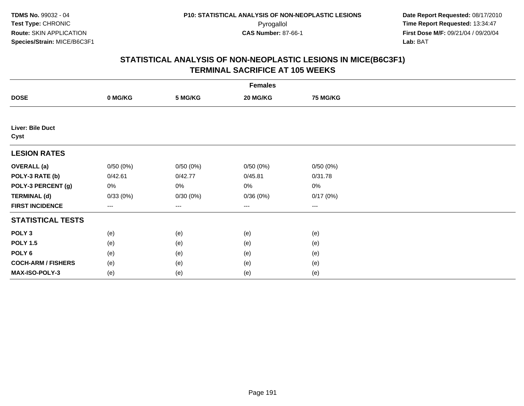| <b>Females</b>            |          |                   |          |          |  |  |  |
|---------------------------|----------|-------------------|----------|----------|--|--|--|
| <b>DOSE</b>               | 0 MG/KG  | 5 MG/KG           | 20 MG/KG | 75 MG/KG |  |  |  |
|                           |          |                   |          |          |  |  |  |
| Liver: Bile Duct<br>Cyst  |          |                   |          |          |  |  |  |
| <b>LESION RATES</b>       |          |                   |          |          |  |  |  |
| <b>OVERALL</b> (a)        | 0/50(0%) | 0/50(0%)          | 0/50(0%) | 0/50(0%) |  |  |  |
| POLY-3 RATE (b)           | 0/42.61  | 0/42.77           | 0/45.81  | 0/31.78  |  |  |  |
| POLY-3 PERCENT (g)        | 0%       | 0%                | 0%       | 0%       |  |  |  |
| <b>TERMINAL (d)</b>       | 0/33(0%) | 0/30(0%)          | 0/36(0%) | 0/17(0%) |  |  |  |
| <b>FIRST INCIDENCE</b>    | $--$     | $\qquad \qquad -$ | $\cdots$ | $\cdots$ |  |  |  |
| <b>STATISTICAL TESTS</b>  |          |                   |          |          |  |  |  |
| POLY <sub>3</sub>         | (e)      | (e)               | (e)      | (e)      |  |  |  |
| <b>POLY 1.5</b>           | (e)      | (e)               | (e)      | (e)      |  |  |  |
| POLY <sub>6</sub>         | (e)      | (e)               | (e)      | (e)      |  |  |  |
| <b>COCH-ARM / FISHERS</b> | (e)      | (e)               | (e)      | (e)      |  |  |  |
| MAX-ISO-POLY-3            | (e)      | (e)               | (e)      | (e)      |  |  |  |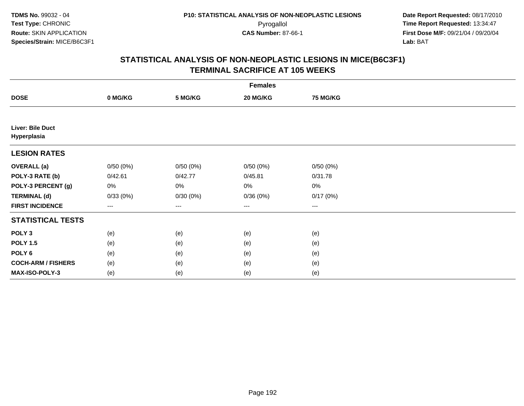|                                        | <b>Females</b>         |          |          |          |  |  |  |  |
|----------------------------------------|------------------------|----------|----------|----------|--|--|--|--|
| <b>DOSE</b>                            | 0 MG/KG                | 5 MG/KG  | 20 MG/KG | 75 MG/KG |  |  |  |  |
|                                        |                        |          |          |          |  |  |  |  |
| <b>Liver: Bile Duct</b><br>Hyperplasia |                        |          |          |          |  |  |  |  |
| <b>LESION RATES</b>                    |                        |          |          |          |  |  |  |  |
| <b>OVERALL</b> (a)                     | 0/50(0%)               | 0/50(0%) | 0/50(0%) | 0/50(0%) |  |  |  |  |
| POLY-3 RATE (b)                        | 0/42.61                | 0/42.77  | 0/45.81  | 0/31.78  |  |  |  |  |
| POLY-3 PERCENT (g)                     | 0%                     | 0%       | 0%       | 0%       |  |  |  |  |
| <b>TERMINAL (d)</b>                    | 0/33(0%)               | 0/30(0%) | 0/36(0%) | 0/17(0%) |  |  |  |  |
| <b>FIRST INCIDENCE</b>                 | $\qquad \qquad \cdots$ | ---      | ---      | $\cdots$ |  |  |  |  |
| <b>STATISTICAL TESTS</b>               |                        |          |          |          |  |  |  |  |
| POLY <sub>3</sub>                      | (e)                    | (e)      | (e)      | (e)      |  |  |  |  |
| <b>POLY 1.5</b>                        | (e)                    | (e)      | (e)      | (e)      |  |  |  |  |
| POLY <sub>6</sub>                      | (e)                    | (e)      | (e)      | (e)      |  |  |  |  |
| <b>COCH-ARM / FISHERS</b>              | (e)                    | (e)      | (e)      | (e)      |  |  |  |  |
| MAX-ISO-POLY-3                         | (e)                    | (e)      | (e)      | (e)      |  |  |  |  |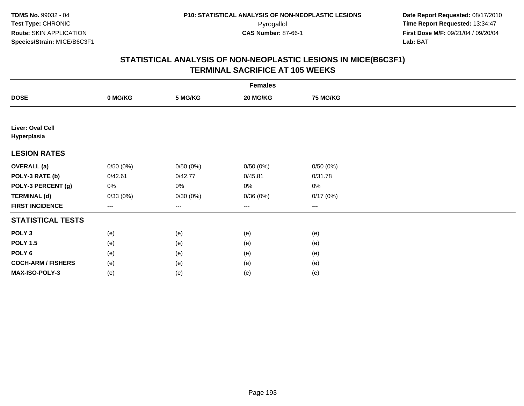|                                 | <b>Females</b> |          |                        |                 |  |  |  |
|---------------------------------|----------------|----------|------------------------|-----------------|--|--|--|
| <b>DOSE</b>                     | 0 MG/KG        | 5 MG/KG  | 20 MG/KG               | <b>75 MG/KG</b> |  |  |  |
|                                 |                |          |                        |                 |  |  |  |
| Liver: Oval Cell<br>Hyperplasia |                |          |                        |                 |  |  |  |
| <b>LESION RATES</b>             |                |          |                        |                 |  |  |  |
| <b>OVERALL (a)</b>              | 0/50(0%)       | 0/50(0%) | 0/50(0%)               | 0/50(0%)        |  |  |  |
| POLY-3 RATE (b)                 | 0/42.61        | 0/42.77  | 0/45.81                | 0/31.78         |  |  |  |
| POLY-3 PERCENT (g)              | 0%             | 0%       | 0%                     | $0\%$           |  |  |  |
| <b>TERMINAL (d)</b>             | 0/33(0%)       | 0/30(0%) | 0/36(0%)               | 0/17(0%)        |  |  |  |
| <b>FIRST INCIDENCE</b>          | ---            | $---$    | $\qquad \qquad \cdots$ | $\cdots$        |  |  |  |
| <b>STATISTICAL TESTS</b>        |                |          |                        |                 |  |  |  |
| POLY <sub>3</sub>               | (e)            | (e)      | (e)                    | (e)             |  |  |  |
| <b>POLY 1.5</b>                 | (e)            | (e)      | (e)                    | (e)             |  |  |  |
| POLY <sub>6</sub>               | (e)            | (e)      | (e)                    | (e)             |  |  |  |
| <b>COCH-ARM / FISHERS</b>       | (e)            | (e)      | (e)                    | (e)             |  |  |  |
| MAX-ISO-POLY-3                  | (e)            | (e)      | (e)                    | (e)             |  |  |  |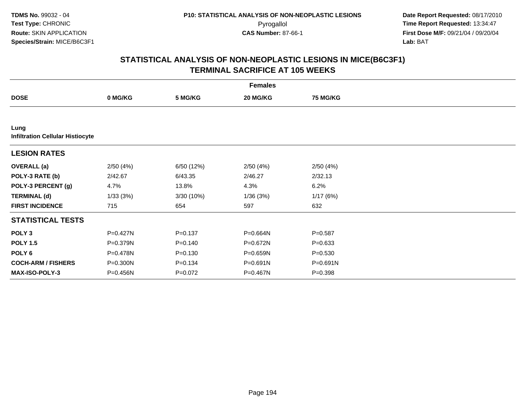|                                                 |          |             | <b>Females</b> |                 |  |
|-------------------------------------------------|----------|-------------|----------------|-----------------|--|
| <b>DOSE</b>                                     | 0 MG/KG  | 5 MG/KG     | 20 MG/KG       | <b>75 MG/KG</b> |  |
|                                                 |          |             |                |                 |  |
| Lung<br><b>Infiltration Cellular Histiocyte</b> |          |             |                |                 |  |
| <b>LESION RATES</b>                             |          |             |                |                 |  |
| <b>OVERALL</b> (a)                              | 2/50(4%) | 6/50 (12%)  | 2/50(4%)       | 2/50(4%)        |  |
| POLY-3 RATE (b)                                 | 2/42.67  | 6/43.35     | 2/46.27        | 2/32.13         |  |
| POLY-3 PERCENT (g)                              | 4.7%     | 13.8%       | 4.3%           | 6.2%            |  |
| <b>TERMINAL (d)</b>                             | 1/33(3%) | 3/30 (10%)  | 1/36(3%)       | 1/17(6%)        |  |
| <b>FIRST INCIDENCE</b>                          | 715      | 654         | 597            | 632             |  |
| <b>STATISTICAL TESTS</b>                        |          |             |                |                 |  |
| POLY <sub>3</sub>                               | P=0.427N | $P = 0.137$ | P=0.664N       | $P = 0.587$     |  |
| <b>POLY 1.5</b>                                 | P=0.379N | $P = 0.140$ | P=0.672N       | $P = 0.633$     |  |
| POLY <sub>6</sub>                               | P=0.478N | $P = 0.130$ | P=0.659N       | $P = 0.530$     |  |
| <b>COCH-ARM / FISHERS</b>                       | P=0.300N | $P = 0.134$ | P=0.691N       | P=0.691N        |  |
| <b>MAX-ISO-POLY-3</b>                           | P=0.456N | $P = 0.072$ | P=0.467N       | $P = 0.398$     |  |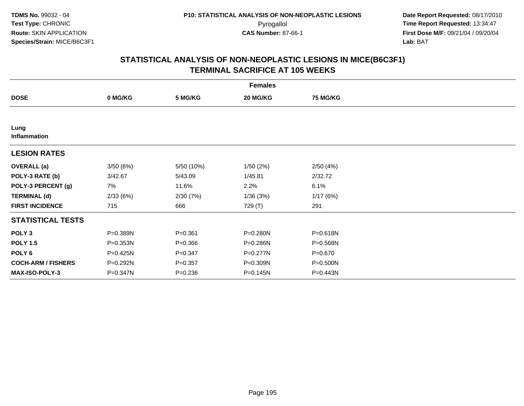| <b>Females</b>            |          |             |          |          |  |  |
|---------------------------|----------|-------------|----------|----------|--|--|
| <b>DOSE</b>               | 0 MG/KG  | 5 MG/KG     | 20 MG/KG | 75 MG/KG |  |  |
|                           |          |             |          |          |  |  |
| Lung<br>Inflammation      |          |             |          |          |  |  |
| <b>LESION RATES</b>       |          |             |          |          |  |  |
| <b>OVERALL</b> (a)        | 3/50(6%) | 5/50 (10%)  | 1/50(2%) | 2/50(4%) |  |  |
| POLY-3 RATE (b)           | 3/42.67  | 5/43.09     | 1/45.81  | 2/32.72  |  |  |
| POLY-3 PERCENT (g)        | 7%       | 11.6%       | 2.2%     | 6.1%     |  |  |
| <b>TERMINAL (d)</b>       | 2/33(6%) | 2/30(7%)    | 1/36(3%) | 1/17(6%) |  |  |
| <b>FIRST INCIDENCE</b>    | 715      | 666         | 729 (T)  | 291      |  |  |
| <b>STATISTICAL TESTS</b>  |          |             |          |          |  |  |
| POLY <sub>3</sub>         | P=0.389N | $P = 0.361$ | P=0.280N | P=0.618N |  |  |
| <b>POLY 1.5</b>           | P=0.353N | $P = 0.366$ | P=0.286N | P=0.568N |  |  |
| POLY 6                    | P=0.425N | $P = 0.347$ | P=0.277N | P=0.670  |  |  |
| <b>COCH-ARM / FISHERS</b> | P=0.292N | $P = 0.357$ | P=0.309N | P=0.500N |  |  |
| <b>MAX-ISO-POLY-3</b>     | P=0.347N | $P = 0.236$ | P=0.145N | P=0.443N |  |  |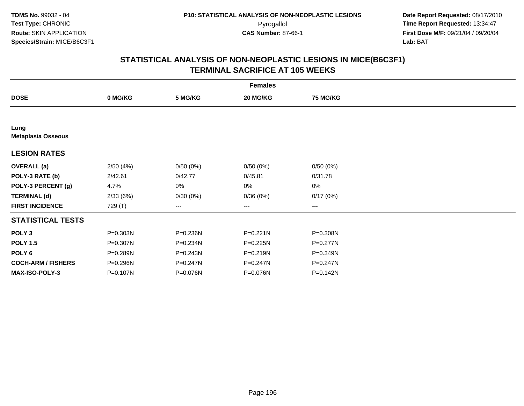|                                   |          |              | <b>Females</b> |                 |  |
|-----------------------------------|----------|--------------|----------------|-----------------|--|
| <b>DOSE</b>                       | 0 MG/KG  | 5 MG/KG      | 20 MG/KG       | <b>75 MG/KG</b> |  |
|                                   |          |              |                |                 |  |
| Lung<br><b>Metaplasia Osseous</b> |          |              |                |                 |  |
| <b>LESION RATES</b>               |          |              |                |                 |  |
| <b>OVERALL</b> (a)                | 2/50(4%) | 0/50(0%)     | 0/50(0%)       | 0/50(0%)        |  |
| POLY-3 RATE (b)                   | 2/42.61  | 0/42.77      | 0/45.81        | 0/31.78         |  |
| POLY-3 PERCENT (g)                | 4.7%     | 0%           | 0%             | 0%              |  |
| <b>TERMINAL (d)</b>               | 2/33(6%) | 0/30(0%)     | 0/36(0%)       | 0/17(0%)        |  |
| <b>FIRST INCIDENCE</b>            | 729 (T)  | $---$        | ---            | $--$            |  |
| <b>STATISTICAL TESTS</b>          |          |              |                |                 |  |
| POLY <sub>3</sub>                 | P=0.303N | P=0.236N     | $P = 0.221N$   | P=0.308N        |  |
| <b>POLY 1.5</b>                   | P=0.307N | P=0.234N     | $P = 0.225N$   | $P=0.277N$      |  |
| POLY 6                            | P=0.289N | $P = 0.243N$ | $P = 0.219N$   | P=0.349N        |  |
| <b>COCH-ARM / FISHERS</b>         | P=0.296N | P=0.247N     | P=0.247N       | P=0.247N        |  |
| MAX-ISO-POLY-3                    | P=0.107N | P=0.076N     | P=0.076N       | P=0.142N        |  |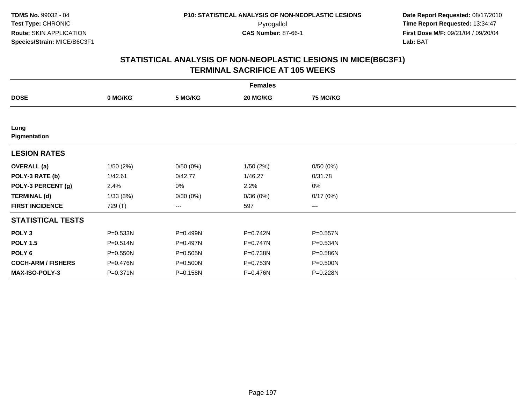|                           |              |          | <b>Females</b> |                 |  |
|---------------------------|--------------|----------|----------------|-----------------|--|
| <b>DOSE</b>               | 0 MG/KG      | 5 MG/KG  | 20 MG/KG       | <b>75 MG/KG</b> |  |
|                           |              |          |                |                 |  |
| Lung<br>Pigmentation      |              |          |                |                 |  |
| <b>LESION RATES</b>       |              |          |                |                 |  |
| <b>OVERALL</b> (a)        | 1/50(2%)     | 0/50(0%) | 1/50(2%)       | 0/50(0%)        |  |
| POLY-3 RATE (b)           | 1/42.61      | 0/42.77  | 1/46.27        | 0/31.78         |  |
| POLY-3 PERCENT (g)        | 2.4%         | 0%       | 2.2%           | 0%              |  |
| <b>TERMINAL (d)</b>       | 1/33(3%)     | 0/30(0%) | 0/36(0%)       | 0/17(0%)        |  |
| <b>FIRST INCIDENCE</b>    | 729 (T)      | ---      | 597            | $--$            |  |
| <b>STATISTICAL TESTS</b>  |              |          |                |                 |  |
| POLY <sub>3</sub>         | P=0.533N     | P=0.499N | P=0.742N       | P=0.557N        |  |
| <b>POLY 1.5</b>           | P=0.514N     | P=0.497N | P=0.747N       | P=0.534N        |  |
| POLY 6                    | P=0.550N     | P=0.505N | P=0.738N       | P=0.586N        |  |
| <b>COCH-ARM / FISHERS</b> | P=0.476N     | P=0.500N | P=0.753N       | P=0.500N        |  |
| MAX-ISO-POLY-3            | $P = 0.371N$ | P=0.158N | P=0.476N       | P=0.228N        |  |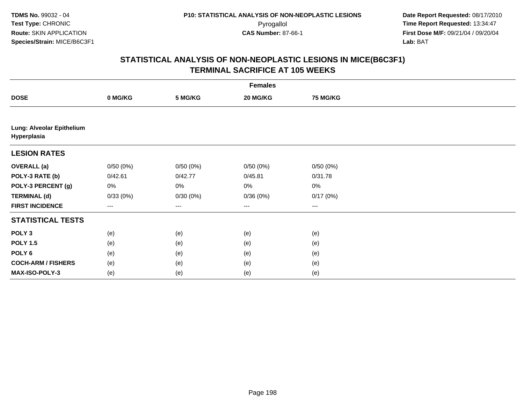| <b>Females</b>                           |          |          |                        |                 |  |  |
|------------------------------------------|----------|----------|------------------------|-----------------|--|--|
| <b>DOSE</b>                              | 0 MG/KG  | 5 MG/KG  | 20 MG/KG               | <b>75 MG/KG</b> |  |  |
|                                          |          |          |                        |                 |  |  |
| Lung: Alveolar Epithelium<br>Hyperplasia |          |          |                        |                 |  |  |
| <b>LESION RATES</b>                      |          |          |                        |                 |  |  |
| <b>OVERALL</b> (a)                       | 0/50(0%) | 0/50(0%) | 0/50(0%)               | 0/50(0%)        |  |  |
| POLY-3 RATE (b)                          | 0/42.61  | 0/42.77  | 0/45.81                | 0/31.78         |  |  |
| POLY-3 PERCENT (g)                       | 0%       | 0%       | 0%                     | $0\%$           |  |  |
| <b>TERMINAL (d)</b>                      | 0/33(0%) | 0/30(0%) | 0/36(0%)               | 0/17(0%)        |  |  |
| <b>FIRST INCIDENCE</b>                   | $---$    | $---$    | $\qquad \qquad \cdots$ | $---$           |  |  |
| <b>STATISTICAL TESTS</b>                 |          |          |                        |                 |  |  |
| POLY <sub>3</sub>                        | (e)      | (e)      | (e)                    | (e)             |  |  |
| <b>POLY 1.5</b>                          | (e)      | (e)      | (e)                    | (e)             |  |  |
| POLY <sub>6</sub>                        | (e)      | (e)      | (e)                    | (e)             |  |  |
| <b>COCH-ARM / FISHERS</b>                | (e)      | (e)      | (e)                    | (e)             |  |  |
| MAX-ISO-POLY-3                           | (e)      | (e)      | (e)                    | (e)             |  |  |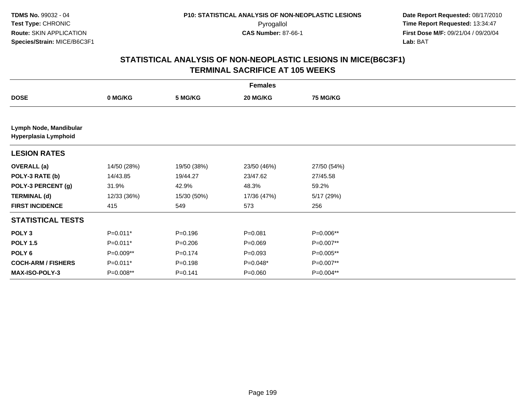|                                                |             |             | <b>Females</b> |                 |  |
|------------------------------------------------|-------------|-------------|----------------|-----------------|--|
| <b>DOSE</b>                                    | 0 MG/KG     | 5 MG/KG     | 20 MG/KG       | <b>75 MG/KG</b> |  |
|                                                |             |             |                |                 |  |
| Lymph Node, Mandibular<br>Hyperplasia Lymphoid |             |             |                |                 |  |
| <b>LESION RATES</b>                            |             |             |                |                 |  |
| <b>OVERALL</b> (a)                             | 14/50 (28%) | 19/50 (38%) | 23/50 (46%)    | 27/50 (54%)     |  |
| POLY-3 RATE (b)                                | 14/43.85    | 19/44.27    | 23/47.62       | 27/45.58        |  |
| POLY-3 PERCENT (g)                             | 31.9%       | 42.9%       | 48.3%          | 59.2%           |  |
| <b>TERMINAL (d)</b>                            | 12/33 (36%) | 15/30 (50%) | 17/36 (47%)    | 5/17 (29%)      |  |
| <b>FIRST INCIDENCE</b>                         | 415         | 549         | 573            | 256             |  |
| <b>STATISTICAL TESTS</b>                       |             |             |                |                 |  |
| POLY <sub>3</sub>                              | $P=0.011*$  | $P = 0.196$ | $P = 0.081$    | P=0.006**       |  |
| <b>POLY 1.5</b>                                | $P=0.011*$  | $P = 0.206$ | $P = 0.069$    | P=0.007**       |  |
| POLY 6                                         | P=0.009**   | $P = 0.174$ | $P = 0.093$    | P=0.005**       |  |
| <b>COCH-ARM / FISHERS</b>                      | $P=0.011*$  | $P = 0.198$ | P=0.048*       | P=0.007**       |  |
| <b>MAX-ISO-POLY-3</b>                          | P=0.008**   | $P = 0.141$ | $P = 0.060$    | P=0.004**       |  |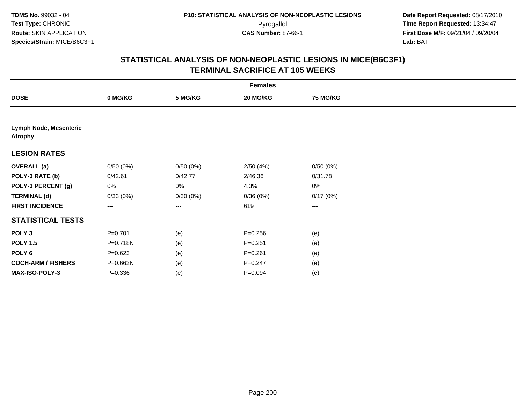| <b>Females</b>                           |                   |          |             |                        |  |  |
|------------------------------------------|-------------------|----------|-------------|------------------------|--|--|
| <b>DOSE</b>                              | 0 MG/KG           | 5 MG/KG  | 20 MG/KG    | 75 MG/KG               |  |  |
|                                          |                   |          |             |                        |  |  |
| Lymph Node, Mesenteric<br><b>Atrophy</b> |                   |          |             |                        |  |  |
| <b>LESION RATES</b>                      |                   |          |             |                        |  |  |
| <b>OVERALL</b> (a)                       | 0/50(0%)          | 0/50(0%) | 2/50(4%)    | 0/50(0%)               |  |  |
| POLY-3 RATE (b)                          | 0/42.61           | 0/42.77  | 2/46.36     | 0/31.78                |  |  |
| POLY-3 PERCENT (g)                       | 0%                | 0%       | 4.3%        | 0%                     |  |  |
| <b>TERMINAL (d)</b>                      | 0/33(0%)          | 0/30(0%) | 0/36(0%)    | 0/17(0%)               |  |  |
| <b>FIRST INCIDENCE</b>                   | $\qquad \qquad -$ | ---      | 619         | $\qquad \qquad \cdots$ |  |  |
| <b>STATISTICAL TESTS</b>                 |                   |          |             |                        |  |  |
| POLY <sub>3</sub>                        | $P = 0.701$       | (e)      | $P = 0.256$ | (e)                    |  |  |
| <b>POLY 1.5</b>                          | P=0.718N          | (e)      | $P = 0.251$ | (e)                    |  |  |
| POLY <sub>6</sub>                        | $P = 0.623$       | (e)      | $P = 0.261$ | (e)                    |  |  |
| <b>COCH-ARM / FISHERS</b>                | P=0.662N          | (e)      | $P = 0.247$ | (e)                    |  |  |
| MAX-ISO-POLY-3                           | $P = 0.336$       | (e)      | $P = 0.094$ | (e)                    |  |  |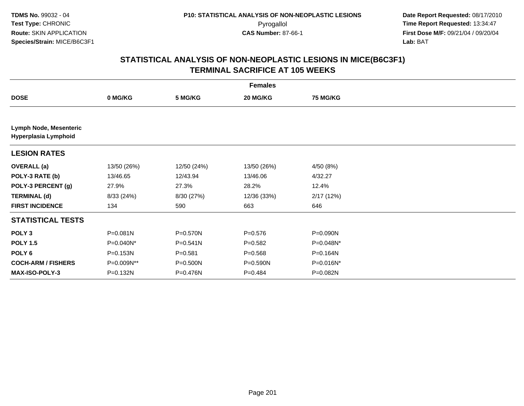|                                                       | <b>Females</b> |              |             |                 |  |  |  |
|-------------------------------------------------------|----------------|--------------|-------------|-----------------|--|--|--|
| <b>DOSE</b>                                           | 0 MG/KG        | 5 MG/KG      | 20 MG/KG    | <b>75 MG/KG</b> |  |  |  |
|                                                       |                |              |             |                 |  |  |  |
| <b>Lymph Node, Mesenteric</b><br>Hyperplasia Lymphoid |                |              |             |                 |  |  |  |
| <b>LESION RATES</b>                                   |                |              |             |                 |  |  |  |
| <b>OVERALL</b> (a)                                    | 13/50 (26%)    | 12/50 (24%)  | 13/50 (26%) | 4/50 (8%)       |  |  |  |
| POLY-3 RATE (b)                                       | 13/46.65       | 12/43.94     | 13/46.06    | 4/32.27         |  |  |  |
| POLY-3 PERCENT (g)                                    | 27.9%          | 27.3%        | 28.2%       | 12.4%           |  |  |  |
| <b>TERMINAL (d)</b>                                   | 8/33 (24%)     | 8/30 (27%)   | 12/36 (33%) | 2/17(12%)       |  |  |  |
| <b>FIRST INCIDENCE</b>                                | 134            | 590          | 663         | 646             |  |  |  |
| <b>STATISTICAL TESTS</b>                              |                |              |             |                 |  |  |  |
| POLY <sub>3</sub>                                     | $P = 0.081N$   | P=0.570N     | $P = 0.576$ | P=0.090N        |  |  |  |
| <b>POLY 1.5</b>                                       | $P=0.040N^*$   | $P = 0.541N$ | $P = 0.582$ | P=0.048N*       |  |  |  |
| POLY <sub>6</sub>                                     | P=0.153N       | $P = 0.581$  | $P = 0.568$ | P=0.164N        |  |  |  |
| <b>COCH-ARM / FISHERS</b>                             | P=0.009N**     | P=0.500N     | P=0.590N    | P=0.016N*       |  |  |  |
| <b>MAX-ISO-POLY-3</b>                                 | P=0.132N       | P=0.476N     | $P = 0.484$ | P=0.082N        |  |  |  |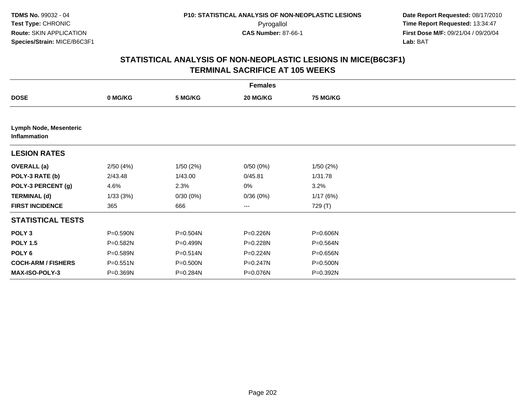|                                               |              |          | <b>Females</b> |                 |  |
|-----------------------------------------------|--------------|----------|----------------|-----------------|--|
| <b>DOSE</b>                                   | 0 MG/KG      | 5 MG/KG  | 20 MG/KG       | <b>75 MG/KG</b> |  |
|                                               |              |          |                |                 |  |
| Lymph Node, Mesenteric<br><b>Inflammation</b> |              |          |                |                 |  |
| <b>LESION RATES</b>                           |              |          |                |                 |  |
| <b>OVERALL</b> (a)                            | 2/50(4%)     | 1/50(2%) | 0/50(0%)       | 1/50(2%)        |  |
| POLY-3 RATE (b)                               | 2/43.48      | 1/43.00  | 0/45.81        | 1/31.78         |  |
| POLY-3 PERCENT (g)                            | 4.6%         | 2.3%     | 0%             | 3.2%            |  |
| <b>TERMINAL (d)</b>                           | 1/33(3%)     | 0/30(0%) | 0/36(0%)       | 1/17(6%)        |  |
| <b>FIRST INCIDENCE</b>                        | 365          | 666      | $---$          | 729 (T)         |  |
| <b>STATISTICAL TESTS</b>                      |              |          |                |                 |  |
| POLY <sub>3</sub>                             | P=0.590N     | P=0.504N | P=0.226N       | $P = 0.606N$    |  |
| <b>POLY 1.5</b>                               | P=0.582N     | P=0.499N | P=0.228N       | $P = 0.564N$    |  |
| POLY <sub>6</sub>                             | $P = 0.589N$ | P=0.514N | P=0.224N       | P=0.656N        |  |
| <b>COCH-ARM / FISHERS</b>                     | $P = 0.551N$ | P=0.500N | P=0.247N       | P=0.500N        |  |
| <b>MAX-ISO-POLY-3</b>                         | P=0.369N     | P=0.284N | P=0.076N       | P=0.392N        |  |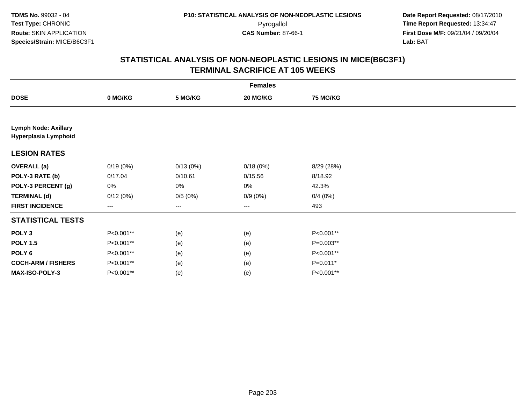| <b>Females</b>                                      |           |          |            |                 |  |  |
|-----------------------------------------------------|-----------|----------|------------|-----------------|--|--|
| <b>DOSE</b>                                         | 0 MG/KG   | 5 MG/KG  | 20 MG/KG   | <b>75 MG/KG</b> |  |  |
|                                                     |           |          |            |                 |  |  |
| <b>Lymph Node: Axillary</b><br>Hyperplasia Lymphoid |           |          |            |                 |  |  |
| <b>LESION RATES</b>                                 |           |          |            |                 |  |  |
| <b>OVERALL</b> (a)                                  | 0/19(0%)  | 0/13(0%) | 0/18(0%)   | 8/29 (28%)      |  |  |
| POLY-3 RATE (b)                                     | 0/17.04   | 0/10.61  | 0/15.56    | 8/18.92         |  |  |
| POLY-3 PERCENT (g)                                  | 0%        | 0%       | 0%         | 42.3%           |  |  |
| <b>TERMINAL (d)</b>                                 | 0/12(0%)  | 0/5(0%)  | $0/9(0\%)$ | 0/4(0%)         |  |  |
| <b>FIRST INCIDENCE</b>                              | ---       | $---$    | ---        | 493             |  |  |
| <b>STATISTICAL TESTS</b>                            |           |          |            |                 |  |  |
| POLY <sub>3</sub>                                   | P<0.001** | (e)      | (e)        | P<0.001**       |  |  |
| <b>POLY 1.5</b>                                     | P<0.001** | (e)      | (e)        | P=0.003**       |  |  |
| POLY <sub>6</sub>                                   | P<0.001** | (e)      | (e)        | P<0.001**       |  |  |
| <b>COCH-ARM / FISHERS</b>                           | P<0.001** | (e)      | (e)        | $P=0.011*$      |  |  |
| MAX-ISO-POLY-3                                      | P<0.001** | (e)      | (e)        | P<0.001**       |  |  |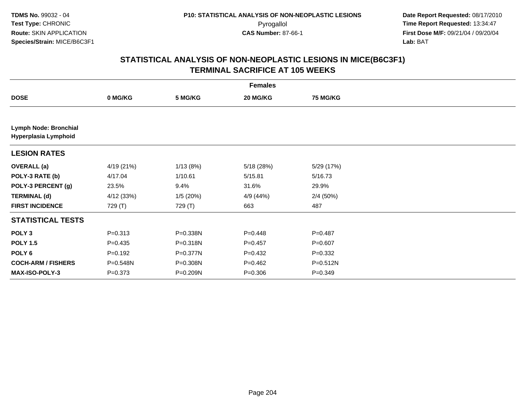|                                               |             |          | <b>Females</b> |                 |  |
|-----------------------------------------------|-------------|----------|----------------|-----------------|--|
| <b>DOSE</b>                                   | 0 MG/KG     | 5 MG/KG  | 20 MG/KG       | <b>75 MG/KG</b> |  |
|                                               |             |          |                |                 |  |
| Lymph Node: Bronchial<br>Hyperplasia Lymphoid |             |          |                |                 |  |
| <b>LESION RATES</b>                           |             |          |                |                 |  |
| <b>OVERALL (a)</b>                            | 4/19 (21%)  | 1/13(8%) | 5/18 (28%)     | 5/29 (17%)      |  |
| POLY-3 RATE (b)                               | 4/17.04     | 1/10.61  | 5/15.81        | 5/16.73         |  |
| POLY-3 PERCENT (g)                            | 23.5%       | 9.4%     | 31.6%          | 29.9%           |  |
| <b>TERMINAL (d)</b>                           | 4/12 (33%)  | 1/5(20%) | 4/9 (44%)      | 2/4(50%)        |  |
| <b>FIRST INCIDENCE</b>                        | 729 (T)     | 729 (T)  | 663            | 487             |  |
| <b>STATISTICAL TESTS</b>                      |             |          |                |                 |  |
| POLY <sub>3</sub>                             | $P = 0.313$ | P=0.338N | $P = 0.448$    | $P=0.487$       |  |
| <b>POLY 1.5</b>                               | $P = 0.435$ | P=0.318N | $P=0.457$      | $P = 0.607$     |  |
| POLY <sub>6</sub>                             | $P = 0.192$ | P=0.377N | $P=0.432$      | $P = 0.332$     |  |
| <b>COCH-ARM / FISHERS</b>                     | P=0.548N    | P=0.308N | $P=0.462$      | P=0.512N        |  |
| <b>MAX-ISO-POLY-3</b>                         | $P = 0.373$ | P=0.209N | $P = 0.306$    | $P=0.349$       |  |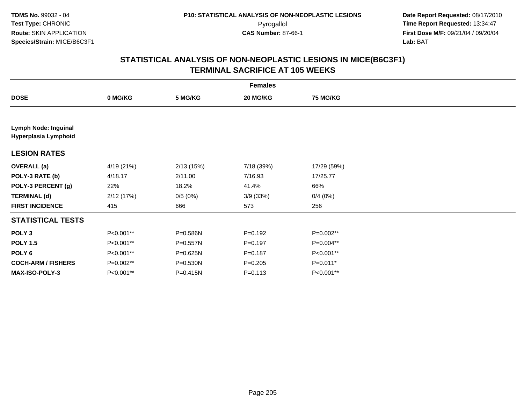| <b>Females</b>                               |            |              |             |                 |  |  |  |
|----------------------------------------------|------------|--------------|-------------|-----------------|--|--|--|
| <b>DOSE</b>                                  | 0 MG/KG    | 5 MG/KG      | 20 MG/KG    | <b>75 MG/KG</b> |  |  |  |
|                                              |            |              |             |                 |  |  |  |
| Lymph Node: Inguinal<br>Hyperplasia Lymphoid |            |              |             |                 |  |  |  |
| <b>LESION RATES</b>                          |            |              |             |                 |  |  |  |
| <b>OVERALL</b> (a)                           | 4/19 (21%) | 2/13(15%)    | 7/18 (39%)  | 17/29 (59%)     |  |  |  |
| POLY-3 RATE (b)                              | 4/18.17    | 2/11.00      | 7/16.93     | 17/25.77        |  |  |  |
| POLY-3 PERCENT (g)                           | 22%        | 18.2%        | 41.4%       | 66%             |  |  |  |
| <b>TERMINAL (d)</b>                          | 2/12(17%)  | 0/5(0%)      | 3/9(33%)    | 0/4(0%)         |  |  |  |
| <b>FIRST INCIDENCE</b>                       | 415        | 666          | 573         | 256             |  |  |  |
| <b>STATISTICAL TESTS</b>                     |            |              |             |                 |  |  |  |
| POLY <sub>3</sub>                            | P<0.001**  | P=0.586N     | $P=0.192$   | P=0.002**       |  |  |  |
| <b>POLY 1.5</b>                              | P<0.001**  | P=0.557N     | $P = 0.197$ | P=0.004**       |  |  |  |
| POLY <sub>6</sub>                            | P<0.001**  | P=0.625N     | $P = 0.187$ | P<0.001**       |  |  |  |
| <b>COCH-ARM / FISHERS</b>                    | P=0.002**  | P=0.530N     | $P = 0.205$ | $P=0.011*$      |  |  |  |
| MAX-ISO-POLY-3                               | P<0.001**  | $P = 0.415N$ | $P = 0.113$ | P<0.001**       |  |  |  |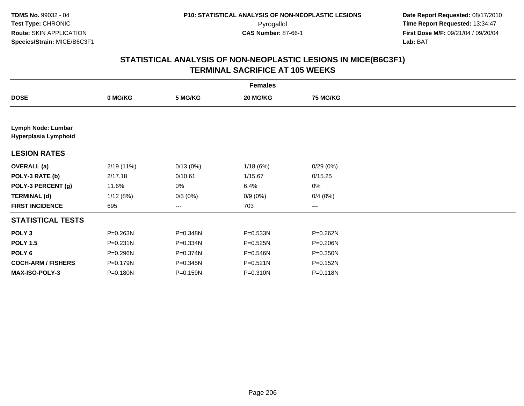| <b>Females</b>                             |              |          |              |                 |  |  |  |
|--------------------------------------------|--------------|----------|--------------|-----------------|--|--|--|
| <b>DOSE</b>                                | 0 MG/KG      | 5 MG/KG  | 20 MG/KG     | <b>75 MG/KG</b> |  |  |  |
|                                            |              |          |              |                 |  |  |  |
| Lymph Node: Lumbar<br>Hyperplasia Lymphoid |              |          |              |                 |  |  |  |
| <b>LESION RATES</b>                        |              |          |              |                 |  |  |  |
| <b>OVERALL (a)</b>                         | 2/19(11%)    | 0/13(0%) | 1/18(6%)     | 0/29(0%)        |  |  |  |
| POLY-3 RATE (b)                            | 2/17.18      | 0/10.61  | 1/15.67      | 0/15.25         |  |  |  |
| POLY-3 PERCENT (g)                         | 11.6%        | 0%       | 6.4%         | 0%              |  |  |  |
| <b>TERMINAL (d)</b>                        | 1/12(8%)     | 0/5(0%)  | $0/9(0\%)$   | 0/4(0%)         |  |  |  |
| <b>FIRST INCIDENCE</b>                     | 695          | ---      | 703          | ---             |  |  |  |
| <b>STATISTICAL TESTS</b>                   |              |          |              |                 |  |  |  |
| POLY <sub>3</sub>                          | P=0.263N     | P=0.348N | P=0.533N     | P=0.262N        |  |  |  |
| <b>POLY 1.5</b>                            | $P = 0.231N$ | P=0.334N | P=0.525N     | P=0.206N        |  |  |  |
| POLY 6                                     | P=0.296N     | P=0.374N | P=0.546N     | P=0.350N        |  |  |  |
| <b>COCH-ARM / FISHERS</b>                  | P=0.179N     | P=0.345N | $P = 0.521N$ | P=0.152N        |  |  |  |
| MAX-ISO-POLY-3                             | P=0.180N     | P=0.159N | $P = 0.310N$ | P=0.118N        |  |  |  |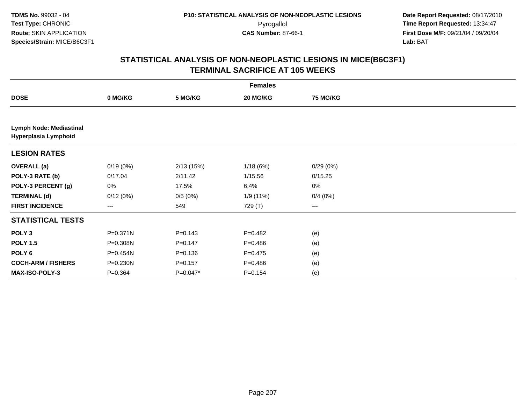| <b>Females</b>                                  |           |             |             |                 |  |  |  |
|-------------------------------------------------|-----------|-------------|-------------|-----------------|--|--|--|
| <b>DOSE</b>                                     | 0 MG/KG   | 5 MG/KG     | 20 MG/KG    | <b>75 MG/KG</b> |  |  |  |
|                                                 |           |             |             |                 |  |  |  |
| Lymph Node: Mediastinal<br>Hyperplasia Lymphoid |           |             |             |                 |  |  |  |
| <b>LESION RATES</b>                             |           |             |             |                 |  |  |  |
| <b>OVERALL</b> (a)                              | 0/19(0%)  | 2/13(15%)   | 1/18(6%)    | 0/29(0%)        |  |  |  |
| POLY-3 RATE (b)                                 | 0/17.04   | 2/11.42     | 1/15.56     | 0/15.25         |  |  |  |
| POLY-3 PERCENT (g)                              | 0%        | 17.5%       | 6.4%        | 0%              |  |  |  |
| <b>TERMINAL (d)</b>                             | 0/12(0%)  | 0/5(0%)     | 1/9 (11%)   | 0/4(0%)         |  |  |  |
| <b>FIRST INCIDENCE</b>                          | ---       | 549         | 729 (T)     | ---             |  |  |  |
| <b>STATISTICAL TESTS</b>                        |           |             |             |                 |  |  |  |
| POLY <sub>3</sub>                               | P=0.371N  | $P = 0.143$ | $P=0.482$   | (e)             |  |  |  |
| <b>POLY 1.5</b>                                 | P=0.308N  | $P=0.147$   | $P=0.486$   | (e)             |  |  |  |
| POLY 6                                          | P=0.454N  | $P = 0.136$ | $P=0.475$   | (e)             |  |  |  |
| <b>COCH-ARM / FISHERS</b>                       | P=0.230N  | $P = 0.157$ | $P = 0.486$ | (e)             |  |  |  |
| MAX-ISO-POLY-3                                  | $P=0.364$ | $P=0.047*$  | $P = 0.154$ | (e)             |  |  |  |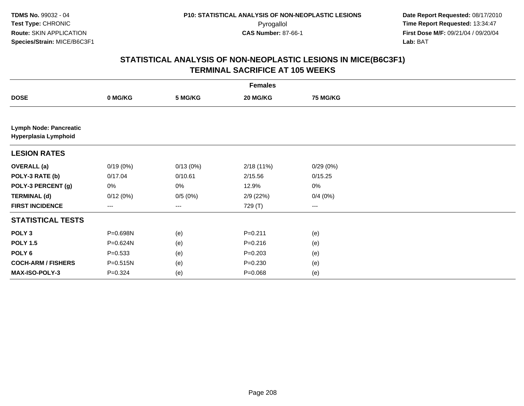|                                                       |             |          | <b>Females</b> |                 |  |
|-------------------------------------------------------|-------------|----------|----------------|-----------------|--|
| <b>DOSE</b>                                           | 0 MG/KG     | 5 MG/KG  | 20 MG/KG       | <b>75 MG/KG</b> |  |
|                                                       |             |          |                |                 |  |
| <b>Lymph Node: Pancreatic</b><br>Hyperplasia Lymphoid |             |          |                |                 |  |
| <b>LESION RATES</b>                                   |             |          |                |                 |  |
| <b>OVERALL</b> (a)                                    | 0/19(0%)    | 0/13(0%) | 2/18(11%)      | 0/29(0%)        |  |
| POLY-3 RATE (b)                                       | 0/17.04     | 0/10.61  | 2/15.56        | 0/15.25         |  |
| POLY-3 PERCENT (g)                                    | 0%          | 0%       | 12.9%          | 0%              |  |
| <b>TERMINAL (d)</b>                                   | 0/12(0%)    | 0/5(0%)  | 2/9(22%)       | 0/4(0%)         |  |
| <b>FIRST INCIDENCE</b>                                | ---         | $---$    | 729 (T)        | ---             |  |
| <b>STATISTICAL TESTS</b>                              |             |          |                |                 |  |
| POLY <sub>3</sub>                                     | P=0.698N    | (e)      | $P = 0.211$    | (e)             |  |
| <b>POLY 1.5</b>                                       | P=0.624N    | (e)      | $P = 0.216$    | (e)             |  |
| POLY <sub>6</sub>                                     | $P = 0.533$ | (e)      | $P = 0.203$    | (e)             |  |
| <b>COCH-ARM / FISHERS</b>                             | P=0.515N    | (e)      | $P = 0.230$    | (e)             |  |
| MAX-ISO-POLY-3                                        | $P = 0.324$ | (e)      | $P = 0.068$    | (e)             |  |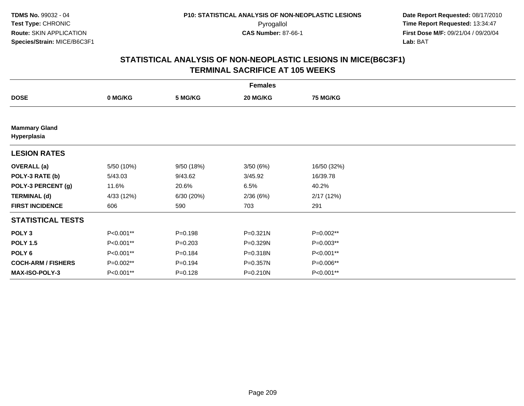| <b>Females</b>                      |            |             |           |                 |  |  |  |
|-------------------------------------|------------|-------------|-----------|-----------------|--|--|--|
| <b>DOSE</b>                         | 0 MG/KG    | 5 MG/KG     | 20 MG/KG  | <b>75 MG/KG</b> |  |  |  |
|                                     |            |             |           |                 |  |  |  |
| <b>Mammary Gland</b><br>Hyperplasia |            |             |           |                 |  |  |  |
| <b>LESION RATES</b>                 |            |             |           |                 |  |  |  |
| <b>OVERALL</b> (a)                  | 5/50 (10%) | 9/50 (18%)  | 3/50 (6%) | 16/50 (32%)     |  |  |  |
| POLY-3 RATE (b)                     | 5/43.03    | 9/43.62     | 3/45.92   | 16/39.78        |  |  |  |
| POLY-3 PERCENT (g)                  | 11.6%      | 20.6%       | 6.5%      | 40.2%           |  |  |  |
| <b>TERMINAL (d)</b>                 | 4/33 (12%) | 6/30(20%)   | 2/36(6%)  | 2/17(12%)       |  |  |  |
| <b>FIRST INCIDENCE</b>              | 606        | 590         | 703       | 291             |  |  |  |
| <b>STATISTICAL TESTS</b>            |            |             |           |                 |  |  |  |
| POLY <sub>3</sub>                   | P<0.001**  | $P = 0.198$ | P=0.321N  | P=0.002**       |  |  |  |
| <b>POLY 1.5</b>                     | P<0.001**  | $P = 0.203$ | P=0.329N  | P=0.003**       |  |  |  |
| POLY <sub>6</sub>                   | P<0.001**  | $P = 0.184$ | P=0.318N  | P<0.001**       |  |  |  |
| <b>COCH-ARM / FISHERS</b>           | P=0.002**  | $P = 0.194$ | P=0.357N  | P=0.006**       |  |  |  |
| MAX-ISO-POLY-3                      | P<0.001**  | $P = 0.128$ | P=0.210N  | P<0.001**       |  |  |  |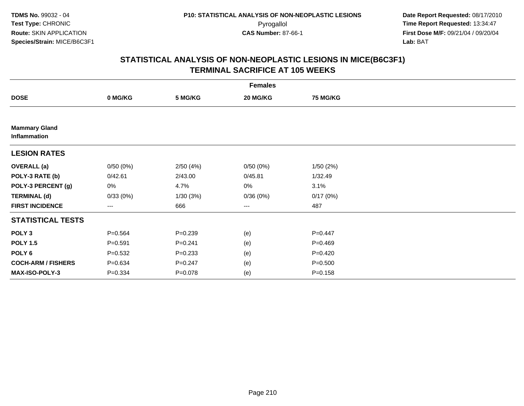| <b>Females</b>                              |             |             |                        |                 |  |  |  |
|---------------------------------------------|-------------|-------------|------------------------|-----------------|--|--|--|
| <b>DOSE</b>                                 | 0 MG/KG     | 5 MG/KG     | 20 MG/KG               | <b>75 MG/KG</b> |  |  |  |
|                                             |             |             |                        |                 |  |  |  |
| <b>Mammary Gland</b><br><b>Inflammation</b> |             |             |                        |                 |  |  |  |
| <b>LESION RATES</b>                         |             |             |                        |                 |  |  |  |
| <b>OVERALL</b> (a)                          | 0/50(0%)    | 2/50(4%)    | 0/50(0%)               | 1/50(2%)        |  |  |  |
| POLY-3 RATE (b)                             | 0/42.61     | 2/43.00     | 0/45.81                | 1/32.49         |  |  |  |
| POLY-3 PERCENT (g)                          | 0%          | 4.7%        | 0%                     | 3.1%            |  |  |  |
| <b>TERMINAL (d)</b>                         | 0/33(0%)    | 1/30(3%)    | 0/36(0%)               | 0/17(0%)        |  |  |  |
| <b>FIRST INCIDENCE</b>                      | ---         | 666         | $\qquad \qquad \cdots$ | 487             |  |  |  |
| <b>STATISTICAL TESTS</b>                    |             |             |                        |                 |  |  |  |
| POLY <sub>3</sub>                           | $P = 0.564$ | $P = 0.239$ | (e)                    | $P=0.447$       |  |  |  |
| <b>POLY 1.5</b>                             | $P = 0.591$ | $P = 0.241$ | (e)                    | $P = 0.469$     |  |  |  |
| POLY <sub>6</sub>                           | $P = 0.532$ | $P = 0.233$ | (e)                    | $P = 0.420$     |  |  |  |
| <b>COCH-ARM / FISHERS</b>                   | $P = 0.634$ | $P = 0.247$ | (e)                    | $P = 0.500$     |  |  |  |
| MAX-ISO-POLY-3                              | $P = 0.334$ | $P = 0.078$ | (e)                    | $P = 0.158$     |  |  |  |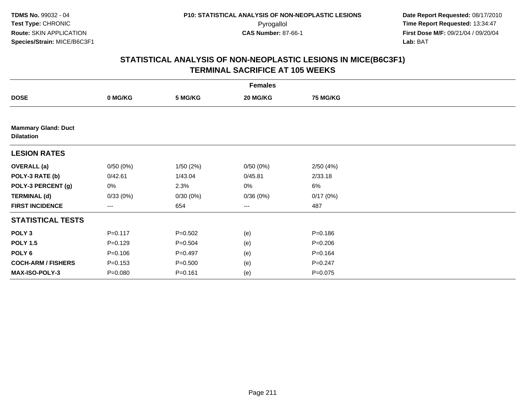| <b>Females</b>                                  |             |             |                        |                 |  |  |  |
|-------------------------------------------------|-------------|-------------|------------------------|-----------------|--|--|--|
| <b>DOSE</b>                                     | 0 MG/KG     | 5 MG/KG     | 20 MG/KG               | <b>75 MG/KG</b> |  |  |  |
|                                                 |             |             |                        |                 |  |  |  |
| <b>Mammary Gland: Duct</b><br><b>Dilatation</b> |             |             |                        |                 |  |  |  |
| <b>LESION RATES</b>                             |             |             |                        |                 |  |  |  |
| <b>OVERALL</b> (a)                              | 0/50(0%)    | 1/50(2%)    | 0/50(0%)               | 2/50(4%)        |  |  |  |
| POLY-3 RATE (b)                                 | 0/42.61     | 1/43.04     | 0/45.81                | 2/33.18         |  |  |  |
| POLY-3 PERCENT (g)                              | 0%          | 2.3%        | 0%                     | 6%              |  |  |  |
| <b>TERMINAL (d)</b>                             | 0/33(0%)    | 0/30(0%)    | 0/36(0%)               | 0/17(0%)        |  |  |  |
| <b>FIRST INCIDENCE</b>                          | ---         | 654         | $\qquad \qquad \cdots$ | 487             |  |  |  |
| <b>STATISTICAL TESTS</b>                        |             |             |                        |                 |  |  |  |
| POLY <sub>3</sub>                               | $P = 0.117$ | $P = 0.502$ | (e)                    | $P = 0.186$     |  |  |  |
| <b>POLY 1.5</b>                                 | $P=0.129$   | $P = 0.504$ | (e)                    | $P = 0.206$     |  |  |  |
| POLY 6                                          | $P = 0.106$ | $P=0.497$   | (e)                    | $P = 0.164$     |  |  |  |
| <b>COCH-ARM / FISHERS</b>                       | $P = 0.153$ | $P = 0.500$ | (e)                    | $P = 0.247$     |  |  |  |
| MAX-ISO-POLY-3                                  | $P = 0.080$ | $P = 0.161$ | (e)                    | $P = 0.075$     |  |  |  |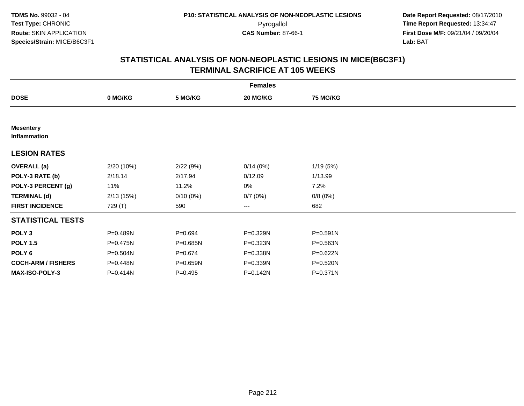|                                  |            |             | <b>Females</b>         |                 |  |
|----------------------------------|------------|-------------|------------------------|-----------------|--|
| <b>DOSE</b>                      | 0 MG/KG    | 5 MG/KG     | 20 MG/KG               | <b>75 MG/KG</b> |  |
|                                  |            |             |                        |                 |  |
| <b>Mesentery</b><br>Inflammation |            |             |                        |                 |  |
| <b>LESION RATES</b>              |            |             |                        |                 |  |
| <b>OVERALL</b> (a)               | 2/20 (10%) | 2/22(9%)    | 0/14(0%)               | 1/19(5%)        |  |
| POLY-3 RATE (b)                  | 2/18.14    | 2/17.94     | 0/12.09                | 1/13.99         |  |
| POLY-3 PERCENT (g)               | 11%        | 11.2%       | 0%                     | 7.2%            |  |
| <b>TERMINAL (d)</b>              | 2/13(15%)  | $0/10(0\%)$ | 0/7(0%)                | 0/8(0%)         |  |
| <b>FIRST INCIDENCE</b>           | 729 (T)    | 590         | $\qquad \qquad \cdots$ | 682             |  |
| <b>STATISTICAL TESTS</b>         |            |             |                        |                 |  |
| POLY <sub>3</sub>                | P=0.489N   | $P = 0.694$ | P=0.329N               | P=0.591N        |  |
| <b>POLY 1.5</b>                  | P=0.475N   | P=0.685N    | P=0.323N               | P=0.563N        |  |
| POLY 6                           | P=0.504N   | $P = 0.674$ | P=0.338N               | P=0.622N        |  |
| <b>COCH-ARM / FISHERS</b>        | P=0.448N   | P=0.659N    | P=0.339N               | P=0.520N        |  |
| MAX-ISO-POLY-3                   | P=0.414N   | $P=0.495$   | $P = 0.142N$           | P=0.371N        |  |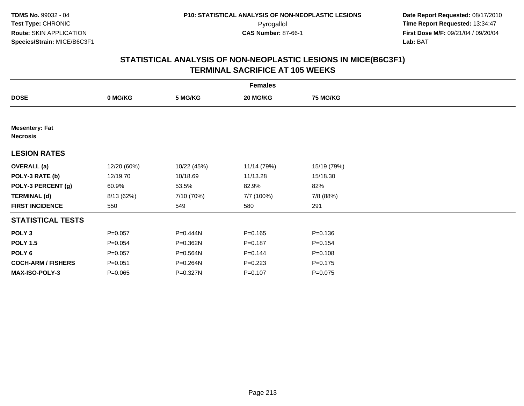| <b>Females</b>                           |             |             |             |                 |  |  |  |
|------------------------------------------|-------------|-------------|-------------|-----------------|--|--|--|
| <b>DOSE</b>                              | 0 MG/KG     | 5 MG/KG     | 20 MG/KG    | <b>75 MG/KG</b> |  |  |  |
|                                          |             |             |             |                 |  |  |  |
| <b>Mesentery: Fat</b><br><b>Necrosis</b> |             |             |             |                 |  |  |  |
| <b>LESION RATES</b>                      |             |             |             |                 |  |  |  |
| <b>OVERALL</b> (a)                       | 12/20 (60%) | 10/22 (45%) | 11/14 (79%) | 15/19 (79%)     |  |  |  |
| POLY-3 RATE (b)                          | 12/19.70    | 10/18.69    | 11/13.28    | 15/18.30        |  |  |  |
| POLY-3 PERCENT (g)                       | 60.9%       | 53.5%       | 82.9%       | 82%             |  |  |  |
| <b>TERMINAL (d)</b>                      | 8/13 (62%)  | 7/10 (70%)  | 7/7 (100%)  | 7/8 (88%)       |  |  |  |
| <b>FIRST INCIDENCE</b>                   | 550         | 549         | 580         | 291             |  |  |  |
| <b>STATISTICAL TESTS</b>                 |             |             |             |                 |  |  |  |
| POLY <sub>3</sub>                        | $P = 0.057$ | P=0.444N    | $P = 0.165$ | $P = 0.136$     |  |  |  |
| <b>POLY 1.5</b>                          | $P = 0.054$ | P=0.362N    | $P = 0.187$ | $P = 0.154$     |  |  |  |
| POLY 6                                   | $P = 0.057$ | P=0.564N    | $P = 0.144$ | $P = 0.108$     |  |  |  |
| <b>COCH-ARM / FISHERS</b>                | $P = 0.051$ | P=0.264N    | $P=0.223$   | $P = 0.175$     |  |  |  |
| MAX-ISO-POLY-3                           | $P = 0.065$ | P=0.327N    | $P = 0.107$ | $P = 0.075$     |  |  |  |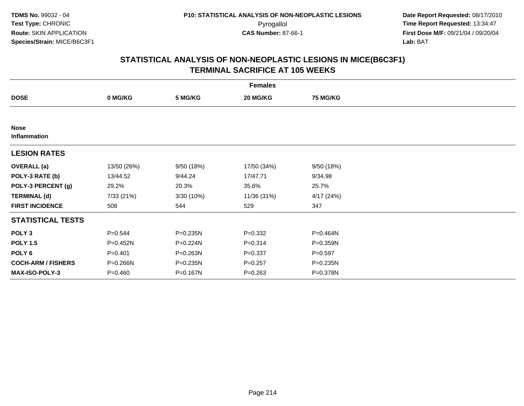| <b>Females</b>              |             |            |             |                 |  |  |  |
|-----------------------------|-------------|------------|-------------|-----------------|--|--|--|
| <b>DOSE</b>                 | 0 MG/KG     | 5 MG/KG    | 20 MG/KG    | <b>75 MG/KG</b> |  |  |  |
|                             |             |            |             |                 |  |  |  |
| <b>Nose</b><br>Inflammation |             |            |             |                 |  |  |  |
| <b>LESION RATES</b>         |             |            |             |                 |  |  |  |
| <b>OVERALL</b> (a)          | 13/50 (26%) | 9/50 (18%) | 17/50 (34%) | 9/50(18%)       |  |  |  |
| POLY-3 RATE (b)             | 13/44.52    | 9/44.24    | 17/47.71    | 9/34.98         |  |  |  |
| POLY-3 PERCENT (g)          | 29.2%       | 20.3%      | 35.6%       | 25.7%           |  |  |  |
| <b>TERMINAL (d)</b>         | 7/33 (21%)  | 3/30 (10%) | 11/36 (31%) | 4/17(24%)       |  |  |  |
| <b>FIRST INCIDENCE</b>      | 508         | 544        | 529         | 347             |  |  |  |
| <b>STATISTICAL TESTS</b>    |             |            |             |                 |  |  |  |
| POLY <sub>3</sub>           | $P = 0.544$ | P=0.235N   | $P = 0.332$ | P=0.464N        |  |  |  |
| <b>POLY 1.5</b>             | P=0.452N    | P=0.224N   | $P = 0.314$ | P=0.359N        |  |  |  |
| POLY <sub>6</sub>           | $P = 0.401$ | P=0.263N   | $P = 0.337$ | $P = 0.597$     |  |  |  |
| <b>COCH-ARM / FISHERS</b>   | P=0.266N    | P=0.235N   | $P = 0.257$ | P=0.235N        |  |  |  |
| MAX-ISO-POLY-3              | $P = 0.460$ | P=0.167N   | $P = 0.263$ | P=0.378N        |  |  |  |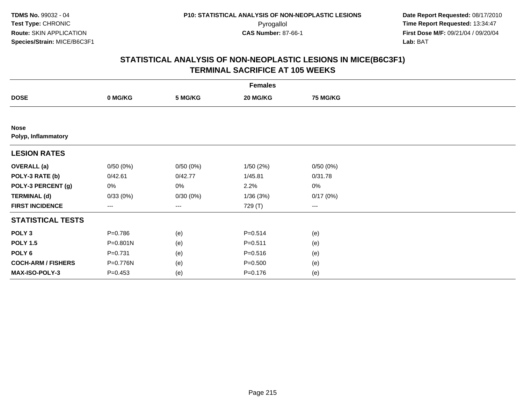| <b>Females</b>                     |                   |          |             |                        |  |  |  |
|------------------------------------|-------------------|----------|-------------|------------------------|--|--|--|
| <b>DOSE</b>                        | 0 MG/KG           | 5 MG/KG  | 20 MG/KG    | <b>75 MG/KG</b>        |  |  |  |
|                                    |                   |          |             |                        |  |  |  |
| <b>Nose</b><br>Polyp, Inflammatory |                   |          |             |                        |  |  |  |
| <b>LESION RATES</b>                |                   |          |             |                        |  |  |  |
| <b>OVERALL</b> (a)                 | 0/50(0%)          | 0/50(0%) | 1/50(2%)    | 0/50(0%)               |  |  |  |
| POLY-3 RATE (b)                    | 0/42.61           | 0/42.77  | 1/45.81     | 0/31.78                |  |  |  |
| POLY-3 PERCENT (g)                 | 0%                | 0%       | 2.2%        | $0\%$                  |  |  |  |
| <b>TERMINAL (d)</b>                | 0/33(0%)          | 0/30(0%) | 1/36(3%)    | 0/17(0%)               |  |  |  |
| <b>FIRST INCIDENCE</b>             | $\qquad \qquad -$ | ---      | 729 (T)     | $\qquad \qquad \cdots$ |  |  |  |
| <b>STATISTICAL TESTS</b>           |                   |          |             |                        |  |  |  |
| POLY <sub>3</sub>                  | $P = 0.786$       | (e)      | $P = 0.514$ | (e)                    |  |  |  |
| <b>POLY 1.5</b>                    | P=0.801N          | (e)      | $P = 0.511$ | (e)                    |  |  |  |
| POLY <sub>6</sub>                  | $P = 0.731$       | (e)      | $P = 0.516$ | (e)                    |  |  |  |
| <b>COCH-ARM / FISHERS</b>          | P=0.776N          | (e)      | $P = 0.500$ | (e)                    |  |  |  |
| MAX-ISO-POLY-3                     | $P = 0.453$       | (e)      | $P = 0.176$ | (e)                    |  |  |  |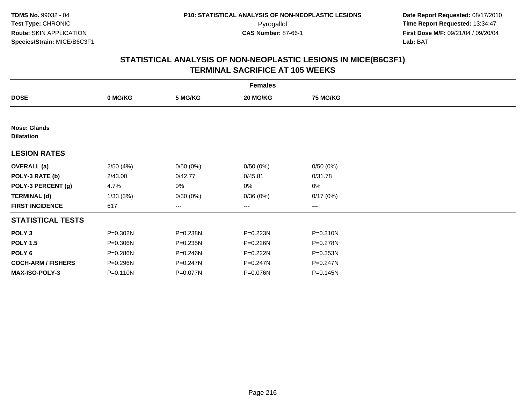| <b>Females</b>                           |              |                   |          |                   |  |  |  |
|------------------------------------------|--------------|-------------------|----------|-------------------|--|--|--|
| <b>DOSE</b>                              | 0 MG/KG      | 5 MG/KG           | 20 MG/KG | <b>75 MG/KG</b>   |  |  |  |
|                                          |              |                   |          |                   |  |  |  |
| <b>Nose: Glands</b><br><b>Dilatation</b> |              |                   |          |                   |  |  |  |
| <b>LESION RATES</b>                      |              |                   |          |                   |  |  |  |
| <b>OVERALL</b> (a)                       | 2/50(4%)     | 0/50(0%)          | 0/50(0%) | 0/50(0%)          |  |  |  |
| POLY-3 RATE (b)                          | 2/43.00      | 0/42.77           | 0/45.81  | 0/31.78           |  |  |  |
| POLY-3 PERCENT (g)                       | 4.7%         | 0%                | 0%       | 0%                |  |  |  |
| <b>TERMINAL (d)</b>                      | 1/33(3%)     | 0/30(0%)          | 0/36(0%) | 0/17(0%)          |  |  |  |
| <b>FIRST INCIDENCE</b>                   | 617          | $\qquad \qquad -$ | ---      | $\qquad \qquad -$ |  |  |  |
| <b>STATISTICAL TESTS</b>                 |              |                   |          |                   |  |  |  |
| POLY <sub>3</sub>                        | P=0.302N     | P=0.238N          | P=0.223N | P=0.310N          |  |  |  |
| <b>POLY 1.5</b>                          | $P = 0.306N$ | P=0.235N          | P=0.226N | P=0.278N          |  |  |  |
| POLY <sub>6</sub>                        | P=0.286N     | P=0.246N          | P=0.222N | $P = 0.353N$      |  |  |  |
| <b>COCH-ARM / FISHERS</b>                | P=0.296N     | P=0.247N          | P=0.247N | $P = 0.247N$      |  |  |  |
| <b>MAX-ISO-POLY-3</b>                    | $P = 0.110N$ | P=0.077N          | P=0.076N | P=0.145N          |  |  |  |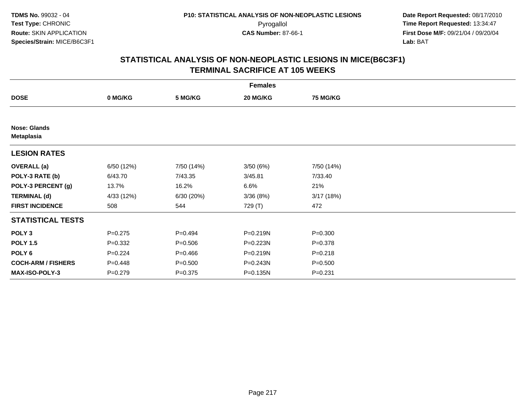|                                          | <b>Females</b> |             |              |                 |  |  |  |  |
|------------------------------------------|----------------|-------------|--------------|-----------------|--|--|--|--|
| <b>DOSE</b>                              | 0 MG/KG        | 5 MG/KG     | 20 MG/KG     | <b>75 MG/KG</b> |  |  |  |  |
|                                          |                |             |              |                 |  |  |  |  |
| <b>Nose: Glands</b><br><b>Metaplasia</b> |                |             |              |                 |  |  |  |  |
| <b>LESION RATES</b>                      |                |             |              |                 |  |  |  |  |
| <b>OVERALL</b> (a)                       | 6/50 (12%)     | 7/50 (14%)  | 3/50(6%)     | 7/50 (14%)      |  |  |  |  |
| POLY-3 RATE (b)                          | 6/43.70        | 7/43.35     | 3/45.81      | 7/33.40         |  |  |  |  |
| POLY-3 PERCENT (g)                       | 13.7%          | 16.2%       | 6.6%         | 21%             |  |  |  |  |
| <b>TERMINAL (d)</b>                      | 4/33 (12%)     | 6/30 (20%)  | 3/36(8%)     | 3/17(18%)       |  |  |  |  |
| <b>FIRST INCIDENCE</b>                   | 508            | 544         | 729 (T)      | 472             |  |  |  |  |
| <b>STATISTICAL TESTS</b>                 |                |             |              |                 |  |  |  |  |
| POLY <sub>3</sub>                        | $P = 0.275$    | $P=0.494$   | $P = 0.219N$ | $P = 0.300$     |  |  |  |  |
| <b>POLY 1.5</b>                          | $P = 0.332$    | $P = 0.506$ | P=0.223N     | $P = 0.378$     |  |  |  |  |
| POLY 6                                   | $P=0.224$      | $P=0.466$   | P=0.219N     | $P = 0.218$     |  |  |  |  |
| <b>COCH-ARM / FISHERS</b>                | $P=0.448$      | $P = 0.500$ | P=0.243N     | $P = 0.500$     |  |  |  |  |
| MAX-ISO-POLY-3                           | $P = 0.279$    | $P = 0.375$ | P=0.135N     | $P = 0.231$     |  |  |  |  |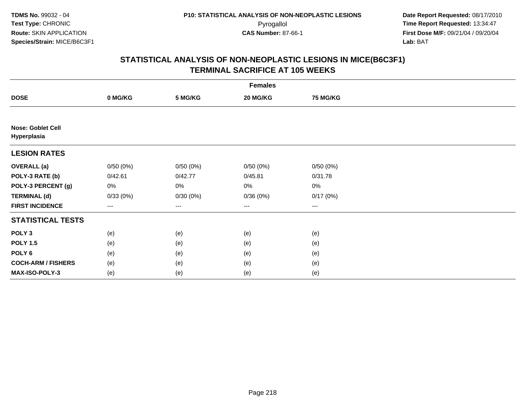|                                  | <b>Females</b> |          |                   |                 |  |  |  |  |
|----------------------------------|----------------|----------|-------------------|-----------------|--|--|--|--|
| <b>DOSE</b>                      | 0 MG/KG        | 5 MG/KG  | 20 MG/KG          | <b>75 MG/KG</b> |  |  |  |  |
|                                  |                |          |                   |                 |  |  |  |  |
| Nose: Goblet Cell<br>Hyperplasia |                |          |                   |                 |  |  |  |  |
| <b>LESION RATES</b>              |                |          |                   |                 |  |  |  |  |
| <b>OVERALL</b> (a)               | 0/50(0%)       | 0/50(0%) | 0/50(0%)          | 0/50(0%)        |  |  |  |  |
| POLY-3 RATE (b)                  | 0/42.61        | 0/42.77  | 0/45.81           | 0/31.78         |  |  |  |  |
| POLY-3 PERCENT (g)               | 0%             | 0%       | 0%                | $0\%$           |  |  |  |  |
| <b>TERMINAL (d)</b>              | 0/33(0%)       | 0/30(0%) | 0/36(0%)          | 0/17(0%)        |  |  |  |  |
| <b>FIRST INCIDENCE</b>           | ---            | ---      | $\qquad \qquad -$ | $---$           |  |  |  |  |
| <b>STATISTICAL TESTS</b>         |                |          |                   |                 |  |  |  |  |
| POLY <sub>3</sub>                | (e)            | (e)      | (e)               | (e)             |  |  |  |  |
| <b>POLY 1.5</b>                  | (e)            | (e)      | (e)               | (e)             |  |  |  |  |
| POLY <sub>6</sub>                | (e)            | (e)      | (e)               | (e)             |  |  |  |  |
| <b>COCH-ARM / FISHERS</b>        | (e)            | (e)      | (e)               | (e)             |  |  |  |  |
| MAX-ISO-POLY-3                   | (e)            | (e)      | (e)               | (e)             |  |  |  |  |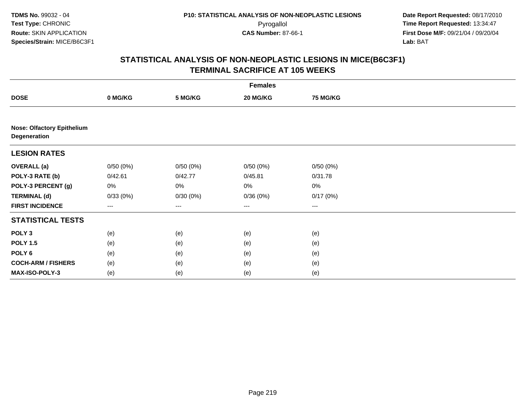|                                                   | <b>Females</b> |                        |                        |          |  |  |  |  |
|---------------------------------------------------|----------------|------------------------|------------------------|----------|--|--|--|--|
| <b>DOSE</b>                                       | 0 MG/KG        | 5 MG/KG                | 20 MG/KG               | 75 MG/KG |  |  |  |  |
|                                                   |                |                        |                        |          |  |  |  |  |
| <b>Nose: Olfactory Epithelium</b><br>Degeneration |                |                        |                        |          |  |  |  |  |
| <b>LESION RATES</b>                               |                |                        |                        |          |  |  |  |  |
| <b>OVERALL (a)</b>                                | 0/50(0%)       | 0/50(0%)               | 0/50(0%)               | 0/50(0%) |  |  |  |  |
| POLY-3 RATE (b)                                   | 0/42.61        | 0/42.77                | 0/45.81                | 0/31.78  |  |  |  |  |
| POLY-3 PERCENT (g)                                | 0%             | 0%                     | 0%                     | 0%       |  |  |  |  |
| <b>TERMINAL (d)</b>                               | 0/33(0%)       | 0/30(0%)               | 0/36(0%)               | 0/17(0%) |  |  |  |  |
| <b>FIRST INCIDENCE</b>                            | ---            | $\qquad \qquad \cdots$ | $\qquad \qquad \cdots$ | ---      |  |  |  |  |
| <b>STATISTICAL TESTS</b>                          |                |                        |                        |          |  |  |  |  |
| POLY <sub>3</sub>                                 | (e)            | (e)                    | (e)                    | (e)      |  |  |  |  |
| <b>POLY 1.5</b>                                   | (e)            | (e)                    | (e)                    | (e)      |  |  |  |  |
| POLY <sub>6</sub>                                 | (e)            | (e)                    | (e)                    | (e)      |  |  |  |  |
| <b>COCH-ARM / FISHERS</b>                         | (e)            | (e)                    | (e)                    | (e)      |  |  |  |  |
| MAX-ISO-POLY-3                                    | (e)            | (e)                    | (e)                    | (e)      |  |  |  |  |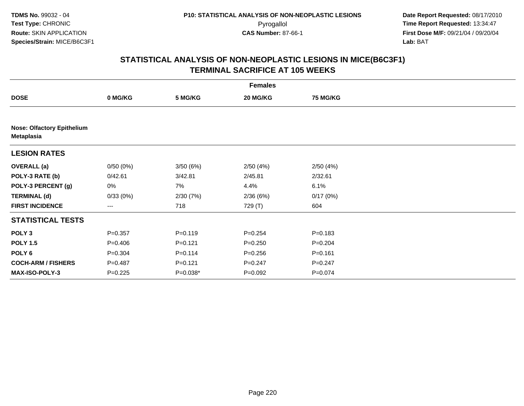| <b>Females</b>                                  |             |             |             |                 |  |  |  |  |  |
|-------------------------------------------------|-------------|-------------|-------------|-----------------|--|--|--|--|--|
| <b>DOSE</b>                                     | 0 MG/KG     | 5 MG/KG     | 20 MG/KG    | <b>75 MG/KG</b> |  |  |  |  |  |
|                                                 |             |             |             |                 |  |  |  |  |  |
| <b>Nose: Olfactory Epithelium</b><br>Metaplasia |             |             |             |                 |  |  |  |  |  |
| <b>LESION RATES</b>                             |             |             |             |                 |  |  |  |  |  |
| <b>OVERALL</b> (a)                              | 0/50(0%)    | 3/50(6%)    | 2/50(4%)    | 2/50(4%)        |  |  |  |  |  |
| POLY-3 RATE (b)                                 | 0/42.61     | 3/42.81     | 2/45.81     | 2/32.61         |  |  |  |  |  |
| POLY-3 PERCENT (g)                              | 0%          | 7%          | 4.4%        | 6.1%            |  |  |  |  |  |
| <b>TERMINAL (d)</b>                             | 0/33(0%)    | 2/30(7%)    | 2/36(6%)    | 0/17(0%)        |  |  |  |  |  |
| <b>FIRST INCIDENCE</b>                          | ---         | 718         | 729 (T)     | 604             |  |  |  |  |  |
| <b>STATISTICAL TESTS</b>                        |             |             |             |                 |  |  |  |  |  |
| POLY <sub>3</sub>                               | $P = 0.357$ | $P = 0.119$ | $P = 0.254$ | $P = 0.183$     |  |  |  |  |  |
| <b>POLY 1.5</b>                                 | $P = 0.406$ | $P = 0.121$ | $P = 0.250$ | $P = 0.204$     |  |  |  |  |  |
| POLY <sub>6</sub>                               | $P = 0.304$ | $P = 0.114$ | $P = 0.256$ | $P = 0.161$     |  |  |  |  |  |
| <b>COCH-ARM / FISHERS</b>                       | $P = 0.487$ | $P = 0.121$ | $P = 0.247$ | $P = 0.247$     |  |  |  |  |  |
| MAX-ISO-POLY-3                                  | $P=0.225$   | $P=0.038*$  | $P=0.092$   | $P=0.074$       |  |  |  |  |  |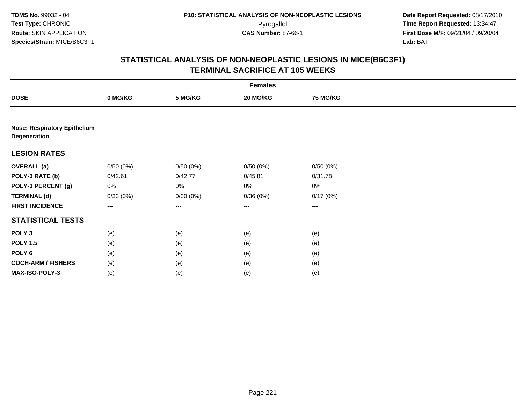|                                                     | <b>Females</b> |                   |          |                   |  |  |  |  |
|-----------------------------------------------------|----------------|-------------------|----------|-------------------|--|--|--|--|
| <b>DOSE</b>                                         | 0 MG/KG        | 5 MG/KG           | 20 MG/KG | <b>75 MG/KG</b>   |  |  |  |  |
|                                                     |                |                   |          |                   |  |  |  |  |
| <b>Nose: Respiratory Epithelium</b><br>Degeneration |                |                   |          |                   |  |  |  |  |
| <b>LESION RATES</b>                                 |                |                   |          |                   |  |  |  |  |
| <b>OVERALL (a)</b>                                  | 0/50(0%)       | 0/50(0%)          | 0/50(0%) | 0/50(0%)          |  |  |  |  |
| POLY-3 RATE (b)                                     | 0/42.61        | 0/42.77           | 0/45.81  | 0/31.78           |  |  |  |  |
| POLY-3 PERCENT (g)                                  | 0%             | 0%                | $0\%$    | $0\%$             |  |  |  |  |
| <b>TERMINAL (d)</b>                                 | 0/33(0%)       | 0/30(0%)          | 0/36(0%) | 0/17(0%)          |  |  |  |  |
| <b>FIRST INCIDENCE</b>                              | ---            | $\qquad \qquad -$ | ---      | $\qquad \qquad -$ |  |  |  |  |
| <b>STATISTICAL TESTS</b>                            |                |                   |          |                   |  |  |  |  |
| POLY <sub>3</sub>                                   | (e)            | (e)               | (e)      | (e)               |  |  |  |  |
| <b>POLY 1.5</b>                                     | (e)            | (e)               | (e)      | (e)               |  |  |  |  |
| POLY <sub>6</sub>                                   | (e)            | (e)               | (e)      | (e)               |  |  |  |  |
| <b>COCH-ARM / FISHERS</b>                           | (e)            | (e)               | (e)      | (e)               |  |  |  |  |
| MAX-ISO-POLY-3                                      | (e)            | (e)               | (e)      | (e)               |  |  |  |  |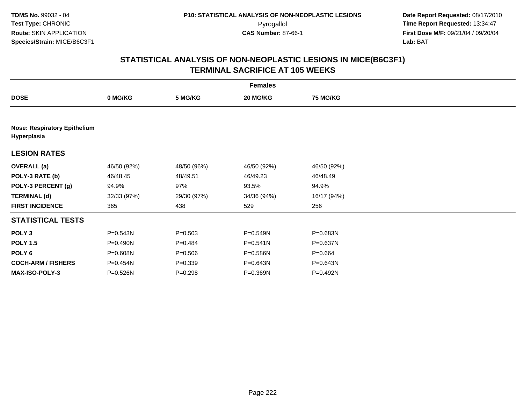|                                                    | <b>Females</b> |             |              |                 |  |  |  |  |
|----------------------------------------------------|----------------|-------------|--------------|-----------------|--|--|--|--|
| <b>DOSE</b>                                        | 0 MG/KG        | 5 MG/KG     | 20 MG/KG     | <b>75 MG/KG</b> |  |  |  |  |
|                                                    |                |             |              |                 |  |  |  |  |
| <b>Nose: Respiratory Epithelium</b><br>Hyperplasia |                |             |              |                 |  |  |  |  |
| <b>LESION RATES</b>                                |                |             |              |                 |  |  |  |  |
| <b>OVERALL</b> (a)                                 | 46/50 (92%)    | 48/50 (96%) | 46/50 (92%)  | 46/50 (92%)     |  |  |  |  |
| POLY-3 RATE (b)                                    | 46/48.45       | 48/49.51    | 46/49.23     | 46/48.49        |  |  |  |  |
| POLY-3 PERCENT (g)                                 | 94.9%          | 97%         | 93.5%        | 94.9%           |  |  |  |  |
| <b>TERMINAL (d)</b>                                | 32/33 (97%)    | 29/30 (97%) | 34/36 (94%)  | 16/17 (94%)     |  |  |  |  |
| <b>FIRST INCIDENCE</b>                             | 365            | 438         | 529          | 256             |  |  |  |  |
| <b>STATISTICAL TESTS</b>                           |                |             |              |                 |  |  |  |  |
| POLY <sub>3</sub>                                  | P=0.543N       | $P = 0.503$ | P=0.549N     | P=0.683N        |  |  |  |  |
| <b>POLY 1.5</b>                                    | P=0.490N       | $P=0.484$   | $P = 0.541N$ | P=0.637N        |  |  |  |  |
| POLY 6                                             | P=0.608N       | $P = 0.506$ | P=0.586N     | $P = 0.664$     |  |  |  |  |
| <b>COCH-ARM / FISHERS</b>                          | P=0.454N       | $P = 0.339$ | P=0.643N     | P=0.643N        |  |  |  |  |
| <b>MAX-ISO-POLY-3</b>                              | P=0.526N       | $P = 0.298$ | P=0.369N     | P=0.492N        |  |  |  |  |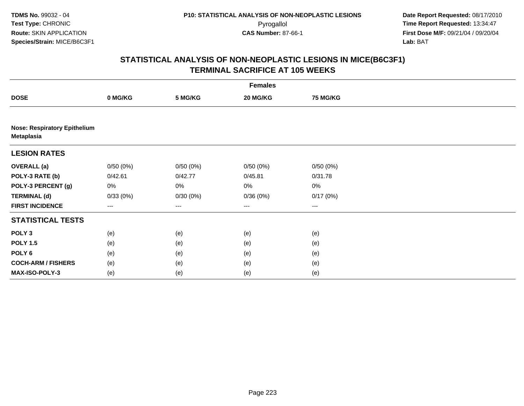|                           | <b>Females</b>                      |          |                        |                 |  |  |  |  |  |
|---------------------------|-------------------------------------|----------|------------------------|-----------------|--|--|--|--|--|
| <b>DOSE</b>               | 0 MG/KG                             | 5 MG/KG  | 20 MG/KG               | <b>75 MG/KG</b> |  |  |  |  |  |
|                           |                                     |          |                        |                 |  |  |  |  |  |
| <b>Metaplasia</b>         | <b>Nose: Respiratory Epithelium</b> |          |                        |                 |  |  |  |  |  |
| <b>LESION RATES</b>       |                                     |          |                        |                 |  |  |  |  |  |
| <b>OVERALL</b> (a)        | 0/50(0%)                            | 0/50(0%) | 0/50(0%)               | 0/50(0%)        |  |  |  |  |  |
| POLY-3 RATE (b)           | 0/42.61                             | 0/42.77  | 0/45.81                | 0/31.78         |  |  |  |  |  |
| POLY-3 PERCENT (g)        | 0%                                  | 0%       | 0%                     | $0\%$           |  |  |  |  |  |
| <b>TERMINAL (d)</b>       | 0/33(0%)                            | 0/30(0%) | 0/36(0%)               | 0/17(0%)        |  |  |  |  |  |
| <b>FIRST INCIDENCE</b>    | $---$                               | $---$    | $\qquad \qquad \cdots$ | $---$           |  |  |  |  |  |
| <b>STATISTICAL TESTS</b>  |                                     |          |                        |                 |  |  |  |  |  |
| POLY <sub>3</sub>         | (e)                                 | (e)      | (e)                    | (e)             |  |  |  |  |  |
| <b>POLY 1.5</b>           | (e)                                 | (e)      | (e)                    | (e)             |  |  |  |  |  |
| POLY <sub>6</sub>         | (e)                                 | (e)      | (e)                    | (e)             |  |  |  |  |  |
| <b>COCH-ARM / FISHERS</b> | (e)                                 | (e)      | (e)                    | (e)             |  |  |  |  |  |
| MAX-ISO-POLY-3            | (e)                                 | (e)      | (e)                    | (e)             |  |  |  |  |  |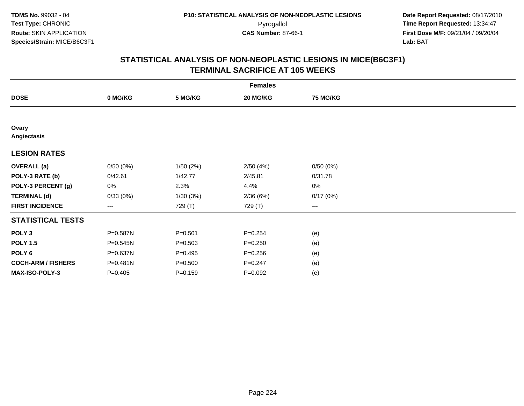| <b>Females</b>            |           |             |             |                 |  |  |  |  |
|---------------------------|-----------|-------------|-------------|-----------------|--|--|--|--|
| <b>DOSE</b>               | 0 MG/KG   | 5 MG/KG     | 20 MG/KG    | <b>75 MG/KG</b> |  |  |  |  |
|                           |           |             |             |                 |  |  |  |  |
| Ovary<br>Angiectasis      |           |             |             |                 |  |  |  |  |
| <b>LESION RATES</b>       |           |             |             |                 |  |  |  |  |
| <b>OVERALL</b> (a)        | 0/50(0%)  | 1/50(2%)    | 2/50(4%)    | 0/50(0%)        |  |  |  |  |
| POLY-3 RATE (b)           | 0/42.61   | 1/42.77     | 2/45.81     | 0/31.78         |  |  |  |  |
| POLY-3 PERCENT (g)        | 0%        | 2.3%        | 4.4%        | 0%              |  |  |  |  |
| <b>TERMINAL (d)</b>       | 0/33(0%)  | 1/30(3%)    | 2/36(6%)    | 0/17(0%)        |  |  |  |  |
| <b>FIRST INCIDENCE</b>    | ---       | 729 (T)     | 729 (T)     | $--$            |  |  |  |  |
| <b>STATISTICAL TESTS</b>  |           |             |             |                 |  |  |  |  |
| POLY <sub>3</sub>         | P=0.587N  | $P = 0.501$ | $P = 0.254$ | (e)             |  |  |  |  |
| <b>POLY 1.5</b>           | P=0.545N  | $P = 0.503$ | $P = 0.250$ | (e)             |  |  |  |  |
| POLY <sub>6</sub>         | P=0.637N  | $P=0.495$   | $P = 0.256$ | (e)             |  |  |  |  |
| <b>COCH-ARM / FISHERS</b> | P=0.481N  | $P = 0.500$ | $P = 0.247$ | (e)             |  |  |  |  |
| MAX-ISO-POLY-3            | $P=0.405$ | $P=0.159$   | $P=0.092$   | (e)             |  |  |  |  |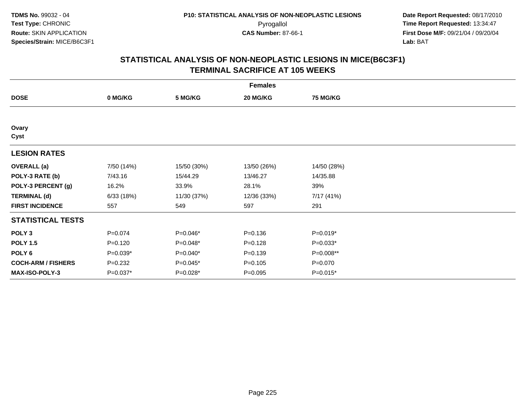| <b>Females</b>            |             |             |             |                 |  |  |  |
|---------------------------|-------------|-------------|-------------|-----------------|--|--|--|
| <b>DOSE</b>               | 0 MG/KG     | 5 MG/KG     | 20 MG/KG    | <b>75 MG/KG</b> |  |  |  |
|                           |             |             |             |                 |  |  |  |
| Ovary<br>Cyst             |             |             |             |                 |  |  |  |
| <b>LESION RATES</b>       |             |             |             |                 |  |  |  |
| <b>OVERALL</b> (a)        | 7/50 (14%)  | 15/50 (30%) | 13/50 (26%) | 14/50 (28%)     |  |  |  |
| POLY-3 RATE (b)           | 7/43.16     | 15/44.29    | 13/46.27    | 14/35.88        |  |  |  |
| POLY-3 PERCENT (g)        | 16.2%       | 33.9%       | 28.1%       | 39%             |  |  |  |
| <b>TERMINAL (d)</b>       | 6/33(18%)   | 11/30 (37%) | 12/36 (33%) | 7/17 (41%)      |  |  |  |
| <b>FIRST INCIDENCE</b>    | 557         | 549         | 597         | 291             |  |  |  |
| <b>STATISTICAL TESTS</b>  |             |             |             |                 |  |  |  |
| POLY <sub>3</sub>         | $P = 0.074$ | P=0.046*    | $P = 0.136$ | $P=0.019*$      |  |  |  |
| <b>POLY 1.5</b>           | $P = 0.120$ | P=0.048*    | $P=0.128$   | $P=0.033*$      |  |  |  |
| POLY 6                    | $P=0.039*$  | $P=0.040*$  | $P = 0.139$ | P=0.008**       |  |  |  |
| <b>COCH-ARM / FISHERS</b> | $P=0.232$   | P=0.045*    | $P = 0.105$ | $P = 0.070$     |  |  |  |
| MAX-ISO-POLY-3            | P=0.037*    | P=0.028*    | $P=0.095$   | $P=0.015*$      |  |  |  |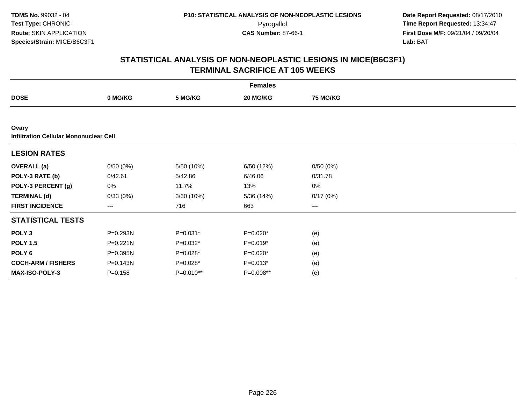| <b>Females</b>                                         |              |            |            |                 |  |  |  |
|--------------------------------------------------------|--------------|------------|------------|-----------------|--|--|--|
| <b>DOSE</b>                                            | 0 MG/KG      | 5 MG/KG    | 20 MG/KG   | <b>75 MG/KG</b> |  |  |  |
|                                                        |              |            |            |                 |  |  |  |
| Ovary<br><b>Infiltration Cellular Mononuclear Cell</b> |              |            |            |                 |  |  |  |
| <b>LESION RATES</b>                                    |              |            |            |                 |  |  |  |
| <b>OVERALL</b> (a)                                     | 0/50(0%)     | 5/50 (10%) | 6/50 (12%) | 0/50(0%)        |  |  |  |
| POLY-3 RATE (b)                                        | 0/42.61      | 5/42.86    | 6/46.06    | 0/31.78         |  |  |  |
| POLY-3 PERCENT (g)                                     | 0%           | 11.7%      | 13%        | $0\%$           |  |  |  |
| <b>TERMINAL (d)</b>                                    | 0/33(0%)     | 3/30 (10%) | 5/36 (14%) | 0/17(0%)        |  |  |  |
| <b>FIRST INCIDENCE</b>                                 | ---          | 716        | 663        | $---$           |  |  |  |
| <b>STATISTICAL TESTS</b>                               |              |            |            |                 |  |  |  |
| POLY <sub>3</sub>                                      | P=0.293N     | $P=0.031*$ | $P=0.020*$ | (e)             |  |  |  |
| <b>POLY 1.5</b>                                        | $P = 0.221N$ | $P=0.032*$ | $P=0.019*$ | (e)             |  |  |  |
| POLY 6                                                 | P=0.395N     | P=0.028*   | $P=0.020*$ | (e)             |  |  |  |
| <b>COCH-ARM / FISHERS</b>                              | $P = 0.143N$ | P=0.028*   | $P=0.013*$ | (e)             |  |  |  |
| MAX-ISO-POLY-3                                         | $P = 0.158$  | P=0.010**  | P=0.008**  | (e)             |  |  |  |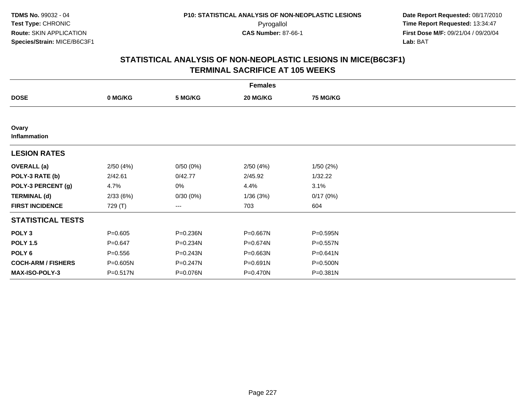|                           | <b>Females</b> |              |          |                 |  |  |  |  |  |
|---------------------------|----------------|--------------|----------|-----------------|--|--|--|--|--|
| <b>DOSE</b>               | 0 MG/KG        | 5 MG/KG      | 20 MG/KG | <b>75 MG/KG</b> |  |  |  |  |  |
|                           |                |              |          |                 |  |  |  |  |  |
| Ovary<br>Inflammation     |                |              |          |                 |  |  |  |  |  |
| <b>LESION RATES</b>       |                |              |          |                 |  |  |  |  |  |
| <b>OVERALL</b> (a)        | 2/50(4%)       | 0/50(0%)     | 2/50(4%) | 1/50(2%)        |  |  |  |  |  |
| POLY-3 RATE (b)           | 2/42.61        | 0/42.77      | 2/45.92  | 1/32.22         |  |  |  |  |  |
| POLY-3 PERCENT (g)        | 4.7%           | 0%           | 4.4%     | 3.1%            |  |  |  |  |  |
| <b>TERMINAL (d)</b>       | 2/33(6%)       | 0/30(0%)     | 1/36(3%) | 0/17(0%)        |  |  |  |  |  |
| <b>FIRST INCIDENCE</b>    | 729 (T)        | ---          | 703      | 604             |  |  |  |  |  |
| <b>STATISTICAL TESTS</b>  |                |              |          |                 |  |  |  |  |  |
| POLY <sub>3</sub>         | $P = 0.605$    | P=0.236N     | P=0.667N | $P = 0.595N$    |  |  |  |  |  |
| <b>POLY 1.5</b>           | $P = 0.647$    | P=0.234N     | P=0.674N | $P = 0.557N$    |  |  |  |  |  |
| POLY 6                    | $P = 0.556$    | $P = 0.243N$ | P=0.663N | $P = 0.641N$    |  |  |  |  |  |
| <b>COCH-ARM / FISHERS</b> | P=0.605N       | P=0.247N     | P=0.691N | P=0.500N        |  |  |  |  |  |
| MAX-ISO-POLY-3            | P=0.517N       | P=0.076N     | P=0.470N | P=0.381N        |  |  |  |  |  |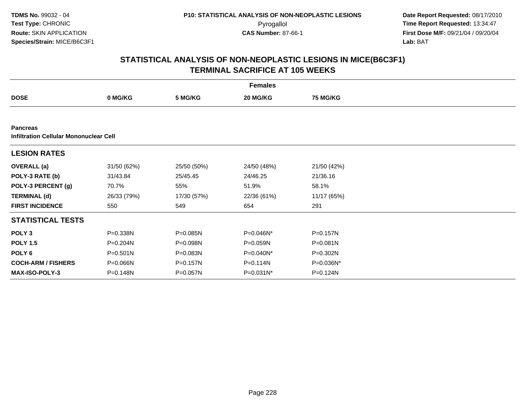|                                                                  | <b>Females</b> |              |              |                 |  |  |  |  |
|------------------------------------------------------------------|----------------|--------------|--------------|-----------------|--|--|--|--|
| <b>DOSE</b>                                                      | 0 MG/KG        | 5 MG/KG      | 20 MG/KG     | <b>75 MG/KG</b> |  |  |  |  |
|                                                                  |                |              |              |                 |  |  |  |  |
| <b>Pancreas</b><br><b>Infiltration Cellular Mononuclear Cell</b> |                |              |              |                 |  |  |  |  |
| <b>LESION RATES</b>                                              |                |              |              |                 |  |  |  |  |
| <b>OVERALL</b> (a)                                               | 31/50 (62%)    | 25/50 (50%)  | 24/50 (48%)  | 21/50 (42%)     |  |  |  |  |
| POLY-3 RATE (b)                                                  | 31/43.84       | 25/45.45     | 24/46.25     | 21/36.16        |  |  |  |  |
| POLY-3 PERCENT (g)                                               | 70.7%          | 55%          | 51.9%        | 58.1%           |  |  |  |  |
| <b>TERMINAL (d)</b>                                              | 26/33 (79%)    | 17/30 (57%)  | 22/36 (61%)  | 11/17 (65%)     |  |  |  |  |
| <b>FIRST INCIDENCE</b>                                           | 550            | 549          | 654          | 291             |  |  |  |  |
| <b>STATISTICAL TESTS</b>                                         |                |              |              |                 |  |  |  |  |
| POLY <sub>3</sub>                                                | P=0.338N       | P=0.085N     | $P=0.046N^*$ | $P = 0.157N$    |  |  |  |  |
| <b>POLY 1.5</b>                                                  | P=0.204N       | P=0.098N     | P=0.059N     | P=0.081N        |  |  |  |  |
| POLY 6                                                           | P=0.501N       | P=0.083N     | $P=0.040N^*$ | P=0.302N        |  |  |  |  |
| <b>COCH-ARM / FISHERS</b>                                        | P=0.066N       | P=0.157N     | P=0.114N     | P=0.036N*       |  |  |  |  |
| <b>MAX-ISO-POLY-3</b>                                            | P=0.148N       | $P = 0.057N$ | $P=0.031N^*$ | $P = 0.124N$    |  |  |  |  |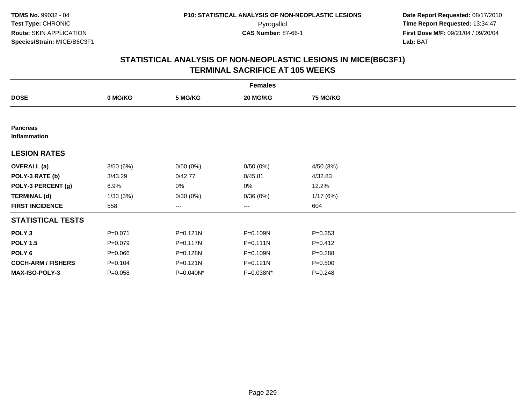| <b>Females</b>                  |             |              |              |                 |  |  |  |
|---------------------------------|-------------|--------------|--------------|-----------------|--|--|--|
| <b>DOSE</b>                     | 0 MG/KG     | 5 MG/KG      | 20 MG/KG     | <b>75 MG/KG</b> |  |  |  |
|                                 |             |              |              |                 |  |  |  |
| <b>Pancreas</b><br>Inflammation |             |              |              |                 |  |  |  |
| <b>LESION RATES</b>             |             |              |              |                 |  |  |  |
| <b>OVERALL</b> (a)              | 3/50(6%)    | 0/50(0%)     | 0/50(0%)     | 4/50 (8%)       |  |  |  |
| POLY-3 RATE (b)                 | 3/43.29     | 0/42.77      | 0/45.81      | 4/32.83         |  |  |  |
| POLY-3 PERCENT (g)              | 6.9%        | 0%           | 0%           | 12.2%           |  |  |  |
| <b>TERMINAL (d)</b>             | 1/33(3%)    | 0/30(0%)     | 0/36(0%)     | 1/17(6%)        |  |  |  |
| <b>FIRST INCIDENCE</b>          | 558         | ---          | $\cdots$     | 604             |  |  |  |
| <b>STATISTICAL TESTS</b>        |             |              |              |                 |  |  |  |
| POLY <sub>3</sub>               | $P = 0.071$ | $P = 0.121N$ | P=0.109N     | $P = 0.353$     |  |  |  |
| <b>POLY 1.5</b>                 | $P = 0.079$ | P=0.117N     | $P = 0.111N$ | $P = 0.412$     |  |  |  |
| POLY 6                          | $P = 0.066$ | P=0.128N     | P=0.109N     | $P = 0.288$     |  |  |  |
| <b>COCH-ARM / FISHERS</b>       | $P = 0.104$ | $P = 0.121N$ | $P = 0.121N$ | $P = 0.500$     |  |  |  |
| <b>MAX-ISO-POLY-3</b>           | $P = 0.058$ | P=0.040N*    | P=0.038N*    | $P = 0.248$     |  |  |  |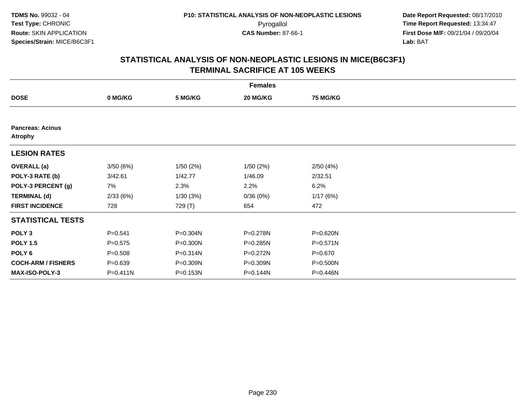|                                           | <b>Females</b> |              |          |                 |  |  |  |  |
|-------------------------------------------|----------------|--------------|----------|-----------------|--|--|--|--|
| <b>DOSE</b>                               | 0 MG/KG        | 5 MG/KG      | 20 MG/KG | <b>75 MG/KG</b> |  |  |  |  |
|                                           |                |              |          |                 |  |  |  |  |
| <b>Pancreas: Acinus</b><br><b>Atrophy</b> |                |              |          |                 |  |  |  |  |
| <b>LESION RATES</b>                       |                |              |          |                 |  |  |  |  |
| <b>OVERALL</b> (a)                        | 3/50(6%)       | 1/50(2%)     | 1/50(2%) | 2/50(4%)        |  |  |  |  |
| POLY-3 RATE (b)                           | 3/42.61        | 1/42.77      | 1/46.09  | 2/32.51         |  |  |  |  |
| POLY-3 PERCENT (g)                        | 7%             | 2.3%         | 2.2%     | 6.2%            |  |  |  |  |
| <b>TERMINAL (d)</b>                       | 2/33(6%)       | 1/30(3%)     | 0/36(0%) | 1/17(6%)        |  |  |  |  |
| <b>FIRST INCIDENCE</b>                    | 728            | 729 (T)      | 654      | 472             |  |  |  |  |
| <b>STATISTICAL TESTS</b>                  |                |              |          |                 |  |  |  |  |
| POLY <sub>3</sub>                         | $P = 0.541$    | P=0.304N     | P=0.278N | P=0.620N        |  |  |  |  |
| <b>POLY 1.5</b>                           | $P = 0.575$    | $P = 0.300N$ | P=0.285N | $P = 0.571N$    |  |  |  |  |
| POLY <sub>6</sub>                         | $P = 0.508$    | P=0.314N     | P=0.272N | $P = 0.670$     |  |  |  |  |
| <b>COCH-ARM / FISHERS</b>                 | $P = 0.639$    | P=0.309N     | P=0.309N | P=0.500N        |  |  |  |  |
| MAX-ISO-POLY-3                            | $P = 0.411N$   | P=0.153N     | P=0.144N | P=0.446N        |  |  |  |  |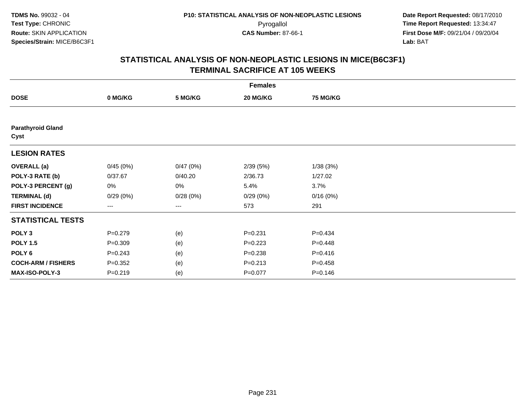| <b>Females</b>                   |             |          |             |             |  |  |  |
|----------------------------------|-------------|----------|-------------|-------------|--|--|--|
| <b>DOSE</b>                      | 0 MG/KG     | 5 MG/KG  | 20 MG/KG    | 75 MG/KG    |  |  |  |
|                                  |             |          |             |             |  |  |  |
| <b>Parathyroid Gland</b><br>Cyst |             |          |             |             |  |  |  |
| <b>LESION RATES</b>              |             |          |             |             |  |  |  |
| <b>OVERALL</b> (a)               | 0/45(0%)    | 0/47(0%) | 2/39(5%)    | 1/38(3%)    |  |  |  |
| POLY-3 RATE (b)                  | 0/37.67     | 0/40.20  | 2/36.73     | 1/27.02     |  |  |  |
| POLY-3 PERCENT (g)               | 0%          | 0%       | 5.4%        | 3.7%        |  |  |  |
| <b>TERMINAL (d)</b>              | 0/29(0%)    | 0/28(0%) | 0/29(0%)    | 0/16(0%)    |  |  |  |
| <b>FIRST INCIDENCE</b>           | ---         | ---      | 573         | 291         |  |  |  |
| <b>STATISTICAL TESTS</b>         |             |          |             |             |  |  |  |
| POLY <sub>3</sub>                | $P = 0.279$ | (e)      | $P = 0.231$ | $P=0.434$   |  |  |  |
| <b>POLY 1.5</b>                  | $P = 0.309$ | (e)      | $P=0.223$   | $P=0.448$   |  |  |  |
| POLY <sub>6</sub>                | $P = 0.243$ | (e)      | $P = 0.238$ | $P = 0.416$ |  |  |  |
| <b>COCH-ARM / FISHERS</b>        | $P = 0.352$ | (e)      | $P = 0.213$ | $P=0.458$   |  |  |  |
| <b>MAX-ISO-POLY-3</b>            | $P = 0.219$ | (e)      | $P=0.077$   | $P = 0.146$ |  |  |  |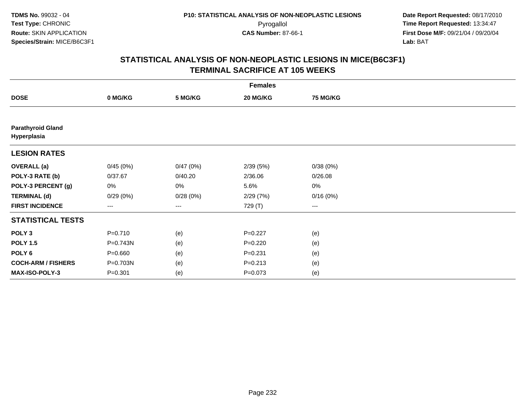| <b>Females</b>                          |                   |          |             |                        |  |  |  |
|-----------------------------------------|-------------------|----------|-------------|------------------------|--|--|--|
| <b>DOSE</b>                             | 0 MG/KG           | 5 MG/KG  | 20 MG/KG    | 75 MG/KG               |  |  |  |
|                                         |                   |          |             |                        |  |  |  |
| <b>Parathyroid Gland</b><br>Hyperplasia |                   |          |             |                        |  |  |  |
| <b>LESION RATES</b>                     |                   |          |             |                        |  |  |  |
| <b>OVERALL</b> (a)                      | 0/45(0%)          | 0/47(0%) | 2/39(5%)    | 0/38(0%)               |  |  |  |
| POLY-3 RATE (b)                         | 0/37.67           | 0/40.20  | 2/36.06     | 0/26.08                |  |  |  |
| POLY-3 PERCENT (g)                      | 0%                | $0\%$    | 5.6%        | 0%                     |  |  |  |
| <b>TERMINAL (d)</b>                     | 0/29(0%)          | 0/28(0%) | 2/29(7%)    | 0/16(0%)               |  |  |  |
| <b>FIRST INCIDENCE</b>                  | $\qquad \qquad -$ | ---      | 729 (T)     | $\qquad \qquad \cdots$ |  |  |  |
| <b>STATISTICAL TESTS</b>                |                   |          |             |                        |  |  |  |
| POLY <sub>3</sub>                       | $P = 0.710$       | (e)      | $P=0.227$   | (e)                    |  |  |  |
| <b>POLY 1.5</b>                         | P=0.743N          | (e)      | $P=0.220$   | (e)                    |  |  |  |
| POLY <sub>6</sub>                       | $P = 0.660$       | (e)      | $P = 0.231$ | (e)                    |  |  |  |
| <b>COCH-ARM / FISHERS</b>               | P=0.703N          | (e)      | $P = 0.213$ | (e)                    |  |  |  |
| MAX-ISO-POLY-3                          | $P = 0.301$       | (e)      | $P = 0.073$ | (e)                    |  |  |  |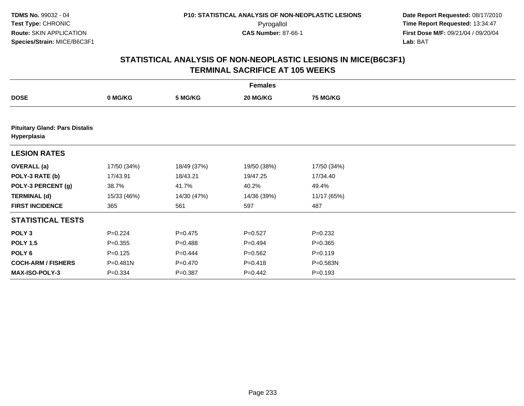| <b>Females</b>                                       |              |             |             |                 |  |  |
|------------------------------------------------------|--------------|-------------|-------------|-----------------|--|--|
| <b>DOSE</b>                                          | 0 MG/KG      | 5 MG/KG     | 20 MG/KG    | <b>75 MG/KG</b> |  |  |
|                                                      |              |             |             |                 |  |  |
| <b>Pituitary Gland: Pars Distalis</b><br>Hyperplasia |              |             |             |                 |  |  |
| <b>LESION RATES</b>                                  |              |             |             |                 |  |  |
| <b>OVERALL</b> (a)                                   | 17/50 (34%)  | 18/49 (37%) | 19/50 (38%) | 17/50 (34%)     |  |  |
| POLY-3 RATE (b)                                      | 17/43.91     | 18/43.21    | 19/47.25    | 17/34.40        |  |  |
| POLY-3 PERCENT (g)                                   | 38.7%        | 41.7%       | 40.2%       | 49.4%           |  |  |
| <b>TERMINAL (d)</b>                                  | 15/33 (46%)  | 14/30 (47%) | 14/36 (39%) | 11/17 (65%)     |  |  |
| <b>FIRST INCIDENCE</b>                               | 365          | 561         | 597         | 487             |  |  |
| <b>STATISTICAL TESTS</b>                             |              |             |             |                 |  |  |
| POLY <sub>3</sub>                                    | $P=0.224$    | $P=0.475$   | $P = 0.527$ | $P = 0.232$     |  |  |
| <b>POLY 1.5</b>                                      | $P = 0.355$  | $P = 0.488$ | $P=0.494$   | $P = 0.365$     |  |  |
| POLY 6                                               | $P = 0.125$  | $P=0.444$   | $P = 0.562$ | $P = 0.119$     |  |  |
| <b>COCH-ARM / FISHERS</b>                            | $P = 0.481N$ | $P = 0.470$ | $P = 0.418$ | P=0.583N        |  |  |
| <b>MAX-ISO-POLY-3</b>                                | $P = 0.334$  | $P = 0.387$ | $P=0.442$   | $P = 0.193$     |  |  |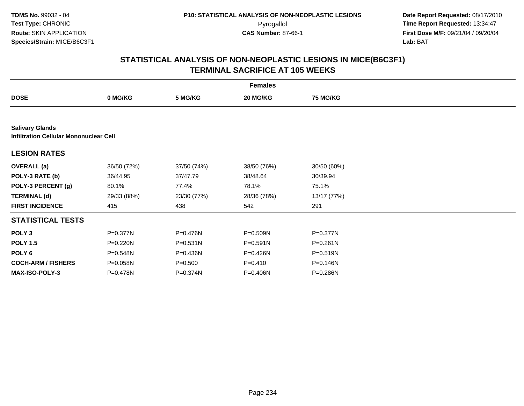|                                                                         |             |              | <b>Females</b> |                 |  |
|-------------------------------------------------------------------------|-------------|--------------|----------------|-----------------|--|
| <b>DOSE</b>                                                             | 0 MG/KG     | 5 MG/KG      | 20 MG/KG       | <b>75 MG/KG</b> |  |
|                                                                         |             |              |                |                 |  |
| <b>Salivary Glands</b><br><b>Infiltration Cellular Mononuclear Cell</b> |             |              |                |                 |  |
| <b>LESION RATES</b>                                                     |             |              |                |                 |  |
| <b>OVERALL</b> (a)                                                      | 36/50 (72%) | 37/50 (74%)  | 38/50 (76%)    | 30/50 (60%)     |  |
| POLY-3 RATE (b)                                                         | 36/44.95    | 37/47.79     | 38/48.64       | 30/39.94        |  |
| POLY-3 PERCENT (g)                                                      | 80.1%       | 77.4%        | 78.1%          | 75.1%           |  |
| <b>TERMINAL (d)</b>                                                     | 29/33 (88%) | 23/30 (77%)  | 28/36 (78%)    | 13/17 (77%)     |  |
| <b>FIRST INCIDENCE</b>                                                  | 415         | 438          | 542            | 291             |  |
| <b>STATISTICAL TESTS</b>                                                |             |              |                |                 |  |
| POLY <sub>3</sub>                                                       | P=0.377N    | P=0.476N     | P=0.509N       | $P = 0.377N$    |  |
| <b>POLY 1.5</b>                                                         | P=0.220N    | $P = 0.531N$ | $P = 0.591N$   | $P = 0.261N$    |  |
| POLY <sub>6</sub>                                                       | P=0.548N    | P=0.436N     | P=0.426N       | $P = 0.519N$    |  |
| <b>COCH-ARM / FISHERS</b>                                               | P=0.058N    | $P = 0.500$  | $P = 0.410$    | P=0.146N        |  |
| <b>MAX-ISO-POLY-3</b>                                                   | P=0.478N    | P=0.374N     | P=0.406N       | P=0.286N        |  |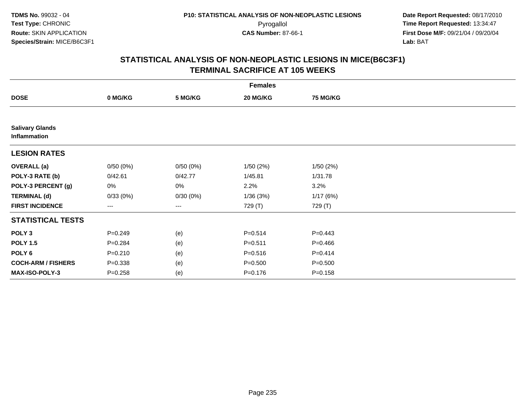| <b>Females</b>                         |                   |          |             |             |  |  |  |
|----------------------------------------|-------------------|----------|-------------|-------------|--|--|--|
| <b>DOSE</b>                            | 0 MG/KG           | 5 MG/KG  | 20 MG/KG    | 75 MG/KG    |  |  |  |
|                                        |                   |          |             |             |  |  |  |
| <b>Salivary Glands</b><br>Inflammation |                   |          |             |             |  |  |  |
| <b>LESION RATES</b>                    |                   |          |             |             |  |  |  |
| <b>OVERALL</b> (a)                     | 0/50(0%)          | 0/50(0%) | 1/50(2%)    | 1/50(2%)    |  |  |  |
| POLY-3 RATE (b)                        | 0/42.61           | 0/42.77  | 1/45.81     | 1/31.78     |  |  |  |
| POLY-3 PERCENT (g)                     | 0%                | 0%       | 2.2%        | 3.2%        |  |  |  |
| <b>TERMINAL (d)</b>                    | 0/33(0%)          | 0/30(0%) | 1/36(3%)    | 1/17(6%)    |  |  |  |
| <b>FIRST INCIDENCE</b>                 | $\qquad \qquad -$ | $---$    | 729 (T)     | 729 (T)     |  |  |  |
| <b>STATISTICAL TESTS</b>               |                   |          |             |             |  |  |  |
| POLY <sub>3</sub>                      | $P = 0.249$       | (e)      | $P = 0.514$ | $P=0.443$   |  |  |  |
| <b>POLY 1.5</b>                        | $P = 0.284$       | (e)      | $P = 0.511$ | $P=0.466$   |  |  |  |
| POLY <sub>6</sub>                      | $P = 0.210$       | (e)      | $P = 0.516$ | $P = 0.414$ |  |  |  |
| <b>COCH-ARM / FISHERS</b>              | $P = 0.338$       | (e)      | $P = 0.500$ | $P = 0.500$ |  |  |  |
| <b>MAX-ISO-POLY-3</b>                  | $P = 0.258$       | (e)      | $P = 0.176$ | $P = 0.158$ |  |  |  |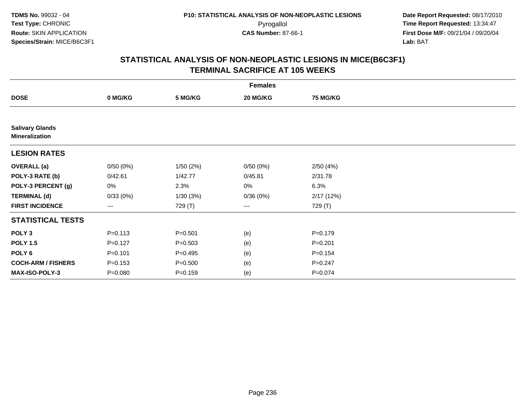|                                                 |             |             | <b>Females</b> |             |  |
|-------------------------------------------------|-------------|-------------|----------------|-------------|--|
| <b>DOSE</b>                                     | 0 MG/KG     | 5 MG/KG     | 20 MG/KG       | 75 MG/KG    |  |
|                                                 |             |             |                |             |  |
| <b>Salivary Glands</b><br><b>Mineralization</b> |             |             |                |             |  |
| <b>LESION RATES</b>                             |             |             |                |             |  |
| <b>OVERALL</b> (a)                              | 0/50(0%)    | 1/50(2%)    | 0/50(0%)       | 2/50(4%)    |  |
| POLY-3 RATE (b)                                 | 0/42.61     | 1/42.77     | 0/45.81        | 2/31.78     |  |
| POLY-3 PERCENT (g)                              | 0%          | 2.3%        | $0\%$          | 6.3%        |  |
| <b>TERMINAL (d)</b>                             | 0/33(0%)    | 1/30(3%)    | 0/36(0%)       | 2/17(12%)   |  |
| <b>FIRST INCIDENCE</b>                          | $\cdots$    | 729 (T)     | $\cdots$       | 729 (T)     |  |
| <b>STATISTICAL TESTS</b>                        |             |             |                |             |  |
| POLY <sub>3</sub>                               | $P = 0.113$ | $P = 0.501$ | (e)            | $P = 0.179$ |  |
| <b>POLY 1.5</b>                                 | $P=0.127$   | $P = 0.503$ | (e)            | $P = 0.201$ |  |
| POLY <sub>6</sub>                               | $P = 0.101$ | $P = 0.495$ | (e)            | $P = 0.154$ |  |
| <b>COCH-ARM / FISHERS</b>                       | $P = 0.153$ | $P = 0.500$ | (e)            | $P = 0.247$ |  |
| <b>MAX-ISO-POLY-3</b>                           | $P = 0.080$ | $P = 0.159$ | (e)            | $P = 0.074$ |  |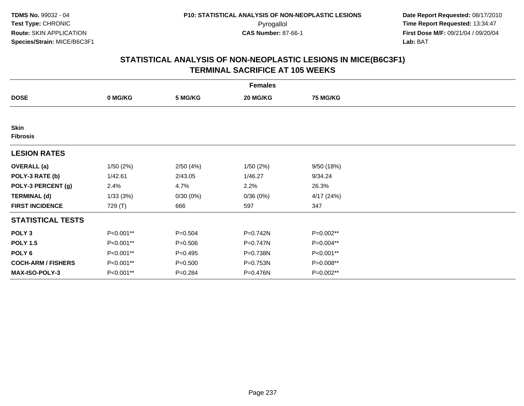| <b>Females</b>                 |           |             |          |                 |  |  |  |
|--------------------------------|-----------|-------------|----------|-----------------|--|--|--|
| <b>DOSE</b>                    | 0 MG/KG   | 5 MG/KG     | 20 MG/KG | <b>75 MG/KG</b> |  |  |  |
|                                |           |             |          |                 |  |  |  |
| <b>Skin</b><br><b>Fibrosis</b> |           |             |          |                 |  |  |  |
| <b>LESION RATES</b>            |           |             |          |                 |  |  |  |
| <b>OVERALL</b> (a)             | 1/50(2%)  | 2/50(4%)    | 1/50(2%) | 9/50 (18%)      |  |  |  |
| POLY-3 RATE (b)                | 1/42.61   | 2/43.05     | 1/46.27  | 9/34.24         |  |  |  |
| POLY-3 PERCENT (g)             | 2.4%      | 4.7%        | 2.2%     | 26.3%           |  |  |  |
| <b>TERMINAL (d)</b>            | 1/33(3%)  | 0/30(0%)    | 0/36(0%) | 4/17(24%)       |  |  |  |
| <b>FIRST INCIDENCE</b>         | 729 (T)   | 666         | 597      | 347             |  |  |  |
| <b>STATISTICAL TESTS</b>       |           |             |          |                 |  |  |  |
| POLY <sub>3</sub>              | P<0.001** | $P = 0.504$ | P=0.742N | P=0.002**       |  |  |  |
| <b>POLY 1.5</b>                | P<0.001** | $P = 0.506$ | P=0.747N | P=0.004**       |  |  |  |
| POLY 6                         | P<0.001** | $P=0.495$   | P=0.738N | P<0.001**       |  |  |  |
| <b>COCH-ARM / FISHERS</b>      | P<0.001** | $P = 0.500$ | P=0.753N | P=0.008**       |  |  |  |
| <b>MAX-ISO-POLY-3</b>          | P<0.001** | $P = 0.284$ | P=0.476N | P=0.002**       |  |  |  |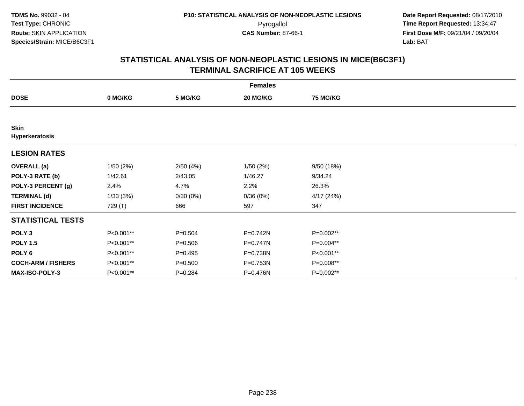| <b>Females</b>                |           |             |            |                 |  |  |
|-------------------------------|-----------|-------------|------------|-----------------|--|--|
| <b>DOSE</b>                   | 0 MG/KG   | 5 MG/KG     | 20 MG/KG   | <b>75 MG/KG</b> |  |  |
|                               |           |             |            |                 |  |  |
| <b>Skin</b><br>Hyperkeratosis |           |             |            |                 |  |  |
| <b>LESION RATES</b>           |           |             |            |                 |  |  |
| <b>OVERALL</b> (a)            | 1/50(2%)  | 2/50(4%)    | 1/50(2%)   | 9/50 (18%)      |  |  |
| POLY-3 RATE (b)               | 1/42.61   | 2/43.05     | 1/46.27    | 9/34.24         |  |  |
| POLY-3 PERCENT (g)            | 2.4%      | 4.7%        | 2.2%       | 26.3%           |  |  |
| <b>TERMINAL (d)</b>           | 1/33(3%)  | 0/30(0%)    | 0/36(0%)   | 4/17(24%)       |  |  |
| <b>FIRST INCIDENCE</b>        | 729 (T)   | 666         | 597        | 347             |  |  |
| <b>STATISTICAL TESTS</b>      |           |             |            |                 |  |  |
| POLY <sub>3</sub>             | P<0.001** | $P = 0.504$ | P=0.742N   | P=0.002**       |  |  |
| <b>POLY 1.5</b>               | P<0.001** | $P = 0.506$ | $P=0.747N$ | P=0.004**       |  |  |
| POLY <sub>6</sub>             | P<0.001** | $P=0.495$   | P=0.738N   | P<0.001**       |  |  |
| <b>COCH-ARM / FISHERS</b>     | P<0.001** | $P = 0.500$ | P=0.753N   | P=0.008**       |  |  |
| <b>MAX-ISO-POLY-3</b>         | P<0.001** | $P = 0.284$ | P=0.476N   | P=0.002**       |  |  |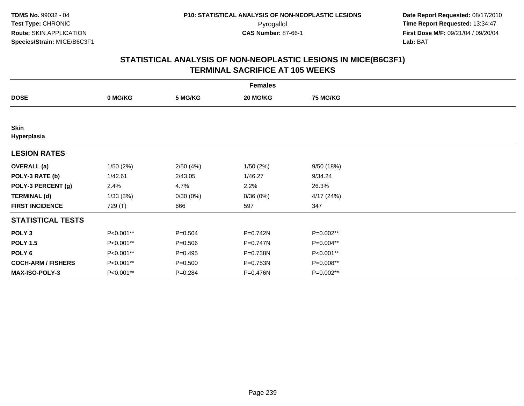| <b>Females</b>             |           |             |              |                 |  |  |
|----------------------------|-----------|-------------|--------------|-----------------|--|--|
| <b>DOSE</b>                | 0 MG/KG   | 5 MG/KG     | 20 MG/KG     | <b>75 MG/KG</b> |  |  |
|                            |           |             |              |                 |  |  |
| <b>Skin</b><br>Hyperplasia |           |             |              |                 |  |  |
| <b>LESION RATES</b>        |           |             |              |                 |  |  |
| <b>OVERALL</b> (a)         | 1/50(2%)  | 2/50(4%)    | 1/50(2%)     | 9/50(18%)       |  |  |
| POLY-3 RATE (b)            | 1/42.61   | 2/43.05     | 1/46.27      | 9/34.24         |  |  |
| POLY-3 PERCENT (g)         | 2.4%      | 4.7%        | 2.2%         | 26.3%           |  |  |
| <b>TERMINAL (d)</b>        | 1/33(3%)  | 0/30(0%)    | 0/36(0%)     | 4/17(24%)       |  |  |
| <b>FIRST INCIDENCE</b>     | 729 (T)   | 666         | 597          | 347             |  |  |
| <b>STATISTICAL TESTS</b>   |           |             |              |                 |  |  |
| POLY <sub>3</sub>          | P<0.001** | $P = 0.504$ | P=0.742N     | P=0.002**       |  |  |
| <b>POLY 1.5</b>            | P<0.001** | $P = 0.506$ | $P = 0.747N$ | P=0.004**       |  |  |
| POLY <sub>6</sub>          | P<0.001** | $P=0.495$   | P=0.738N     | P<0.001**       |  |  |
| <b>COCH-ARM / FISHERS</b>  | P<0.001** | $P = 0.500$ | P=0.753N     | P=0.008**       |  |  |
| <b>MAX-ISO-POLY-3</b>      | P<0.001** | $P = 0.284$ | P=0.476N     | P=0.002**       |  |  |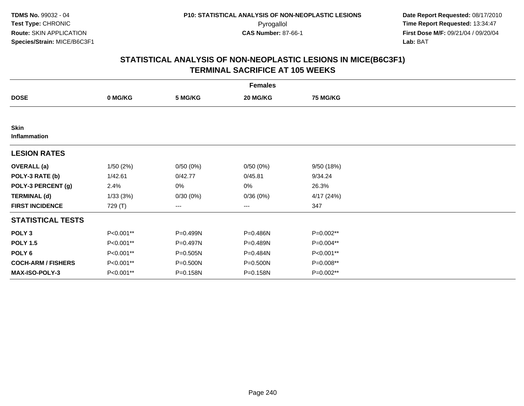|                             | <b>Females</b> |          |          |                 |  |  |  |  |
|-----------------------------|----------------|----------|----------|-----------------|--|--|--|--|
| <b>DOSE</b>                 | 0 MG/KG        | 5 MG/KG  | 20 MG/KG | <b>75 MG/KG</b> |  |  |  |  |
|                             |                |          |          |                 |  |  |  |  |
| <b>Skin</b><br>Inflammation |                |          |          |                 |  |  |  |  |
| <b>LESION RATES</b>         |                |          |          |                 |  |  |  |  |
| <b>OVERALL</b> (a)          | 1/50(2%)       | 0/50(0%) | 0/50(0%) | 9/50(18%)       |  |  |  |  |
| POLY-3 RATE (b)             | 1/42.61        | 0/42.77  | 0/45.81  | 9/34.24         |  |  |  |  |
| POLY-3 PERCENT (g)          | 2.4%           | 0%       | 0%       | 26.3%           |  |  |  |  |
| <b>TERMINAL (d)</b>         | 1/33(3%)       | 0/30(0%) | 0/36(0%) | 4/17(24%)       |  |  |  |  |
| <b>FIRST INCIDENCE</b>      | 729 (T)        | ---      | $\cdots$ | 347             |  |  |  |  |
| <b>STATISTICAL TESTS</b>    |                |          |          |                 |  |  |  |  |
| POLY <sub>3</sub>           | P<0.001**      | P=0.499N | P=0.486N | P=0.002**       |  |  |  |  |
| <b>POLY 1.5</b>             | P<0.001**      | P=0.497N | P=0.489N | P=0.004**       |  |  |  |  |
| POLY <sub>6</sub>           | P<0.001**      | P=0.505N | P=0.484N | P<0.001**       |  |  |  |  |
| <b>COCH-ARM / FISHERS</b>   | P<0.001**      | P=0.500N | P=0.500N | P=0.008**       |  |  |  |  |
| MAX-ISO-POLY-3              | P<0.001**      | P=0.158N | P=0.158N | P=0.002**       |  |  |  |  |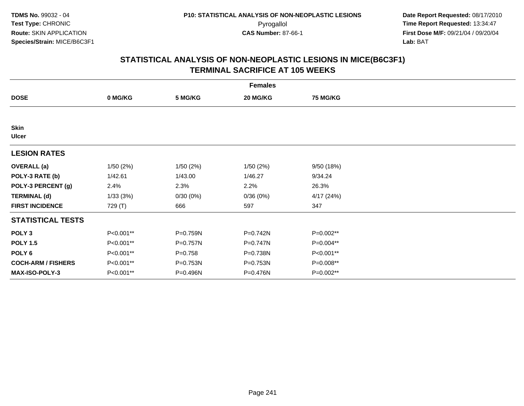| <b>Females</b>              |           |             |              |                 |  |  |  |
|-----------------------------|-----------|-------------|--------------|-----------------|--|--|--|
| <b>DOSE</b>                 | 0 MG/KG   | 5 MG/KG     | 20 MG/KG     | <b>75 MG/KG</b> |  |  |  |
|                             |           |             |              |                 |  |  |  |
| <b>Skin</b><br><b>Ulcer</b> |           |             |              |                 |  |  |  |
| <b>LESION RATES</b>         |           |             |              |                 |  |  |  |
| <b>OVERALL</b> (a)          | 1/50(2%)  | 1/50(2%)    | 1/50(2%)     | 9/50(18%)       |  |  |  |
| POLY-3 RATE (b)             | 1/42.61   | 1/43.00     | 1/46.27      | 9/34.24         |  |  |  |
| POLY-3 PERCENT (g)          | 2.4%      | 2.3%        | 2.2%         | 26.3%           |  |  |  |
| <b>TERMINAL (d)</b>         | 1/33(3%)  | 0/30(0%)    | 0/36(0%)     | 4/17(24%)       |  |  |  |
| <b>FIRST INCIDENCE</b>      | 729 (T)   | 666         | 597          | 347             |  |  |  |
| <b>STATISTICAL TESTS</b>    |           |             |              |                 |  |  |  |
| POLY <sub>3</sub>           | P<0.001** | P=0.759N    | P=0.742N     | P=0.002**       |  |  |  |
| <b>POLY 1.5</b>             | P<0.001** | P=0.757N    | $P = 0.747N$ | P=0.004**       |  |  |  |
| POLY <sub>6</sub>           | P<0.001** | $P = 0.758$ | P=0.738N     | P<0.001**       |  |  |  |
| <b>COCH-ARM / FISHERS</b>   | P<0.001** | P=0.753N    | P=0.753N     | P=0.008**       |  |  |  |
| <b>MAX-ISO-POLY-3</b>       | P<0.001** | P=0.496N    | P=0.476N     | P=0.002**       |  |  |  |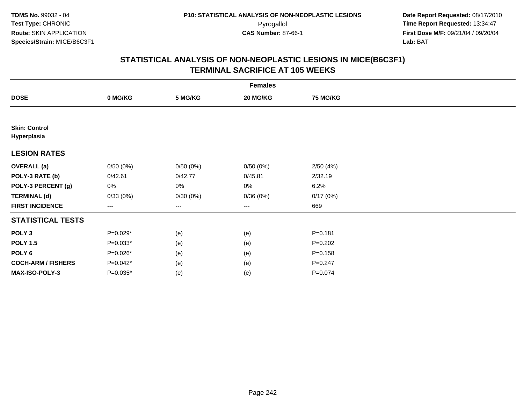| <b>Females</b>                      |            |          |                   |                 |  |  |  |
|-------------------------------------|------------|----------|-------------------|-----------------|--|--|--|
| <b>DOSE</b>                         | 0 MG/KG    | 5 MG/KG  | 20 MG/KG          | <b>75 MG/KG</b> |  |  |  |
|                                     |            |          |                   |                 |  |  |  |
| <b>Skin: Control</b><br>Hyperplasia |            |          |                   |                 |  |  |  |
| <b>LESION RATES</b>                 |            |          |                   |                 |  |  |  |
| <b>OVERALL</b> (a)                  | 0/50(0%)   | 0/50(0%) | 0/50(0%)          | 2/50(4%)        |  |  |  |
| POLY-3 RATE (b)                     | 0/42.61    | 0/42.77  | 0/45.81           | 2/32.19         |  |  |  |
| POLY-3 PERCENT (g)                  | 0%         | 0%       | 0%                | 6.2%            |  |  |  |
| <b>TERMINAL (d)</b>                 | 0/33(0%)   | 0/30(0%) | 0/36(0%)          | 0/17(0%)        |  |  |  |
| <b>FIRST INCIDENCE</b>              | ---        | ---      | $\qquad \qquad -$ | 669             |  |  |  |
| <b>STATISTICAL TESTS</b>            |            |          |                   |                 |  |  |  |
| POLY <sub>3</sub>                   | $P=0.029*$ | (e)      | (e)               | $P = 0.181$     |  |  |  |
| <b>POLY 1.5</b>                     | $P=0.033*$ | (e)      | (e)               | $P=0.202$       |  |  |  |
| POLY <sub>6</sub>                   | $P=0.026*$ | (e)      | (e)               | $P = 0.158$     |  |  |  |
| <b>COCH-ARM / FISHERS</b>           | $P=0.042*$ | (e)      | (e)               | $P = 0.247$     |  |  |  |
| <b>MAX-ISO-POLY-3</b>               | $P=0.035*$ | (e)      | (e)               | $P = 0.074$     |  |  |  |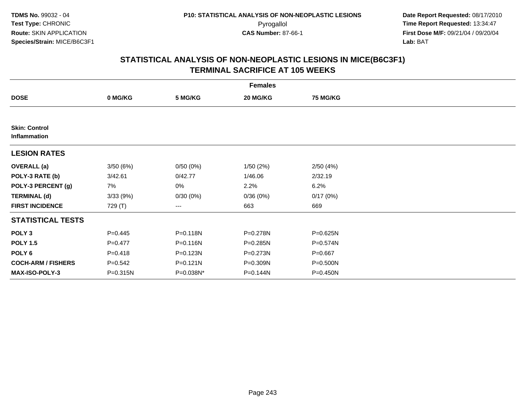|                                      | <b>Females</b> |              |          |                 |  |  |  |  |
|--------------------------------------|----------------|--------------|----------|-----------------|--|--|--|--|
| <b>DOSE</b>                          | 0 MG/KG        | 5 MG/KG      | 20 MG/KG | <b>75 MG/KG</b> |  |  |  |  |
|                                      |                |              |          |                 |  |  |  |  |
| <b>Skin: Control</b><br>Inflammation |                |              |          |                 |  |  |  |  |
| <b>LESION RATES</b>                  |                |              |          |                 |  |  |  |  |
| <b>OVERALL</b> (a)                   | 3/50(6%)       | 0/50(0%)     | 1/50(2%) | 2/50(4%)        |  |  |  |  |
| POLY-3 RATE (b)                      | 3/42.61        | 0/42.77      | 1/46.06  | 2/32.19         |  |  |  |  |
| POLY-3 PERCENT (g)                   | 7%             | 0%           | 2.2%     | 6.2%            |  |  |  |  |
| <b>TERMINAL (d)</b>                  | 3/33(9%)       | 0/30(0%)     | 0/36(0%) | 0/17(0%)        |  |  |  |  |
| <b>FIRST INCIDENCE</b>               | 729 (T)        | ---          | 663      | 669             |  |  |  |  |
| <b>STATISTICAL TESTS</b>             |                |              |          |                 |  |  |  |  |
| POLY <sub>3</sub>                    | $P=0.445$      | P=0.118N     | P=0.278N | $P = 0.625N$    |  |  |  |  |
| <b>POLY 1.5</b>                      | $P=0.477$      | P=0.116N     | P=0.285N | P=0.574N        |  |  |  |  |
| POLY 6                               | $P = 0.418$    | P=0.123N     | P=0.273N | $P = 0.667$     |  |  |  |  |
| <b>COCH-ARM / FISHERS</b>            | $P = 0.542$    | $P = 0.121N$ | P=0.309N | P=0.500N        |  |  |  |  |
| MAX-ISO-POLY-3                       | P=0.315N       | P=0.038N*    | P=0.144N | P=0.450N        |  |  |  |  |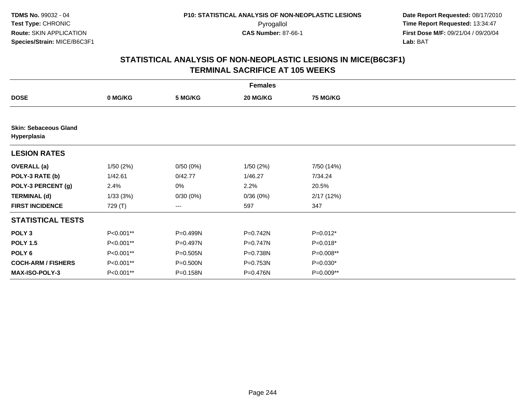|                                             | <b>Females</b> |              |          |                 |  |  |  |  |
|---------------------------------------------|----------------|--------------|----------|-----------------|--|--|--|--|
| <b>DOSE</b>                                 | 0 MG/KG        | 5 MG/KG      | 20 MG/KG | <b>75 MG/KG</b> |  |  |  |  |
|                                             |                |              |          |                 |  |  |  |  |
| <b>Skin: Sebaceous Gland</b><br>Hyperplasia |                |              |          |                 |  |  |  |  |
| <b>LESION RATES</b>                         |                |              |          |                 |  |  |  |  |
| <b>OVERALL</b> (a)                          | 1/50(2%)       | 0/50(0%)     | 1/50(2%) | 7/50 (14%)      |  |  |  |  |
| POLY-3 RATE (b)                             | 1/42.61        | 0/42.77      | 1/46.27  | 7/34.24         |  |  |  |  |
| POLY-3 PERCENT (g)                          | 2.4%           | 0%           | 2.2%     | 20.5%           |  |  |  |  |
| <b>TERMINAL (d)</b>                         | 1/33(3%)       | 0/30(0%)     | 0/36(0%) | 2/17(12%)       |  |  |  |  |
| <b>FIRST INCIDENCE</b>                      | 729 (T)        | ---          | 597      | 347             |  |  |  |  |
| <b>STATISTICAL TESTS</b>                    |                |              |          |                 |  |  |  |  |
| POLY <sub>3</sub>                           | P<0.001**      | P=0.499N     | P=0.742N | P=0.012*        |  |  |  |  |
| <b>POLY 1.5</b>                             | P<0.001**      | P=0.497N     | P=0.747N | $P=0.018*$      |  |  |  |  |
| POLY 6                                      | P<0.001**      | $P = 0.505N$ | P=0.738N | P=0.008**       |  |  |  |  |
| <b>COCH-ARM / FISHERS</b>                   | P<0.001**      | P=0.500N     | P=0.753N | P=0.030*        |  |  |  |  |
| MAX-ISO-POLY-3                              | P<0.001**      | P=0.158N     | P=0.476N | P=0.009**       |  |  |  |  |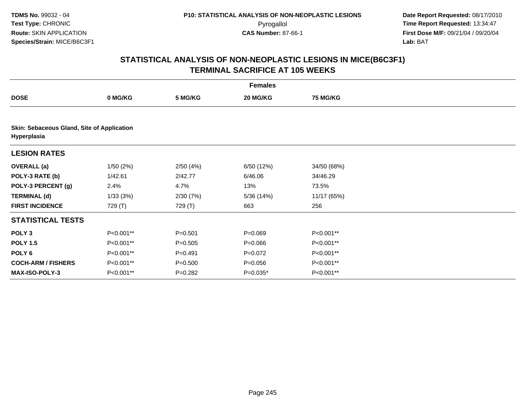|                           | <b>Females</b>                             |             |             |                 |  |  |  |  |  |  |
|---------------------------|--------------------------------------------|-------------|-------------|-----------------|--|--|--|--|--|--|
| <b>DOSE</b>               | 0 MG/KG                                    | 5 MG/KG     | 20 MG/KG    | <b>75 MG/KG</b> |  |  |  |  |  |  |
|                           |                                            |             |             |                 |  |  |  |  |  |  |
| Hyperplasia               | Skin: Sebaceous Gland, Site of Application |             |             |                 |  |  |  |  |  |  |
| <b>LESION RATES</b>       |                                            |             |             |                 |  |  |  |  |  |  |
| <b>OVERALL</b> (a)        | 1/50(2%)                                   | 2/50(4%)    | 6/50 (12%)  | 34/50 (68%)     |  |  |  |  |  |  |
| POLY-3 RATE (b)           | 1/42.61                                    | 2/42.77     | 6/46.06     | 34/46.29        |  |  |  |  |  |  |
| POLY-3 PERCENT (g)        | 2.4%                                       | 4.7%        | 13%         | 73.5%           |  |  |  |  |  |  |
| <b>TERMINAL (d)</b>       | 1/33(3%)                                   | 2/30(7%)    | 5/36 (14%)  | 11/17 (65%)     |  |  |  |  |  |  |
| <b>FIRST INCIDENCE</b>    | 729 (T)                                    | 729 (T)     | 663         | 256             |  |  |  |  |  |  |
| <b>STATISTICAL TESTS</b>  |                                            |             |             |                 |  |  |  |  |  |  |
| POLY <sub>3</sub>         | P<0.001**                                  | $P = 0.501$ | $P = 0.069$ | P<0.001**       |  |  |  |  |  |  |
| <b>POLY 1.5</b>           | P<0.001**                                  | $P = 0.505$ | $P = 0.066$ | P<0.001**       |  |  |  |  |  |  |
| POLY 6                    | P<0.001**                                  | $P = 0.491$ | $P=0.072$   | P<0.001**       |  |  |  |  |  |  |
| <b>COCH-ARM / FISHERS</b> | P<0.001**                                  | $P = 0.500$ | $P = 0.056$ | P<0.001**       |  |  |  |  |  |  |
| <b>MAX-ISO-POLY-3</b>     | P<0.001**                                  | $P=0.282$   | $P=0.035*$  | P<0.001**       |  |  |  |  |  |  |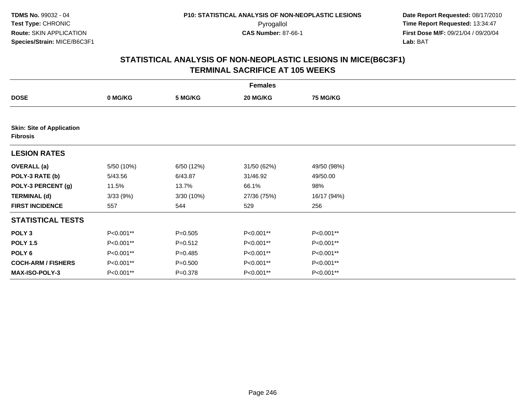| <b>Females</b>                                      |            |             |             |                 |  |  |  |
|-----------------------------------------------------|------------|-------------|-------------|-----------------|--|--|--|
| <b>DOSE</b>                                         | 0 MG/KG    | 5 MG/KG     | 20 MG/KG    | <b>75 MG/KG</b> |  |  |  |
|                                                     |            |             |             |                 |  |  |  |
| <b>Skin: Site of Application</b><br><b>Fibrosis</b> |            |             |             |                 |  |  |  |
| <b>LESION RATES</b>                                 |            |             |             |                 |  |  |  |
| <b>OVERALL</b> (a)                                  | 5/50 (10%) | 6/50 (12%)  | 31/50 (62%) | 49/50 (98%)     |  |  |  |
| POLY-3 RATE (b)                                     | 5/43.56    | 6/43.87     | 31/46.92    | 49/50.00        |  |  |  |
| POLY-3 PERCENT (g)                                  | 11.5%      | 13.7%       | 66.1%       | 98%             |  |  |  |
| <b>TERMINAL (d)</b>                                 | 3/33(9%)   | 3/30 (10%)  | 27/36 (75%) | 16/17 (94%)     |  |  |  |
| <b>FIRST INCIDENCE</b>                              | 557        | 544         | 529         | 256             |  |  |  |
| <b>STATISTICAL TESTS</b>                            |            |             |             |                 |  |  |  |
| POLY <sub>3</sub>                                   | P<0.001**  | $P = 0.505$ | P<0.001**   | P<0.001**       |  |  |  |
| <b>POLY 1.5</b>                                     | P<0.001**  | $P = 0.512$ | P<0.001**   | P<0.001**       |  |  |  |
| POLY <sub>6</sub>                                   | P<0.001**  | $P = 0.485$ | P<0.001**   | P<0.001**       |  |  |  |
| <b>COCH-ARM / FISHERS</b>                           | P<0.001**  | $P = 0.500$ | P<0.001**   | P<0.001**       |  |  |  |
| <b>MAX-ISO-POLY-3</b>                               | P<0.001**  | $P = 0.378$ | P<0.001**   | P<0.001**       |  |  |  |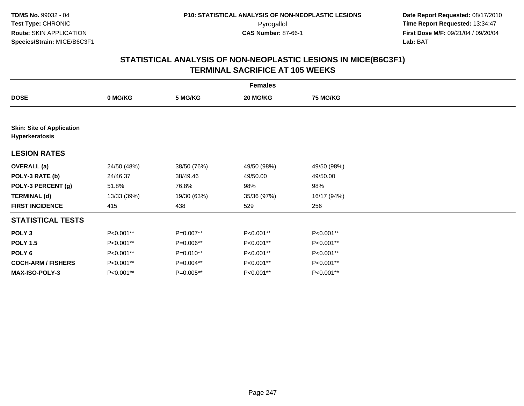|                                                    | <b>Females</b> |             |             |                 |  |  |  |  |
|----------------------------------------------------|----------------|-------------|-------------|-----------------|--|--|--|--|
| <b>DOSE</b>                                        | 0 MG/KG        | 5 MG/KG     | 20 MG/KG    | <b>75 MG/KG</b> |  |  |  |  |
|                                                    |                |             |             |                 |  |  |  |  |
| <b>Skin: Site of Application</b><br>Hyperkeratosis |                |             |             |                 |  |  |  |  |
| <b>LESION RATES</b>                                |                |             |             |                 |  |  |  |  |
| <b>OVERALL</b> (a)                                 | 24/50 (48%)    | 38/50 (76%) | 49/50 (98%) | 49/50 (98%)     |  |  |  |  |
| POLY-3 RATE (b)                                    | 24/46.37       | 38/49.46    | 49/50.00    | 49/50.00        |  |  |  |  |
| POLY-3 PERCENT (g)                                 | 51.8%          | 76.8%       | 98%         | 98%             |  |  |  |  |
| <b>TERMINAL (d)</b>                                | 13/33 (39%)    | 19/30 (63%) | 35/36 (97%) | 16/17 (94%)     |  |  |  |  |
| <b>FIRST INCIDENCE</b>                             | 415            | 438         | 529         | 256             |  |  |  |  |
| <b>STATISTICAL TESTS</b>                           |                |             |             |                 |  |  |  |  |
| POLY <sub>3</sub>                                  | P<0.001**      | P=0.007**   | P<0.001**   | P<0.001**       |  |  |  |  |
| <b>POLY 1.5</b>                                    | P<0.001**      | P=0.006**   | P<0.001**   | P<0.001**       |  |  |  |  |
| POLY <sub>6</sub>                                  | P<0.001**      | P=0.010**   | P<0.001**   | P<0.001**       |  |  |  |  |
| <b>COCH-ARM / FISHERS</b>                          | P<0.001**      | $P=0.004**$ | P<0.001**   | P<0.001**       |  |  |  |  |
| <b>MAX-ISO-POLY-3</b>                              | P<0.001**      | P=0.005**   | P<0.001**   | P<0.001**       |  |  |  |  |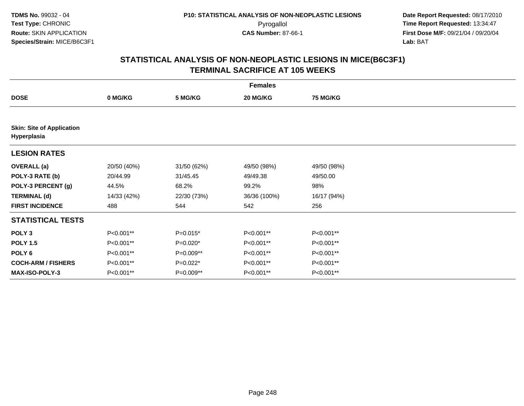|                                                 | <b>Females</b> |             |              |                 |  |  |  |  |
|-------------------------------------------------|----------------|-------------|--------------|-----------------|--|--|--|--|
| <b>DOSE</b>                                     | 0 MG/KG        | 5 MG/KG     | 20 MG/KG     | <b>75 MG/KG</b> |  |  |  |  |
|                                                 |                |             |              |                 |  |  |  |  |
| <b>Skin: Site of Application</b><br>Hyperplasia |                |             |              |                 |  |  |  |  |
| <b>LESION RATES</b>                             |                |             |              |                 |  |  |  |  |
| <b>OVERALL</b> (a)                              | 20/50 (40%)    | 31/50 (62%) | 49/50 (98%)  | 49/50 (98%)     |  |  |  |  |
| POLY-3 RATE (b)                                 | 20/44.99       | 31/45.45    | 49/49.38     | 49/50.00        |  |  |  |  |
| POLY-3 PERCENT (g)                              | 44.5%          | 68.2%       | 99.2%        | 98%             |  |  |  |  |
| <b>TERMINAL (d)</b>                             | 14/33 (42%)    | 22/30 (73%) | 36/36 (100%) | 16/17 (94%)     |  |  |  |  |
| <b>FIRST INCIDENCE</b>                          | 488            | 544         | 542          | 256             |  |  |  |  |
| <b>STATISTICAL TESTS</b>                        |                |             |              |                 |  |  |  |  |
| POLY <sub>3</sub>                               | P<0.001**      | $P=0.015*$  | P<0.001**    | P<0.001**       |  |  |  |  |
| <b>POLY 1.5</b>                                 | P<0.001**      | $P=0.020*$  | P<0.001**    | P<0.001**       |  |  |  |  |
| POLY <sub>6</sub>                               | P<0.001**      | P=0.009**   | P<0.001**    | P<0.001**       |  |  |  |  |
| <b>COCH-ARM / FISHERS</b>                       | P<0.001**      | $P=0.022*$  | P<0.001**    | P<0.001**       |  |  |  |  |
| <b>MAX-ISO-POLY-3</b>                           | P<0.001**      | P=0.009**   | P<0.001**    | P<0.001**       |  |  |  |  |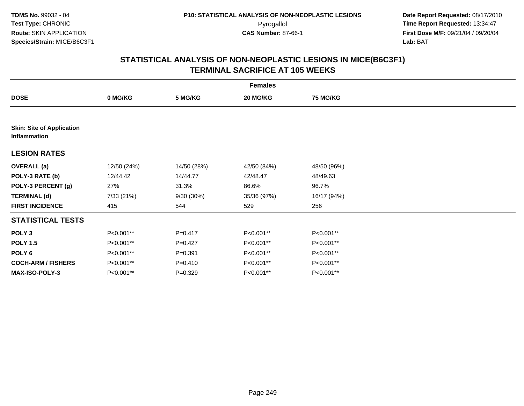| <b>Females</b>                                   |             |             |             |                 |  |  |  |
|--------------------------------------------------|-------------|-------------|-------------|-----------------|--|--|--|
| <b>DOSE</b>                                      | 0 MG/KG     | 5 MG/KG     | 20 MG/KG    | <b>75 MG/KG</b> |  |  |  |
|                                                  |             |             |             |                 |  |  |  |
| <b>Skin: Site of Application</b><br>Inflammation |             |             |             |                 |  |  |  |
| <b>LESION RATES</b>                              |             |             |             |                 |  |  |  |
| <b>OVERALL</b> (a)                               | 12/50 (24%) | 14/50 (28%) | 42/50 (84%) | 48/50 (96%)     |  |  |  |
| POLY-3 RATE (b)                                  | 12/44.42    | 14/44.77    | 42/48.47    | 48/49.63        |  |  |  |
| POLY-3 PERCENT (g)                               | 27%         | 31.3%       | 86.6%       | 96.7%           |  |  |  |
| <b>TERMINAL (d)</b>                              | 7/33 (21%)  | 9/30 (30%)  | 35/36 (97%) | 16/17 (94%)     |  |  |  |
| <b>FIRST INCIDENCE</b>                           | 415         | 544         | 529         | 256             |  |  |  |
| <b>STATISTICAL TESTS</b>                         |             |             |             |                 |  |  |  |
| POLY <sub>3</sub>                                | P<0.001**   | $P=0.417$   | P<0.001**   | P<0.001**       |  |  |  |
| <b>POLY 1.5</b>                                  | P<0.001**   | $P=0.427$   | P<0.001**   | P<0.001**       |  |  |  |
| POLY 6                                           | P<0.001**   | $P=0.391$   | P<0.001**   | P<0.001**       |  |  |  |
| <b>COCH-ARM / FISHERS</b>                        | P<0.001**   | $P = 0.410$ | P<0.001**   | P<0.001**       |  |  |  |
| MAX-ISO-POLY-3                                   | P<0.001**   | $P=0.329$   | P<0.001**   | P<0.001**       |  |  |  |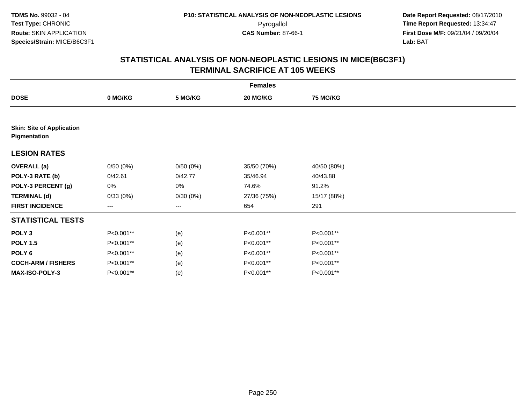|                                                  | <b>Females</b> |          |             |                 |  |  |  |  |
|--------------------------------------------------|----------------|----------|-------------|-----------------|--|--|--|--|
| <b>DOSE</b>                                      | 0 MG/KG        | 5 MG/KG  | 20 MG/KG    | <b>75 MG/KG</b> |  |  |  |  |
|                                                  |                |          |             |                 |  |  |  |  |
| <b>Skin: Site of Application</b><br>Pigmentation |                |          |             |                 |  |  |  |  |
| <b>LESION RATES</b>                              |                |          |             |                 |  |  |  |  |
| <b>OVERALL</b> (a)                               | 0/50(0%)       | 0/50(0%) | 35/50 (70%) | 40/50 (80%)     |  |  |  |  |
| POLY-3 RATE (b)                                  | 0/42.61        | 0/42.77  | 35/46.94    | 40/43.88        |  |  |  |  |
| POLY-3 PERCENT (g)                               | 0%             | 0%       | 74.6%       | 91.2%           |  |  |  |  |
| <b>TERMINAL (d)</b>                              | 0/33(0%)       | 0/30(0%) | 27/36 (75%) | 15/17 (88%)     |  |  |  |  |
| <b>FIRST INCIDENCE</b>                           | ---            | ---      | 654         | 291             |  |  |  |  |
| <b>STATISTICAL TESTS</b>                         |                |          |             |                 |  |  |  |  |
| POLY <sub>3</sub>                                | P<0.001**      | (e)      | P<0.001**   | P<0.001**       |  |  |  |  |
| <b>POLY 1.5</b>                                  | P<0.001**      | (e)      | P<0.001**   | P<0.001**       |  |  |  |  |
| POLY <sub>6</sub>                                | P<0.001**      | (e)      | P<0.001**   | P<0.001**       |  |  |  |  |
| <b>COCH-ARM / FISHERS</b>                        | P<0.001**      | (e)      | P<0.001**   | P<0.001**       |  |  |  |  |
| <b>MAX-ISO-POLY-3</b>                            | P<0.001**      | (e)      | P<0.001**   | P<0.001**       |  |  |  |  |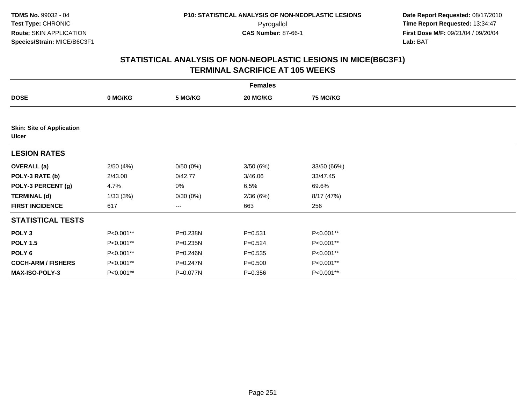| <b>Females</b>                                   |           |          |             |                 |  |  |  |
|--------------------------------------------------|-----------|----------|-------------|-----------------|--|--|--|
| <b>DOSE</b>                                      | 0 MG/KG   | 5 MG/KG  | 20 MG/KG    | <b>75 MG/KG</b> |  |  |  |
|                                                  |           |          |             |                 |  |  |  |
| <b>Skin: Site of Application</b><br><b>Ulcer</b> |           |          |             |                 |  |  |  |
| <b>LESION RATES</b>                              |           |          |             |                 |  |  |  |
| <b>OVERALL</b> (a)                               | 2/50(4%)  | 0/50(0%) | 3/50(6%)    | 33/50 (66%)     |  |  |  |
| POLY-3 RATE (b)                                  | 2/43.00   | 0/42.77  | 3/46.06     | 33/47.45        |  |  |  |
| POLY-3 PERCENT (g)                               | 4.7%      | 0%       | 6.5%        | 69.6%           |  |  |  |
| <b>TERMINAL (d)</b>                              | 1/33(3%)  | 0/30(0%) | 2/36(6%)    | 8/17 (47%)      |  |  |  |
| <b>FIRST INCIDENCE</b>                           | 617       | ---      | 663         | 256             |  |  |  |
| <b>STATISTICAL TESTS</b>                         |           |          |             |                 |  |  |  |
| POLY <sub>3</sub>                                | P<0.001** | P=0.238N | $P = 0.531$ | P<0.001**       |  |  |  |
| <b>POLY 1.5</b>                                  | P<0.001** | P=0.235N | $P = 0.524$ | P<0.001**       |  |  |  |
| POLY <sub>6</sub>                                | P<0.001** | P=0.246N | $P = 0.535$ | P<0.001**       |  |  |  |
| <b>COCH-ARM / FISHERS</b>                        | P<0.001** | P=0.247N | $P = 0.500$ | P<0.001**       |  |  |  |
| MAX-ISO-POLY-3                                   | P<0.001** | P=0.077N | $P = 0.356$ | P<0.001**       |  |  |  |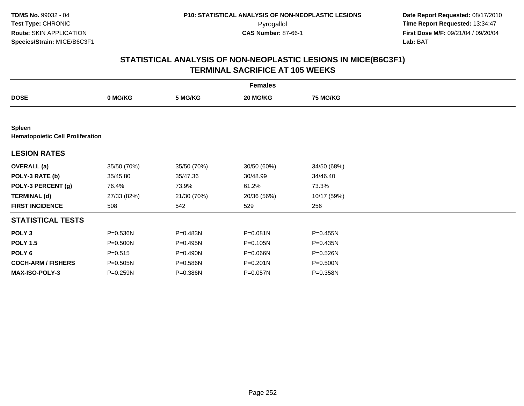|                                                          | <b>Females</b> |             |              |                 |  |  |  |  |
|----------------------------------------------------------|----------------|-------------|--------------|-----------------|--|--|--|--|
| <b>DOSE</b>                                              | 0 MG/KG        | 5 MG/KG     | 20 MG/KG     | <b>75 MG/KG</b> |  |  |  |  |
|                                                          |                |             |              |                 |  |  |  |  |
| <b>Spleen</b><br><b>Hematopoietic Cell Proliferation</b> |                |             |              |                 |  |  |  |  |
| <b>LESION RATES</b>                                      |                |             |              |                 |  |  |  |  |
| <b>OVERALL</b> (a)                                       | 35/50 (70%)    | 35/50 (70%) | 30/50 (60%)  | 34/50 (68%)     |  |  |  |  |
| POLY-3 RATE (b)                                          | 35/45.80       | 35/47.36    | 30/48.99     | 34/46.40        |  |  |  |  |
| POLY-3 PERCENT (g)                                       | 76.4%          | 73.9%       | 61.2%        | 73.3%           |  |  |  |  |
| <b>TERMINAL (d)</b>                                      | 27/33 (82%)    | 21/30 (70%) | 20/36 (56%)  | 10/17 (59%)     |  |  |  |  |
| <b>FIRST INCIDENCE</b>                                   | 508            | 542         | 529          | 256             |  |  |  |  |
| <b>STATISTICAL TESTS</b>                                 |                |             |              |                 |  |  |  |  |
| POLY <sub>3</sub>                                        | P=0.536N       | P=0.483N    | P=0.081N     | P=0.455N        |  |  |  |  |
| <b>POLY 1.5</b>                                          | P=0.500N       | P=0.495N    | P=0.105N     | P=0.435N        |  |  |  |  |
| POLY 6                                                   | $P = 0.515$    | P=0.490N    | P=0.066N     | P=0.526N        |  |  |  |  |
| <b>COCH-ARM / FISHERS</b>                                | $P = 0.505N$   | P=0.586N    | $P = 0.201N$ | P=0.500N        |  |  |  |  |
| MAX-ISO-POLY-3                                           | P=0.259N       | P=0.386N    | P=0.057N     | P=0.358N        |  |  |  |  |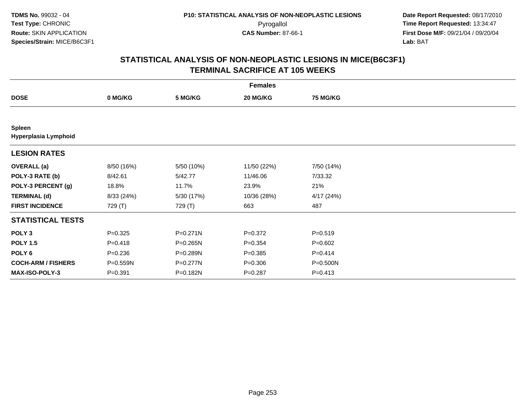| <b>Females</b>                        |             |            |             |             |  |  |  |
|---------------------------------------|-------------|------------|-------------|-------------|--|--|--|
| <b>DOSE</b>                           | 0 MG/KG     | 5 MG/KG    | 20 MG/KG    | 75 MG/KG    |  |  |  |
|                                       |             |            |             |             |  |  |  |
| <b>Spleen</b><br>Hyperplasia Lymphoid |             |            |             |             |  |  |  |
| <b>LESION RATES</b>                   |             |            |             |             |  |  |  |
| <b>OVERALL</b> (a)                    | 8/50 (16%)  | 5/50 (10%) | 11/50 (22%) | 7/50 (14%)  |  |  |  |
| POLY-3 RATE (b)                       | 8/42.61     | 5/42.77    | 11/46.06    | 7/33.32     |  |  |  |
| POLY-3 PERCENT (g)                    | 18.8%       | 11.7%      | 23.9%       | 21%         |  |  |  |
| <b>TERMINAL (d)</b>                   | 8/33(24%)   | 5/30 (17%) | 10/36 (28%) | 4/17(24%)   |  |  |  |
| <b>FIRST INCIDENCE</b>                | 729 (T)     | 729 (T)    | 663         | 487         |  |  |  |
| <b>STATISTICAL TESTS</b>              |             |            |             |             |  |  |  |
| POLY <sub>3</sub>                     | $P = 0.325$ | P=0.271N   | $P = 0.372$ | $P = 0.519$ |  |  |  |
| <b>POLY 1.5</b>                       | $P = 0.418$ | P=0.265N   | $P = 0.354$ | $P = 0.602$ |  |  |  |
| POLY <sub>6</sub>                     | $P = 0.236$ | P=0.289N   | $P = 0.385$ | $P = 0.414$ |  |  |  |
| <b>COCH-ARM / FISHERS</b>             | P=0.559N    | P=0.277N   | $P = 0.306$ | P=0.500N    |  |  |  |
| <b>MAX-ISO-POLY-3</b>                 | $P = 0.391$ | P=0.182N   | $P = 0.287$ | $P = 0.413$ |  |  |  |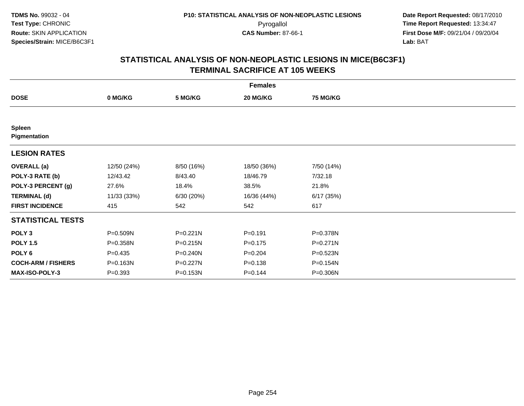|                               |             |            | <b>Females</b> |            |  |
|-------------------------------|-------------|------------|----------------|------------|--|
| <b>DOSE</b>                   | 0 MG/KG     | 5 MG/KG    | 20 MG/KG       | 75 MG/KG   |  |
|                               |             |            |                |            |  |
| <b>Spleen</b><br>Pigmentation |             |            |                |            |  |
| <b>LESION RATES</b>           |             |            |                |            |  |
| <b>OVERALL</b> (a)            | 12/50 (24%) | 8/50 (16%) | 18/50 (36%)    | 7/50 (14%) |  |
| POLY-3 RATE (b)               | 12/43.42    | 8/43.40    | 18/46.79       | 7/32.18    |  |
| POLY-3 PERCENT (g)            | 27.6%       | 18.4%      | 38.5%          | 21.8%      |  |
| <b>TERMINAL (d)</b>           | 11/33 (33%) | 6/30 (20%) | 16/36 (44%)    | 6/17(35%)  |  |
| <b>FIRST INCIDENCE</b>        | 415         | 542        | 542            | 617        |  |
| <b>STATISTICAL TESTS</b>      |             |            |                |            |  |
| POLY <sub>3</sub>             | P=0.509N    | P=0.221N   | $P = 0.191$    | P=0.378N   |  |
| <b>POLY 1.5</b>               | P=0.358N    | P=0.215N   | $P = 0.175$    | P=0.271N   |  |
| POLY <sub>6</sub>             | $P = 0.435$ | P=0.240N   | $P = 0.204$    | P=0.523N   |  |
| <b>COCH-ARM / FISHERS</b>     | P=0.163N    | P=0.227N   | $P = 0.138$    | P=0.154N   |  |
| <b>MAX-ISO-POLY-3</b>         | $P = 0.393$ | P=0.153N   | $P = 0.144$    | P=0.306N   |  |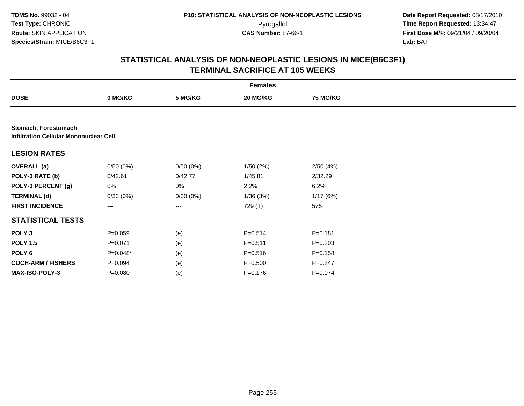|                                                                       |             |                        | <b>Females</b> |                 |  |
|-----------------------------------------------------------------------|-------------|------------------------|----------------|-----------------|--|
| <b>DOSE</b>                                                           | 0 MG/KG     | 5 MG/KG                | 20 MG/KG       | <b>75 MG/KG</b> |  |
|                                                                       |             |                        |                |                 |  |
| Stomach, Forestomach<br><b>Infiltration Cellular Mononuclear Cell</b> |             |                        |                |                 |  |
| <b>LESION RATES</b>                                                   |             |                        |                |                 |  |
| <b>OVERALL</b> (a)                                                    | 0/50(0%)    | 0/50(0%)               | 1/50(2%)       | 2/50(4%)        |  |
| POLY-3 RATE (b)                                                       | 0/42.61     | 0/42.77                | 1/45.81        | 2/32.29         |  |
| POLY-3 PERCENT (g)                                                    | 0%          | 0%                     | 2.2%           | 6.2%            |  |
| <b>TERMINAL (d)</b>                                                   | 0/33(0%)    | 0/30(0%)               | 1/36(3%)       | 1/17(6%)        |  |
| <b>FIRST INCIDENCE</b>                                                | ---         | $\qquad \qquad \cdots$ | 729 (T)        | 575             |  |
| <b>STATISTICAL TESTS</b>                                              |             |                        |                |                 |  |
| POLY <sub>3</sub>                                                     | $P = 0.059$ | (e)                    | $P = 0.514$    | $P = 0.181$     |  |
| <b>POLY 1.5</b>                                                       | $P = 0.071$ | (e)                    | $P = 0.511$    | $P=0.203$       |  |
| POLY <sub>6</sub>                                                     | P=0.048*    | (e)                    | $P = 0.516$    | $P = 0.158$     |  |
| <b>COCH-ARM / FISHERS</b>                                             | $P = 0.094$ | (e)                    | $P = 0.500$    | $P = 0.247$     |  |
| MAX-ISO-POLY-3                                                        | $P = 0.080$ | (e)                    | $P = 0.176$    | $P = 0.074$     |  |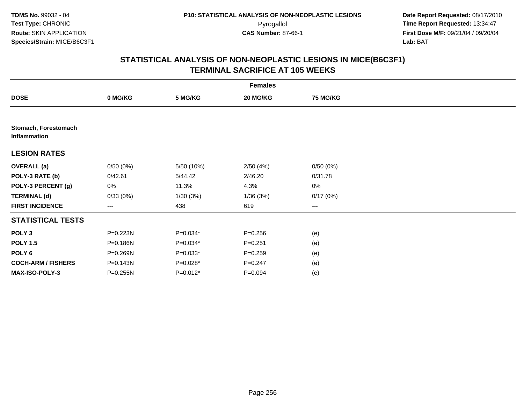|                                      |                        |            | <b>Females</b> |                 |  |
|--------------------------------------|------------------------|------------|----------------|-----------------|--|
| <b>DOSE</b>                          | 0 MG/KG                | 5 MG/KG    | 20 MG/KG       | <b>75 MG/KG</b> |  |
|                                      |                        |            |                |                 |  |
| Stomach, Forestomach<br>Inflammation |                        |            |                |                 |  |
| <b>LESION RATES</b>                  |                        |            |                |                 |  |
| <b>OVERALL</b> (a)                   | 0/50(0%)               | 5/50 (10%) | 2/50(4%)       | 0/50(0%)        |  |
| POLY-3 RATE (b)                      | 0/42.61                | 5/44.42    | 2/46.20        | 0/31.78         |  |
| POLY-3 PERCENT (g)                   | 0%                     | 11.3%      | 4.3%           | $0\%$           |  |
| <b>TERMINAL (d)</b>                  | 0/33(0%)               | 1/30(3%)   | 1/36(3%)       | 0/17(0%)        |  |
| <b>FIRST INCIDENCE</b>               | $\qquad \qquad \cdots$ | 438        | 619            | ---             |  |
| <b>STATISTICAL TESTS</b>             |                        |            |                |                 |  |
| POLY <sub>3</sub>                    | P=0.223N               | $P=0.034*$ | $P = 0.256$    | (e)             |  |
| <b>POLY 1.5</b>                      | P=0.186N               | P=0.034*   | $P = 0.251$    | (e)             |  |
| POLY 6                               | P=0.269N               | $P=0.033*$ | $P = 0.259$    | (e)             |  |
| <b>COCH-ARM / FISHERS</b>            | P=0.143N               | P=0.028*   | $P = 0.247$    | (e)             |  |
| MAX-ISO-POLY-3                       | $P = 0.255N$           | $P=0.012*$ | $P=0.094$      | (e)             |  |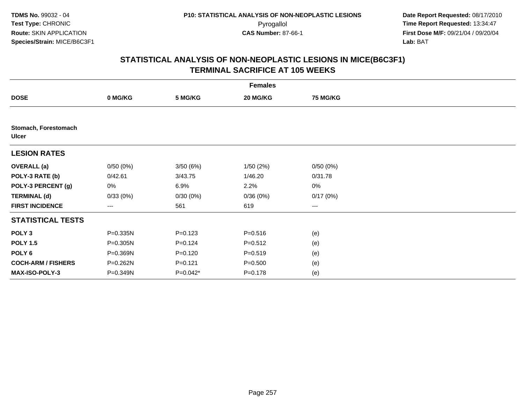| <b>Females</b>                       |          |             |             |                 |  |  |  |
|--------------------------------------|----------|-------------|-------------|-----------------|--|--|--|
| <b>DOSE</b>                          | 0 MG/KG  | 5 MG/KG     | 20 MG/KG    | <b>75 MG/KG</b> |  |  |  |
|                                      |          |             |             |                 |  |  |  |
| Stomach, Forestomach<br><b>Ulcer</b> |          |             |             |                 |  |  |  |
| <b>LESION RATES</b>                  |          |             |             |                 |  |  |  |
| <b>OVERALL</b> (a)                   | 0/50(0%) | 3/50(6%)    | 1/50(2%)    | 0/50(0%)        |  |  |  |
| POLY-3 RATE (b)                      | 0/42.61  | 3/43.75     | 1/46.20     | 0/31.78         |  |  |  |
| POLY-3 PERCENT (g)                   | 0%       | 6.9%        | 2.2%        | 0%              |  |  |  |
| <b>TERMINAL (d)</b>                  | 0/33(0%) | 0/30(0%)    | 0/36(0%)    | 0/17(0%)        |  |  |  |
| <b>FIRST INCIDENCE</b>               | ---      | 561         | 619         | $---$           |  |  |  |
| <b>STATISTICAL TESTS</b>             |          |             |             |                 |  |  |  |
| POLY <sub>3</sub>                    | P=0.335N | $P = 0.123$ | $P = 0.516$ | (e)             |  |  |  |
| <b>POLY 1.5</b>                      | P=0.305N | $P = 0.124$ | $P = 0.512$ | (e)             |  |  |  |
| POLY <sub>6</sub>                    | P=0.369N | $P = 0.120$ | $P = 0.519$ | (e)             |  |  |  |
| <b>COCH-ARM / FISHERS</b>            | P=0.262N | $P = 0.121$ | $P = 0.500$ | (e)             |  |  |  |
| MAX-ISO-POLY-3                       | P=0.349N | $P=0.042*$  | $P = 0.178$ | (e)             |  |  |  |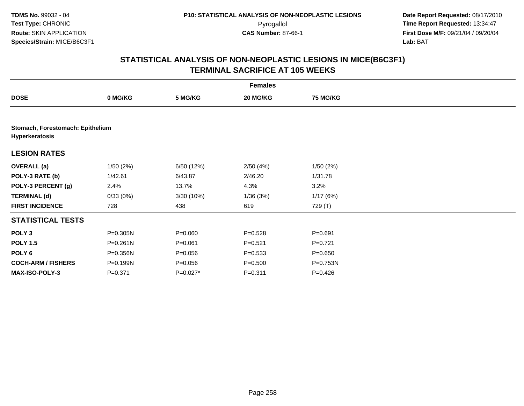|                                                    |              |             | <b>Females</b> |                 |  |
|----------------------------------------------------|--------------|-------------|----------------|-----------------|--|
| <b>DOSE</b>                                        | 0 MG/KG      | 5 MG/KG     | 20 MG/KG       | <b>75 MG/KG</b> |  |
|                                                    |              |             |                |                 |  |
| Stomach, Forestomach: Epithelium<br>Hyperkeratosis |              |             |                |                 |  |
| <b>LESION RATES</b>                                |              |             |                |                 |  |
| <b>OVERALL (a)</b>                                 | 1/50(2%)     | 6/50 (12%)  | 2/50(4%)       | 1/50(2%)        |  |
| POLY-3 RATE (b)                                    | 1/42.61      | 6/43.87     | 2/46.20        | 1/31.78         |  |
| POLY-3 PERCENT (g)                                 | 2.4%         | 13.7%       | 4.3%           | 3.2%            |  |
| <b>TERMINAL (d)</b>                                | 0/33(0%)     | 3/30 (10%)  | 1/36(3%)       | 1/17(6%)        |  |
| <b>FIRST INCIDENCE</b>                             | 728          | 438         | 619            | 729 (T)         |  |
| <b>STATISTICAL TESTS</b>                           |              |             |                |                 |  |
| POLY <sub>3</sub>                                  | P=0.305N     | $P = 0.060$ | $P = 0.528$    | $P = 0.691$     |  |
| <b>POLY 1.5</b>                                    | $P = 0.261N$ | $P = 0.061$ | $P = 0.521$    | $P=0.721$       |  |
| POLY 6                                             | P=0.356N     | $P = 0.056$ | $P = 0.533$    | $P = 0.650$     |  |
| <b>COCH-ARM / FISHERS</b>                          | P=0.199N     | $P = 0.056$ | $P = 0.500$    | P=0.753N        |  |
| <b>MAX-ISO-POLY-3</b>                              | $P = 0.371$  | $P=0.027*$  | $P = 0.311$    | $P=0.426$       |  |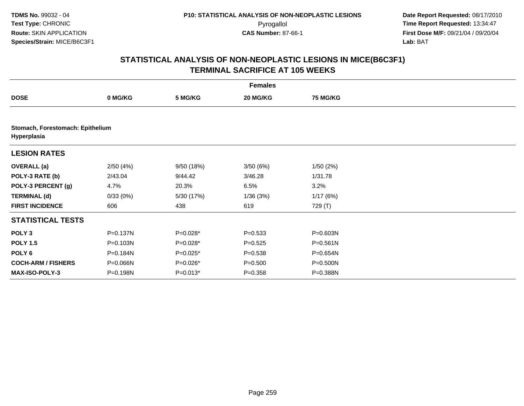|                                                 |              |            | <b>Females</b> |                 |  |
|-------------------------------------------------|--------------|------------|----------------|-----------------|--|
| <b>DOSE</b>                                     | 0 MG/KG      | 5 MG/KG    | 20 MG/KG       | <b>75 MG/KG</b> |  |
|                                                 |              |            |                |                 |  |
| Stomach, Forestomach: Epithelium<br>Hyperplasia |              |            |                |                 |  |
| <b>LESION RATES</b>                             |              |            |                |                 |  |
| <b>OVERALL (a)</b>                              | 2/50(4%)     | 9/50 (18%) | 3/50(6%)       | 1/50(2%)        |  |
| POLY-3 RATE (b)                                 | 2/43.04      | 9/44.42    | 3/46.28        | 1/31.78         |  |
| POLY-3 PERCENT (g)                              | 4.7%         | 20.3%      | 6.5%           | 3.2%            |  |
| <b>TERMINAL (d)</b>                             | 0/33(0%)     | 5/30 (17%) | 1/36(3%)       | 1/17(6%)        |  |
| <b>FIRST INCIDENCE</b>                          | 606          | 438        | 619            | 729 (T)         |  |
| <b>STATISTICAL TESTS</b>                        |              |            |                |                 |  |
| POLY <sub>3</sub>                               | $P = 0.137N$ | P=0.028*   | $P = 0.533$    | P=0.603N        |  |
| <b>POLY 1.5</b>                                 | $P = 0.103N$ | $P=0.028*$ | $P = 0.525$    | $P = 0.561N$    |  |
| POLY 6                                          | P=0.184N     | $P=0.025*$ | $P = 0.538$    | P=0.654N        |  |
| <b>COCH-ARM / FISHERS</b>                       | P=0.066N     | P=0.026*   | $P = 0.500$    | P=0.500N        |  |
| <b>MAX-ISO-POLY-3</b>                           | P=0.198N     | $P=0.013*$ | $P = 0.358$    | P=0.388N        |  |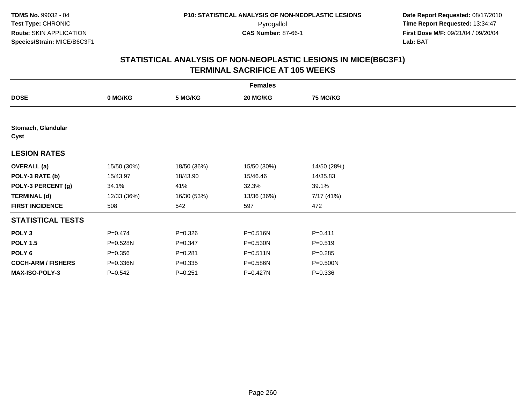|                            |             |             | <b>Females</b> |                 |  |
|----------------------------|-------------|-------------|----------------|-----------------|--|
| <b>DOSE</b>                | 0 MG/KG     | 5 MG/KG     | 20 MG/KG       | <b>75 MG/KG</b> |  |
|                            |             |             |                |                 |  |
| Stomach, Glandular<br>Cyst |             |             |                |                 |  |
| <b>LESION RATES</b>        |             |             |                |                 |  |
| <b>OVERALL</b> (a)         | 15/50 (30%) | 18/50 (36%) | 15/50 (30%)    | 14/50 (28%)     |  |
| POLY-3 RATE (b)            | 15/43.97    | 18/43.90    | 15/46.46       | 14/35.83        |  |
| POLY-3 PERCENT (g)         | 34.1%       | 41%         | 32.3%          | 39.1%           |  |
| <b>TERMINAL (d)</b>        | 12/33 (36%) | 16/30 (53%) | 13/36 (36%)    | 7/17 (41%)      |  |
| <b>FIRST INCIDENCE</b>     | 508         | 542         | 597            | 472             |  |
| <b>STATISTICAL TESTS</b>   |             |             |                |                 |  |
| POLY <sub>3</sub>          | $P = 0.474$ | $P = 0.326$ | P=0.516N       | $P = 0.411$     |  |
| <b>POLY 1.5</b>            | P=0.528N    | $P = 0.347$ | P=0.530N       | $P = 0.519$     |  |
| POLY 6                     | $P = 0.356$ | $P = 0.281$ | $P = 0.511N$   | $P = 0.285$     |  |
| <b>COCH-ARM / FISHERS</b>  | P=0.336N    | $P = 0.335$ | P=0.586N       | P=0.500N        |  |
| <b>MAX-ISO-POLY-3</b>      | $P = 0.542$ | $P = 0.251$ | P=0.427N       | $P = 0.336$     |  |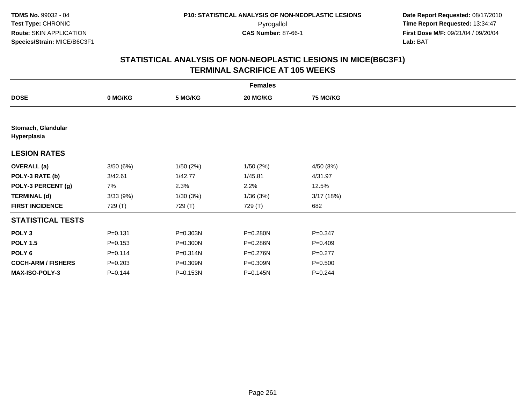|                                   |             |          | <b>Females</b> |                 |  |
|-----------------------------------|-------------|----------|----------------|-----------------|--|
| <b>DOSE</b>                       | 0 MG/KG     | 5 MG/KG  | 20 MG/KG       | <b>75 MG/KG</b> |  |
|                                   |             |          |                |                 |  |
| Stomach, Glandular<br>Hyperplasia |             |          |                |                 |  |
| <b>LESION RATES</b>               |             |          |                |                 |  |
| <b>OVERALL</b> (a)                | 3/50(6%)    | 1/50(2%) | 1/50(2%)       | 4/50 (8%)       |  |
| POLY-3 RATE (b)                   | 3/42.61     | 1/42.77  | 1/45.81        | 4/31.97         |  |
| POLY-3 PERCENT (g)                | 7%          | 2.3%     | 2.2%           | 12.5%           |  |
| <b>TERMINAL (d)</b>               | 3/33(9%)    | 1/30(3%) | 1/36(3%)       | 3/17(18%)       |  |
| <b>FIRST INCIDENCE</b>            | 729 (T)     | 729 (T)  | 729 (T)        | 682             |  |
| <b>STATISTICAL TESTS</b>          |             |          |                |                 |  |
| POLY <sub>3</sub>                 | $P = 0.131$ | P=0.303N | P=0.280N       | $P = 0.347$     |  |
| <b>POLY 1.5</b>                   | $P = 0.153$ | P=0.300N | P=0.286N       | $P = 0.409$     |  |
| POLY <sub>6</sub>                 | $P = 0.114$ | P=0.314N | P=0.276N       | $P = 0.277$     |  |
| <b>COCH-ARM / FISHERS</b>         | $P = 0.203$ | P=0.309N | P=0.309N       | $P = 0.500$     |  |
| MAX-ISO-POLY-3                    | $P = 0.144$ | P=0.153N | $P = 0.145N$   | $P=0.244$       |  |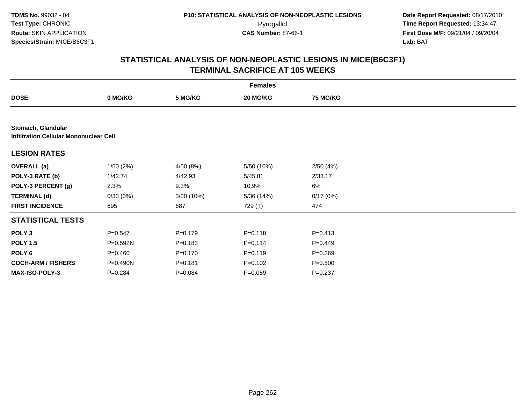|                                                              |             |             | <b>Females</b> |                 |  |
|--------------------------------------------------------------|-------------|-------------|----------------|-----------------|--|
| <b>DOSE</b>                                                  | 0 MG/KG     | 5 MG/KG     | 20 MG/KG       | <b>75 MG/KG</b> |  |
|                                                              |             |             |                |                 |  |
| Stomach, Glandular<br>Infiltration Cellular Mononuclear Cell |             |             |                |                 |  |
| <b>LESION RATES</b>                                          |             |             |                |                 |  |
| <b>OVERALL</b> (a)                                           | 1/50(2%)    | 4/50 (8%)   | 5/50 (10%)     | 2/50(4%)        |  |
| POLY-3 RATE (b)                                              | 1/42.74     | 4/42.93     | 5/45.81        | 2/33.17         |  |
| POLY-3 PERCENT (g)                                           | 2.3%        | 9.3%        | 10.9%          | 6%              |  |
| <b>TERMINAL (d)</b>                                          | 0/33(0%)    | 3/30 (10%)  | 5/36 (14%)     | 0/17(0%)        |  |
| <b>FIRST INCIDENCE</b>                                       | 695         | 687         | 729 (T)        | 474             |  |
| <b>STATISTICAL TESTS</b>                                     |             |             |                |                 |  |
| POLY <sub>3</sub>                                            | $P = 0.547$ | $P=0.179$   | $P = 0.118$    | $P=0.413$       |  |
| <b>POLY 1.5</b>                                              | P=0.592N    | $P = 0.183$ | $P = 0.114$    | $P=0.449$       |  |
| POLY 6                                                       | $P=0.460$   | $P = 0.170$ | $P = 0.119$    | $P = 0.369$     |  |
| <b>COCH-ARM / FISHERS</b>                                    | P=0.490N    | $P = 0.181$ | $P = 0.102$    | $P = 0.500$     |  |
| MAX-ISO-POLY-3                                               | $P = 0.284$ | $P = 0.084$ | $P=0.059$      | $P = 0.237$     |  |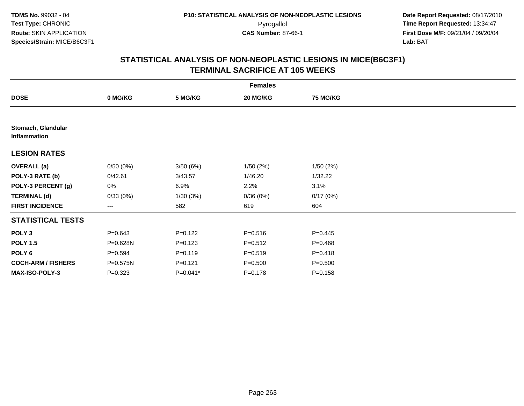|                                    |             |             | <b>Females</b> |                 |  |
|------------------------------------|-------------|-------------|----------------|-----------------|--|
| <b>DOSE</b>                        | 0 MG/KG     | 5 MG/KG     | 20 MG/KG       | <b>75 MG/KG</b> |  |
|                                    |             |             |                |                 |  |
| Stomach, Glandular<br>Inflammation |             |             |                |                 |  |
| <b>LESION RATES</b>                |             |             |                |                 |  |
| <b>OVERALL</b> (a)                 | 0/50(0%)    | 3/50(6%)    | 1/50(2%)       | 1/50(2%)        |  |
| POLY-3 RATE (b)                    | 0/42.61     | 3/43.57     | 1/46.20        | 1/32.22         |  |
| POLY-3 PERCENT (g)                 | 0%          | 6.9%        | 2.2%           | 3.1%            |  |
| <b>TERMINAL (d)</b>                | 0/33(0%)    | 1/30(3%)    | 0/36(0%)       | 0/17(0%)        |  |
| <b>FIRST INCIDENCE</b>             | ---         | 582         | 619            | 604             |  |
| <b>STATISTICAL TESTS</b>           |             |             |                |                 |  |
| POLY <sub>3</sub>                  | $P = 0.643$ | $P = 0.122$ | $P = 0.516$    | $P = 0.445$     |  |
| <b>POLY 1.5</b>                    | P=0.628N    | $P = 0.123$ | $P = 0.512$    | $P = 0.468$     |  |
| POLY <sub>6</sub>                  | $P = 0.594$ | $P = 0.119$ | $P = 0.519$    | $P = 0.418$     |  |
| <b>COCH-ARM / FISHERS</b>          | P=0.575N    | $P = 0.121$ | $P = 0.500$    | $P = 0.500$     |  |
| MAX-ISO-POLY-3                     | $P = 0.323$ | $P=0.041*$  | $P = 0.178$    | $P = 0.158$     |  |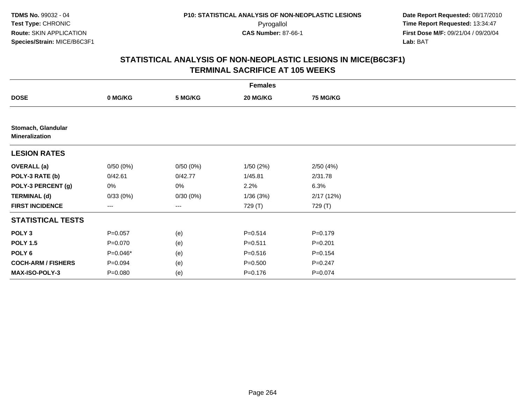|                                             |             |          | <b>Females</b> |                 |  |
|---------------------------------------------|-------------|----------|----------------|-----------------|--|
| <b>DOSE</b>                                 | 0 MG/KG     | 5 MG/KG  | 20 MG/KG       | <b>75 MG/KG</b> |  |
|                                             |             |          |                |                 |  |
| Stomach, Glandular<br><b>Mineralization</b> |             |          |                |                 |  |
| <b>LESION RATES</b>                         |             |          |                |                 |  |
| <b>OVERALL</b> (a)                          | 0/50(0%)    | 0/50(0%) | 1/50(2%)       | 2/50(4%)        |  |
| POLY-3 RATE (b)                             | 0/42.61     | 0/42.77  | 1/45.81        | 2/31.78         |  |
| POLY-3 PERCENT (g)                          | 0%          | 0%       | 2.2%           | 6.3%            |  |
| <b>TERMINAL (d)</b>                         | 0/33(0%)    | 0/30(0%) | 1/36(3%)       | 2/17(12%)       |  |
| <b>FIRST INCIDENCE</b>                      | ---         | ---      | 729 (T)        | 729 (T)         |  |
| <b>STATISTICAL TESTS</b>                    |             |          |                |                 |  |
| POLY <sub>3</sub>                           | $P = 0.057$ | (e)      | $P = 0.514$    | $P=0.179$       |  |
| <b>POLY 1.5</b>                             | $P=0.070$   | (e)      | $P = 0.511$    | $P = 0.201$     |  |
| POLY <sub>6</sub>                           | P=0.046*    | (e)      | $P = 0.516$    | $P = 0.154$     |  |
| <b>COCH-ARM / FISHERS</b>                   | $P = 0.094$ | (e)      | $P = 0.500$    | $P = 0.247$     |  |
| MAX-ISO-POLY-3                              | $P = 0.080$ | (e)      | $P = 0.176$    | $P = 0.074$     |  |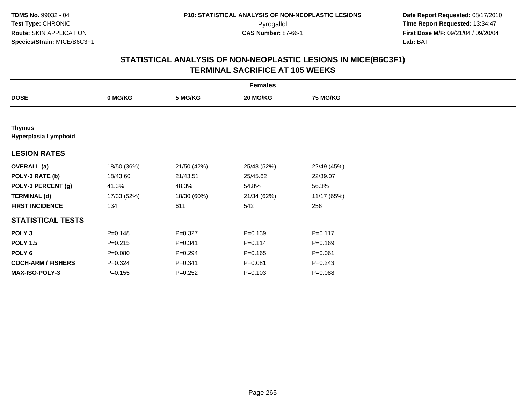|                                       |             |             | <b>Females</b> |                 |  |
|---------------------------------------|-------------|-------------|----------------|-----------------|--|
| <b>DOSE</b>                           | 0 MG/KG     | 5 MG/KG     | 20 MG/KG       | <b>75 MG/KG</b> |  |
|                                       |             |             |                |                 |  |
| <b>Thymus</b><br>Hyperplasia Lymphoid |             |             |                |                 |  |
| <b>LESION RATES</b>                   |             |             |                |                 |  |
| <b>OVERALL</b> (a)                    | 18/50 (36%) | 21/50 (42%) | 25/48 (52%)    | 22/49 (45%)     |  |
| POLY-3 RATE (b)                       | 18/43.60    | 21/43.51    | 25/45.62       | 22/39.07        |  |
| POLY-3 PERCENT (g)                    | 41.3%       | 48.3%       | 54.8%          | 56.3%           |  |
| <b>TERMINAL (d)</b>                   | 17/33 (52%) | 18/30 (60%) | 21/34 (62%)    | 11/17 (65%)     |  |
| <b>FIRST INCIDENCE</b>                | 134         | 611         | 542            | 256             |  |
| <b>STATISTICAL TESTS</b>              |             |             |                |                 |  |
| POLY <sub>3</sub>                     | $P = 0.148$ | $P = 0.327$ | $P = 0.139$    | $P = 0.117$     |  |
| <b>POLY 1.5</b>                       | $P = 0.215$ | $P = 0.341$ | $P = 0.114$    | $P = 0.169$     |  |
| POLY 6                                | $P = 0.080$ | $P = 0.294$ | $P = 0.165$    | $P = 0.061$     |  |
| <b>COCH-ARM / FISHERS</b>             | $P = 0.324$ | $P = 0.341$ | $P = 0.081$    | $P = 0.243$     |  |
| MAX-ISO-POLY-3                        | $P = 0.155$ | $P = 0.252$ | $P = 0.103$    | $P = 0.088$     |  |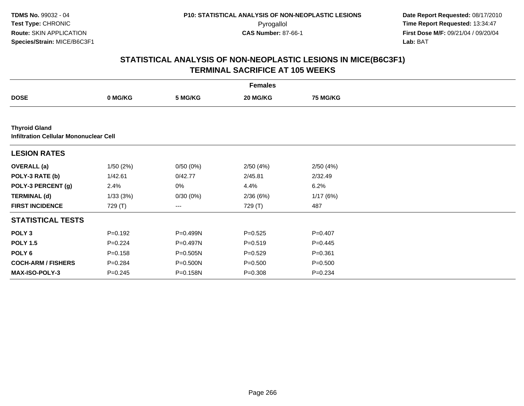|                                                                       |             |          | <b>Females</b> |                 |  |
|-----------------------------------------------------------------------|-------------|----------|----------------|-----------------|--|
| <b>DOSE</b>                                                           | 0 MG/KG     | 5 MG/KG  | 20 MG/KG       | <b>75 MG/KG</b> |  |
|                                                                       |             |          |                |                 |  |
| <b>Thyroid Gland</b><br><b>Infiltration Cellular Mononuclear Cell</b> |             |          |                |                 |  |
| <b>LESION RATES</b>                                                   |             |          |                |                 |  |
| <b>OVERALL</b> (a)                                                    | 1/50(2%)    | 0/50(0%) | 2/50(4%)       | 2/50(4%)        |  |
| POLY-3 RATE (b)                                                       | 1/42.61     | 0/42.77  | 2/45.81        | 2/32.49         |  |
| POLY-3 PERCENT (g)                                                    | 2.4%        | 0%       | 4.4%           | 6.2%            |  |
| <b>TERMINAL (d)</b>                                                   | 1/33(3%)    | 0/30(0%) | 2/36 (6%)      | 1/17(6%)        |  |
| <b>FIRST INCIDENCE</b>                                                | 729 (T)     | $--$     | 729 (T)        | 487             |  |
| <b>STATISTICAL TESTS</b>                                              |             |          |                |                 |  |
| POLY <sub>3</sub>                                                     | $P = 0.192$ | P=0.499N | $P = 0.525$    | $P=0.407$       |  |
| <b>POLY 1.5</b>                                                       | $P=0.224$   | P=0.497N | $P = 0.519$    | $P=0.445$       |  |
| POLY <sub>6</sub>                                                     | $P = 0.158$ | P=0.505N | $P=0.529$      | $P = 0.361$     |  |
| <b>COCH-ARM / FISHERS</b>                                             | $P = 0.284$ | P=0.500N | $P = 0.500$    | $P = 0.500$     |  |
| MAX-ISO-POLY-3                                                        | $P=0.245$   | P=0.158N | $P = 0.308$    | $P = 0.234$     |  |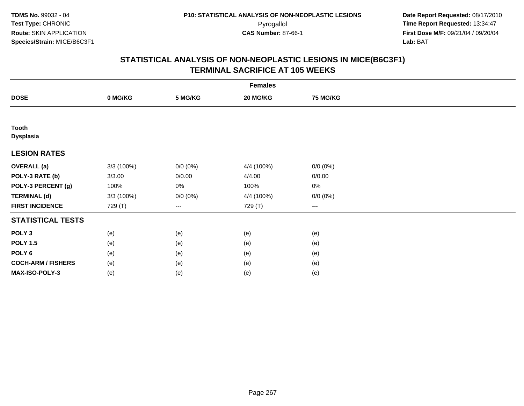|                           |            |                     | <b>Females</b> |                     |  |
|---------------------------|------------|---------------------|----------------|---------------------|--|
| <b>DOSE</b>               | 0 MG/KG    | 5 MG/KG             | 20 MG/KG       | 75 MG/KG            |  |
|                           |            |                     |                |                     |  |
| <b>Tooth</b><br>Dysplasia |            |                     |                |                     |  |
| <b>LESION RATES</b>       |            |                     |                |                     |  |
| <b>OVERALL</b> (a)        | 3/3 (100%) | $0/0 (0\%)$         | 4/4 (100%)     | $0/0 (0\%)$         |  |
| POLY-3 RATE (b)           | 3/3.00     | 0/0.00              | 4/4.00         | 0/0.00              |  |
| POLY-3 PERCENT (g)        | 100%       | 0%                  | 100%           | $0\%$               |  |
| <b>TERMINAL (d)</b>       | 3/3 (100%) | $0/0 (0\%)$         | 4/4 (100%)     | $0/0 (0\%)$         |  |
| <b>FIRST INCIDENCE</b>    | 729 (T)    | $\qquad \qquad - -$ | 729 (T)        | $\qquad \qquad - -$ |  |
| <b>STATISTICAL TESTS</b>  |            |                     |                |                     |  |
| POLY <sub>3</sub>         | (e)        | (e)                 | (e)            | (e)                 |  |
| <b>POLY 1.5</b>           | (e)        | (e)                 | (e)            | (e)                 |  |
| POLY <sub>6</sub>         | (e)        | (e)                 | (e)            | (e)                 |  |
| <b>COCH-ARM / FISHERS</b> | (e)        | (e)                 | (e)            | (e)                 |  |
| MAX-ISO-POLY-3            | (e)        | (e)                 | (e)            | (e)                 |  |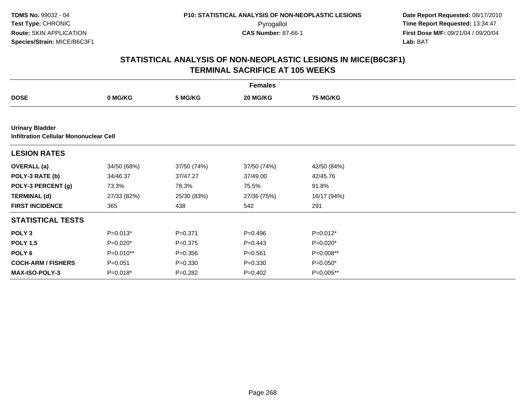|                                                                         |             |             | <b>Females</b> |                 |  |
|-------------------------------------------------------------------------|-------------|-------------|----------------|-----------------|--|
| <b>DOSE</b>                                                             | 0 MG/KG     | 5 MG/KG     | 20 MG/KG       | <b>75 MG/KG</b> |  |
|                                                                         |             |             |                |                 |  |
| <b>Urinary Bladder</b><br><b>Infiltration Cellular Mononuclear Cell</b> |             |             |                |                 |  |
| <b>LESION RATES</b>                                                     |             |             |                |                 |  |
| <b>OVERALL</b> (a)                                                      | 34/50 (68%) | 37/50 (74%) | 37/50 (74%)    | 42/50 (84%)     |  |
| POLY-3 RATE (b)                                                         | 34/46.37    | 37/47.27    | 37/49.00       | 42/45.76        |  |
| POLY-3 PERCENT (g)                                                      | 73.3%       | 78.3%       | 75.5%          | 91.8%           |  |
| <b>TERMINAL (d)</b>                                                     | 27/33 (82%) | 25/30 (83%) | 27/36 (75%)    | 16/17 (94%)     |  |
| <b>FIRST INCIDENCE</b>                                                  | 365         | 438         | 542            | 291             |  |
| <b>STATISTICAL TESTS</b>                                                |             |             |                |                 |  |
| POLY <sub>3</sub>                                                       | $P=0.013*$  | $P = 0.371$ | $P=0.496$      | $P=0.012*$      |  |
| <b>POLY 1.5</b>                                                         | $P=0.020*$  | $P = 0.375$ | $P=0.443$      | $P=0.020*$      |  |
| POLY <sub>6</sub>                                                       | P=0.010**   | $P = 0.356$ | $P = 0.561$    | P=0.008**       |  |
| <b>COCH-ARM / FISHERS</b>                                               | $P = 0.051$ | $P = 0.330$ | $P = 0.330$    | $P=0.050*$      |  |
| <b>MAX-ISO-POLY-3</b>                                                   | $P=0.018*$  | $P = 0.282$ | $P=0.402$      | P=0.005**       |  |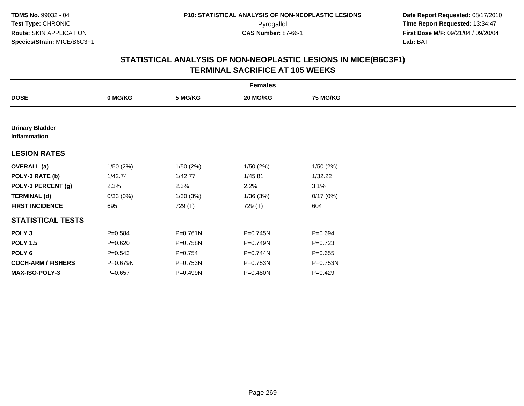|                                        |             |              | <b>Females</b> |                 |  |
|----------------------------------------|-------------|--------------|----------------|-----------------|--|
| <b>DOSE</b>                            | 0 MG/KG     | 5 MG/KG      | 20 MG/KG       | <b>75 MG/KG</b> |  |
|                                        |             |              |                |                 |  |
| <b>Urinary Bladder</b><br>Inflammation |             |              |                |                 |  |
| <b>LESION RATES</b>                    |             |              |                |                 |  |
| <b>OVERALL</b> (a)                     | 1/50(2%)    | 1/50(2%)     | 1/50(2%)       | 1/50(2%)        |  |
| POLY-3 RATE (b)                        | 1/42.74     | 1/42.77      | 1/45.81        | 1/32.22         |  |
| POLY-3 PERCENT (g)                     | 2.3%        | 2.3%         | 2.2%           | 3.1%            |  |
| <b>TERMINAL (d)</b>                    | 0/33(0%)    | 1/30(3%)     | 1/36(3%)       | 0/17(0%)        |  |
| <b>FIRST INCIDENCE</b>                 | 695         | 729 (T)      | 729 (T)        | 604             |  |
| <b>STATISTICAL TESTS</b>               |             |              |                |                 |  |
| POLY <sub>3</sub>                      | $P = 0.584$ | $P = 0.761N$ | P=0.745N       | $P = 0.694$     |  |
| <b>POLY 1.5</b>                        | $P = 0.620$ | P=0.758N     | P=0.749N       | $P=0.723$       |  |
| POLY 6                                 | $P = 0.543$ | $P = 0.754$  | P=0.744N       | $P = 0.655$     |  |
| <b>COCH-ARM / FISHERS</b>              | P=0.679N    | P=0.753N     | P=0.753N       | P=0.753N        |  |
| MAX-ISO-POLY-3                         | $P = 0.657$ | P=0.499N     | P=0.480N       | $P=0.429$       |  |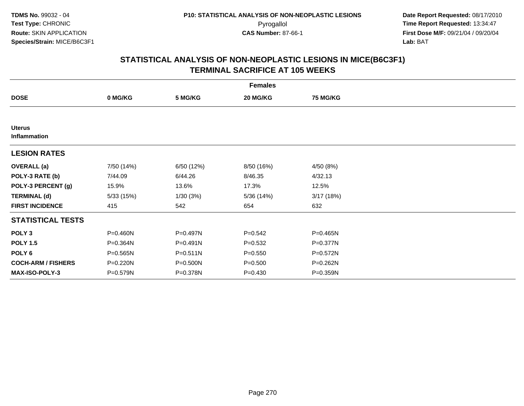|                               |            |              | <b>Females</b> |                 |  |
|-------------------------------|------------|--------------|----------------|-----------------|--|
| <b>DOSE</b>                   | 0 MG/KG    | 5 MG/KG      | 20 MG/KG       | <b>75 MG/KG</b> |  |
|                               |            |              |                |                 |  |
| <b>Uterus</b><br>Inflammation |            |              |                |                 |  |
| <b>LESION RATES</b>           |            |              |                |                 |  |
| <b>OVERALL</b> (a)            | 7/50 (14%) | 6/50 (12%)   | 8/50 (16%)     | 4/50 (8%)       |  |
| POLY-3 RATE (b)               | 7/44.09    | 6/44.26      | 8/46.35        | 4/32.13         |  |
| POLY-3 PERCENT (g)            | 15.9%      | 13.6%        | 17.3%          | 12.5%           |  |
| <b>TERMINAL (d)</b>           | 5/33(15%)  | 1/30(3%)     | 5/36 (14%)     | 3/17(18%)       |  |
| <b>FIRST INCIDENCE</b>        | 415        | 542          | 654            | 632             |  |
| <b>STATISTICAL TESTS</b>      |            |              |                |                 |  |
| POLY <sub>3</sub>             | P=0.460N   | P=0.497N     | $P=0.542$      | P=0.465N        |  |
| <b>POLY 1.5</b>               | P=0.364N   | $P = 0.491N$ | $P = 0.532$    | P=0.377N        |  |
| POLY <sub>6</sub>             | P=0.565N   | $P = 0.511N$ | $P = 0.550$    | $P = 0.572N$    |  |
| <b>COCH-ARM / FISHERS</b>     | P=0.220N   | P=0.500N     | $P = 0.500$    | P=0.262N        |  |
| MAX-ISO-POLY-3                | P=0.579N   | P=0.378N     | $P = 0.430$    | P=0.359N        |  |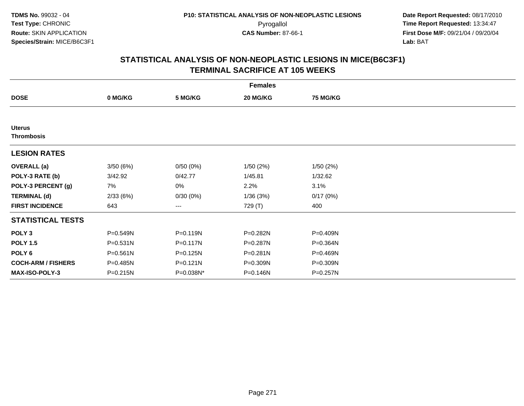|                                    |              |           | <b>Females</b> |                 |  |
|------------------------------------|--------------|-----------|----------------|-----------------|--|
| <b>DOSE</b>                        | 0 MG/KG      | 5 MG/KG   | 20 MG/KG       | <b>75 MG/KG</b> |  |
|                                    |              |           |                |                 |  |
| <b>Uterus</b><br><b>Thrombosis</b> |              |           |                |                 |  |
| <b>LESION RATES</b>                |              |           |                |                 |  |
| <b>OVERALL</b> (a)                 | 3/50(6%)     | 0/50(0%)  | 1/50(2%)       | 1/50(2%)        |  |
| POLY-3 RATE (b)                    | 3/42.92      | 0/42.77   | 1/45.81        | 1/32.62         |  |
| POLY-3 PERCENT (g)                 | 7%           | 0%        | 2.2%           | 3.1%            |  |
| <b>TERMINAL (d)</b>                | 2/33(6%)     | 0/30(0%)  | 1/36(3%)       | 0/17(0%)        |  |
| <b>FIRST INCIDENCE</b>             | 643          | ---       | 729 (T)        | 400             |  |
| <b>STATISTICAL TESTS</b>           |              |           |                |                 |  |
| POLY <sub>3</sub>                  | P=0.549N     | P=0.119N  | P=0.282N       | P=0.409N        |  |
| <b>POLY 1.5</b>                    | $P = 0.531N$ | P=0.117N  | P=0.287N       | P=0.364N        |  |
| POLY <sub>6</sub>                  | P=0.561N     | P=0.125N  | $P = 0.281N$   | P=0.469N        |  |
| <b>COCH-ARM / FISHERS</b>          | P=0.485N     | P=0.121N  | P=0.309N       | P=0.309N        |  |
| MAX-ISO-POLY-3                     | P=0.215N     | P=0.038N* | P=0.146N       | P=0.257N        |  |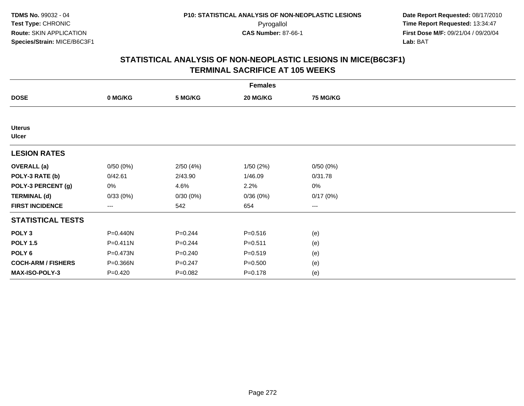|                               |              |             | <b>Females</b> |          |  |
|-------------------------------|--------------|-------------|----------------|----------|--|
| <b>DOSE</b>                   | 0 MG/KG      | 5 MG/KG     | 20 MG/KG       | 75 MG/KG |  |
|                               |              |             |                |          |  |
| <b>Uterus</b><br><b>Ulcer</b> |              |             |                |          |  |
| <b>LESION RATES</b>           |              |             |                |          |  |
| <b>OVERALL</b> (a)            | 0/50(0%)     | 2/50(4%)    | 1/50 (2%)      | 0/50(0%) |  |
| POLY-3 RATE (b)               | 0/42.61      | 2/43.90     | 1/46.09        | 0/31.78  |  |
| POLY-3 PERCENT (g)            | 0%           | 4.6%        | 2.2%           | 0%       |  |
| <b>TERMINAL (d)</b>           | 0/33(0%)     | 0/30(0%)    | 0/36(0%)       | 0/17(0%) |  |
| <b>FIRST INCIDENCE</b>        | ---          | 542         | 654            | $--$     |  |
| <b>STATISTICAL TESTS</b>      |              |             |                |          |  |
| POLY <sub>3</sub>             | P=0.440N     | $P=0.244$   | $P = 0.516$    | (e)      |  |
| <b>POLY 1.5</b>               | $P = 0.411N$ | $P = 0.244$ | $P = 0.511$    | (e)      |  |
| POLY <sub>6</sub>             | P=0.473N     | $P = 0.240$ | $P = 0.519$    | (e)      |  |
| <b>COCH-ARM / FISHERS</b>     | P=0.366N     | $P = 0.247$ | $P = 0.500$    | (e)      |  |
| MAX-ISO-POLY-3                | $P=0.420$    | $P = 0.082$ | $P = 0.178$    | (e)      |  |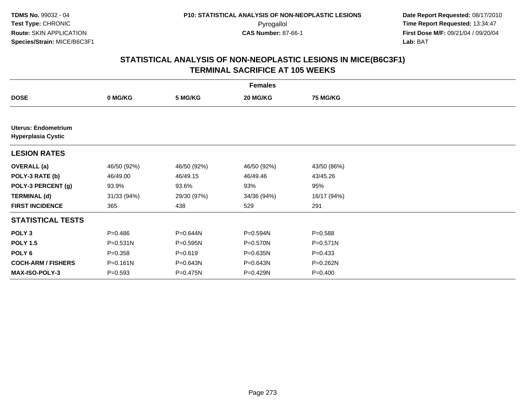|                                                  |             |              | <b>Females</b> |                 |  |
|--------------------------------------------------|-------------|--------------|----------------|-----------------|--|
| <b>DOSE</b>                                      | 0 MG/KG     | 5 MG/KG      | 20 MG/KG       | <b>75 MG/KG</b> |  |
|                                                  |             |              |                |                 |  |
| Uterus: Endometrium<br><b>Hyperplasia Cystic</b> |             |              |                |                 |  |
| <b>LESION RATES</b>                              |             |              |                |                 |  |
| <b>OVERALL</b> (a)                               | 46/50 (92%) | 46/50 (92%)  | 46/50 (92%)    | 43/50 (86%)     |  |
| POLY-3 RATE (b)                                  | 46/49.00    | 46/49.15     | 46/49.46       | 43/45.26        |  |
| POLY-3 PERCENT (g)                               | 93.9%       | 93.6%        | 93%            | 95%             |  |
| <b>TERMINAL (d)</b>                              | 31/33 (94%) | 29/30 (97%)  | 34/36 (94%)    | 16/17 (94%)     |  |
| <b>FIRST INCIDENCE</b>                           | 365         | 438          | 529            | 291             |  |
| <b>STATISTICAL TESTS</b>                         |             |              |                |                 |  |
| POLY <sub>3</sub>                                | $P = 0.486$ | P=0.644N     | P=0.594N       | $P = 0.588$     |  |
| <b>POLY 1.5</b>                                  | P=0.531N    | $P = 0.595N$ | P=0.570N       | P=0.571N        |  |
| POLY <sub>6</sub>                                | $P = 0.358$ | $P = 0.619$  | P=0.635N       | $P = 0.433$     |  |
| <b>COCH-ARM / FISHERS</b>                        | P=0.161N    | P=0.643N     | P=0.643N       | P=0.262N        |  |
| <b>MAX-ISO-POLY-3</b>                            | $P = 0.593$ | P=0.475N     | P=0.429N       | $P = 0.400$     |  |